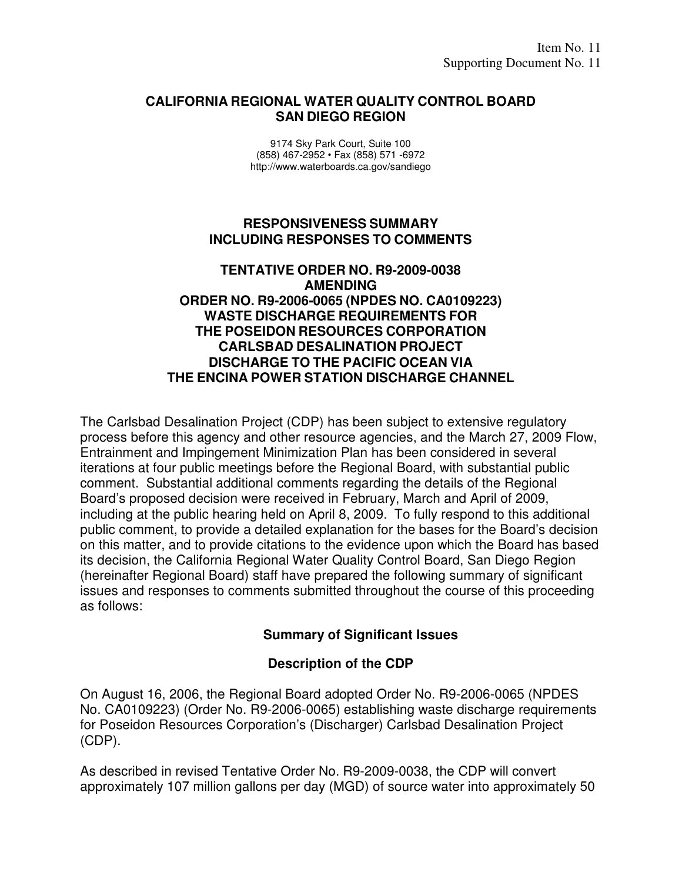#### **CALIFORNIA REGIONAL WATER QUALITY CONTROL BOARD SAN DIEGO REGION**

9174 Sky Park Court, Suite 100 (858) 467-2952 • Fax (858) 571 -6972 http://www.waterboards.ca.gov/sandiego

#### **RESPONSIVENESS SUMMARY INCLUDING RESPONSES TO COMMENTS**

#### **TENTATIVE ORDER NO. R9-2009-0038 AMENDING ORDER NO. R9-2006-0065 (NPDES NO. CA0109223) WASTE DISCHARGE REQUIREMENTS FOR THE POSEIDON RESOURCES CORPORATION CARLSBAD DESALINATION PROJECT DISCHARGE TO THE PACIFIC OCEAN VIA THE ENCINA POWER STATION DISCHARGE CHANNEL**

The Carlsbad Desalination Project (CDP) has been subject to extensive regulatory process before this agency and other resource agencies, and the March 27, 2009 Flow, Entrainment and Impingement Minimization Plan has been considered in several iterations at four public meetings before the Regional Board, with substantial public comment. Substantial additional comments regarding the details of the Regional Board's proposed decision were received in February, March and April of 2009, including at the public hearing held on April 8, 2009. To fully respond to this additional public comment, to provide a detailed explanation for the bases for the Board's decision on this matter, and to provide citations to the evidence upon which the Board has based its decision, the California Regional Water Quality Control Board, San Diego Region (hereinafter Regional Board) staff have prepared the following summary of significant issues and responses to comments submitted throughout the course of this proceeding as follows:

#### **Summary of Significant Issues**

#### **Description of the CDP**

On August 16, 2006, the Regional Board adopted Order No. R9-2006-0065 (NPDES No. CA0109223) (Order No. R9-2006-0065) establishing waste discharge requirements for Poseidon Resources Corporation's (Discharger) Carlsbad Desalination Project (CDP).

As described in revised Tentative Order No. R9-2009-0038, the CDP will convert approximately 107 million gallons per day (MGD) of source water into approximately 50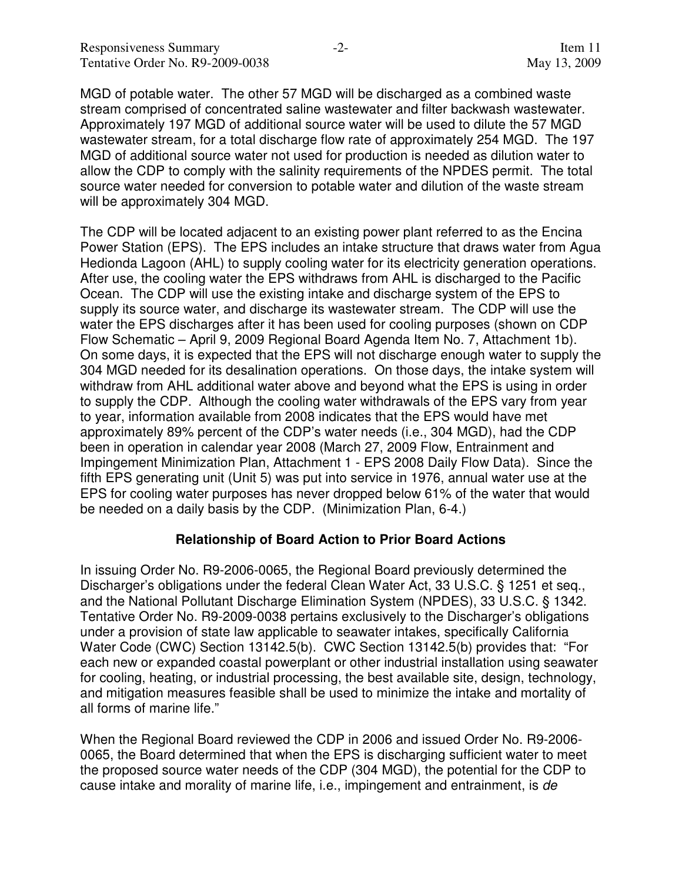MGD of potable water. The other 57 MGD will be discharged as a combined waste stream comprised of concentrated saline wastewater and filter backwash wastewater. Approximately 197 MGD of additional source water will be used to dilute the 57 MGD wastewater stream, for a total discharge flow rate of approximately 254 MGD. The 197 MGD of additional source water not used for production is needed as dilution water to allow the CDP to comply with the salinity requirements of the NPDES permit. The total source water needed for conversion to potable water and dilution of the waste stream will be approximately 304 MGD.

The CDP will be located adjacent to an existing power plant referred to as the Encina Power Station (EPS). The EPS includes an intake structure that draws water from Agua Hedionda Lagoon (AHL) to supply cooling water for its electricity generation operations. After use, the cooling water the EPS withdraws from AHL is discharged to the Pacific Ocean. The CDP will use the existing intake and discharge system of the EPS to supply its source water, and discharge its wastewater stream. The CDP will use the water the EPS discharges after it has been used for cooling purposes (shown on CDP Flow Schematic – April 9, 2009 Regional Board Agenda Item No. 7, Attachment 1b). On some days, it is expected that the EPS will not discharge enough water to supply the 304 MGD needed for its desalination operations. On those days, the intake system will withdraw from AHL additional water above and beyond what the EPS is using in order to supply the CDP. Although the cooling water withdrawals of the EPS vary from year to year, information available from 2008 indicates that the EPS would have met approximately 89% percent of the CDP's water needs (i.e., 304 MGD), had the CDP been in operation in calendar year 2008 (March 27, 2009 Flow, Entrainment and Impingement Minimization Plan, Attachment 1 - EPS 2008 Daily Flow Data). Since the fifth EPS generating unit (Unit 5) was put into service in 1976, annual water use at the EPS for cooling water purposes has never dropped below 61% of the water that would be needed on a daily basis by the CDP. (Minimization Plan, 6-4.)

#### **Relationship of Board Action to Prior Board Actions**

In issuing Order No. R9-2006-0065, the Regional Board previously determined the Discharger's obligations under the federal Clean Water Act, 33 U.S.C. § 1251 et seq., and the National Pollutant Discharge Elimination System (NPDES), 33 U.S.C. § 1342. Tentative Order No. R9-2009-0038 pertains exclusively to the Discharger's obligations under a provision of state law applicable to seawater intakes, specifically California Water Code (CWC) Section 13142.5(b). CWC Section 13142.5(b) provides that: "For each new or expanded coastal powerplant or other industrial installation using seawater for cooling, heating, or industrial processing, the best available site, design, technology, and mitigation measures feasible shall be used to minimize the intake and mortality of all forms of marine life."

When the Regional Board reviewed the CDP in 2006 and issued Order No. R9-2006- 0065, the Board determined that when the EPS is discharging sufficient water to meet the proposed source water needs of the CDP (304 MGD), the potential for the CDP to cause intake and morality of marine life, i.e., impingement and entrainment, is de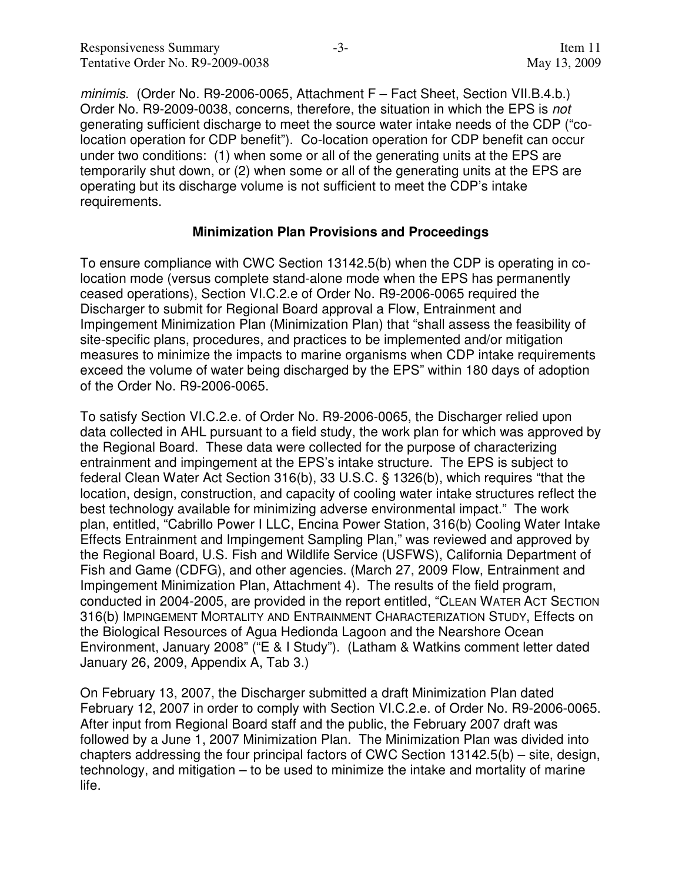minimis. (Order No. R9-2006-0065, Attachment F – Fact Sheet, Section VII.B.4.b.) Order No. R9-2009-0038, concerns, therefore, the situation in which the EPS is not generating sufficient discharge to meet the source water intake needs of the CDP ("colocation operation for CDP benefit"). Co-location operation for CDP benefit can occur under two conditions: (1) when some or all of the generating units at the EPS are temporarily shut down, or (2) when some or all of the generating units at the EPS are operating but its discharge volume is not sufficient to meet the CDP's intake requirements.

#### **Minimization Plan Provisions and Proceedings**

To ensure compliance with CWC Section 13142.5(b) when the CDP is operating in colocation mode (versus complete stand-alone mode when the EPS has permanently ceased operations), Section VI.C.2.e of Order No. R9-2006-0065 required the Discharger to submit for Regional Board approval a Flow, Entrainment and Impingement Minimization Plan (Minimization Plan) that "shall assess the feasibility of site-specific plans, procedures, and practices to be implemented and/or mitigation measures to minimize the impacts to marine organisms when CDP intake requirements exceed the volume of water being discharged by the EPS" within 180 days of adoption of the Order No. R9-2006-0065.

To satisfy Section VI.C.2.e. of Order No. R9-2006-0065, the Discharger relied upon data collected in AHL pursuant to a field study, the work plan for which was approved by the Regional Board. These data were collected for the purpose of characterizing entrainment and impingement at the EPS's intake structure. The EPS is subject to federal Clean Water Act Section 316(b), 33 U.S.C. § 1326(b), which requires "that the location, design, construction, and capacity of cooling water intake structures reflect the best technology available for minimizing adverse environmental impact." The work plan, entitled, "Cabrillo Power I LLC, Encina Power Station, 316(b) Cooling Water Intake Effects Entrainment and Impingement Sampling Plan," was reviewed and approved by the Regional Board, U.S. Fish and Wildlife Service (USFWS), California Department of Fish and Game (CDFG), and other agencies. (March 27, 2009 Flow, Entrainment and Impingement Minimization Plan, Attachment 4). The results of the field program, conducted in 2004-2005, are provided in the report entitled, "CLEAN WATER ACT SECTION 316(b) IMPINGEMENT MORTALITY AND ENTRAINMENT CHARACTERIZATION STUDY, Effects on the Biological Resources of Agua Hedionda Lagoon and the Nearshore Ocean Environment, January 2008" ("E & I Study"). (Latham & Watkins comment letter dated January 26, 2009, Appendix A, Tab 3.)

On February 13, 2007, the Discharger submitted a draft Minimization Plan dated February 12, 2007 in order to comply with Section VI.C.2.e. of Order No. R9-2006-0065. After input from Regional Board staff and the public, the February 2007 draft was followed by a June 1, 2007 Minimization Plan. The Minimization Plan was divided into chapters addressing the four principal factors of CWC Section 13142.5(b) – site, design, technology, and mitigation – to be used to minimize the intake and mortality of marine life.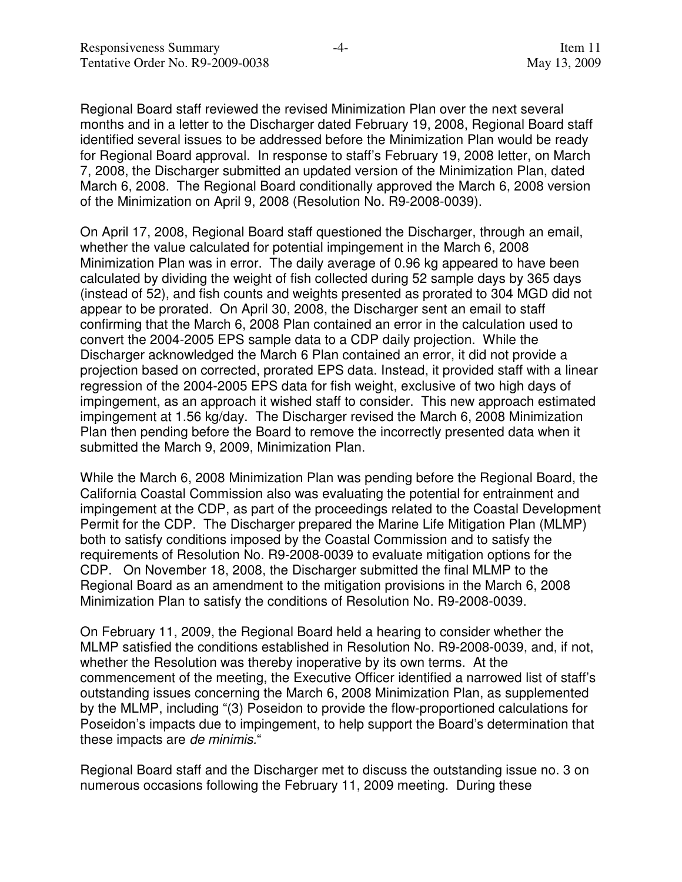Regional Board staff reviewed the revised Minimization Plan over the next several months and in a letter to the Discharger dated February 19, 2008, Regional Board staff identified several issues to be addressed before the Minimization Plan would be ready for Regional Board approval. In response to staff's February 19, 2008 letter, on March 7, 2008, the Discharger submitted an updated version of the Minimization Plan, dated March 6, 2008. The Regional Board conditionally approved the March 6, 2008 version of the Minimization on April 9, 2008 (Resolution No. R9-2008-0039).

On April 17, 2008, Regional Board staff questioned the Discharger, through an email, whether the value calculated for potential impingement in the March 6, 2008 Minimization Plan was in error. The daily average of 0.96 kg appeared to have been calculated by dividing the weight of fish collected during 52 sample days by 365 days (instead of 52), and fish counts and weights presented as prorated to 304 MGD did not appear to be prorated. On April 30, 2008, the Discharger sent an email to staff confirming that the March 6, 2008 Plan contained an error in the calculation used to convert the 2004-2005 EPS sample data to a CDP daily projection. While the Discharger acknowledged the March 6 Plan contained an error, it did not provide a projection based on corrected, prorated EPS data. Instead, it provided staff with a linear regression of the 2004-2005 EPS data for fish weight, exclusive of two high days of impingement, as an approach it wished staff to consider. This new approach estimated impingement at 1.56 kg/day. The Discharger revised the March 6, 2008 Minimization Plan then pending before the Board to remove the incorrectly presented data when it submitted the March 9, 2009, Minimization Plan.

While the March 6, 2008 Minimization Plan was pending before the Regional Board, the California Coastal Commission also was evaluating the potential for entrainment and impingement at the CDP, as part of the proceedings related to the Coastal Development Permit for the CDP. The Discharger prepared the Marine Life Mitigation Plan (MLMP) both to satisfy conditions imposed by the Coastal Commission and to satisfy the requirements of Resolution No. R9-2008-0039 to evaluate mitigation options for the CDP. On November 18, 2008, the Discharger submitted the final MLMP to the Regional Board as an amendment to the mitigation provisions in the March 6, 2008 Minimization Plan to satisfy the conditions of Resolution No. R9-2008-0039.

On February 11, 2009, the Regional Board held a hearing to consider whether the MLMP satisfied the conditions established in Resolution No. R9-2008-0039, and, if not, whether the Resolution was thereby inoperative by its own terms. At the commencement of the meeting, the Executive Officer identified a narrowed list of staff's outstanding issues concerning the March 6, 2008 Minimization Plan, as supplemented by the MLMP, including "(3) Poseidon to provide the flow-proportioned calculations for Poseidon's impacts due to impingement, to help support the Board's determination that these impacts are de minimis."

Regional Board staff and the Discharger met to discuss the outstanding issue no. 3 on numerous occasions following the February 11, 2009 meeting. During these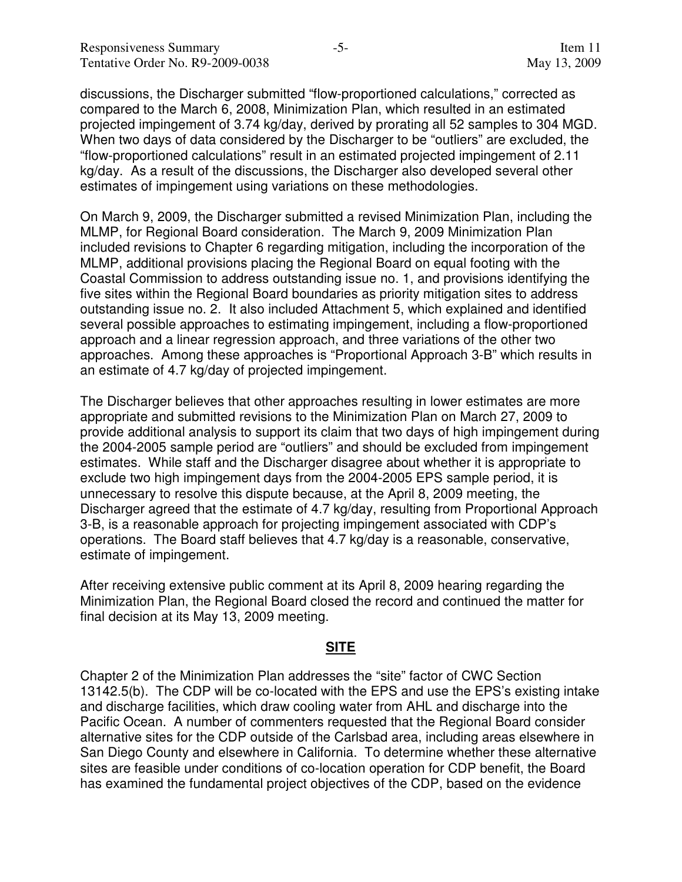discussions, the Discharger submitted "flow-proportioned calculations," corrected as compared to the March 6, 2008, Minimization Plan, which resulted in an estimated projected impingement of 3.74 kg/day, derived by prorating all 52 samples to 304 MGD. When two days of data considered by the Discharger to be "outliers" are excluded, the "flow-proportioned calculations" result in an estimated projected impingement of 2.11 kg/day. As a result of the discussions, the Discharger also developed several other estimates of impingement using variations on these methodologies.

On March 9, 2009, the Discharger submitted a revised Minimization Plan, including the MLMP, for Regional Board consideration. The March 9, 2009 Minimization Plan included revisions to Chapter 6 regarding mitigation, including the incorporation of the MLMP, additional provisions placing the Regional Board on equal footing with the Coastal Commission to address outstanding issue no. 1, and provisions identifying the five sites within the Regional Board boundaries as priority mitigation sites to address outstanding issue no. 2. It also included Attachment 5, which explained and identified several possible approaches to estimating impingement, including a flow-proportioned approach and a linear regression approach, and three variations of the other two approaches. Among these approaches is "Proportional Approach 3-B" which results in an estimate of 4.7 kg/day of projected impingement.

The Discharger believes that other approaches resulting in lower estimates are more appropriate and submitted revisions to the Minimization Plan on March 27, 2009 to provide additional analysis to support its claim that two days of high impingement during the 2004-2005 sample period are "outliers" and should be excluded from impingement estimates. While staff and the Discharger disagree about whether it is appropriate to exclude two high impingement days from the 2004-2005 EPS sample period, it is unnecessary to resolve this dispute because, at the April 8, 2009 meeting, the Discharger agreed that the estimate of 4.7 kg/day, resulting from Proportional Approach 3-B, is a reasonable approach for projecting impingement associated with CDP's operations. The Board staff believes that 4.7 kg/day is a reasonable, conservative, estimate of impingement.

After receiving extensive public comment at its April 8, 2009 hearing regarding the Minimization Plan, the Regional Board closed the record and continued the matter for final decision at its May 13, 2009 meeting.

#### **SITE**

Chapter 2 of the Minimization Plan addresses the "site" factor of CWC Section 13142.5(b). The CDP will be co-located with the EPS and use the EPS's existing intake and discharge facilities, which draw cooling water from AHL and discharge into the Pacific Ocean. A number of commenters requested that the Regional Board consider alternative sites for the CDP outside of the Carlsbad area, including areas elsewhere in San Diego County and elsewhere in California. To determine whether these alternative sites are feasible under conditions of co-location operation for CDP benefit, the Board has examined the fundamental project objectives of the CDP, based on the evidence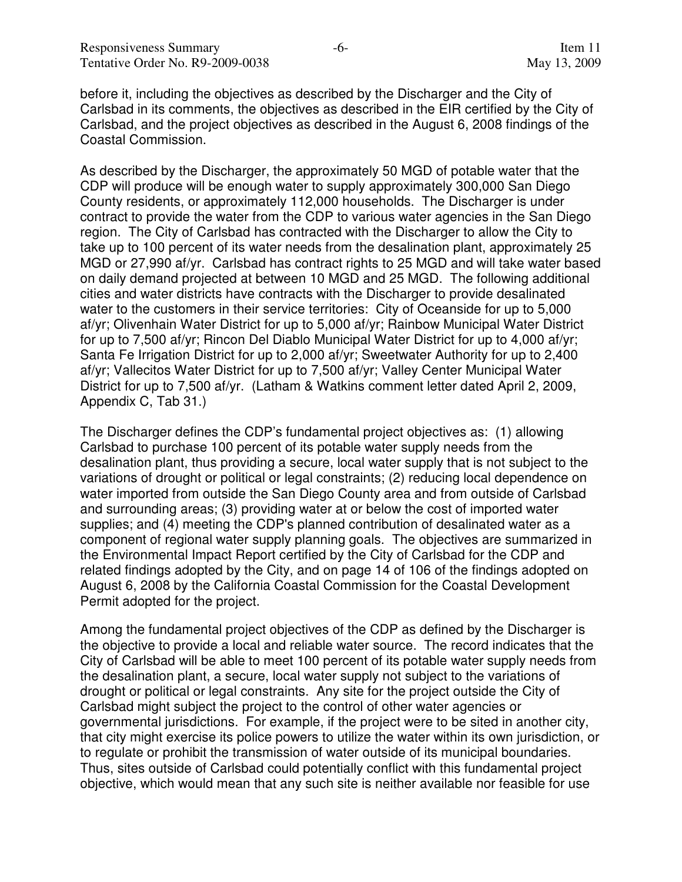before it, including the objectives as described by the Discharger and the City of Carlsbad in its comments, the objectives as described in the EIR certified by the City of Carlsbad, and the project objectives as described in the August 6, 2008 findings of the Coastal Commission.

As described by the Discharger, the approximately 50 MGD of potable water that the CDP will produce will be enough water to supply approximately 300,000 San Diego County residents, or approximately 112,000 households. The Discharger is under contract to provide the water from the CDP to various water agencies in the San Diego region. The City of Carlsbad has contracted with the Discharger to allow the City to take up to 100 percent of its water needs from the desalination plant, approximately 25 MGD or 27,990 af/yr. Carlsbad has contract rights to 25 MGD and will take water based on daily demand projected at between 10 MGD and 25 MGD. The following additional cities and water districts have contracts with the Discharger to provide desalinated water to the customers in their service territories: City of Oceanside for up to 5,000 af/yr; Olivenhain Water District for up to 5,000 af/yr; Rainbow Municipal Water District for up to 7,500 af/yr; Rincon Del Diablo Municipal Water District for up to 4,000 af/yr; Santa Fe Irrigation District for up to 2,000 af/yr; Sweetwater Authority for up to 2,400 af/yr; Vallecitos Water District for up to 7,500 af/yr; Valley Center Municipal Water District for up to 7,500 af/yr. (Latham & Watkins comment letter dated April 2, 2009, Appendix C, Tab 31.)

The Discharger defines the CDP's fundamental project objectives as: (1) allowing Carlsbad to purchase 100 percent of its potable water supply needs from the desalination plant, thus providing a secure, local water supply that is not subject to the variations of drought or political or legal constraints; (2) reducing local dependence on water imported from outside the San Diego County area and from outside of Carlsbad and surrounding areas; (3) providing water at or below the cost of imported water supplies; and (4) meeting the CDP's planned contribution of desalinated water as a component of regional water supply planning goals. The objectives are summarized in the Environmental Impact Report certified by the City of Carlsbad for the CDP and related findings adopted by the City, and on page 14 of 106 of the findings adopted on August 6, 2008 by the California Coastal Commission for the Coastal Development Permit adopted for the project.

Among the fundamental project objectives of the CDP as defined by the Discharger is the objective to provide a local and reliable water source. The record indicates that the City of Carlsbad will be able to meet 100 percent of its potable water supply needs from the desalination plant, a secure, local water supply not subject to the variations of drought or political or legal constraints. Any site for the project outside the City of Carlsbad might subject the project to the control of other water agencies or governmental jurisdictions. For example, if the project were to be sited in another city, that city might exercise its police powers to utilize the water within its own jurisdiction, or to regulate or prohibit the transmission of water outside of its municipal boundaries. Thus, sites outside of Carlsbad could potentially conflict with this fundamental project objective, which would mean that any such site is neither available nor feasible for use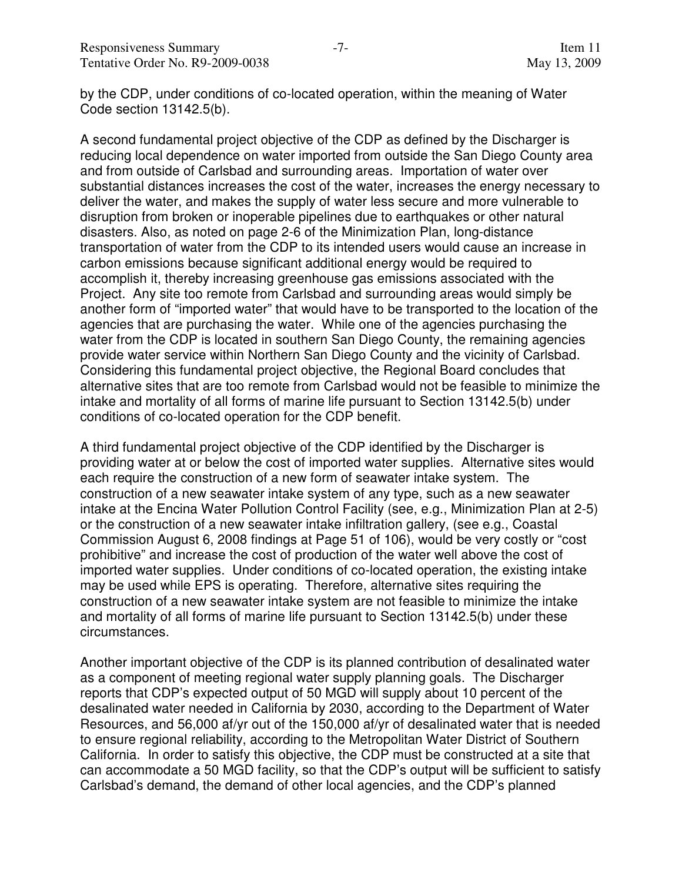by the CDP, under conditions of co-located operation, within the meaning of Water Code section 13142.5(b).

A second fundamental project objective of the CDP as defined by the Discharger is reducing local dependence on water imported from outside the San Diego County area and from outside of Carlsbad and surrounding areas. Importation of water over substantial distances increases the cost of the water, increases the energy necessary to deliver the water, and makes the supply of water less secure and more vulnerable to disruption from broken or inoperable pipelines due to earthquakes or other natural disasters. Also, as noted on page 2-6 of the Minimization Plan, long-distance transportation of water from the CDP to its intended users would cause an increase in carbon emissions because significant additional energy would be required to accomplish it, thereby increasing greenhouse gas emissions associated with the Project. Any site too remote from Carlsbad and surrounding areas would simply be another form of "imported water" that would have to be transported to the location of the agencies that are purchasing the water. While one of the agencies purchasing the water from the CDP is located in southern San Diego County, the remaining agencies provide water service within Northern San Diego County and the vicinity of Carlsbad. Considering this fundamental project objective, the Regional Board concludes that alternative sites that are too remote from Carlsbad would not be feasible to minimize the intake and mortality of all forms of marine life pursuant to Section 13142.5(b) under conditions of co-located operation for the CDP benefit.

A third fundamental project objective of the CDP identified by the Discharger is providing water at or below the cost of imported water supplies. Alternative sites would each require the construction of a new form of seawater intake system. The construction of a new seawater intake system of any type, such as a new seawater intake at the Encina Water Pollution Control Facility (see, e.g., Minimization Plan at 2-5) or the construction of a new seawater intake infiltration gallery, (see e.g., Coastal Commission August 6, 2008 findings at Page 51 of 106), would be very costly or "cost prohibitive" and increase the cost of production of the water well above the cost of imported water supplies. Under conditions of co-located operation, the existing intake may be used while EPS is operating. Therefore, alternative sites requiring the construction of a new seawater intake system are not feasible to minimize the intake and mortality of all forms of marine life pursuant to Section 13142.5(b) under these circumstances.

Another important objective of the CDP is its planned contribution of desalinated water as a component of meeting regional water supply planning goals. The Discharger reports that CDP's expected output of 50 MGD will supply about 10 percent of the desalinated water needed in California by 2030, according to the Department of Water Resources, and 56,000 af/yr out of the 150,000 af/yr of desalinated water that is needed to ensure regional reliability, according to the Metropolitan Water District of Southern California. In order to satisfy this objective, the CDP must be constructed at a site that can accommodate a 50 MGD facility, so that the CDP's output will be sufficient to satisfy Carlsbad's demand, the demand of other local agencies, and the CDP's planned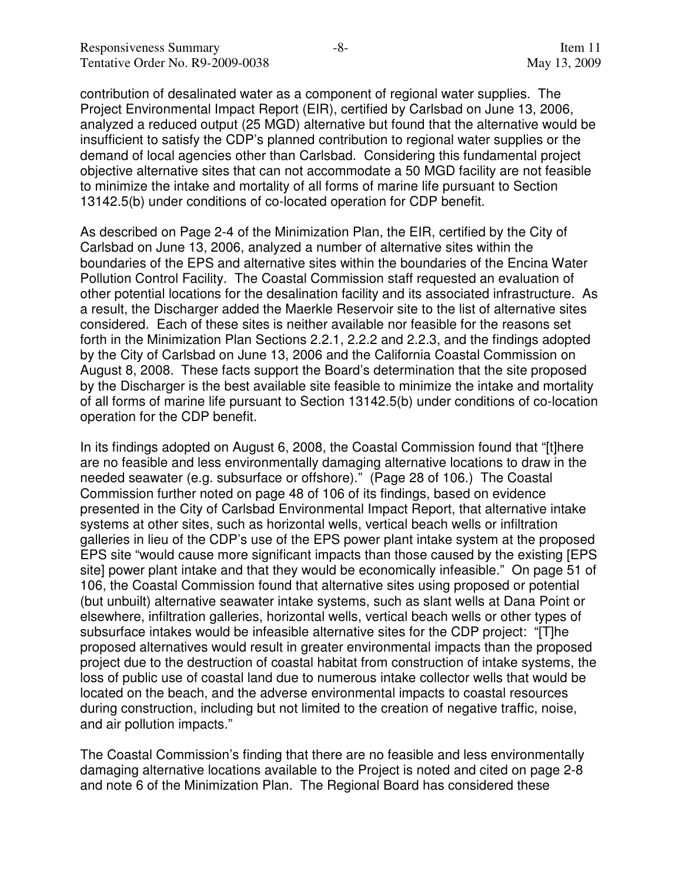contribution of desalinated water as a component of regional water supplies. The Project Environmental Impact Report (EIR), certified by Carlsbad on June 13, 2006, analyzed a reduced output (25 MGD) alternative but found that the alternative would be insufficient to satisfy the CDP's planned contribution to regional water supplies or the demand of local agencies other than Carlsbad. Considering this fundamental project objective alternative sites that can not accommodate a 50 MGD facility are not feasible to minimize the intake and mortality of all forms of marine life pursuant to Section 13142.5(b) under conditions of co-located operation for CDP benefit.

As described on Page 2-4 of the Minimization Plan, the EIR, certified by the City of Carlsbad on June 13, 2006, analyzed a number of alternative sites within the boundaries of the EPS and alternative sites within the boundaries of the Encina Water Pollution Control Facility. The Coastal Commission staff requested an evaluation of other potential locations for the desalination facility and its associated infrastructure. As a result, the Discharger added the Maerkle Reservoir site to the list of alternative sites considered. Each of these sites is neither available nor feasible for the reasons set forth in the Minimization Plan Sections 2.2.1, 2.2.2 and 2.2.3, and the findings adopted by the City of Carlsbad on June 13, 2006 and the California Coastal Commission on August 8, 2008. These facts support the Board's determination that the site proposed by the Discharger is the best available site feasible to minimize the intake and mortality of all forms of marine life pursuant to Section 13142.5(b) under conditions of co-location operation for the CDP benefit.

In its findings adopted on August 6, 2008, the Coastal Commission found that "[t]here are no feasible and less environmentally damaging alternative locations to draw in the needed seawater (e.g. subsurface or offshore)." (Page 28 of 106.) The Coastal Commission further noted on page 48 of 106 of its findings, based on evidence presented in the City of Carlsbad Environmental Impact Report, that alternative intake systems at other sites, such as horizontal wells, vertical beach wells or infiltration galleries in lieu of the CDP's use of the EPS power plant intake system at the proposed EPS site "would cause more significant impacts than those caused by the existing [EPS site] power plant intake and that they would be economically infeasible." On page 51 of 106, the Coastal Commission found that alternative sites using proposed or potential (but unbuilt) alternative seawater intake systems, such as slant wells at Dana Point or elsewhere, infiltration galleries, horizontal wells, vertical beach wells or other types of subsurface intakes would be infeasible alternative sites for the CDP project: "[T]he proposed alternatives would result in greater environmental impacts than the proposed project due to the destruction of coastal habitat from construction of intake systems, the loss of public use of coastal land due to numerous intake collector wells that would be located on the beach, and the adverse environmental impacts to coastal resources during construction, including but not limited to the creation of negative traffic, noise, and air pollution impacts."

The Coastal Commission's finding that there are no feasible and less environmentally damaging alternative locations available to the Project is noted and cited on page 2-8 and note 6 of the Minimization Plan. The Regional Board has considered these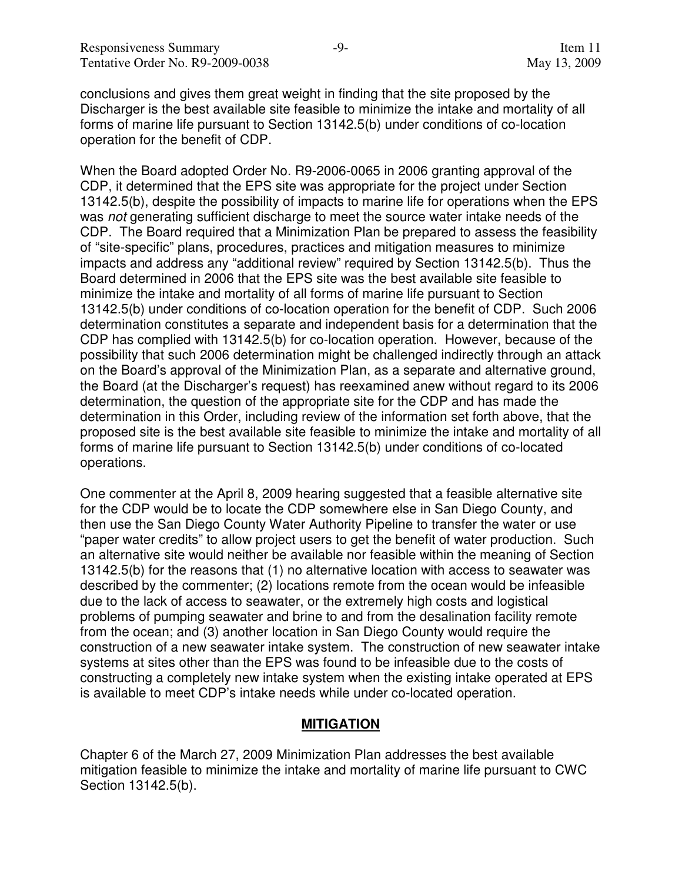conclusions and gives them great weight in finding that the site proposed by the Discharger is the best available site feasible to minimize the intake and mortality of all forms of marine life pursuant to Section 13142.5(b) under conditions of co-location operation for the benefit of CDP.

When the Board adopted Order No. R9-2006-0065 in 2006 granting approval of the CDP, it determined that the EPS site was appropriate for the project under Section 13142.5(b), despite the possibility of impacts to marine life for operations when the EPS was not generating sufficient discharge to meet the source water intake needs of the CDP. The Board required that a Minimization Plan be prepared to assess the feasibility of "site-specific" plans, procedures, practices and mitigation measures to minimize impacts and address any "additional review" required by Section 13142.5(b). Thus the Board determined in 2006 that the EPS site was the best available site feasible to minimize the intake and mortality of all forms of marine life pursuant to Section 13142.5(b) under conditions of co-location operation for the benefit of CDP. Such 2006 determination constitutes a separate and independent basis for a determination that the CDP has complied with 13142.5(b) for co-location operation. However, because of the possibility that such 2006 determination might be challenged indirectly through an attack on the Board's approval of the Minimization Plan, as a separate and alternative ground, the Board (at the Discharger's request) has reexamined anew without regard to its 2006 determination, the question of the appropriate site for the CDP and has made the determination in this Order, including review of the information set forth above, that the proposed site is the best available site feasible to minimize the intake and mortality of all forms of marine life pursuant to Section 13142.5(b) under conditions of co-located operations.

One commenter at the April 8, 2009 hearing suggested that a feasible alternative site for the CDP would be to locate the CDP somewhere else in San Diego County, and then use the San Diego County Water Authority Pipeline to transfer the water or use "paper water credits" to allow project users to get the benefit of water production. Such an alternative site would neither be available nor feasible within the meaning of Section 13142.5(b) for the reasons that (1) no alternative location with access to seawater was described by the commenter; (2) locations remote from the ocean would be infeasible due to the lack of access to seawater, or the extremely high costs and logistical problems of pumping seawater and brine to and from the desalination facility remote from the ocean; and (3) another location in San Diego County would require the construction of a new seawater intake system. The construction of new seawater intake systems at sites other than the EPS was found to be infeasible due to the costs of constructing a completely new intake system when the existing intake operated at EPS is available to meet CDP's intake needs while under co-located operation.

#### **MITIGATION**

Chapter 6 of the March 27, 2009 Minimization Plan addresses the best available mitigation feasible to minimize the intake and mortality of marine life pursuant to CWC Section 13142.5(b).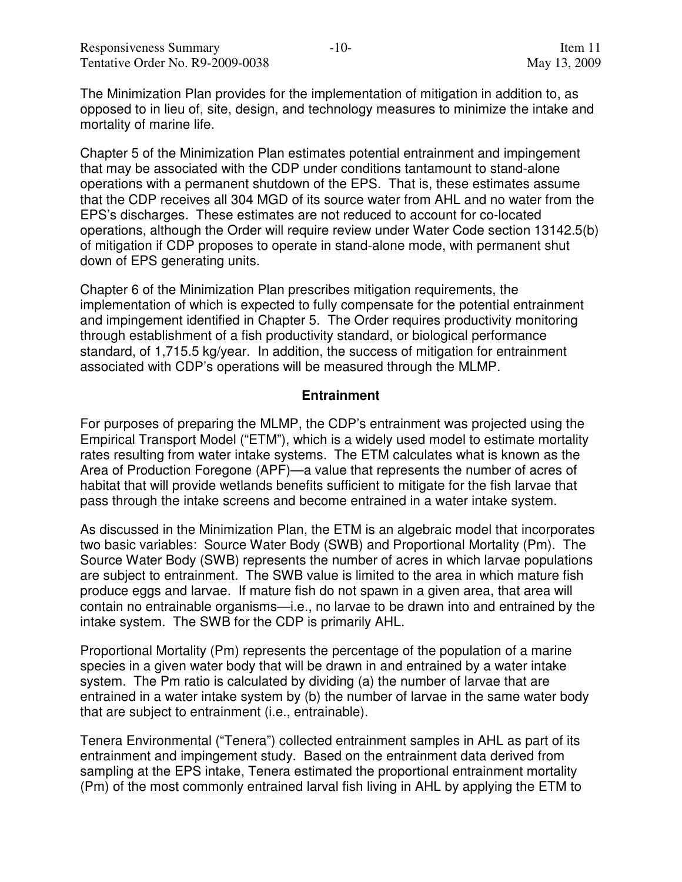The Minimization Plan provides for the implementation of mitigation in addition to, as opposed to in lieu of, site, design, and technology measures to minimize the intake and mortality of marine life.

Chapter 5 of the Minimization Plan estimates potential entrainment and impingement that may be associated with the CDP under conditions tantamount to stand-alone operations with a permanent shutdown of the EPS. That is, these estimates assume that the CDP receives all 304 MGD of its source water from AHL and no water from the EPS's discharges. These estimates are not reduced to account for co-located operations, although the Order will require review under Water Code section 13142.5(b) of mitigation if CDP proposes to operate in stand-alone mode, with permanent shut down of EPS generating units.

Chapter 6 of the Minimization Plan prescribes mitigation requirements, the implementation of which is expected to fully compensate for the potential entrainment and impingement identified in Chapter 5. The Order requires productivity monitoring through establishment of a fish productivity standard, or biological performance standard, of 1,715.5 kg/year. In addition, the success of mitigation for entrainment associated with CDP's operations will be measured through the MLMP.

#### **Entrainment**

For purposes of preparing the MLMP, the CDP's entrainment was projected using the Empirical Transport Model ("ETM"), which is a widely used model to estimate mortality rates resulting from water intake systems. The ETM calculates what is known as the Area of Production Foregone (APF)—a value that represents the number of acres of habitat that will provide wetlands benefits sufficient to mitigate for the fish larvae that pass through the intake screens and become entrained in a water intake system.

As discussed in the Minimization Plan, the ETM is an algebraic model that incorporates two basic variables: Source Water Body (SWB) and Proportional Mortality (Pm). The Source Water Body (SWB) represents the number of acres in which larvae populations are subject to entrainment. The SWB value is limited to the area in which mature fish produce eggs and larvae. If mature fish do not spawn in a given area, that area will contain no entrainable organisms—i.e., no larvae to be drawn into and entrained by the intake system. The SWB for the CDP is primarily AHL.

Proportional Mortality (Pm) represents the percentage of the population of a marine species in a given water body that will be drawn in and entrained by a water intake system. The Pm ratio is calculated by dividing (a) the number of larvae that are entrained in a water intake system by (b) the number of larvae in the same water body that are subject to entrainment (i.e., entrainable).

Tenera Environmental ("Tenera") collected entrainment samples in AHL as part of its entrainment and impingement study. Based on the entrainment data derived from sampling at the EPS intake, Tenera estimated the proportional entrainment mortality (Pm) of the most commonly entrained larval fish living in AHL by applying the ETM to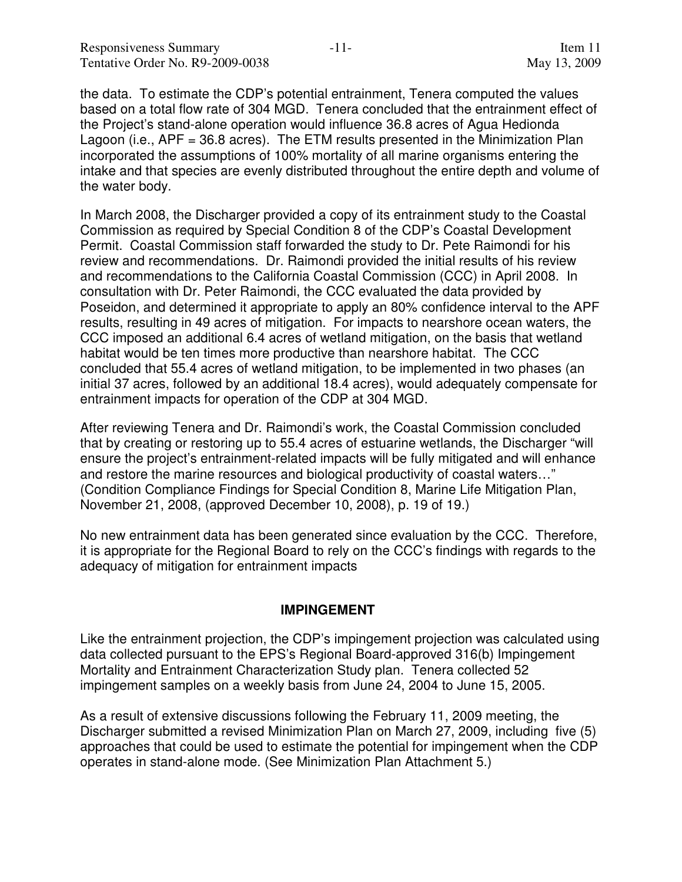the data. To estimate the CDP's potential entrainment, Tenera computed the values based on a total flow rate of 304 MGD. Tenera concluded that the entrainment effect of the Project's stand-alone operation would influence 36.8 acres of Agua Hedionda Lagoon (i.e., APF = 36.8 acres). The ETM results presented in the Minimization Plan incorporated the assumptions of 100% mortality of all marine organisms entering the intake and that species are evenly distributed throughout the entire depth and volume of the water body.

In March 2008, the Discharger provided a copy of its entrainment study to the Coastal Commission as required by Special Condition 8 of the CDP's Coastal Development Permit. Coastal Commission staff forwarded the study to Dr. Pete Raimondi for his review and recommendations. Dr. Raimondi provided the initial results of his review and recommendations to the California Coastal Commission (CCC) in April 2008. In consultation with Dr. Peter Raimondi, the CCC evaluated the data provided by Poseidon, and determined it appropriate to apply an 80% confidence interval to the APF results, resulting in 49 acres of mitigation. For impacts to nearshore ocean waters, the CCC imposed an additional 6.4 acres of wetland mitigation, on the basis that wetland habitat would be ten times more productive than nearshore habitat. The CCC concluded that 55.4 acres of wetland mitigation, to be implemented in two phases (an initial 37 acres, followed by an additional 18.4 acres), would adequately compensate for entrainment impacts for operation of the CDP at 304 MGD.

After reviewing Tenera and Dr. Raimondi's work, the Coastal Commission concluded that by creating or restoring up to 55.4 acres of estuarine wetlands, the Discharger "will ensure the project's entrainment-related impacts will be fully mitigated and will enhance and restore the marine resources and biological productivity of coastal waters…" (Condition Compliance Findings for Special Condition 8, Marine Life Mitigation Plan, November 21, 2008, (approved December 10, 2008), p. 19 of 19.)

No new entrainment data has been generated since evaluation by the CCC. Therefore, it is appropriate for the Regional Board to rely on the CCC's findings with regards to the adequacy of mitigation for entrainment impacts

#### **IMPINGEMENT**

Like the entrainment projection, the CDP's impingement projection was calculated using data collected pursuant to the EPS's Regional Board-approved 316(b) Impingement Mortality and Entrainment Characterization Study plan. Tenera collected 52 impingement samples on a weekly basis from June 24, 2004 to June 15, 2005.

As a result of extensive discussions following the February 11, 2009 meeting, the Discharger submitted a revised Minimization Plan on March 27, 2009, including five (5) approaches that could be used to estimate the potential for impingement when the CDP operates in stand-alone mode. (See Minimization Plan Attachment 5.)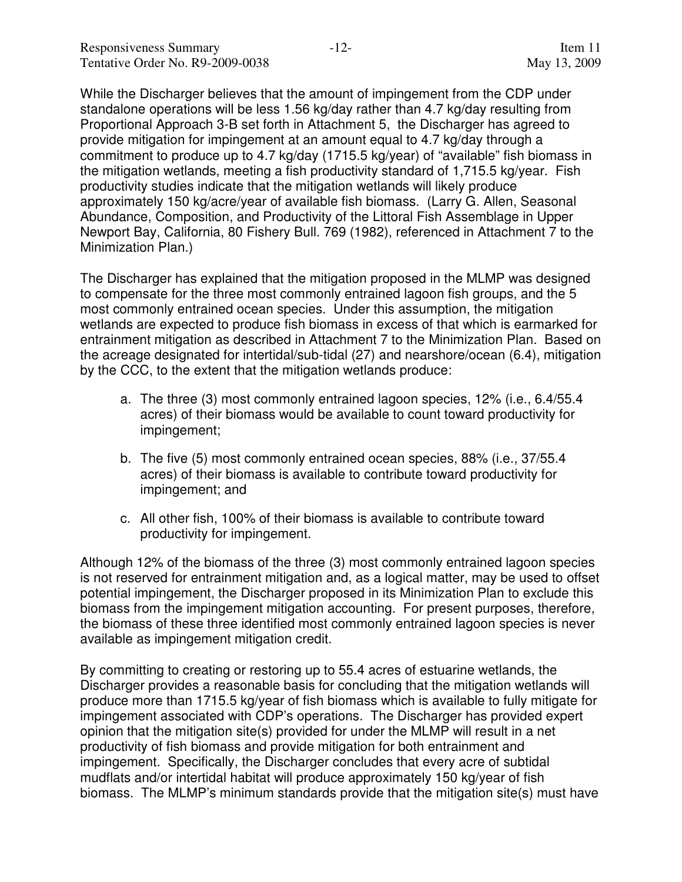While the Discharger believes that the amount of impingement from the CDP under standalone operations will be less 1.56 kg/day rather than 4.7 kg/day resulting from Proportional Approach 3-B set forth in Attachment 5, the Discharger has agreed to provide mitigation for impingement at an amount equal to 4.7 kg/day through a commitment to produce up to 4.7 kg/day (1715.5 kg/year) of "available" fish biomass in the mitigation wetlands, meeting a fish productivity standard of 1,715.5 kg/year. Fish productivity studies indicate that the mitigation wetlands will likely produce approximately 150 kg/acre/year of available fish biomass. (Larry G. Allen, Seasonal Abundance, Composition, and Productivity of the Littoral Fish Assemblage in Upper Newport Bay, California, 80 Fishery Bull. 769 (1982), referenced in Attachment 7 to the Minimization Plan.)

The Discharger has explained that the mitigation proposed in the MLMP was designed to compensate for the three most commonly entrained lagoon fish groups, and the 5 most commonly entrained ocean species. Under this assumption, the mitigation wetlands are expected to produce fish biomass in excess of that which is earmarked for entrainment mitigation as described in Attachment 7 to the Minimization Plan. Based on the acreage designated for intertidal/sub-tidal (27) and nearshore/ocean (6.4), mitigation by the CCC, to the extent that the mitigation wetlands produce:

- a. The three (3) most commonly entrained lagoon species, 12% (i.e., 6.4/55.4 acres) of their biomass would be available to count toward productivity for impingement;
- b. The five (5) most commonly entrained ocean species, 88% (i.e., 37/55.4 acres) of their biomass is available to contribute toward productivity for impingement; and
- c. All other fish, 100% of their biomass is available to contribute toward productivity for impingement.

Although 12% of the biomass of the three (3) most commonly entrained lagoon species is not reserved for entrainment mitigation and, as a logical matter, may be used to offset potential impingement, the Discharger proposed in its Minimization Plan to exclude this biomass from the impingement mitigation accounting. For present purposes, therefore, the biomass of these three identified most commonly entrained lagoon species is never available as impingement mitigation credit.

By committing to creating or restoring up to 55.4 acres of estuarine wetlands, the Discharger provides a reasonable basis for concluding that the mitigation wetlands will produce more than 1715.5 kg/year of fish biomass which is available to fully mitigate for impingement associated with CDP's operations. The Discharger has provided expert opinion that the mitigation site(s) provided for under the MLMP will result in a net productivity of fish biomass and provide mitigation for both entrainment and impingement. Specifically, the Discharger concludes that every acre of subtidal mudflats and/or intertidal habitat will produce approximately 150 kg/year of fish biomass. The MLMP's minimum standards provide that the mitigation site(s) must have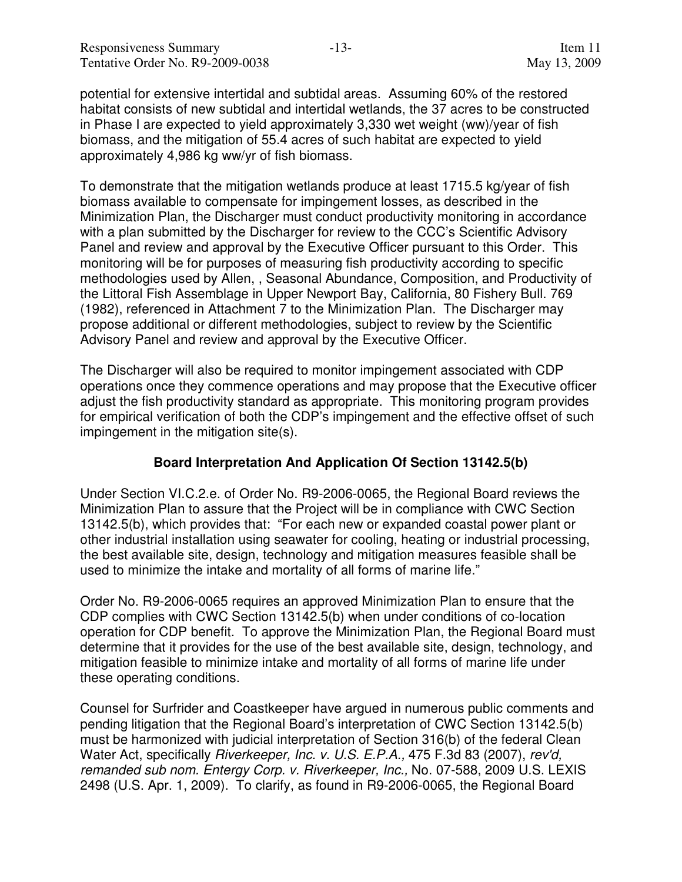potential for extensive intertidal and subtidal areas. Assuming 60% of the restored habitat consists of new subtidal and intertidal wetlands, the 37 acres to be constructed in Phase I are expected to yield approximately 3,330 wet weight (ww)/year of fish biomass, and the mitigation of 55.4 acres of such habitat are expected to yield approximately 4,986 kg ww/yr of fish biomass.

To demonstrate that the mitigation wetlands produce at least 1715.5 kg/year of fish biomass available to compensate for impingement losses, as described in the Minimization Plan, the Discharger must conduct productivity monitoring in accordance with a plan submitted by the Discharger for review to the CCC's Scientific Advisory Panel and review and approval by the Executive Officer pursuant to this Order. This monitoring will be for purposes of measuring fish productivity according to specific methodologies used by Allen, , Seasonal Abundance, Composition, and Productivity of the Littoral Fish Assemblage in Upper Newport Bay, California, 80 Fishery Bull. 769 (1982), referenced in Attachment 7 to the Minimization Plan. The Discharger may propose additional or different methodologies, subject to review by the Scientific Advisory Panel and review and approval by the Executive Officer.

The Discharger will also be required to monitor impingement associated with CDP operations once they commence operations and may propose that the Executive officer adjust the fish productivity standard as appropriate. This monitoring program provides for empirical verification of both the CDP's impingement and the effective offset of such impingement in the mitigation site(s).

#### **Board Interpretation And Application Of Section 13142.5(b)**

Under Section VI.C.2.e. of Order No. R9-2006-0065, the Regional Board reviews the Minimization Plan to assure that the Project will be in compliance with CWC Section 13142.5(b), which provides that: "For each new or expanded coastal power plant or other industrial installation using seawater for cooling, heating or industrial processing, the best available site, design, technology and mitigation measures feasible shall be used to minimize the intake and mortality of all forms of marine life."

Order No. R9-2006-0065 requires an approved Minimization Plan to ensure that the CDP complies with CWC Section 13142.5(b) when under conditions of co-location operation for CDP benefit. To approve the Minimization Plan, the Regional Board must determine that it provides for the use of the best available site, design, technology, and mitigation feasible to minimize intake and mortality of all forms of marine life under these operating conditions.

Counsel for Surfrider and Coastkeeper have argued in numerous public comments and pending litigation that the Regional Board's interpretation of CWC Section 13142.5(b) must be harmonized with judicial interpretation of Section 316(b) of the federal Clean Water Act, specifically *Riverkeeper, Inc. v. U.S. E.P.A.*, 475 F.3d 83 (2007), rev'd, remanded sub nom. Entergy Corp. v. Riverkeeper, Inc., No. 07-588, 2009 U.S. LEXIS 2498 (U.S. Apr. 1, 2009). To clarify, as found in R9-2006-0065, the Regional Board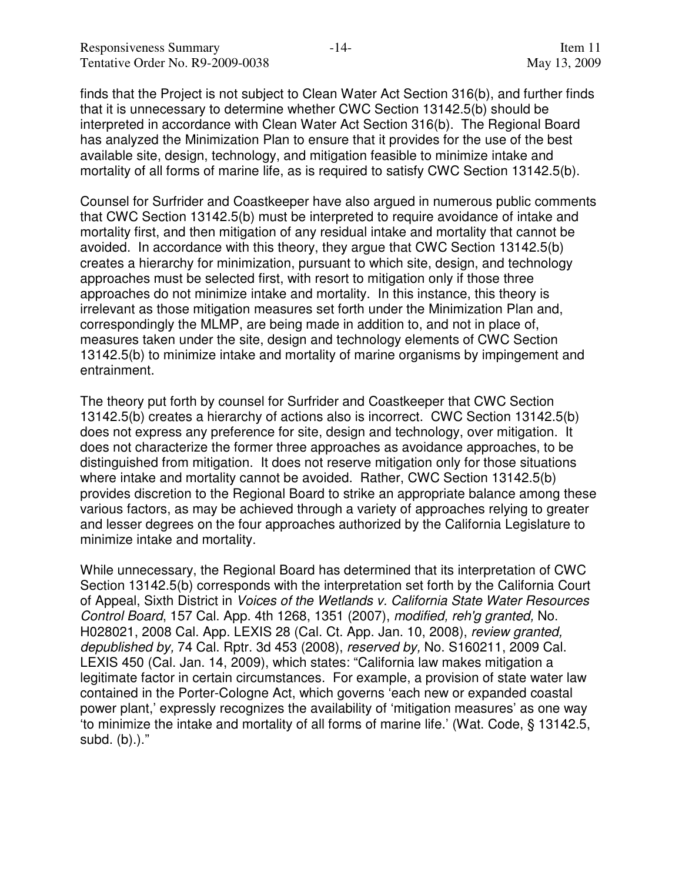finds that the Project is not subject to Clean Water Act Section 316(b), and further finds that it is unnecessary to determine whether CWC Section 13142.5(b) should be interpreted in accordance with Clean Water Act Section 316(b). The Regional Board has analyzed the Minimization Plan to ensure that it provides for the use of the best available site, design, technology, and mitigation feasible to minimize intake and mortality of all forms of marine life, as is required to satisfy CWC Section 13142.5(b).

Counsel for Surfrider and Coastkeeper have also argued in numerous public comments that CWC Section 13142.5(b) must be interpreted to require avoidance of intake and mortality first, and then mitigation of any residual intake and mortality that cannot be avoided. In accordance with this theory, they argue that CWC Section 13142.5(b) creates a hierarchy for minimization, pursuant to which site, design, and technology approaches must be selected first, with resort to mitigation only if those three approaches do not minimize intake and mortality. In this instance, this theory is irrelevant as those mitigation measures set forth under the Minimization Plan and, correspondingly the MLMP, are being made in addition to, and not in place of, measures taken under the site, design and technology elements of CWC Section 13142.5(b) to minimize intake and mortality of marine organisms by impingement and entrainment.

The theory put forth by counsel for Surfrider and Coastkeeper that CWC Section 13142.5(b) creates a hierarchy of actions also is incorrect. CWC Section 13142.5(b) does not express any preference for site, design and technology, over mitigation. It does not characterize the former three approaches as avoidance approaches, to be distinguished from mitigation. It does not reserve mitigation only for those situations where intake and mortality cannot be avoided. Rather, CWC Section 13142.5(b) provides discretion to the Regional Board to strike an appropriate balance among these various factors, as may be achieved through a variety of approaches relying to greater and lesser degrees on the four approaches authorized by the California Legislature to minimize intake and mortality.

While unnecessary, the Regional Board has determined that its interpretation of CWC Section 13142.5(b) corresponds with the interpretation set forth by the California Court of Appeal, Sixth District in Voices of the Wetlands v. California State Water Resources Control Board, 157 Cal. App. 4th 1268, 1351 (2007), modified, reh'g granted, No. H028021, 2008 Cal. App. LEXIS 28 (Cal. Ct. App. Jan. 10, 2008), review granted, depublished by, 74 Cal. Rptr. 3d 453 (2008), reserved by, No. S160211, 2009 Cal. LEXIS 450 (Cal. Jan. 14, 2009), which states: "California law makes mitigation a legitimate factor in certain circumstances. For example, a provision of state water law contained in the Porter-Cologne Act, which governs 'each new or expanded coastal power plant,' expressly recognizes the availability of 'mitigation measures' as one way 'to minimize the intake and mortality of all forms of marine life.' (Wat. Code, § 13142.5, subd. (b).)."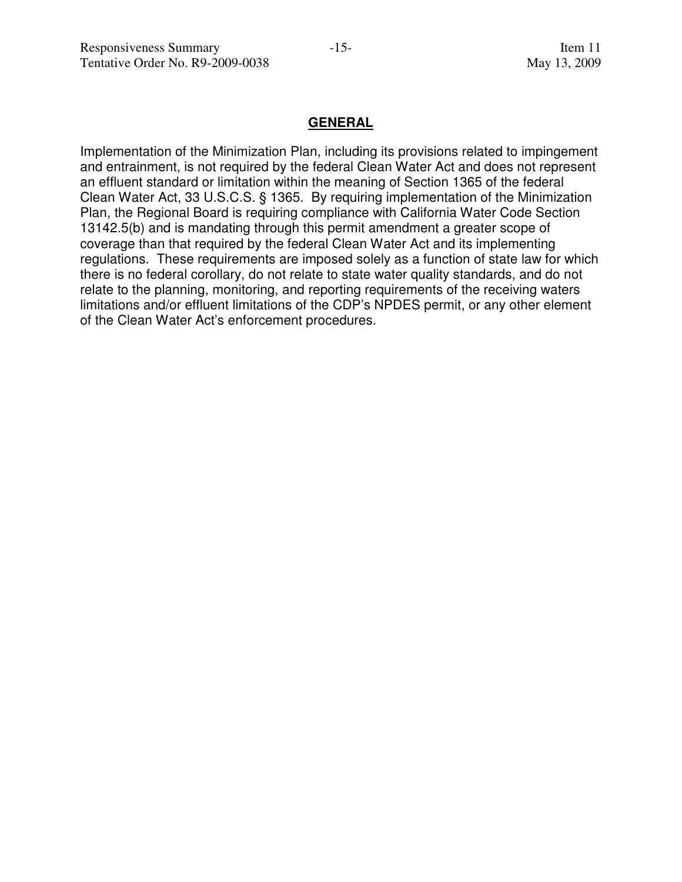#### **GENERAL**

Implementation of the Minimization Plan, including its provisions related to impingement and entrainment, is not required by the federal Clean Water Act and does not represent an effluent standard or limitation within the meaning of Section 1365 of the federal Clean Water Act, 33 U.S.C.S. § 1365. By requiring implementation of the Minimization Plan, the Regional Board is requiring compliance with California Water Code Section 13142.5(b) and is mandating through this permit amendment a greater scope of coverage than that required by the federal Clean Water Act and its implementing regulations. These requirements are imposed solely as a function of state law for which there is no federal corollary, do not relate to state water quality standards, and do not relate to the planning, monitoring, and reporting requirements of the receiving waters limitations and/or effluent limitations of the CDP's NPDES permit, or any other element of the Clean Water Act's enforcement procedures.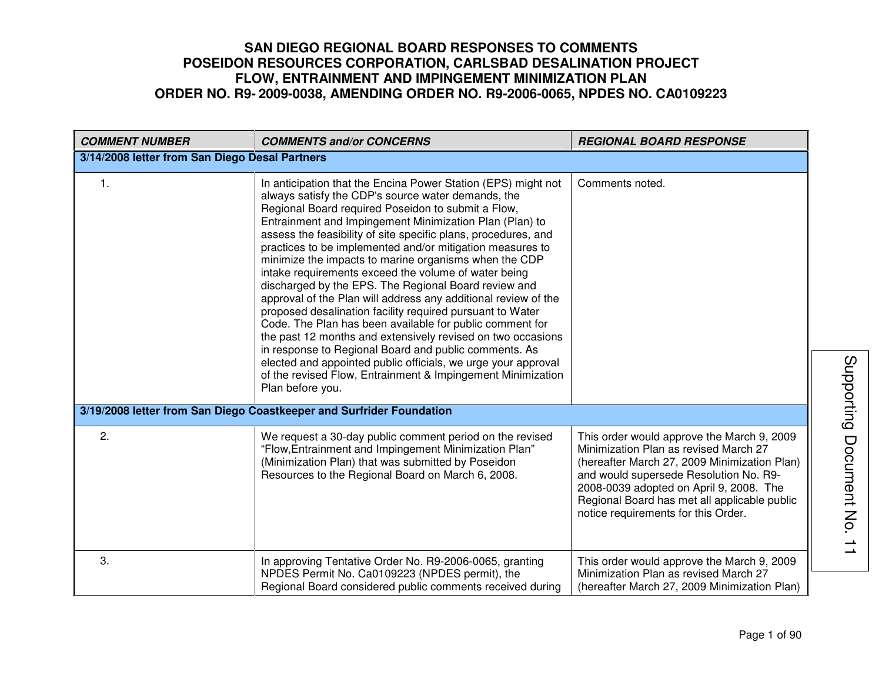| <b>COMMENT NUMBER</b>                          | <b>COMMENTS and/or CONCERNS</b>                                                                                                                                                                                                                                                                                                                                                                                                                                                                                                                                                                                                                                                                                                                                                                                                                                                                                                                                                                                     | <b>REGIONAL BOARD RESPONSE</b>                                                                                                                                                                                                                                                                                  |
|------------------------------------------------|---------------------------------------------------------------------------------------------------------------------------------------------------------------------------------------------------------------------------------------------------------------------------------------------------------------------------------------------------------------------------------------------------------------------------------------------------------------------------------------------------------------------------------------------------------------------------------------------------------------------------------------------------------------------------------------------------------------------------------------------------------------------------------------------------------------------------------------------------------------------------------------------------------------------------------------------------------------------------------------------------------------------|-----------------------------------------------------------------------------------------------------------------------------------------------------------------------------------------------------------------------------------------------------------------------------------------------------------------|
| 3/14/2008 letter from San Diego Desal Partners |                                                                                                                                                                                                                                                                                                                                                                                                                                                                                                                                                                                                                                                                                                                                                                                                                                                                                                                                                                                                                     |                                                                                                                                                                                                                                                                                                                 |
| $\mathbf{1}$ .                                 | In anticipation that the Encina Power Station (EPS) might not<br>always satisfy the CDP's source water demands, the<br>Regional Board required Poseidon to submit a Flow,<br>Entrainment and Impingement Minimization Plan (Plan) to<br>assess the feasibility of site specific plans, procedures, and<br>practices to be implemented and/or mitigation measures to<br>minimize the impacts to marine organisms when the CDP<br>intake requirements exceed the volume of water being<br>discharged by the EPS. The Regional Board review and<br>approval of the Plan will address any additional review of the<br>proposed desalination facility required pursuant to Water<br>Code. The Plan has been available for public comment for<br>the past 12 months and extensively revised on two occasions<br>in response to Regional Board and public comments. As<br>elected and appointed public officials, we urge your approval<br>of the revised Flow, Entrainment & Impingement Minimization<br>Plan before you. | Comments noted.                                                                                                                                                                                                                                                                                                 |
|                                                | 3/19/2008 letter from San Diego Coastkeeper and Surfrider Foundation                                                                                                                                                                                                                                                                                                                                                                                                                                                                                                                                                                                                                                                                                                                                                                                                                                                                                                                                                |                                                                                                                                                                                                                                                                                                                 |
| 2.                                             | We request a 30-day public comment period on the revised<br>"Flow, Entrainment and Impingement Minimization Plan"<br>(Minimization Plan) that was submitted by Poseidon<br>Resources to the Regional Board on March 6, 2008.                                                                                                                                                                                                                                                                                                                                                                                                                                                                                                                                                                                                                                                                                                                                                                                        | This order would approve the March 9, 2009<br>Minimization Plan as revised March 27<br>(hereafter March 27, 2009 Minimization Plan)<br>and would supersede Resolution No. R9-<br>2008-0039 adopted on April 9, 2008. The<br>Regional Board has met all applicable public<br>notice requirements for this Order. |
| 3.                                             | In approving Tentative Order No. R9-2006-0065, granting<br>NPDES Permit No. Ca0109223 (NPDES permit), the<br>Regional Board considered public comments received during                                                                                                                                                                                                                                                                                                                                                                                                                                                                                                                                                                                                                                                                                                                                                                                                                                              | This order would approve the March 9, 2009<br>Minimization Plan as revised March 27<br>(hereafter March 27, 2009 Minimization Plan)                                                                                                                                                                             |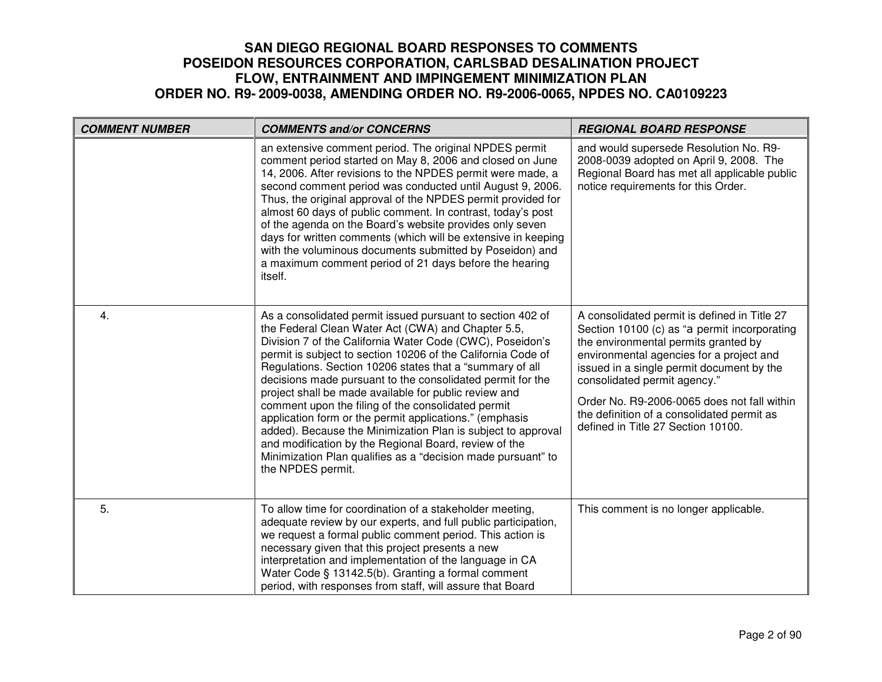| <b>COMMENT NUMBER</b> | <b>COMMENTS and/or CONCERNS</b>                                                                                                                                                                                                                                                                                                                                                                                                                                                                                                                                                                                                                                                                                                                                 | <b>REGIONAL BOARD RESPONSE</b>                                                                                                                                                                                                                                                                                                                                                                   |
|-----------------------|-----------------------------------------------------------------------------------------------------------------------------------------------------------------------------------------------------------------------------------------------------------------------------------------------------------------------------------------------------------------------------------------------------------------------------------------------------------------------------------------------------------------------------------------------------------------------------------------------------------------------------------------------------------------------------------------------------------------------------------------------------------------|--------------------------------------------------------------------------------------------------------------------------------------------------------------------------------------------------------------------------------------------------------------------------------------------------------------------------------------------------------------------------------------------------|
|                       | an extensive comment period. The original NPDES permit<br>comment period started on May 8, 2006 and closed on June<br>14, 2006. After revisions to the NPDES permit were made, a<br>second comment period was conducted until August 9, 2006.<br>Thus, the original approval of the NPDES permit provided for<br>almost 60 days of public comment. In contrast, today's post<br>of the agenda on the Board's website provides only seven<br>days for written comments (which will be extensive in keeping<br>with the voluminous documents submitted by Poseidon) and<br>a maximum comment period of 21 days before the hearing<br>itself.                                                                                                                      | and would supersede Resolution No. R9-<br>2008-0039 adopted on April 9, 2008. The<br>Regional Board has met all applicable public<br>notice requirements for this Order.                                                                                                                                                                                                                         |
| 4.                    | As a consolidated permit issued pursuant to section 402 of<br>the Federal Clean Water Act (CWA) and Chapter 5.5,<br>Division 7 of the California Water Code (CWC), Poseidon's<br>permit is subject to section 10206 of the California Code of<br>Regulations. Section 10206 states that a "summary of all<br>decisions made pursuant to the consolidated permit for the<br>project shall be made available for public review and<br>comment upon the filing of the consolidated permit<br>application form or the permit applications." (emphasis<br>added). Because the Minimization Plan is subject to approval<br>and modification by the Regional Board, review of the<br>Minimization Plan qualifies as a "decision made pursuant" to<br>the NPDES permit. | A consolidated permit is defined in Title 27<br>Section 10100 (c) as "a permit incorporating<br>the environmental permits granted by<br>environmental agencies for a project and<br>issued in a single permit document by the<br>consolidated permit agency."<br>Order No. R9-2006-0065 does not fall within<br>the definition of a consolidated permit as<br>defined in Title 27 Section 10100. |
| 5.                    | To allow time for coordination of a stakeholder meeting,<br>adequate review by our experts, and full public participation,<br>we request a formal public comment period. This action is<br>necessary given that this project presents a new<br>interpretation and implementation of the language in CA<br>Water Code § 13142.5(b). Granting a formal comment<br>period, with responses from staff, will assure that Board                                                                                                                                                                                                                                                                                                                                       | This comment is no longer applicable.                                                                                                                                                                                                                                                                                                                                                            |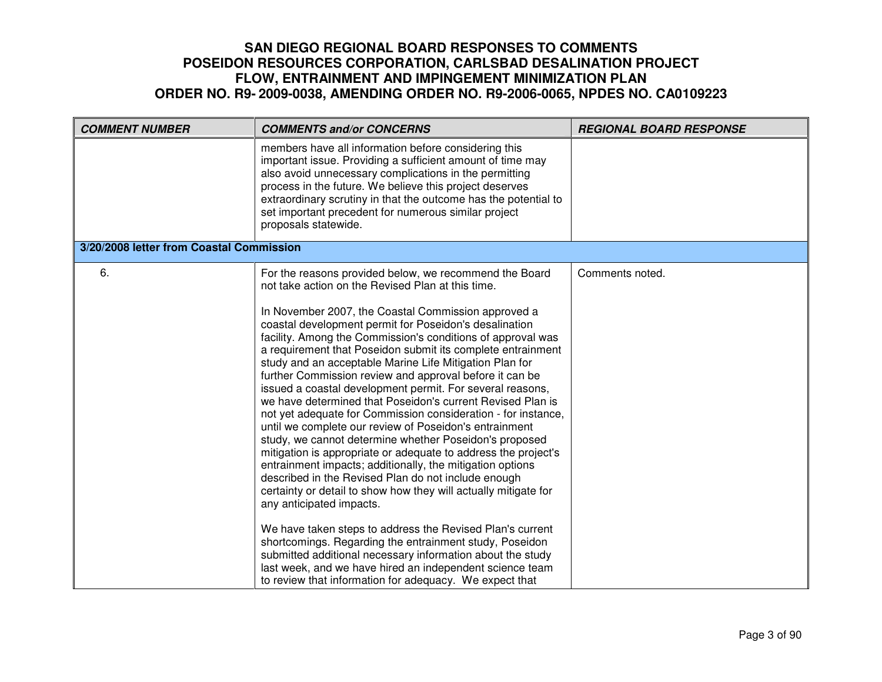| <b>COMMENT NUMBER</b>                    | <b>COMMENTS and/or CONCERNS</b>                                                                                                                                                                                                                                                                                                                                                                                                                                                                                                                                                                                                                                                                                                                                                                                                                                                                                                                                                                                                                                                                                                                                                                                                                                                                                                                                                                    | <b>REGIONAL BOARD RESPONSE</b> |
|------------------------------------------|----------------------------------------------------------------------------------------------------------------------------------------------------------------------------------------------------------------------------------------------------------------------------------------------------------------------------------------------------------------------------------------------------------------------------------------------------------------------------------------------------------------------------------------------------------------------------------------------------------------------------------------------------------------------------------------------------------------------------------------------------------------------------------------------------------------------------------------------------------------------------------------------------------------------------------------------------------------------------------------------------------------------------------------------------------------------------------------------------------------------------------------------------------------------------------------------------------------------------------------------------------------------------------------------------------------------------------------------------------------------------------------------------|--------------------------------|
|                                          | members have all information before considering this<br>important issue. Providing a sufficient amount of time may<br>also avoid unnecessary complications in the permitting<br>process in the future. We believe this project deserves<br>extraordinary scrutiny in that the outcome has the potential to<br>set important precedent for numerous similar project<br>proposals statewide.                                                                                                                                                                                                                                                                                                                                                                                                                                                                                                                                                                                                                                                                                                                                                                                                                                                                                                                                                                                                         |                                |
| 3/20/2008 letter from Coastal Commission |                                                                                                                                                                                                                                                                                                                                                                                                                                                                                                                                                                                                                                                                                                                                                                                                                                                                                                                                                                                                                                                                                                                                                                                                                                                                                                                                                                                                    |                                |
| 6.                                       | For the reasons provided below, we recommend the Board<br>not take action on the Revised Plan at this time.<br>In November 2007, the Coastal Commission approved a<br>coastal development permit for Poseidon's desalination<br>facility. Among the Commission's conditions of approval was<br>a requirement that Poseidon submit its complete entrainment<br>study and an acceptable Marine Life Mitigation Plan for<br>further Commission review and approval before it can be<br>issued a coastal development permit. For several reasons,<br>we have determined that Poseidon's current Revised Plan is<br>not yet adequate for Commission consideration - for instance,<br>until we complete our review of Poseidon's entrainment<br>study, we cannot determine whether Poseidon's proposed<br>mitigation is appropriate or adequate to address the project's<br>entrainment impacts; additionally, the mitigation options<br>described in the Revised Plan do not include enough<br>certainty or detail to show how they will actually mitigate for<br>any anticipated impacts.<br>We have taken steps to address the Revised Plan's current<br>shortcomings. Regarding the entrainment study, Poseidon<br>submitted additional necessary information about the study<br>last week, and we have hired an independent science team<br>to review that information for adequacy. We expect that | Comments noted.                |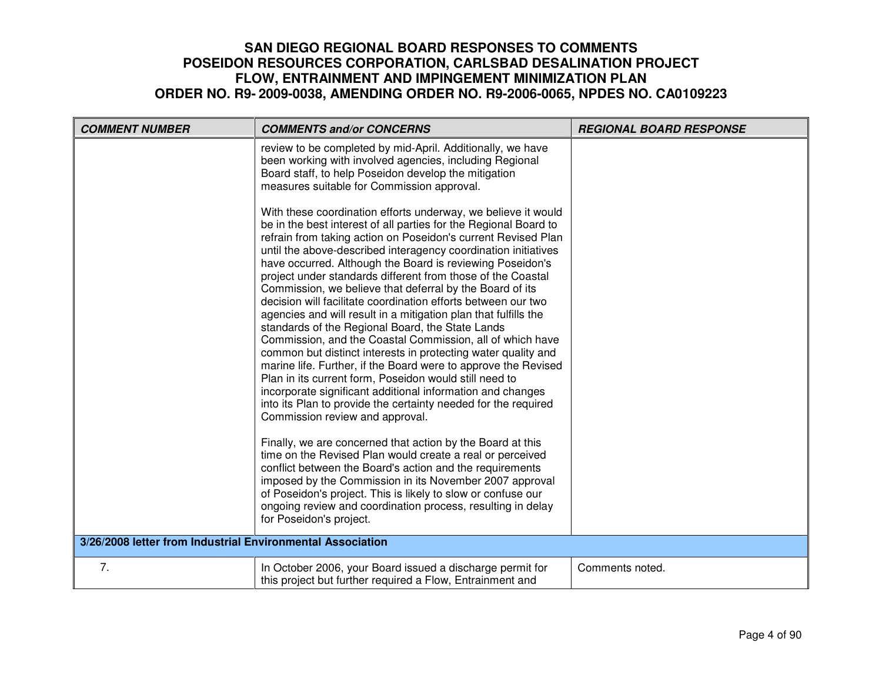| <b>COMMENT NUMBER</b>                                      | <b>COMMENTS and/or CONCERNS</b>                                                                                                                                                                                                                                                                                                                                                                                                                                                                                                                                                                                                                                                                                                                                                                                                                                                                                                                                                                                                                                                   | <b>REGIONAL BOARD RESPONSE</b> |
|------------------------------------------------------------|-----------------------------------------------------------------------------------------------------------------------------------------------------------------------------------------------------------------------------------------------------------------------------------------------------------------------------------------------------------------------------------------------------------------------------------------------------------------------------------------------------------------------------------------------------------------------------------------------------------------------------------------------------------------------------------------------------------------------------------------------------------------------------------------------------------------------------------------------------------------------------------------------------------------------------------------------------------------------------------------------------------------------------------------------------------------------------------|--------------------------------|
|                                                            | review to be completed by mid-April. Additionally, we have<br>been working with involved agencies, including Regional<br>Board staff, to help Poseidon develop the mitigation<br>measures suitable for Commission approval.                                                                                                                                                                                                                                                                                                                                                                                                                                                                                                                                                                                                                                                                                                                                                                                                                                                       |                                |
|                                                            | With these coordination efforts underway, we believe it would<br>be in the best interest of all parties for the Regional Board to<br>refrain from taking action on Poseidon's current Revised Plan<br>until the above-described interagency coordination initiatives<br>have occurred. Although the Board is reviewing Poseidon's<br>project under standards different from those of the Coastal<br>Commission, we believe that deferral by the Board of its<br>decision will facilitate coordination efforts between our two<br>agencies and will result in a mitigation plan that fulfills the<br>standards of the Regional Board, the State Lands<br>Commission, and the Coastal Commission, all of which have<br>common but distinct interests in protecting water quality and<br>marine life. Further, if the Board were to approve the Revised<br>Plan in its current form, Poseidon would still need to<br>incorporate significant additional information and changes<br>into its Plan to provide the certainty needed for the required<br>Commission review and approval. |                                |
|                                                            | Finally, we are concerned that action by the Board at this<br>time on the Revised Plan would create a real or perceived<br>conflict between the Board's action and the requirements<br>imposed by the Commission in its November 2007 approval<br>of Poseidon's project. This is likely to slow or confuse our<br>ongoing review and coordination process, resulting in delay<br>for Poseidon's project.                                                                                                                                                                                                                                                                                                                                                                                                                                                                                                                                                                                                                                                                          |                                |
| 3/26/2008 letter from Industrial Environmental Association |                                                                                                                                                                                                                                                                                                                                                                                                                                                                                                                                                                                                                                                                                                                                                                                                                                                                                                                                                                                                                                                                                   |                                |
| 7.                                                         | In October 2006, your Board issued a discharge permit for<br>this project but further required a Flow, Entrainment and                                                                                                                                                                                                                                                                                                                                                                                                                                                                                                                                                                                                                                                                                                                                                                                                                                                                                                                                                            | Comments noted.                |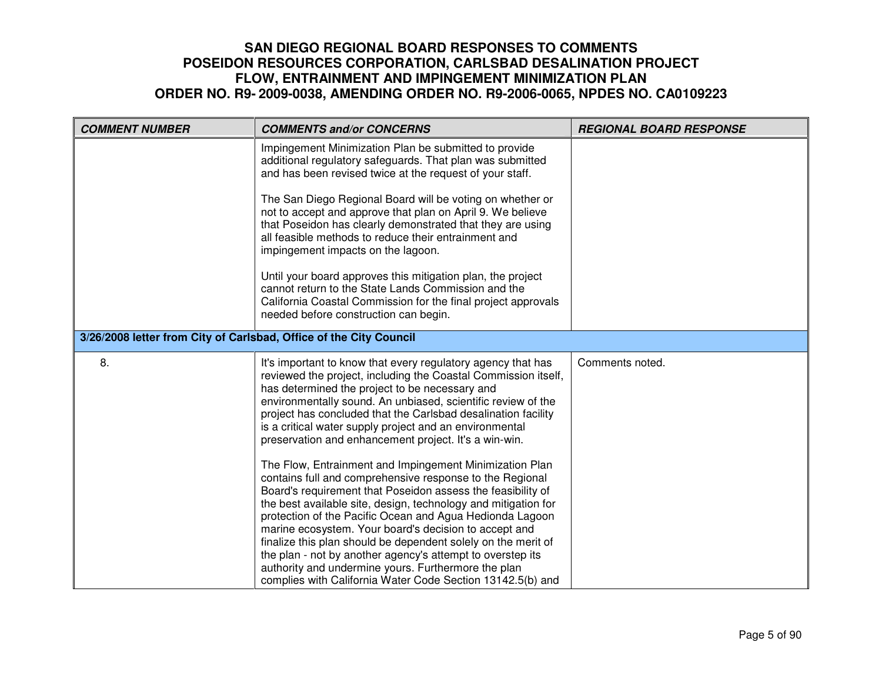| <b>COMMENT NUMBER</b>                                              | <b>COMMENTS and/or CONCERNS</b>                                                                                                                                                                                                                                                                                                                                                                                                                                                                                                                                                                                                                                                                                                                           | <b>REGIONAL BOARD RESPONSE</b> |
|--------------------------------------------------------------------|-----------------------------------------------------------------------------------------------------------------------------------------------------------------------------------------------------------------------------------------------------------------------------------------------------------------------------------------------------------------------------------------------------------------------------------------------------------------------------------------------------------------------------------------------------------------------------------------------------------------------------------------------------------------------------------------------------------------------------------------------------------|--------------------------------|
|                                                                    | Impingement Minimization Plan be submitted to provide<br>additional regulatory safeguards. That plan was submitted<br>and has been revised twice at the request of your staff.                                                                                                                                                                                                                                                                                                                                                                                                                                                                                                                                                                            |                                |
|                                                                    | The San Diego Regional Board will be voting on whether or<br>not to accept and approve that plan on April 9. We believe<br>that Poseidon has clearly demonstrated that they are using<br>all feasible methods to reduce their entrainment and<br>impingement impacts on the lagoon.                                                                                                                                                                                                                                                                                                                                                                                                                                                                       |                                |
|                                                                    | Until your board approves this mitigation plan, the project<br>cannot return to the State Lands Commission and the<br>California Coastal Commission for the final project approvals<br>needed before construction can begin.                                                                                                                                                                                                                                                                                                                                                                                                                                                                                                                              |                                |
| 3/26/2008 letter from City of Carlsbad, Office of the City Council |                                                                                                                                                                                                                                                                                                                                                                                                                                                                                                                                                                                                                                                                                                                                                           |                                |
| 8.                                                                 | It's important to know that every regulatory agency that has<br>reviewed the project, including the Coastal Commission itself,<br>has determined the project to be necessary and<br>environmentally sound. An unbiased, scientific review of the<br>project has concluded that the Carlsbad desalination facility<br>is a critical water supply project and an environmental<br>preservation and enhancement project. It's a win-win.<br>The Flow, Entrainment and Impingement Minimization Plan<br>contains full and comprehensive response to the Regional<br>Board's requirement that Poseidon assess the feasibility of<br>the best available site, design, technology and mitigation for<br>protection of the Pacific Ocean and Agua Hedionda Lagoon | Comments noted.                |
|                                                                    | marine ecosystem. Your board's decision to accept and<br>finalize this plan should be dependent solely on the merit of<br>the plan - not by another agency's attempt to overstep its<br>authority and undermine yours. Furthermore the plan<br>complies with California Water Code Section 13142.5(b) and                                                                                                                                                                                                                                                                                                                                                                                                                                                 |                                |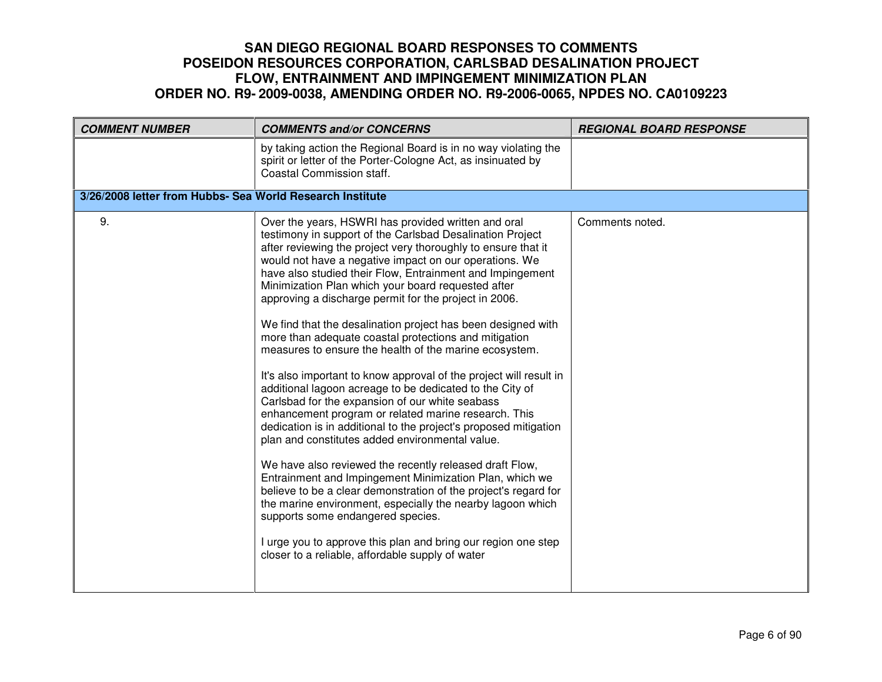| <b>COMMENT NUMBER</b>                                     | <b>COMMENTS and/or CONCERNS</b>                                                                                                                                                                                                                                                                                                                                                                                                                                                                                                                                                                                                                                                                                                                                                                                                                                                                                                                                                                                                                                                                                                                                                                                                                                                                                                                                                                 | <b>REGIONAL BOARD RESPONSE</b> |
|-----------------------------------------------------------|-------------------------------------------------------------------------------------------------------------------------------------------------------------------------------------------------------------------------------------------------------------------------------------------------------------------------------------------------------------------------------------------------------------------------------------------------------------------------------------------------------------------------------------------------------------------------------------------------------------------------------------------------------------------------------------------------------------------------------------------------------------------------------------------------------------------------------------------------------------------------------------------------------------------------------------------------------------------------------------------------------------------------------------------------------------------------------------------------------------------------------------------------------------------------------------------------------------------------------------------------------------------------------------------------------------------------------------------------------------------------------------------------|--------------------------------|
|                                                           | by taking action the Regional Board is in no way violating the<br>spirit or letter of the Porter-Cologne Act, as insinuated by<br>Coastal Commission staff.                                                                                                                                                                                                                                                                                                                                                                                                                                                                                                                                                                                                                                                                                                                                                                                                                                                                                                                                                                                                                                                                                                                                                                                                                                     |                                |
| 3/26/2008 letter from Hubbs- Sea World Research Institute |                                                                                                                                                                                                                                                                                                                                                                                                                                                                                                                                                                                                                                                                                                                                                                                                                                                                                                                                                                                                                                                                                                                                                                                                                                                                                                                                                                                                 |                                |
| 9.                                                        | Over the years, HSWRI has provided written and oral<br>testimony in support of the Carlsbad Desalination Project<br>after reviewing the project very thoroughly to ensure that it<br>would not have a negative impact on our operations. We<br>have also studied their Flow, Entrainment and Impingement<br>Minimization Plan which your board requested after<br>approving a discharge permit for the project in 2006.<br>We find that the desalination project has been designed with<br>more than adequate coastal protections and mitigation<br>measures to ensure the health of the marine ecosystem.<br>It's also important to know approval of the project will result in<br>additional lagoon acreage to be dedicated to the City of<br>Carlsbad for the expansion of our white seabass<br>enhancement program or related marine research. This<br>dedication is in additional to the project's proposed mitigation<br>plan and constitutes added environmental value.<br>We have also reviewed the recently released draft Flow,<br>Entrainment and Impingement Minimization Plan, which we<br>believe to be a clear demonstration of the project's regard for<br>the marine environment, especially the nearby lagoon which<br>supports some endangered species.<br>I urge you to approve this plan and bring our region one step<br>closer to a reliable, affordable supply of water | Comments noted.                |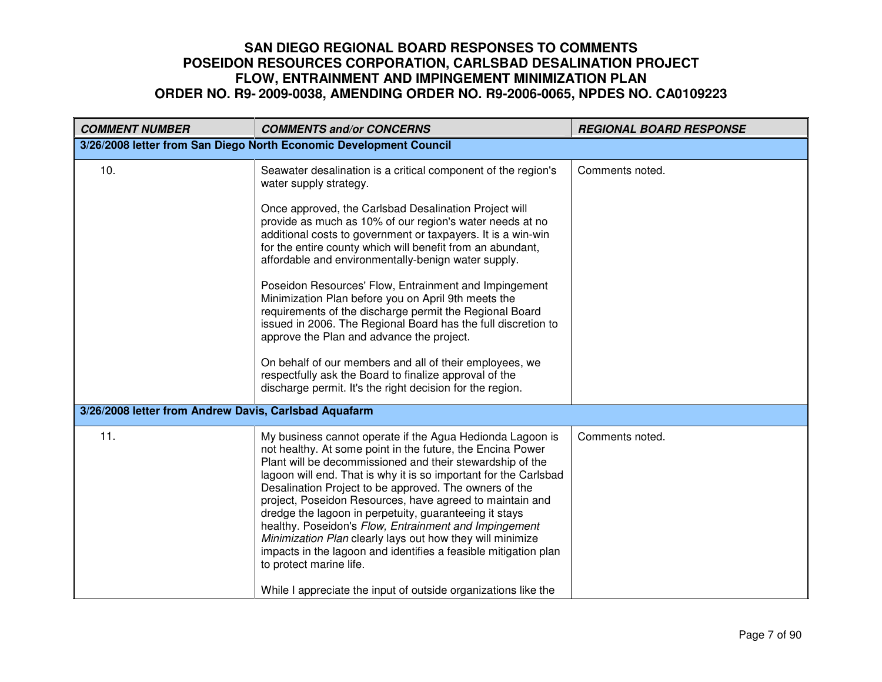| <b>COMMENT NUMBER</b>                                 | <b>COMMENTS and/or CONCERNS</b>                                                                                                                                                                                                                                                                                                                                                                                                                                                                                                                                                                                                                                                                                                                                                                                 | <b>REGIONAL BOARD RESPONSE</b> |
|-------------------------------------------------------|-----------------------------------------------------------------------------------------------------------------------------------------------------------------------------------------------------------------------------------------------------------------------------------------------------------------------------------------------------------------------------------------------------------------------------------------------------------------------------------------------------------------------------------------------------------------------------------------------------------------------------------------------------------------------------------------------------------------------------------------------------------------------------------------------------------------|--------------------------------|
|                                                       | 3/26/2008 letter from San Diego North Economic Development Council                                                                                                                                                                                                                                                                                                                                                                                                                                                                                                                                                                                                                                                                                                                                              |                                |
| 10.                                                   | Seawater desalination is a critical component of the region's<br>water supply strategy.<br>Once approved, the Carlsbad Desalination Project will<br>provide as much as 10% of our region's water needs at no<br>additional costs to government or taxpayers. It is a win-win<br>for the entire county which will benefit from an abundant,<br>affordable and environmentally-benign water supply.<br>Poseidon Resources' Flow, Entrainment and Impingement<br>Minimization Plan before you on April 9th meets the<br>requirements of the discharge permit the Regional Board<br>issued in 2006. The Regional Board has the full discretion to<br>approve the Plan and advance the project.<br>On behalf of our members and all of their employees, we<br>respectfully ask the Board to finalize approval of the | Comments noted.                |
|                                                       | discharge permit. It's the right decision for the region.                                                                                                                                                                                                                                                                                                                                                                                                                                                                                                                                                                                                                                                                                                                                                       |                                |
| 3/26/2008 letter from Andrew Davis, Carlsbad Aquafarm |                                                                                                                                                                                                                                                                                                                                                                                                                                                                                                                                                                                                                                                                                                                                                                                                                 |                                |
| 11.                                                   | My business cannot operate if the Agua Hedionda Lagoon is<br>not healthy. At some point in the future, the Encina Power<br>Plant will be decommissioned and their stewardship of the<br>lagoon will end. That is why it is so important for the Carlsbad<br>Desalination Project to be approved. The owners of the<br>project, Poseidon Resources, have agreed to maintain and<br>dredge the lagoon in perpetuity, guaranteeing it stays<br>healthy. Poseidon's Flow, Entrainment and Impingement<br>Minimization Plan clearly lays out how they will minimize<br>impacts in the lagoon and identifies a feasible mitigation plan<br>to protect marine life.<br>While I appreciate the input of outside organizations like the                                                                                  | Comments noted.                |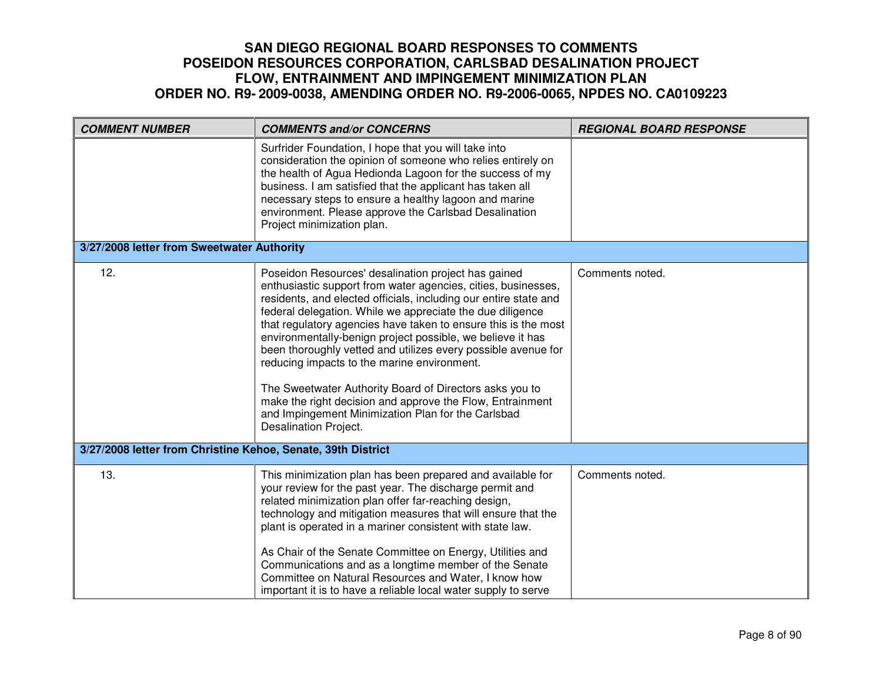| <b>COMMENT NUMBER</b>                                        | <b>COMMENTS and/or CONCERNS</b>                                                                                                                                                                                                                                                                                                                                                                                                                                                                                                                                                                                                                                                                              | <b>REGIONAL BOARD RESPONSE</b> |
|--------------------------------------------------------------|--------------------------------------------------------------------------------------------------------------------------------------------------------------------------------------------------------------------------------------------------------------------------------------------------------------------------------------------------------------------------------------------------------------------------------------------------------------------------------------------------------------------------------------------------------------------------------------------------------------------------------------------------------------------------------------------------------------|--------------------------------|
|                                                              | Surfrider Foundation, I hope that you will take into<br>consideration the opinion of someone who relies entirely on<br>the health of Agua Hedionda Lagoon for the success of my<br>business. I am satisfied that the applicant has taken all<br>necessary steps to ensure a healthy lagoon and marine<br>environment. Please approve the Carlsbad Desalination<br>Project minimization plan.                                                                                                                                                                                                                                                                                                                 |                                |
| 3/27/2008 letter from Sweetwater Authority                   |                                                                                                                                                                                                                                                                                                                                                                                                                                                                                                                                                                                                                                                                                                              |                                |
| 12.                                                          | Poseidon Resources' desalination project has gained<br>enthusiastic support from water agencies, cities, businesses,<br>residents, and elected officials, including our entire state and<br>federal delegation. While we appreciate the due diligence<br>that regulatory agencies have taken to ensure this is the most<br>environmentally-benign project possible, we believe it has<br>been thoroughly vetted and utilizes every possible avenue for<br>reducing impacts to the marine environment.<br>The Sweetwater Authority Board of Directors asks you to<br>make the right decision and approve the Flow, Entrainment<br>and Impingement Minimization Plan for the Carlsbad<br>Desalination Project. | Comments noted.                |
| 3/27/2008 letter from Christine Kehoe, Senate, 39th District |                                                                                                                                                                                                                                                                                                                                                                                                                                                                                                                                                                                                                                                                                                              |                                |
| 13.                                                          | This minimization plan has been prepared and available for<br>your review for the past year. The discharge permit and<br>related minimization plan offer far-reaching design,<br>technology and mitigation measures that will ensure that the<br>plant is operated in a mariner consistent with state law.<br>As Chair of the Senate Committee on Energy, Utilities and<br>Communications and as a longtime member of the Senate<br>Committee on Natural Resources and Water, I know how<br>important it is to have a reliable local water supply to serve                                                                                                                                                   | Comments noted.                |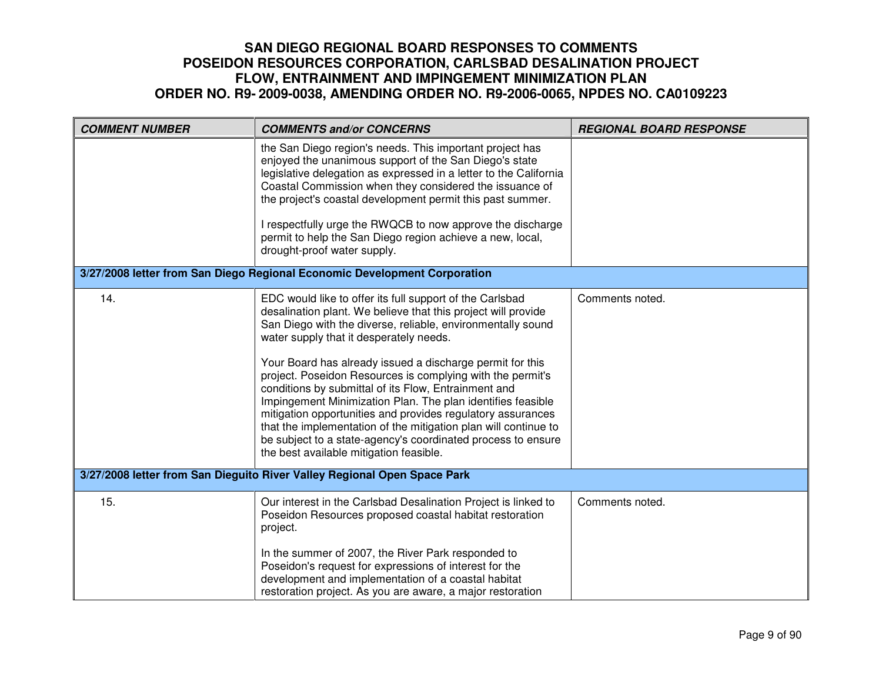| <b>COMMENT NUMBER</b>                                                    | <b>COMMENTS and/or CONCERNS</b>                                                                                                                                                                                                                                                                                                                                                                                                                                                                                                                                                                                                                                                                                                    | <b>REGIONAL BOARD RESPONSE</b> |
|--------------------------------------------------------------------------|------------------------------------------------------------------------------------------------------------------------------------------------------------------------------------------------------------------------------------------------------------------------------------------------------------------------------------------------------------------------------------------------------------------------------------------------------------------------------------------------------------------------------------------------------------------------------------------------------------------------------------------------------------------------------------------------------------------------------------|--------------------------------|
|                                                                          | the San Diego region's needs. This important project has<br>enjoyed the unanimous support of the San Diego's state<br>legislative delegation as expressed in a letter to the California<br>Coastal Commission when they considered the issuance of<br>the project's coastal development permit this past summer.<br>I respectfully urge the RWQCB to now approve the discharge<br>permit to help the San Diego region achieve a new, local,<br>drought-proof water supply.                                                                                                                                                                                                                                                         |                                |
|                                                                          | 3/27/2008 letter from San Diego Regional Economic Development Corporation                                                                                                                                                                                                                                                                                                                                                                                                                                                                                                                                                                                                                                                          |                                |
| 14.                                                                      | EDC would like to offer its full support of the Carlsbad<br>desalination plant. We believe that this project will provide<br>San Diego with the diverse, reliable, environmentally sound<br>water supply that it desperately needs.<br>Your Board has already issued a discharge permit for this<br>project. Poseidon Resources is complying with the permit's<br>conditions by submittal of its Flow, Entrainment and<br>Impingement Minimization Plan. The plan identifies feasible<br>mitigation opportunities and provides regulatory assurances<br>that the implementation of the mitigation plan will continue to<br>be subject to a state-agency's coordinated process to ensure<br>the best available mitigation feasible. | Comments noted.                |
| 3/27/2008 letter from San Dieguito River Valley Regional Open Space Park |                                                                                                                                                                                                                                                                                                                                                                                                                                                                                                                                                                                                                                                                                                                                    |                                |
| 15.                                                                      | Our interest in the Carlsbad Desalination Project is linked to<br>Poseidon Resources proposed coastal habitat restoration<br>project.<br>In the summer of 2007, the River Park responded to<br>Poseidon's request for expressions of interest for the<br>development and implementation of a coastal habitat<br>restoration project. As you are aware, a major restoration                                                                                                                                                                                                                                                                                                                                                         | Comments noted.                |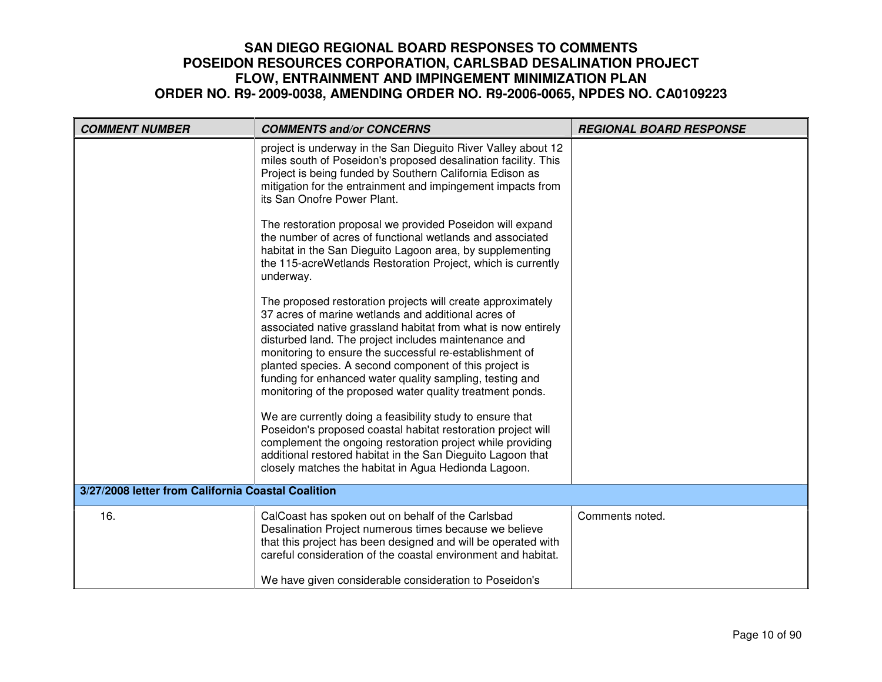| <b>COMMENT NUMBER</b>                              | <b>COMMENTS and/or CONCERNS</b>                                                                                                                                                                                                                                                                                                                                                                                                                                                           | <b>REGIONAL BOARD RESPONSE</b> |
|----------------------------------------------------|-------------------------------------------------------------------------------------------------------------------------------------------------------------------------------------------------------------------------------------------------------------------------------------------------------------------------------------------------------------------------------------------------------------------------------------------------------------------------------------------|--------------------------------|
|                                                    | project is underway in the San Dieguito River Valley about 12<br>miles south of Poseidon's proposed desalination facility. This<br>Project is being funded by Southern California Edison as<br>mitigation for the entrainment and impingement impacts from<br>its San Onofre Power Plant.                                                                                                                                                                                                 |                                |
|                                                    | The restoration proposal we provided Poseidon will expand<br>the number of acres of functional wetlands and associated<br>habitat in the San Dieguito Lagoon area, by supplementing<br>the 115-acreWetlands Restoration Project, which is currently<br>underway.                                                                                                                                                                                                                          |                                |
|                                                    | The proposed restoration projects will create approximately<br>37 acres of marine wetlands and additional acres of<br>associated native grassland habitat from what is now entirely<br>disturbed land. The project includes maintenance and<br>monitoring to ensure the successful re-establishment of<br>planted species. A second component of this project is<br>funding for enhanced water quality sampling, testing and<br>monitoring of the proposed water quality treatment ponds. |                                |
|                                                    | We are currently doing a feasibility study to ensure that<br>Poseidon's proposed coastal habitat restoration project will<br>complement the ongoing restoration project while providing<br>additional restored habitat in the San Dieguito Lagoon that<br>closely matches the habitat in Agua Hedionda Lagoon.                                                                                                                                                                            |                                |
| 3/27/2008 letter from California Coastal Coalition |                                                                                                                                                                                                                                                                                                                                                                                                                                                                                           |                                |
| 16.                                                | CalCoast has spoken out on behalf of the Carlsbad<br>Desalination Project numerous times because we believe<br>that this project has been designed and will be operated with<br>careful consideration of the coastal environment and habitat.                                                                                                                                                                                                                                             | Comments noted.                |
|                                                    | We have given considerable consideration to Poseidon's                                                                                                                                                                                                                                                                                                                                                                                                                                    |                                |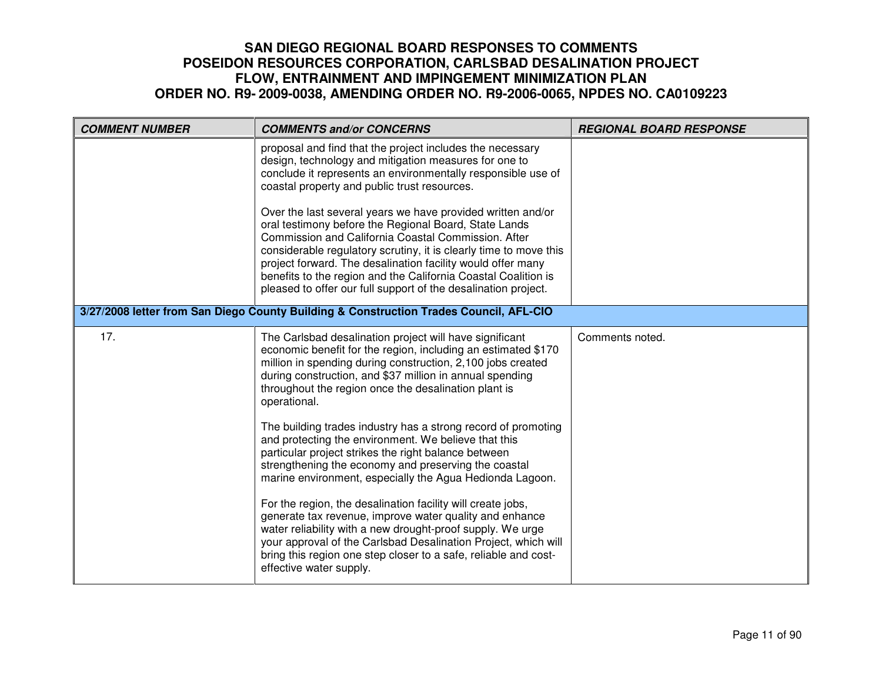| <b>COMMENT NUMBER</b> | <b>COMMENTS and/or CONCERNS</b>                                                                                                                                                                                                                                                                                                                                                                                                                     | <b>REGIONAL BOARD RESPONSE</b> |
|-----------------------|-----------------------------------------------------------------------------------------------------------------------------------------------------------------------------------------------------------------------------------------------------------------------------------------------------------------------------------------------------------------------------------------------------------------------------------------------------|--------------------------------|
|                       | proposal and find that the project includes the necessary<br>design, technology and mitigation measures for one to<br>conclude it represents an environmentally responsible use of<br>coastal property and public trust resources.                                                                                                                                                                                                                  |                                |
|                       | Over the last several years we have provided written and/or<br>oral testimony before the Regional Board, State Lands<br>Commission and California Coastal Commission. After<br>considerable regulatory scrutiny, it is clearly time to move this<br>project forward. The desalination facility would offer many<br>benefits to the region and the California Coastal Coalition is<br>pleased to offer our full support of the desalination project. |                                |
|                       | 3/27/2008 letter from San Diego County Building & Construction Trades Council, AFL-CIO                                                                                                                                                                                                                                                                                                                                                              |                                |
| 17.                   | The Carlsbad desalination project will have significant<br>economic benefit for the region, including an estimated \$170<br>million in spending during construction, 2,100 jobs created<br>during construction, and \$37 million in annual spending<br>throughout the region once the desalination plant is<br>operational.                                                                                                                         | Comments noted.                |
|                       | The building trades industry has a strong record of promoting<br>and protecting the environment. We believe that this<br>particular project strikes the right balance between<br>strengthening the economy and preserving the coastal<br>marine environment, especially the Agua Hedionda Lagoon.                                                                                                                                                   |                                |
|                       | For the region, the desalination facility will create jobs,<br>generate tax revenue, improve water quality and enhance<br>water reliability with a new drought-proof supply. We urge<br>your approval of the Carlsbad Desalination Project, which will<br>bring this region one step closer to a safe, reliable and cost-<br>effective water supply.                                                                                                |                                |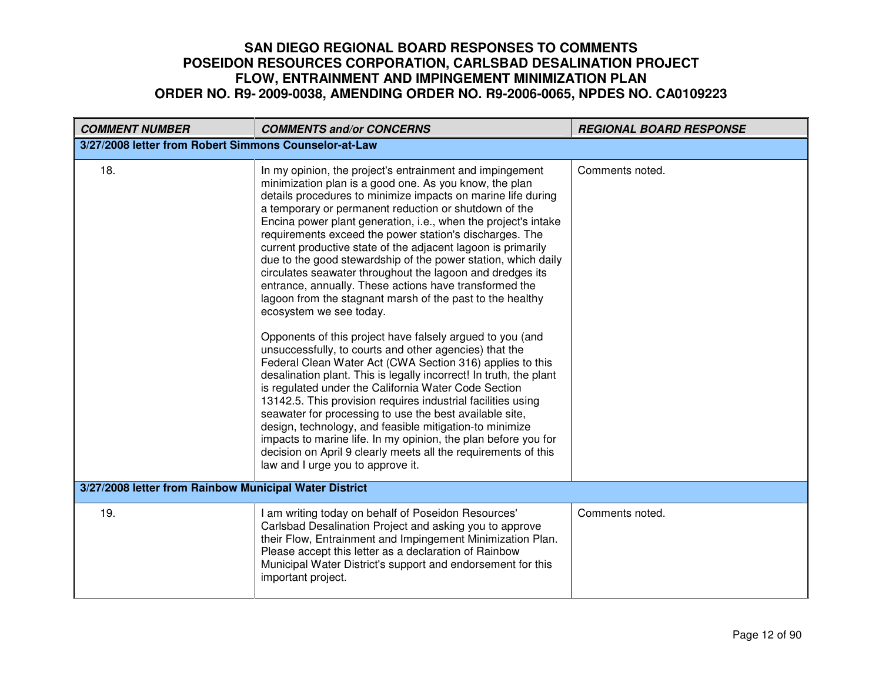| <b>COMMENT NUMBER</b>                                  | <b>COMMENTS and/or CONCERNS</b>                                                                                                                                                                                                                                                                                                                                                                                                                                                                                                                                                                                                                                                                                                                                                                                                                                                                                                                                                                                                                                                                                                                                                                                                                                                                                                                                                                           | <b>REGIONAL BOARD RESPONSE</b> |
|--------------------------------------------------------|-----------------------------------------------------------------------------------------------------------------------------------------------------------------------------------------------------------------------------------------------------------------------------------------------------------------------------------------------------------------------------------------------------------------------------------------------------------------------------------------------------------------------------------------------------------------------------------------------------------------------------------------------------------------------------------------------------------------------------------------------------------------------------------------------------------------------------------------------------------------------------------------------------------------------------------------------------------------------------------------------------------------------------------------------------------------------------------------------------------------------------------------------------------------------------------------------------------------------------------------------------------------------------------------------------------------------------------------------------------------------------------------------------------|--------------------------------|
| 3/27/2008 letter from Robert Simmons Counselor-at-Law  |                                                                                                                                                                                                                                                                                                                                                                                                                                                                                                                                                                                                                                                                                                                                                                                                                                                                                                                                                                                                                                                                                                                                                                                                                                                                                                                                                                                                           |                                |
| 18.                                                    | In my opinion, the project's entrainment and impingement<br>minimization plan is a good one. As you know, the plan<br>details procedures to minimize impacts on marine life during<br>a temporary or permanent reduction or shutdown of the<br>Encina power plant generation, i.e., when the project's intake<br>requirements exceed the power station's discharges. The<br>current productive state of the adjacent lagoon is primarily<br>due to the good stewardship of the power station, which daily<br>circulates seawater throughout the lagoon and dredges its<br>entrance, annually. These actions have transformed the<br>lagoon from the stagnant marsh of the past to the healthy<br>ecosystem we see today.<br>Opponents of this project have falsely argued to you (and<br>unsuccessfully, to courts and other agencies) that the<br>Federal Clean Water Act (CWA Section 316) applies to this<br>desalination plant. This is legally incorrect! In truth, the plant<br>is regulated under the California Water Code Section<br>13142.5. This provision requires industrial facilities using<br>seawater for processing to use the best available site,<br>design, technology, and feasible mitigation-to minimize<br>impacts to marine life. In my opinion, the plan before you for<br>decision on April 9 clearly meets all the requirements of this<br>law and I urge you to approve it. | Comments noted.                |
| 3/27/2008 letter from Rainbow Municipal Water District |                                                                                                                                                                                                                                                                                                                                                                                                                                                                                                                                                                                                                                                                                                                                                                                                                                                                                                                                                                                                                                                                                                                                                                                                                                                                                                                                                                                                           |                                |
| 19.                                                    | I am writing today on behalf of Poseidon Resources'<br>Carlsbad Desalination Project and asking you to approve<br>their Flow, Entrainment and Impingement Minimization Plan.<br>Please accept this letter as a declaration of Rainbow<br>Municipal Water District's support and endorsement for this<br>important project.                                                                                                                                                                                                                                                                                                                                                                                                                                                                                                                                                                                                                                                                                                                                                                                                                                                                                                                                                                                                                                                                                | Comments noted.                |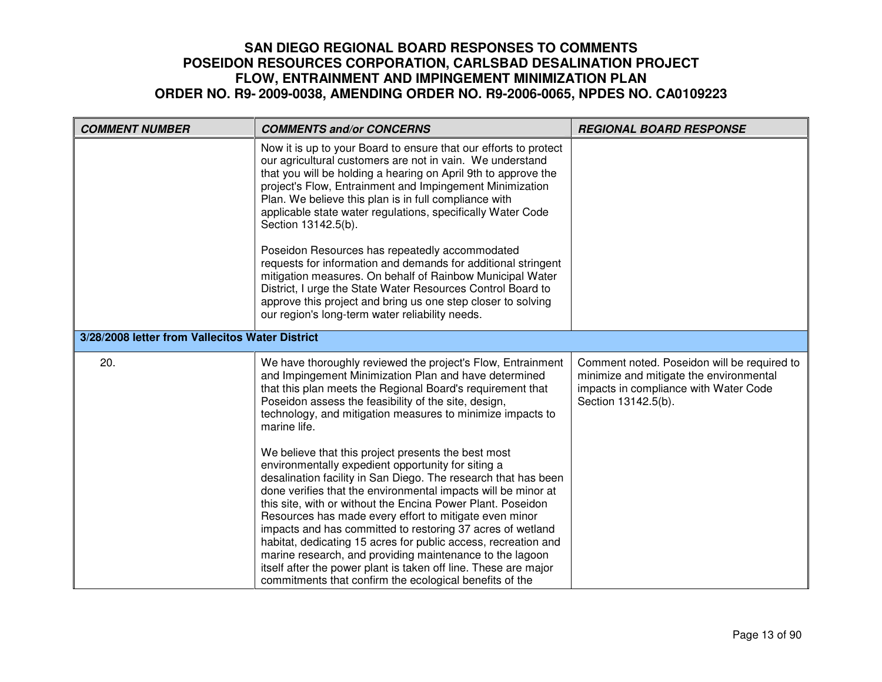| <b>COMMENT NUMBER</b>                           | <b>COMMENTS and/or CONCERNS</b>                                                                                                                                                                                                                                                                                                                                                                                                                                                                                                                                                                                                                                                                                                                                                                                                                                                                                                                                                                                             | <b>REGIONAL BOARD RESPONSE</b>                                                                                                                         |
|-------------------------------------------------|-----------------------------------------------------------------------------------------------------------------------------------------------------------------------------------------------------------------------------------------------------------------------------------------------------------------------------------------------------------------------------------------------------------------------------------------------------------------------------------------------------------------------------------------------------------------------------------------------------------------------------------------------------------------------------------------------------------------------------------------------------------------------------------------------------------------------------------------------------------------------------------------------------------------------------------------------------------------------------------------------------------------------------|--------------------------------------------------------------------------------------------------------------------------------------------------------|
|                                                 | Now it is up to your Board to ensure that our efforts to protect<br>our agricultural customers are not in vain. We understand<br>that you will be holding a hearing on April 9th to approve the<br>project's Flow, Entrainment and Impingement Minimization<br>Plan. We believe this plan is in full compliance with<br>applicable state water regulations, specifically Water Code<br>Section 13142.5(b).<br>Poseidon Resources has repeatedly accommodated<br>requests for information and demands for additional stringent<br>mitigation measures. On behalf of Rainbow Municipal Water<br>District, I urge the State Water Resources Control Board to<br>approve this project and bring us one step closer to solving<br>our region's long-term water reliability needs.                                                                                                                                                                                                                                                |                                                                                                                                                        |
| 3/28/2008 letter from Vallecitos Water District |                                                                                                                                                                                                                                                                                                                                                                                                                                                                                                                                                                                                                                                                                                                                                                                                                                                                                                                                                                                                                             |                                                                                                                                                        |
| 20.                                             | We have thoroughly reviewed the project's Flow, Entrainment<br>and Impingement Minimization Plan and have determined<br>that this plan meets the Regional Board's requirement that<br>Poseidon assess the feasibility of the site, design,<br>technology, and mitigation measures to minimize impacts to<br>marine life.<br>We believe that this project presents the best most<br>environmentally expedient opportunity for siting a<br>desalination facility in San Diego. The research that has been<br>done verifies that the environmental impacts will be minor at<br>this site, with or without the Encina Power Plant. Poseidon<br>Resources has made every effort to mitigate even minor<br>impacts and has committed to restoring 37 acres of wetland<br>habitat, dedicating 15 acres for public access, recreation and<br>marine research, and providing maintenance to the lagoon<br>itself after the power plant is taken off line. These are major<br>commitments that confirm the ecological benefits of the | Comment noted. Poseidon will be required to<br>minimize and mitigate the environmental<br>impacts in compliance with Water Code<br>Section 13142.5(b). |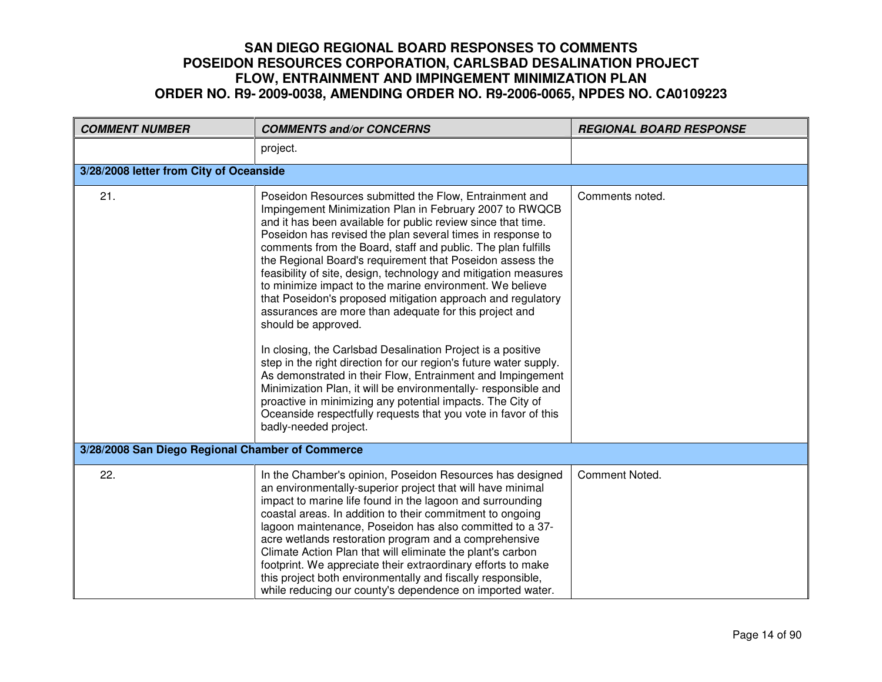| <b>COMMENT NUMBER</b>                            | <b>COMMENTS and/or CONCERNS</b>                                                                                                                                                                                                                                                                                                                                                                                                                                                                                                                                                                                                                                                                                                                                                                                                                                                                                                                                                                                                                                                          | <b>REGIONAL BOARD RESPONSE</b> |
|--------------------------------------------------|------------------------------------------------------------------------------------------------------------------------------------------------------------------------------------------------------------------------------------------------------------------------------------------------------------------------------------------------------------------------------------------------------------------------------------------------------------------------------------------------------------------------------------------------------------------------------------------------------------------------------------------------------------------------------------------------------------------------------------------------------------------------------------------------------------------------------------------------------------------------------------------------------------------------------------------------------------------------------------------------------------------------------------------------------------------------------------------|--------------------------------|
|                                                  | project.                                                                                                                                                                                                                                                                                                                                                                                                                                                                                                                                                                                                                                                                                                                                                                                                                                                                                                                                                                                                                                                                                 |                                |
| 3/28/2008 letter from City of Oceanside          |                                                                                                                                                                                                                                                                                                                                                                                                                                                                                                                                                                                                                                                                                                                                                                                                                                                                                                                                                                                                                                                                                          |                                |
| 21.                                              | Poseidon Resources submitted the Flow, Entrainment and<br>Impingement Minimization Plan in February 2007 to RWQCB<br>and it has been available for public review since that time.<br>Poseidon has revised the plan several times in response to<br>comments from the Board, staff and public. The plan fulfills<br>the Regional Board's requirement that Poseidon assess the<br>feasibility of site, design, technology and mitigation measures<br>to minimize impact to the marine environment. We believe<br>that Poseidon's proposed mitigation approach and regulatory<br>assurances are more than adequate for this project and<br>should be approved.<br>In closing, the Carlsbad Desalination Project is a positive<br>step in the right direction for our region's future water supply.<br>As demonstrated in their Flow, Entrainment and Impingement<br>Minimization Plan, it will be environmentally- responsible and<br>proactive in minimizing any potential impacts. The City of<br>Oceanside respectfully requests that you vote in favor of this<br>badly-needed project. | Comments noted.                |
| 3/28/2008 San Diego Regional Chamber of Commerce |                                                                                                                                                                                                                                                                                                                                                                                                                                                                                                                                                                                                                                                                                                                                                                                                                                                                                                                                                                                                                                                                                          |                                |
| 22.                                              | In the Chamber's opinion, Poseidon Resources has designed<br>an environmentally-superior project that will have minimal<br>impact to marine life found in the lagoon and surrounding<br>coastal areas. In addition to their commitment to ongoing<br>lagoon maintenance, Poseidon has also committed to a 37-<br>acre wetlands restoration program and a comprehensive<br>Climate Action Plan that will eliminate the plant's carbon<br>footprint. We appreciate their extraordinary efforts to make<br>this project both environmentally and fiscally responsible,<br>while reducing our county's dependence on imported water.                                                                                                                                                                                                                                                                                                                                                                                                                                                         | Comment Noted.                 |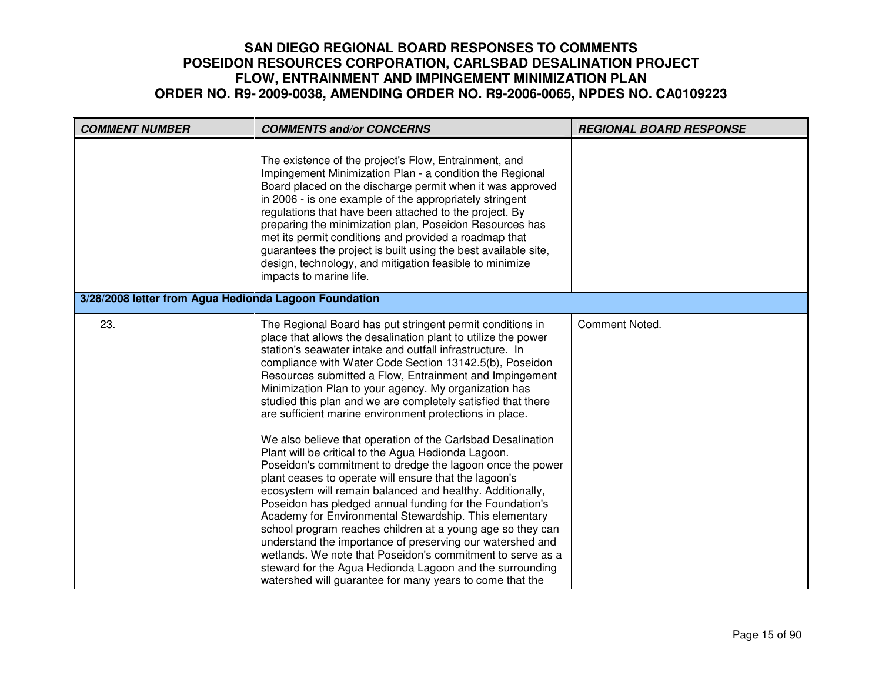| <b>COMMENT NUMBER</b> | <b>COMMENTS and/or CONCERNS</b>                                                                                                                                                                                                                                                                                                                                                                                                                                                                                                                                                                                                                                                                                                                                                                                                                                                                                                                                                                                                                                                                                                                                                                                                                  | <b>REGIONAL BOARD RESPONSE</b> |  |
|-----------------------|--------------------------------------------------------------------------------------------------------------------------------------------------------------------------------------------------------------------------------------------------------------------------------------------------------------------------------------------------------------------------------------------------------------------------------------------------------------------------------------------------------------------------------------------------------------------------------------------------------------------------------------------------------------------------------------------------------------------------------------------------------------------------------------------------------------------------------------------------------------------------------------------------------------------------------------------------------------------------------------------------------------------------------------------------------------------------------------------------------------------------------------------------------------------------------------------------------------------------------------------------|--------------------------------|--|
|                       | The existence of the project's Flow, Entrainment, and<br>Impingement Minimization Plan - a condition the Regional<br>Board placed on the discharge permit when it was approved<br>in 2006 - is one example of the appropriately stringent<br>regulations that have been attached to the project. By<br>preparing the minimization plan, Poseidon Resources has<br>met its permit conditions and provided a roadmap that<br>guarantees the project is built using the best available site,<br>design, technology, and mitigation feasible to minimize<br>impacts to marine life.                                                                                                                                                                                                                                                                                                                                                                                                                                                                                                                                                                                                                                                                  |                                |  |
|                       | 3/28/2008 letter from Agua Hedionda Lagoon Foundation                                                                                                                                                                                                                                                                                                                                                                                                                                                                                                                                                                                                                                                                                                                                                                                                                                                                                                                                                                                                                                                                                                                                                                                            |                                |  |
| 23.                   | The Regional Board has put stringent permit conditions in<br>place that allows the desalination plant to utilize the power<br>station's seawater intake and outfall infrastructure. In<br>compliance with Water Code Section 13142.5(b), Poseidon<br>Resources submitted a Flow, Entrainment and Impingement<br>Minimization Plan to your agency. My organization has<br>studied this plan and we are completely satisfied that there<br>are sufficient marine environment protections in place.<br>We also believe that operation of the Carlsbad Desalination<br>Plant will be critical to the Agua Hedionda Lagoon.<br>Poseidon's commitment to dredge the lagoon once the power<br>plant ceases to operate will ensure that the lagoon's<br>ecosystem will remain balanced and healthy. Additionally,<br>Poseidon has pledged annual funding for the Foundation's<br>Academy for Environmental Stewardship. This elementary<br>school program reaches children at a young age so they can<br>understand the importance of preserving our watershed and<br>wetlands. We note that Poseidon's commitment to serve as a<br>steward for the Agua Hedionda Lagoon and the surrounding<br>watershed will guarantee for many years to come that the | Comment Noted.                 |  |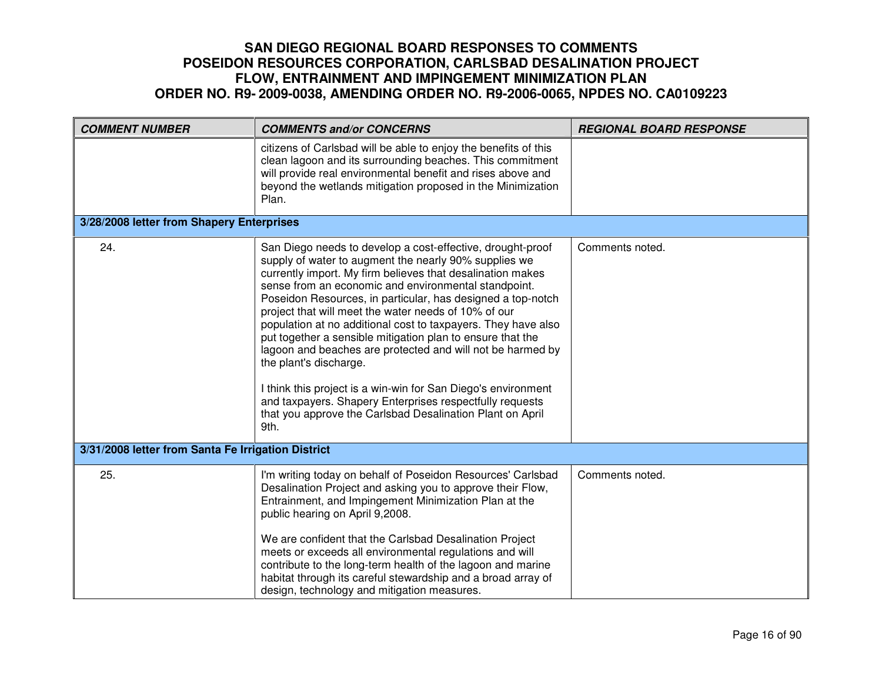| <b>COMMENT NUMBER</b>                              | <b>COMMENTS and/or CONCERNS</b>                                                                                                                                                                                                                                                                                                                                                                                                                                                                                                                                                                                                                                                                                                                                                           | <b>REGIONAL BOARD RESPONSE</b> |
|----------------------------------------------------|-------------------------------------------------------------------------------------------------------------------------------------------------------------------------------------------------------------------------------------------------------------------------------------------------------------------------------------------------------------------------------------------------------------------------------------------------------------------------------------------------------------------------------------------------------------------------------------------------------------------------------------------------------------------------------------------------------------------------------------------------------------------------------------------|--------------------------------|
|                                                    | citizens of Carlsbad will be able to enjoy the benefits of this<br>clean lagoon and its surrounding beaches. This commitment<br>will provide real environmental benefit and rises above and<br>beyond the wetlands mitigation proposed in the Minimization<br>Plan.                                                                                                                                                                                                                                                                                                                                                                                                                                                                                                                       |                                |
| 3/28/2008 letter from Shapery Enterprises          |                                                                                                                                                                                                                                                                                                                                                                                                                                                                                                                                                                                                                                                                                                                                                                                           |                                |
| 24.                                                | San Diego needs to develop a cost-effective, drought-proof<br>supply of water to augment the nearly 90% supplies we<br>currently import. My firm believes that desalination makes<br>sense from an economic and environmental standpoint.<br>Poseidon Resources, in particular, has designed a top-notch<br>project that will meet the water needs of 10% of our<br>population at no additional cost to taxpayers. They have also<br>put together a sensible mitigation plan to ensure that the<br>lagoon and beaches are protected and will not be harmed by<br>the plant's discharge.<br>I think this project is a win-win for San Diego's environment<br>and taxpayers. Shapery Enterprises respectfully requests<br>that you approve the Carlsbad Desalination Plant on April<br>9th. | Comments noted.                |
| 3/31/2008 letter from Santa Fe Irrigation District |                                                                                                                                                                                                                                                                                                                                                                                                                                                                                                                                                                                                                                                                                                                                                                                           |                                |
| 25.                                                | I'm writing today on behalf of Poseidon Resources' Carlsbad<br>Desalination Project and asking you to approve their Flow,<br>Entrainment, and Impingement Minimization Plan at the<br>public hearing on April 9,2008.<br>We are confident that the Carlsbad Desalination Project<br>meets or exceeds all environmental regulations and will<br>contribute to the long-term health of the lagoon and marine<br>habitat through its careful stewardship and a broad array of<br>design, technology and mitigation measures.                                                                                                                                                                                                                                                                 | Comments noted.                |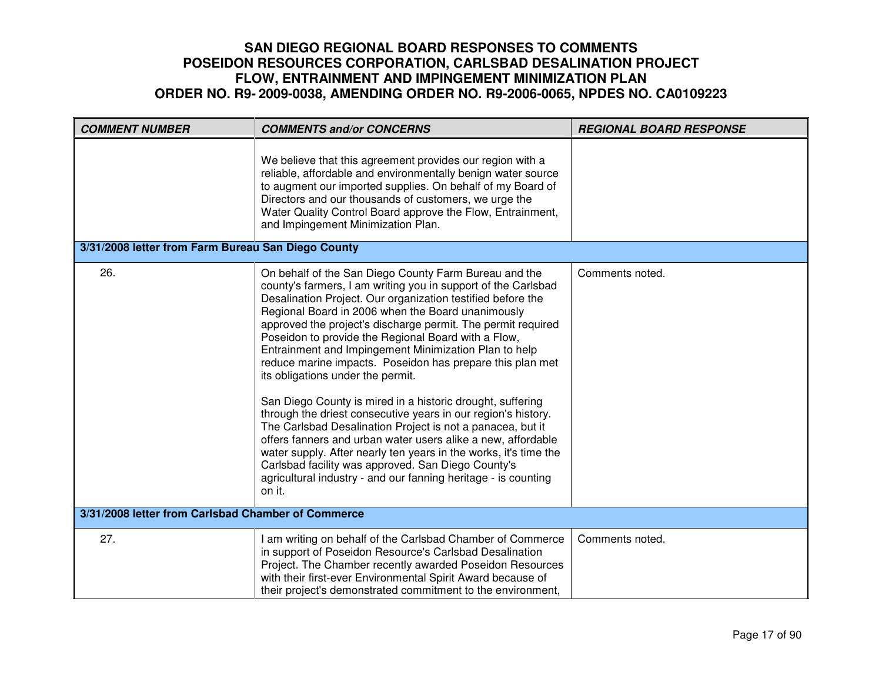| <b>COMMENT NUMBER</b>                              | <b>COMMENTS and/or CONCERNS</b>                                                                                                                                                                                                                                                                                                                                                                                                                                                                                                                                                                                                                                                                                                                                                                                                                                                                                                                                                                 | <b>REGIONAL BOARD RESPONSE</b> |
|----------------------------------------------------|-------------------------------------------------------------------------------------------------------------------------------------------------------------------------------------------------------------------------------------------------------------------------------------------------------------------------------------------------------------------------------------------------------------------------------------------------------------------------------------------------------------------------------------------------------------------------------------------------------------------------------------------------------------------------------------------------------------------------------------------------------------------------------------------------------------------------------------------------------------------------------------------------------------------------------------------------------------------------------------------------|--------------------------------|
|                                                    | We believe that this agreement provides our region with a<br>reliable, affordable and environmentally benign water source<br>to augment our imported supplies. On behalf of my Board of<br>Directors and our thousands of customers, we urge the<br>Water Quality Control Board approve the Flow, Entrainment,<br>and Impingement Minimization Plan.                                                                                                                                                                                                                                                                                                                                                                                                                                                                                                                                                                                                                                            |                                |
| 3/31/2008 letter from Farm Bureau San Diego County |                                                                                                                                                                                                                                                                                                                                                                                                                                                                                                                                                                                                                                                                                                                                                                                                                                                                                                                                                                                                 |                                |
| 26.                                                | On behalf of the San Diego County Farm Bureau and the<br>county's farmers, I am writing you in support of the Carlsbad<br>Desalination Project. Our organization testified before the<br>Regional Board in 2006 when the Board unanimously<br>approved the project's discharge permit. The permit required<br>Poseidon to provide the Regional Board with a Flow,<br>Entrainment and Impingement Minimization Plan to help<br>reduce marine impacts. Poseidon has prepare this plan met<br>its obligations under the permit.<br>San Diego County is mired in a historic drought, suffering<br>through the driest consecutive years in our region's history.<br>The Carlsbad Desalination Project is not a panacea, but it<br>offers fanners and urban water users alike a new, affordable<br>water supply. After nearly ten years in the works, it's time the<br>Carlsbad facility was approved. San Diego County's<br>agricultural industry - and our fanning heritage - is counting<br>on it. | Comments noted.                |
| 3/31/2008 letter from Carlsbad Chamber of Commerce |                                                                                                                                                                                                                                                                                                                                                                                                                                                                                                                                                                                                                                                                                                                                                                                                                                                                                                                                                                                                 |                                |
| 27.                                                | I am writing on behalf of the Carlsbad Chamber of Commerce<br>in support of Poseidon Resource's Carlsbad Desalination<br>Project. The Chamber recently awarded Poseidon Resources<br>with their first-ever Environmental Spirit Award because of<br>their project's demonstrated commitment to the environment,                                                                                                                                                                                                                                                                                                                                                                                                                                                                                                                                                                                                                                                                                 | Comments noted.                |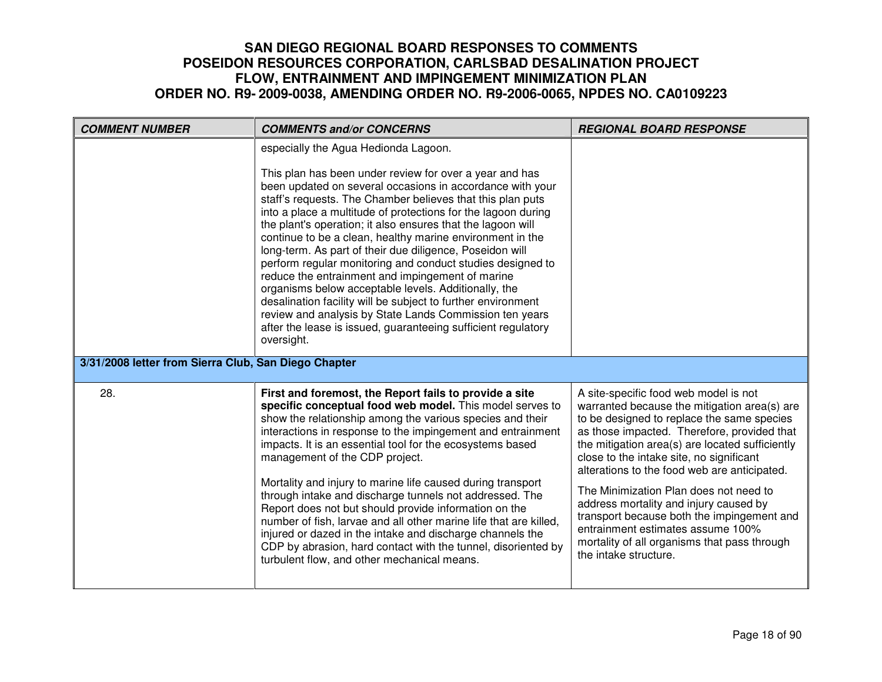| <b>COMMENT NUMBER</b>                                | <b>COMMENTS and/or CONCERNS</b>                                                                                                                                                                                                                                                                                                                                                                                                                                                                                                                                                                                                                                                                                                                                                                                                 | <b>REGIONAL BOARD RESPONSE</b>                                                                                                                                                                                                                                                                                                                                                                                                                                                                                                                                                    |
|------------------------------------------------------|---------------------------------------------------------------------------------------------------------------------------------------------------------------------------------------------------------------------------------------------------------------------------------------------------------------------------------------------------------------------------------------------------------------------------------------------------------------------------------------------------------------------------------------------------------------------------------------------------------------------------------------------------------------------------------------------------------------------------------------------------------------------------------------------------------------------------------|-----------------------------------------------------------------------------------------------------------------------------------------------------------------------------------------------------------------------------------------------------------------------------------------------------------------------------------------------------------------------------------------------------------------------------------------------------------------------------------------------------------------------------------------------------------------------------------|
|                                                      | especially the Agua Hedionda Lagoon.                                                                                                                                                                                                                                                                                                                                                                                                                                                                                                                                                                                                                                                                                                                                                                                            |                                                                                                                                                                                                                                                                                                                                                                                                                                                                                                                                                                                   |
|                                                      | This plan has been under review for over a year and has<br>been updated on several occasions in accordance with your<br>staff's requests. The Chamber believes that this plan puts<br>into a place a multitude of protections for the lagoon during<br>the plant's operation; it also ensures that the lagoon will<br>continue to be a clean, healthy marine environment in the<br>long-term. As part of their due diligence, Poseidon will<br>perform regular monitoring and conduct studies designed to<br>reduce the entrainment and impingement of marine<br>organisms below acceptable levels. Additionally, the<br>desalination facility will be subject to further environment<br>review and analysis by State Lands Commission ten years<br>after the lease is issued, guaranteeing sufficient regulatory<br>oversight. |                                                                                                                                                                                                                                                                                                                                                                                                                                                                                                                                                                                   |
| 3/31/2008 letter from Sierra Club, San Diego Chapter |                                                                                                                                                                                                                                                                                                                                                                                                                                                                                                                                                                                                                                                                                                                                                                                                                                 |                                                                                                                                                                                                                                                                                                                                                                                                                                                                                                                                                                                   |
| 28.                                                  | First and foremost, the Report fails to provide a site<br>specific conceptual food web model. This model serves to<br>show the relationship among the various species and their<br>interactions in response to the impingement and entrainment<br>impacts. It is an essential tool for the ecosystems based<br>management of the CDP project.<br>Mortality and injury to marine life caused during transport<br>through intake and discharge tunnels not addressed. The<br>Report does not but should provide information on the<br>number of fish, larvae and all other marine life that are killed,<br>injured or dazed in the intake and discharge channels the<br>CDP by abrasion, hard contact with the tunnel, disoriented by<br>turbulent flow, and other mechanical means.                                              | A site-specific food web model is not<br>warranted because the mitigation area(s) are<br>to be designed to replace the same species<br>as those impacted. Therefore, provided that<br>the mitigation area(s) are located sufficiently<br>close to the intake site, no significant<br>alterations to the food web are anticipated.<br>The Minimization Plan does not need to<br>address mortality and injury caused by<br>transport because both the impingement and<br>entrainment estimates assume 100%<br>mortality of all organisms that pass through<br>the intake structure. |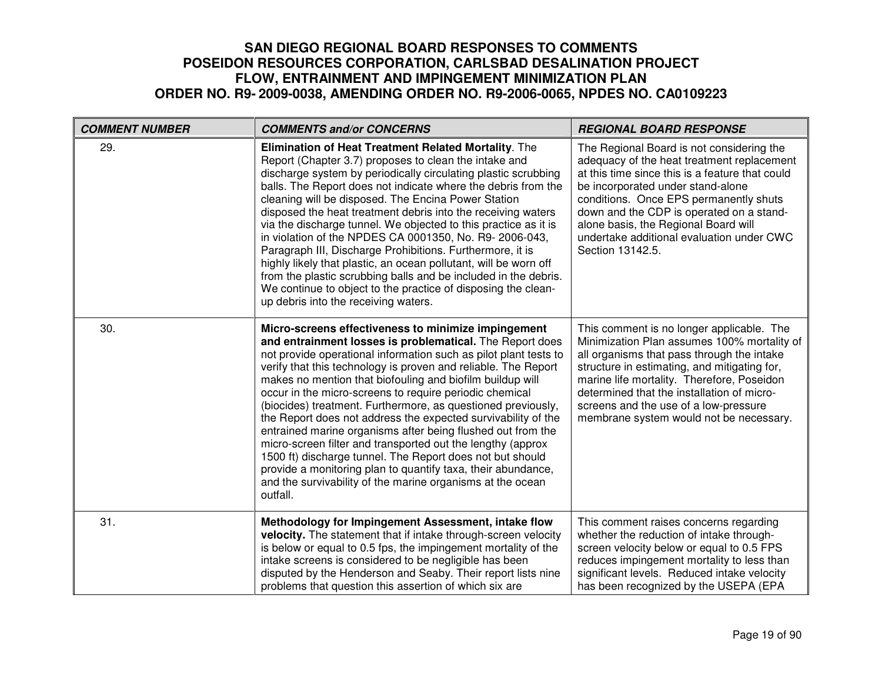| <b>COMMENT NUMBER</b> | <b>COMMENTS and/or CONCERNS</b>                                                                                                                                                                                                                                                                                                                                                                                                                                                                                                                                                                                                                                                                                                                                                                                                                     | <b>REGIONAL BOARD RESPONSE</b>                                                                                                                                                                                                                                                                                                                                                 |
|-----------------------|-----------------------------------------------------------------------------------------------------------------------------------------------------------------------------------------------------------------------------------------------------------------------------------------------------------------------------------------------------------------------------------------------------------------------------------------------------------------------------------------------------------------------------------------------------------------------------------------------------------------------------------------------------------------------------------------------------------------------------------------------------------------------------------------------------------------------------------------------------|--------------------------------------------------------------------------------------------------------------------------------------------------------------------------------------------------------------------------------------------------------------------------------------------------------------------------------------------------------------------------------|
| 29.                   | Elimination of Heat Treatment Related Mortality. The<br>Report (Chapter 3.7) proposes to clean the intake and<br>discharge system by periodically circulating plastic scrubbing<br>balls. The Report does not indicate where the debris from the<br>cleaning will be disposed. The Encina Power Station<br>disposed the heat treatment debris into the receiving waters<br>via the discharge tunnel. We objected to this practice as it is<br>in violation of the NPDES CA 0001350, No. R9- 2006-043,<br>Paragraph III, Discharge Prohibitions. Furthermore, it is<br>highly likely that plastic, an ocean pollutant, will be worn off<br>from the plastic scrubbing balls and be included in the debris.<br>We continue to object to the practice of disposing the clean-<br>up debris into the receiving waters.                                  | The Regional Board is not considering the<br>adequacy of the heat treatment replacement<br>at this time since this is a feature that could<br>be incorporated under stand-alone<br>conditions. Once EPS permanently shuts<br>down and the CDP is operated on a stand-<br>alone basis, the Regional Board will<br>undertake additional evaluation under CWC<br>Section 13142.5. |
| 30.                   | Micro-screens effectiveness to minimize impingement<br>and entrainment losses is problematical. The Report does<br>not provide operational information such as pilot plant tests to<br>verify that this technology is proven and reliable. The Report<br>makes no mention that biofouling and biofilm buildup will<br>occur in the micro-screens to require periodic chemical<br>(biocides) treatment. Furthermore, as questioned previously,<br>the Report does not address the expected survivability of the<br>entrained marine organisms after being flushed out from the<br>micro-screen filter and transported out the lengthy (approx<br>1500 ft) discharge tunnel. The Report does not but should<br>provide a monitoring plan to quantify taxa, their abundance,<br>and the survivability of the marine organisms at the ocean<br>outfall. | This comment is no longer applicable. The<br>Minimization Plan assumes 100% mortality of<br>all organisms that pass through the intake<br>structure in estimating, and mitigating for,<br>marine life mortality. Therefore, Poseidon<br>determined that the installation of micro-<br>screens and the use of a low-pressure<br>membrane system would not be necessary.         |
| 31.                   | Methodology for Impingement Assessment, intake flow<br>velocity. The statement that if intake through-screen velocity<br>is below or equal to 0.5 fps, the impingement mortality of the<br>intake screens is considered to be negligible has been<br>disputed by the Henderson and Seaby. Their report lists nine<br>problems that question this assertion of which six are                                                                                                                                                                                                                                                                                                                                                                                                                                                                         | This comment raises concerns regarding<br>whether the reduction of intake through-<br>screen velocity below or equal to 0.5 FPS<br>reduces impingement mortality to less than<br>significant levels. Reduced intake velocity<br>has been recognized by the USEPA (EPA                                                                                                          |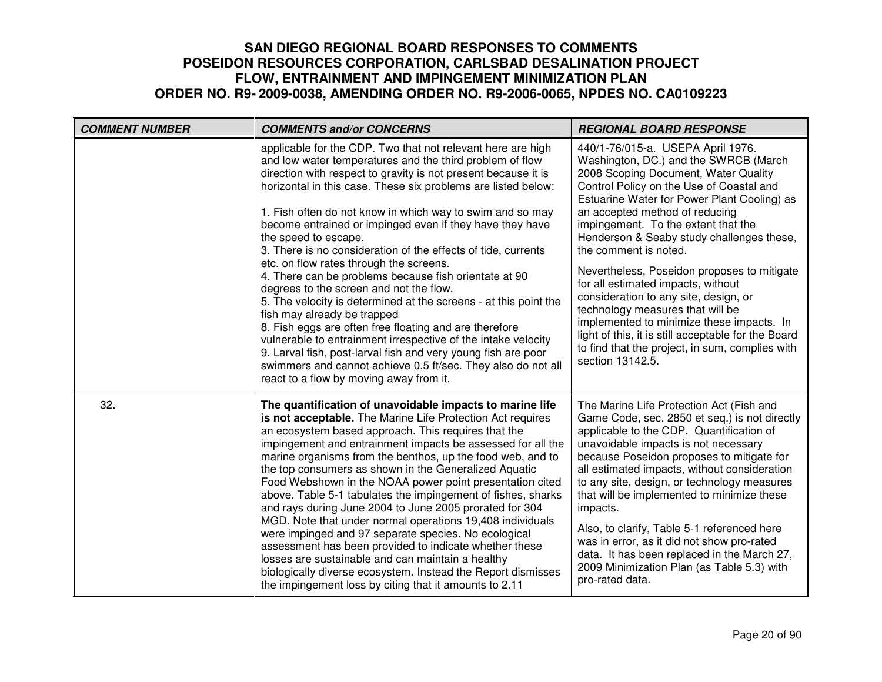| <b>COMMENT NUMBER</b> | <b>COMMENTS and/or CONCERNS</b>                                                                                                                                                                                                                                                                                                                                                                                                                                                                                                                                                                                                                                                                                                                                                                                                                                                                                                                                                                                                       | <b>REGIONAL BOARD RESPONSE</b>                                                                                                                                                                                                                                                                                                                                                                                                                                                                                                                                                                                                                                                                            |
|-----------------------|---------------------------------------------------------------------------------------------------------------------------------------------------------------------------------------------------------------------------------------------------------------------------------------------------------------------------------------------------------------------------------------------------------------------------------------------------------------------------------------------------------------------------------------------------------------------------------------------------------------------------------------------------------------------------------------------------------------------------------------------------------------------------------------------------------------------------------------------------------------------------------------------------------------------------------------------------------------------------------------------------------------------------------------|-----------------------------------------------------------------------------------------------------------------------------------------------------------------------------------------------------------------------------------------------------------------------------------------------------------------------------------------------------------------------------------------------------------------------------------------------------------------------------------------------------------------------------------------------------------------------------------------------------------------------------------------------------------------------------------------------------------|
|                       | applicable for the CDP. Two that not relevant here are high<br>and low water temperatures and the third problem of flow<br>direction with respect to gravity is not present because it is<br>horizontal in this case. These six problems are listed below:<br>1. Fish often do not know in which way to swim and so may<br>become entrained or impinged even if they have they have<br>the speed to escape.<br>3. There is no consideration of the effects of tide, currents<br>etc. on flow rates through the screens.<br>4. There can be problems because fish orientate at 90<br>degrees to the screen and not the flow.<br>5. The velocity is determined at the screens - at this point the<br>fish may already be trapped<br>8. Fish eggs are often free floating and are therefore<br>vulnerable to entrainment irrespective of the intake velocity<br>9. Larval fish, post-larval fish and very young fish are poor<br>swimmers and cannot achieve 0.5 ft/sec. They also do not all<br>react to a flow by moving away from it. | 440/1-76/015-a. USEPA April 1976.<br>Washington, DC.) and the SWRCB (March<br>2008 Scoping Document, Water Quality<br>Control Policy on the Use of Coastal and<br>Estuarine Water for Power Plant Cooling) as<br>an accepted method of reducing<br>impingement. To the extent that the<br>Henderson & Seaby study challenges these,<br>the comment is noted.<br>Nevertheless, Poseidon proposes to mitigate<br>for all estimated impacts, without<br>consideration to any site, design, or<br>technology measures that will be<br>implemented to minimize these impacts. In<br>light of this, it is still acceptable for the Board<br>to find that the project, in sum, complies with<br>section 13142.5. |
| 32.                   | The quantification of unavoidable impacts to marine life<br>is not acceptable. The Marine Life Protection Act requires<br>an ecosystem based approach. This requires that the<br>impingement and entrainment impacts be assessed for all the<br>marine organisms from the benthos, up the food web, and to<br>the top consumers as shown in the Generalized Aquatic<br>Food Webshown in the NOAA power point presentation cited<br>above. Table 5-1 tabulates the impingement of fishes, sharks<br>and rays during June 2004 to June 2005 prorated for 304<br>MGD. Note that under normal operations 19,408 individuals<br>were impinged and 97 separate species. No ecological<br>assessment has been provided to indicate whether these<br>losses are sustainable and can maintain a healthy<br>biologically diverse ecosystem. Instead the Report dismisses<br>the impingement loss by citing that it amounts to 2.11                                                                                                              | The Marine Life Protection Act (Fish and<br>Game Code, sec. 2850 et seq.) is not directly<br>applicable to the CDP. Quantification of<br>unavoidable impacts is not necessary<br>because Poseidon proposes to mitigate for<br>all estimated impacts, without consideration<br>to any site, design, or technology measures<br>that will be implemented to minimize these<br>impacts.<br>Also, to clarify, Table 5-1 referenced here<br>was in error, as it did not show pro-rated<br>data. It has been replaced in the March 27,<br>2009 Minimization Plan (as Table 5.3) with<br>pro-rated data.                                                                                                          |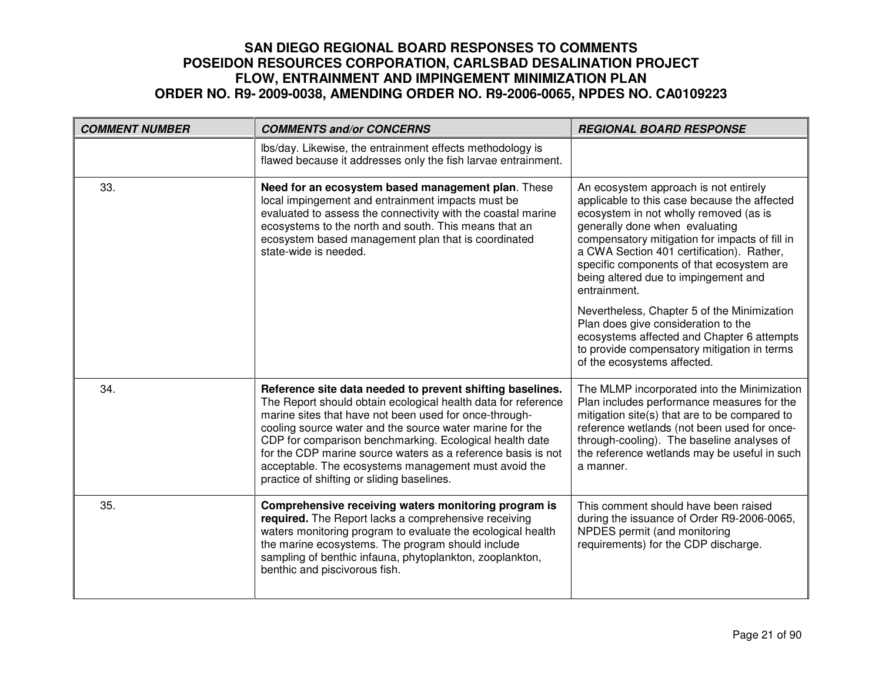| <b>COMMENT NUMBER</b> | <b>COMMENTS and/or CONCERNS</b>                                                                                                                                                                                                                                                                                                                                                                                                                                                   | <b>REGIONAL BOARD RESPONSE</b>                                                                                                                                                                                                                                                                                                                                        |
|-----------------------|-----------------------------------------------------------------------------------------------------------------------------------------------------------------------------------------------------------------------------------------------------------------------------------------------------------------------------------------------------------------------------------------------------------------------------------------------------------------------------------|-----------------------------------------------------------------------------------------------------------------------------------------------------------------------------------------------------------------------------------------------------------------------------------------------------------------------------------------------------------------------|
|                       | Ibs/day. Likewise, the entrainment effects methodology is<br>flawed because it addresses only the fish larvae entrainment.                                                                                                                                                                                                                                                                                                                                                        |                                                                                                                                                                                                                                                                                                                                                                       |
| 33.                   | Need for an ecosystem based management plan. These<br>local impingement and entrainment impacts must be<br>evaluated to assess the connectivity with the coastal marine<br>ecosystems to the north and south. This means that an<br>ecosystem based management plan that is coordinated<br>state-wide is needed.                                                                                                                                                                  | An ecosystem approach is not entirely<br>applicable to this case because the affected<br>ecosystem in not wholly removed (as is<br>generally done when evaluating<br>compensatory mitigation for impacts of fill in<br>a CWA Section 401 certification). Rather,<br>specific components of that ecosystem are<br>being altered due to impingement and<br>entrainment. |
|                       |                                                                                                                                                                                                                                                                                                                                                                                                                                                                                   | Nevertheless, Chapter 5 of the Minimization<br>Plan does give consideration to the<br>ecosystems affected and Chapter 6 attempts<br>to provide compensatory mitigation in terms<br>of the ecosystems affected.                                                                                                                                                        |
| 34.                   | Reference site data needed to prevent shifting baselines.<br>The Report should obtain ecological health data for reference<br>marine sites that have not been used for once-through-<br>cooling source water and the source water marine for the<br>CDP for comparison benchmarking. Ecological health date<br>for the CDP marine source waters as a reference basis is not<br>acceptable. The ecosystems management must avoid the<br>practice of shifting or sliding baselines. | The MLMP incorporated into the Minimization<br>Plan includes performance measures for the<br>mitigation site(s) that are to be compared to<br>reference wetlands (not been used for once-<br>through-cooling). The baseline analyses of<br>the reference wetlands may be useful in such<br>a manner.                                                                  |
| 35.                   | Comprehensive receiving waters monitoring program is<br>required. The Report lacks a comprehensive receiving<br>waters monitoring program to evaluate the ecological health<br>the marine ecosystems. The program should include<br>sampling of benthic infauna, phytoplankton, zooplankton,<br>benthic and piscivorous fish.                                                                                                                                                     | This comment should have been raised<br>during the issuance of Order R9-2006-0065,<br>NPDES permit (and monitoring<br>requirements) for the CDP discharge.                                                                                                                                                                                                            |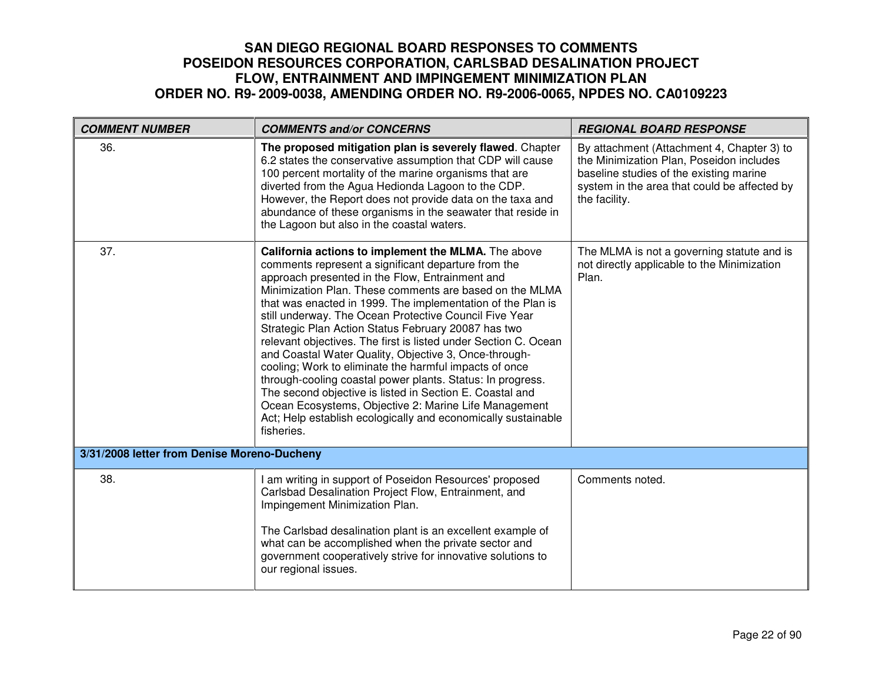| <b>COMMENT NUMBER</b>                       | <b>COMMENTS and/or CONCERNS</b>                                                                                                                                                                                                                                                                                                                                                                                                                                                                                                                                                                                                                                                                                                                                                                                                                                  | <b>REGIONAL BOARD RESPONSE</b>                                                                                                                                                                     |
|---------------------------------------------|------------------------------------------------------------------------------------------------------------------------------------------------------------------------------------------------------------------------------------------------------------------------------------------------------------------------------------------------------------------------------------------------------------------------------------------------------------------------------------------------------------------------------------------------------------------------------------------------------------------------------------------------------------------------------------------------------------------------------------------------------------------------------------------------------------------------------------------------------------------|----------------------------------------------------------------------------------------------------------------------------------------------------------------------------------------------------|
| 36.                                         | The proposed mitigation plan is severely flawed. Chapter<br>6.2 states the conservative assumption that CDP will cause<br>100 percent mortality of the marine organisms that are<br>diverted from the Agua Hedionda Lagoon to the CDP.<br>However, the Report does not provide data on the taxa and<br>abundance of these organisms in the seawater that reside in<br>the Lagoon but also in the coastal waters.                                                                                                                                                                                                                                                                                                                                                                                                                                                 | By attachment (Attachment 4, Chapter 3) to<br>the Minimization Plan, Poseidon includes<br>baseline studies of the existing marine<br>system in the area that could be affected by<br>the facility. |
| 37.                                         | California actions to implement the MLMA. The above<br>comments represent a significant departure from the<br>approach presented in the Flow, Entrainment and<br>Minimization Plan. These comments are based on the MLMA<br>that was enacted in 1999. The implementation of the Plan is<br>still underway. The Ocean Protective Council Five Year<br>Strategic Plan Action Status February 20087 has two<br>relevant objectives. The first is listed under Section C. Ocean<br>and Coastal Water Quality, Objective 3, Once-through-<br>cooling; Work to eliminate the harmful impacts of once<br>through-cooling coastal power plants. Status: In progress.<br>The second objective is listed in Section E. Coastal and<br>Ocean Ecosystems, Objective 2: Marine Life Management<br>Act; Help establish ecologically and economically sustainable<br>fisheries. | The MLMA is not a governing statute and is<br>not directly applicable to the Minimization<br>Plan.                                                                                                 |
| 3/31/2008 letter from Denise Moreno-Ducheny |                                                                                                                                                                                                                                                                                                                                                                                                                                                                                                                                                                                                                                                                                                                                                                                                                                                                  |                                                                                                                                                                                                    |
| 38.                                         | I am writing in support of Poseidon Resources' proposed<br>Carlsbad Desalination Project Flow, Entrainment, and<br>Impingement Minimization Plan.<br>The Carlsbad desalination plant is an excellent example of<br>what can be accomplished when the private sector and<br>government cooperatively strive for innovative solutions to<br>our regional issues.                                                                                                                                                                                                                                                                                                                                                                                                                                                                                                   | Comments noted.                                                                                                                                                                                    |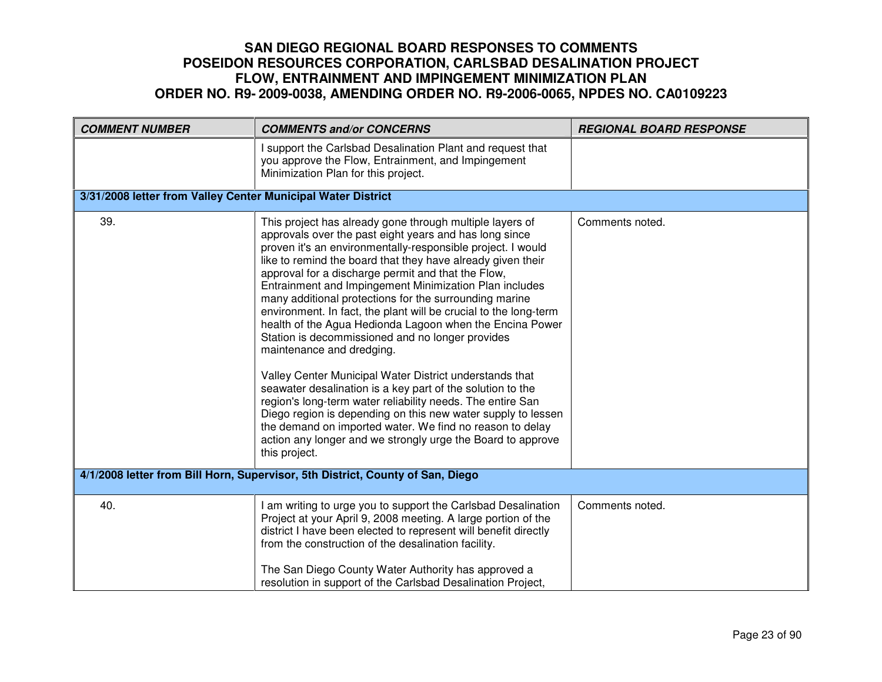| <b>COMMENT NUMBER</b>                                                          | <b>COMMENTS and/or CONCERNS</b>                                                                                                                                                                                                                                                                                                                                                                                                                                                                                                                                                                                                                                                                                                                                                                                                                                                                                                                                                                                                                | <b>REGIONAL BOARD RESPONSE</b> |
|--------------------------------------------------------------------------------|------------------------------------------------------------------------------------------------------------------------------------------------------------------------------------------------------------------------------------------------------------------------------------------------------------------------------------------------------------------------------------------------------------------------------------------------------------------------------------------------------------------------------------------------------------------------------------------------------------------------------------------------------------------------------------------------------------------------------------------------------------------------------------------------------------------------------------------------------------------------------------------------------------------------------------------------------------------------------------------------------------------------------------------------|--------------------------------|
|                                                                                | support the Carlsbad Desalination Plant and request that<br>you approve the Flow, Entrainment, and Impingement<br>Minimization Plan for this project.                                                                                                                                                                                                                                                                                                                                                                                                                                                                                                                                                                                                                                                                                                                                                                                                                                                                                          |                                |
| 3/31/2008 letter from Valley Center Municipal Water District                   |                                                                                                                                                                                                                                                                                                                                                                                                                                                                                                                                                                                                                                                                                                                                                                                                                                                                                                                                                                                                                                                |                                |
| 39.                                                                            | This project has already gone through multiple layers of<br>approvals over the past eight years and has long since<br>proven it's an environmentally-responsible project. I would<br>like to remind the board that they have already given their<br>approval for a discharge permit and that the Flow,<br>Entrainment and Impingement Minimization Plan includes<br>many additional protections for the surrounding marine<br>environment. In fact, the plant will be crucial to the long-term<br>health of the Agua Hedionda Lagoon when the Encina Power<br>Station is decommissioned and no longer provides<br>maintenance and dredging.<br>Valley Center Municipal Water District understands that<br>seawater desalination is a key part of the solution to the<br>region's long-term water reliability needs. The entire San<br>Diego region is depending on this new water supply to lessen<br>the demand on imported water. We find no reason to delay<br>action any longer and we strongly urge the Board to approve<br>this project. | Comments noted.                |
| 4/1/2008 letter from Bill Horn, Supervisor, 5th District, County of San, Diego |                                                                                                                                                                                                                                                                                                                                                                                                                                                                                                                                                                                                                                                                                                                                                                                                                                                                                                                                                                                                                                                |                                |
| 40.                                                                            | I am writing to urge you to support the Carlsbad Desalination<br>Project at your April 9, 2008 meeting. A large portion of the<br>district I have been elected to represent will benefit directly<br>from the construction of the desalination facility.<br>The San Diego County Water Authority has approved a<br>resolution in support of the Carlsbad Desalination Project,                                                                                                                                                                                                                                                                                                                                                                                                                                                                                                                                                                                                                                                                 | Comments noted.                |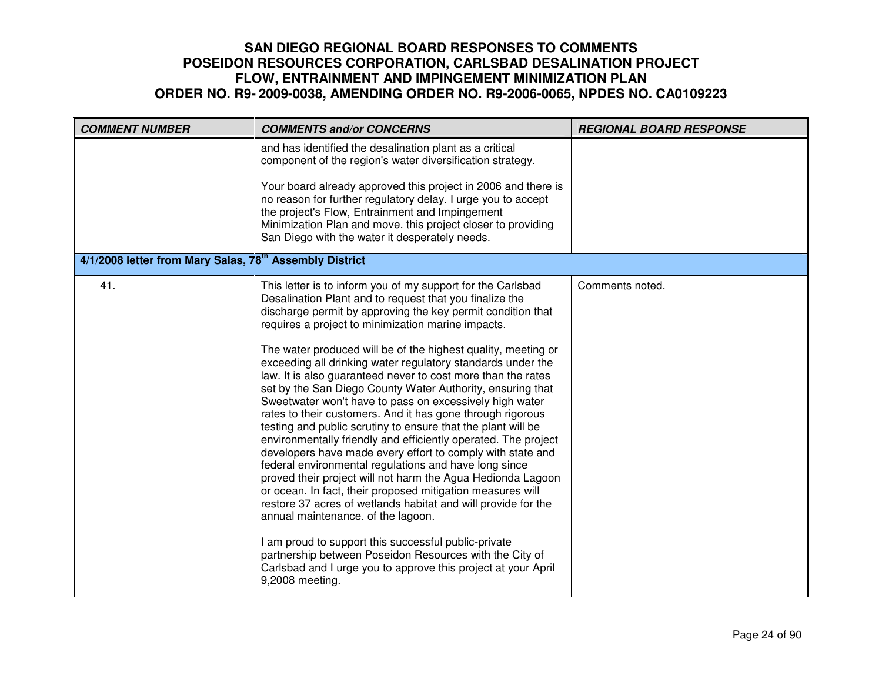| and has identified the desalination plant as a critical<br>component of the region's water diversification strategy.                                                                                                                                                                                                                                                                                                                                                                                                                                                                                                                                                                                                                                                                                                                                                                                                                                                                                                                                                                                                                                                                                                                                                                                                                                             |  |
|------------------------------------------------------------------------------------------------------------------------------------------------------------------------------------------------------------------------------------------------------------------------------------------------------------------------------------------------------------------------------------------------------------------------------------------------------------------------------------------------------------------------------------------------------------------------------------------------------------------------------------------------------------------------------------------------------------------------------------------------------------------------------------------------------------------------------------------------------------------------------------------------------------------------------------------------------------------------------------------------------------------------------------------------------------------------------------------------------------------------------------------------------------------------------------------------------------------------------------------------------------------------------------------------------------------------------------------------------------------|--|
|                                                                                                                                                                                                                                                                                                                                                                                                                                                                                                                                                                                                                                                                                                                                                                                                                                                                                                                                                                                                                                                                                                                                                                                                                                                                                                                                                                  |  |
| Your board already approved this project in 2006 and there is<br>no reason for further regulatory delay. I urge you to accept<br>the project's Flow, Entrainment and Impingement<br>Minimization Plan and move. this project closer to providing<br>San Diego with the water it desperately needs.                                                                                                                                                                                                                                                                                                                                                                                                                                                                                                                                                                                                                                                                                                                                                                                                                                                                                                                                                                                                                                                               |  |
| 4/1/2008 letter from Mary Salas, 78 <sup>th</sup> Assembly District                                                                                                                                                                                                                                                                                                                                                                                                                                                                                                                                                                                                                                                                                                                                                                                                                                                                                                                                                                                                                                                                                                                                                                                                                                                                                              |  |
| 41.<br>Comments noted.<br>This letter is to inform you of my support for the Carlsbad<br>Desalination Plant and to request that you finalize the<br>discharge permit by approving the key permit condition that<br>requires a project to minimization marine impacts.<br>The water produced will be of the highest quality, meeting or<br>exceeding all drinking water regulatory standards under the<br>law. It is also guaranteed never to cost more than the rates<br>set by the San Diego County Water Authority, ensuring that<br>Sweetwater won't have to pass on excessively high water<br>rates to their customers. And it has gone through rigorous<br>testing and public scrutiny to ensure that the plant will be<br>environmentally friendly and efficiently operated. The project<br>developers have made every effort to comply with state and<br>federal environmental regulations and have long since<br>proved their project will not harm the Agua Hedionda Lagoon<br>or ocean. In fact, their proposed mitigation measures will<br>restore 37 acres of wetlands habitat and will provide for the<br>annual maintenance. of the lagoon.<br>I am proud to support this successful public-private<br>partnership between Poseidon Resources with the City of<br>Carlsbad and I urge you to approve this project at your April<br>9,2008 meeting. |  |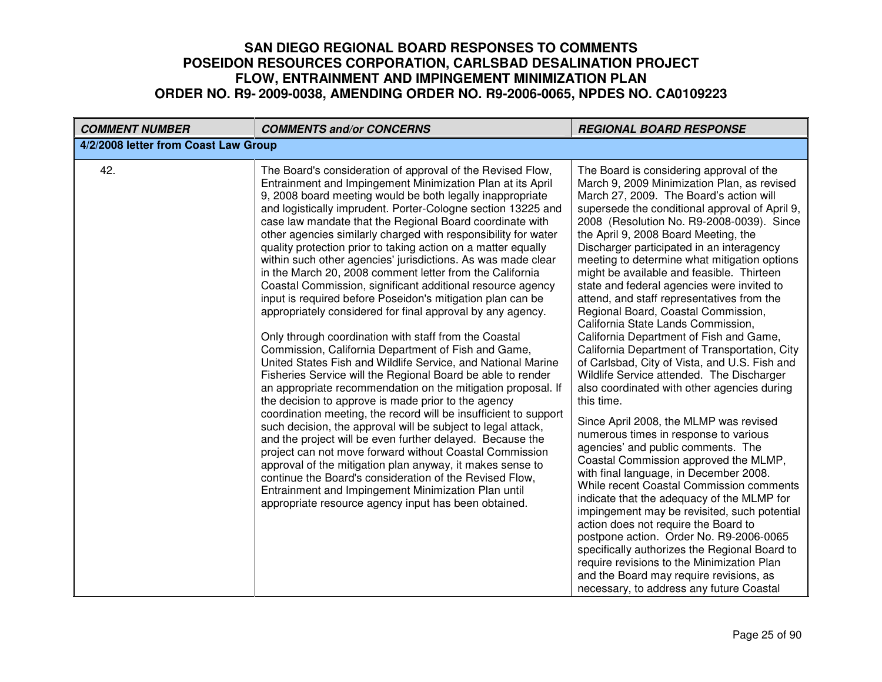| <b>COMMENT NUMBER</b>                | <b>COMMENTS and/or CONCERNS</b>                                                                                                                                                                                                                                                                                                                                                                                                                                                                                                                                                                                                                                                                                                                                                                                                                                                                                                                                                                                                                                                                                                                                                                                                                                                                                                                                                                                                                                                                                                                                                                                                                     | <b>REGIONAL BOARD RESPONSE</b>                                                                                                                                                                                                                                                                                                                                                                                                                                                                                                                                                                                                                                                                                                                                                                                                                                                                                                                                                                                                                                                                                                                                                                                                                                                                                                                                                                                                                                                     |
|--------------------------------------|-----------------------------------------------------------------------------------------------------------------------------------------------------------------------------------------------------------------------------------------------------------------------------------------------------------------------------------------------------------------------------------------------------------------------------------------------------------------------------------------------------------------------------------------------------------------------------------------------------------------------------------------------------------------------------------------------------------------------------------------------------------------------------------------------------------------------------------------------------------------------------------------------------------------------------------------------------------------------------------------------------------------------------------------------------------------------------------------------------------------------------------------------------------------------------------------------------------------------------------------------------------------------------------------------------------------------------------------------------------------------------------------------------------------------------------------------------------------------------------------------------------------------------------------------------------------------------------------------------------------------------------------------------|------------------------------------------------------------------------------------------------------------------------------------------------------------------------------------------------------------------------------------------------------------------------------------------------------------------------------------------------------------------------------------------------------------------------------------------------------------------------------------------------------------------------------------------------------------------------------------------------------------------------------------------------------------------------------------------------------------------------------------------------------------------------------------------------------------------------------------------------------------------------------------------------------------------------------------------------------------------------------------------------------------------------------------------------------------------------------------------------------------------------------------------------------------------------------------------------------------------------------------------------------------------------------------------------------------------------------------------------------------------------------------------------------------------------------------------------------------------------------------|
| 4/2/2008 letter from Coast Law Group |                                                                                                                                                                                                                                                                                                                                                                                                                                                                                                                                                                                                                                                                                                                                                                                                                                                                                                                                                                                                                                                                                                                                                                                                                                                                                                                                                                                                                                                                                                                                                                                                                                                     |                                                                                                                                                                                                                                                                                                                                                                                                                                                                                                                                                                                                                                                                                                                                                                                                                                                                                                                                                                                                                                                                                                                                                                                                                                                                                                                                                                                                                                                                                    |
| 42.                                  | The Board's consideration of approval of the Revised Flow,<br>Entrainment and Impingement Minimization Plan at its April<br>9, 2008 board meeting would be both legally inappropriate<br>and logistically imprudent. Porter-Cologne section 13225 and<br>case law mandate that the Regional Board coordinate with<br>other agencies similarly charged with responsibility for water<br>quality protection prior to taking action on a matter equally<br>within such other agencies' jurisdictions. As was made clear<br>in the March 20, 2008 comment letter from the California<br>Coastal Commission, significant additional resource agency<br>input is required before Poseidon's mitigation plan can be<br>appropriately considered for final approval by any agency.<br>Only through coordination with staff from the Coastal<br>Commission, California Department of Fish and Game,<br>United States Fish and Wildlife Service, and National Marine<br>Fisheries Service will the Regional Board be able to render<br>an appropriate recommendation on the mitigation proposal. If<br>the decision to approve is made prior to the agency<br>coordination meeting, the record will be insufficient to support<br>such decision, the approval will be subject to legal attack,<br>and the project will be even further delayed. Because the<br>project can not move forward without Coastal Commission<br>approval of the mitigation plan anyway, it makes sense to<br>continue the Board's consideration of the Revised Flow,<br>Entrainment and Impingement Minimization Plan until<br>appropriate resource agency input has been obtained. | The Board is considering approval of the<br>March 9, 2009 Minimization Plan, as revised<br>March 27, 2009. The Board's action will<br>supersede the conditional approval of April 9,<br>2008 (Resolution No. R9-2008-0039). Since<br>the April 9, 2008 Board Meeting, the<br>Discharger participated in an interagency<br>meeting to determine what mitigation options<br>might be available and feasible. Thirteen<br>state and federal agencies were invited to<br>attend, and staff representatives from the<br>Regional Board, Coastal Commission,<br>California State Lands Commission,<br>California Department of Fish and Game,<br>California Department of Transportation, City<br>of Carlsbad, City of Vista, and U.S. Fish and<br>Wildlife Service attended. The Discharger<br>also coordinated with other agencies during<br>this time.<br>Since April 2008, the MLMP was revised<br>numerous times in response to various<br>agencies' and public comments. The<br>Coastal Commission approved the MLMP,<br>with final language, in December 2008.<br>While recent Coastal Commission comments<br>indicate that the adequacy of the MLMP for<br>impingement may be revisited, such potential<br>action does not require the Board to<br>postpone action. Order No. R9-2006-0065<br>specifically authorizes the Regional Board to<br>require revisions to the Minimization Plan<br>and the Board may require revisions, as<br>necessary, to address any future Coastal |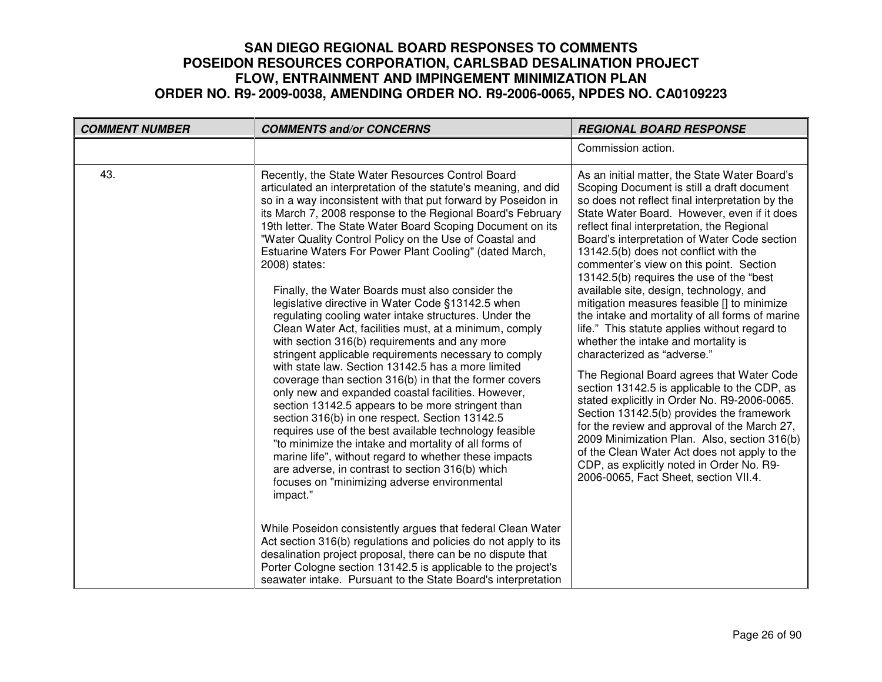| <b>COMMENT NUMBER</b> | <b>COMMENTS and/or CONCERNS</b>                                                                                                                                                                                                                                                                                                                                                                                                                                                                                                                                                                                                                                                                                                                                                                                                                                                                                                                                                                                                                                                                                                                                                                                                                                                                                                                                          | <b>REGIONAL BOARD RESPONSE</b>                                                                                                                                                                                                                                                                                                                                                                                                                                                                                                                                                                                                                                                                                                                                                                                                                                                                                                                                                                                                                                                                                                  |
|-----------------------|--------------------------------------------------------------------------------------------------------------------------------------------------------------------------------------------------------------------------------------------------------------------------------------------------------------------------------------------------------------------------------------------------------------------------------------------------------------------------------------------------------------------------------------------------------------------------------------------------------------------------------------------------------------------------------------------------------------------------------------------------------------------------------------------------------------------------------------------------------------------------------------------------------------------------------------------------------------------------------------------------------------------------------------------------------------------------------------------------------------------------------------------------------------------------------------------------------------------------------------------------------------------------------------------------------------------------------------------------------------------------|---------------------------------------------------------------------------------------------------------------------------------------------------------------------------------------------------------------------------------------------------------------------------------------------------------------------------------------------------------------------------------------------------------------------------------------------------------------------------------------------------------------------------------------------------------------------------------------------------------------------------------------------------------------------------------------------------------------------------------------------------------------------------------------------------------------------------------------------------------------------------------------------------------------------------------------------------------------------------------------------------------------------------------------------------------------------------------------------------------------------------------|
|                       |                                                                                                                                                                                                                                                                                                                                                                                                                                                                                                                                                                                                                                                                                                                                                                                                                                                                                                                                                                                                                                                                                                                                                                                                                                                                                                                                                                          | Commission action.                                                                                                                                                                                                                                                                                                                                                                                                                                                                                                                                                                                                                                                                                                                                                                                                                                                                                                                                                                                                                                                                                                              |
| 43.                   | Recently, the State Water Resources Control Board<br>articulated an interpretation of the statute's meaning, and did<br>so in a way inconsistent with that put forward by Poseidon in<br>its March 7, 2008 response to the Regional Board's February<br>19th letter. The State Water Board Scoping Document on its<br>"Water Quality Control Policy on the Use of Coastal and<br>Estuarine Waters For Power Plant Cooling" (dated March,<br>2008) states:<br>Finally, the Water Boards must also consider the<br>legislative directive in Water Code §13142.5 when<br>regulating cooling water intake structures. Under the<br>Clean Water Act, facilities must, at a minimum, comply<br>with section 316(b) requirements and any more<br>stringent applicable requirements necessary to comply<br>with state law. Section 13142.5 has a more limited<br>coverage than section 316(b) in that the former covers<br>only new and expanded coastal facilities. However,<br>section 13142.5 appears to be more stringent than<br>section 316(b) in one respect. Section 13142.5<br>requires use of the best available technology feasible<br>"to minimize the intake and mortality of all forms of<br>marine life", without regard to whether these impacts<br>are adverse, in contrast to section 316(b) which<br>focuses on "minimizing adverse environmental<br>impact." | As an initial matter, the State Water Board's<br>Scoping Document is still a draft document<br>so does not reflect final interpretation by the<br>State Water Board. However, even if it does<br>reflect final interpretation, the Regional<br>Board's interpretation of Water Code section<br>13142.5(b) does not conflict with the<br>commenter's view on this point. Section<br>13142.5(b) requires the use of the "best<br>available site, design, technology, and<br>mitigation measures feasible [] to minimize<br>the intake and mortality of all forms of marine<br>life." This statute applies without regard to<br>whether the intake and mortality is<br>characterized as "adverse."<br>The Regional Board agrees that Water Code<br>section 13142.5 is applicable to the CDP, as<br>stated explicitly in Order No. R9-2006-0065.<br>Section 13142.5(b) provides the framework<br>for the review and approval of the March 27,<br>2009 Minimization Plan. Also, section 316(b)<br>of the Clean Water Act does not apply to the<br>CDP, as explicitly noted in Order No. R9-<br>2006-0065, Fact Sheet, section VII.4. |
|                       | While Poseidon consistently argues that federal Clean Water<br>Act section 316(b) regulations and policies do not apply to its<br>desalination project proposal, there can be no dispute that<br>Porter Cologne section 13142.5 is applicable to the project's<br>seawater intake. Pursuant to the State Board's interpretation                                                                                                                                                                                                                                                                                                                                                                                                                                                                                                                                                                                                                                                                                                                                                                                                                                                                                                                                                                                                                                          |                                                                                                                                                                                                                                                                                                                                                                                                                                                                                                                                                                                                                                                                                                                                                                                                                                                                                                                                                                                                                                                                                                                                 |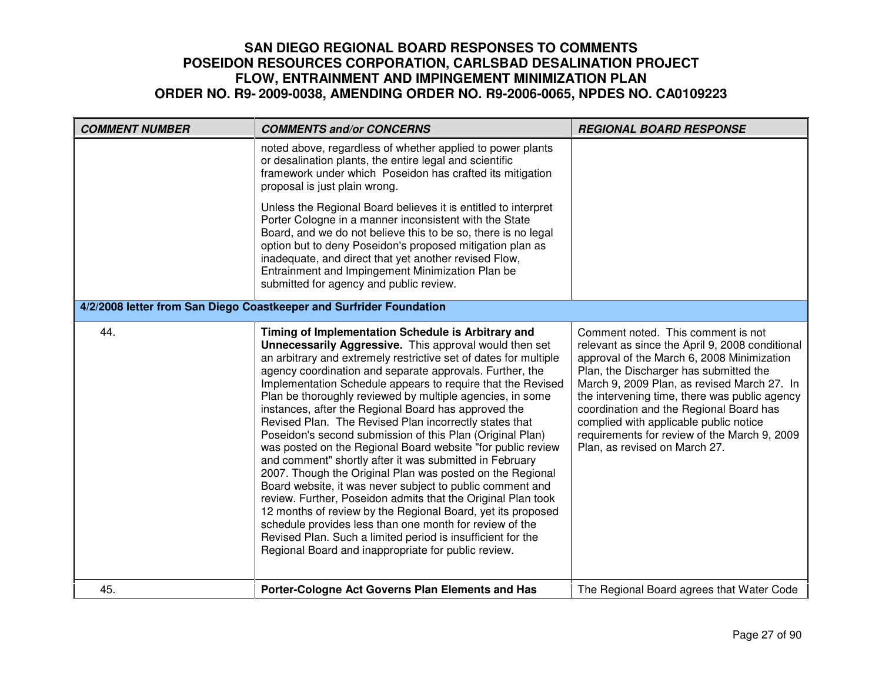| <b>COMMENT NUMBER</b> | <b>COMMENTS and/or CONCERNS</b>                                                                                                                                                                                                                                                                                                                                                                                                                                                                                                                                                                                                                                                                                                                                                                                                                                                                                                                                                                                                                                                                                                    | <b>REGIONAL BOARD RESPONSE</b>                                                                                                                                                                                                                                                                                                                                                                                                                      |
|-----------------------|------------------------------------------------------------------------------------------------------------------------------------------------------------------------------------------------------------------------------------------------------------------------------------------------------------------------------------------------------------------------------------------------------------------------------------------------------------------------------------------------------------------------------------------------------------------------------------------------------------------------------------------------------------------------------------------------------------------------------------------------------------------------------------------------------------------------------------------------------------------------------------------------------------------------------------------------------------------------------------------------------------------------------------------------------------------------------------------------------------------------------------|-----------------------------------------------------------------------------------------------------------------------------------------------------------------------------------------------------------------------------------------------------------------------------------------------------------------------------------------------------------------------------------------------------------------------------------------------------|
|                       | noted above, regardless of whether applied to power plants<br>or desalination plants, the entire legal and scientific<br>framework under which Poseidon has crafted its mitigation<br>proposal is just plain wrong.                                                                                                                                                                                                                                                                                                                                                                                                                                                                                                                                                                                                                                                                                                                                                                                                                                                                                                                |                                                                                                                                                                                                                                                                                                                                                                                                                                                     |
|                       | Unless the Regional Board believes it is entitled to interpret<br>Porter Cologne in a manner inconsistent with the State<br>Board, and we do not believe this to be so, there is no legal<br>option but to deny Poseidon's proposed mitigation plan as<br>inadequate, and direct that yet another revised Flow,<br>Entrainment and Impingement Minimization Plan be<br>submitted for agency and public review.                                                                                                                                                                                                                                                                                                                                                                                                                                                                                                                                                                                                                                                                                                                     |                                                                                                                                                                                                                                                                                                                                                                                                                                                     |
|                       | 4/2/2008 letter from San Diego Coastkeeper and Surfrider Foundation                                                                                                                                                                                                                                                                                                                                                                                                                                                                                                                                                                                                                                                                                                                                                                                                                                                                                                                                                                                                                                                                |                                                                                                                                                                                                                                                                                                                                                                                                                                                     |
| 44.                   | Timing of Implementation Schedule is Arbitrary and<br><b>Unnecessarily Aggressive.</b> This approval would then set<br>an arbitrary and extremely restrictive set of dates for multiple<br>agency coordination and separate approvals. Further, the<br>Implementation Schedule appears to require that the Revised<br>Plan be thoroughly reviewed by multiple agencies, in some<br>instances, after the Regional Board has approved the<br>Revised Plan. The Revised Plan incorrectly states that<br>Poseidon's second submission of this Plan (Original Plan)<br>was posted on the Regional Board website "for public review<br>and comment" shortly after it was submitted in February<br>2007. Though the Original Plan was posted on the Regional<br>Board website, it was never subject to public comment and<br>review. Further, Poseidon admits that the Original Plan took<br>12 months of review by the Regional Board, yet its proposed<br>schedule provides less than one month for review of the<br>Revised Plan. Such a limited period is insufficient for the<br>Regional Board and inappropriate for public review. | Comment noted. This comment is not<br>relevant as since the April 9, 2008 conditional<br>approval of the March 6, 2008 Minimization<br>Plan, the Discharger has submitted the<br>March 9, 2009 Plan, as revised March 27. In<br>the intervening time, there was public agency<br>coordination and the Regional Board has<br>complied with applicable public notice<br>requirements for review of the March 9, 2009<br>Plan, as revised on March 27. |
| 45.                   | Porter-Cologne Act Governs Plan Elements and Has                                                                                                                                                                                                                                                                                                                                                                                                                                                                                                                                                                                                                                                                                                                                                                                                                                                                                                                                                                                                                                                                                   | The Regional Board agrees that Water Code                                                                                                                                                                                                                                                                                                                                                                                                           |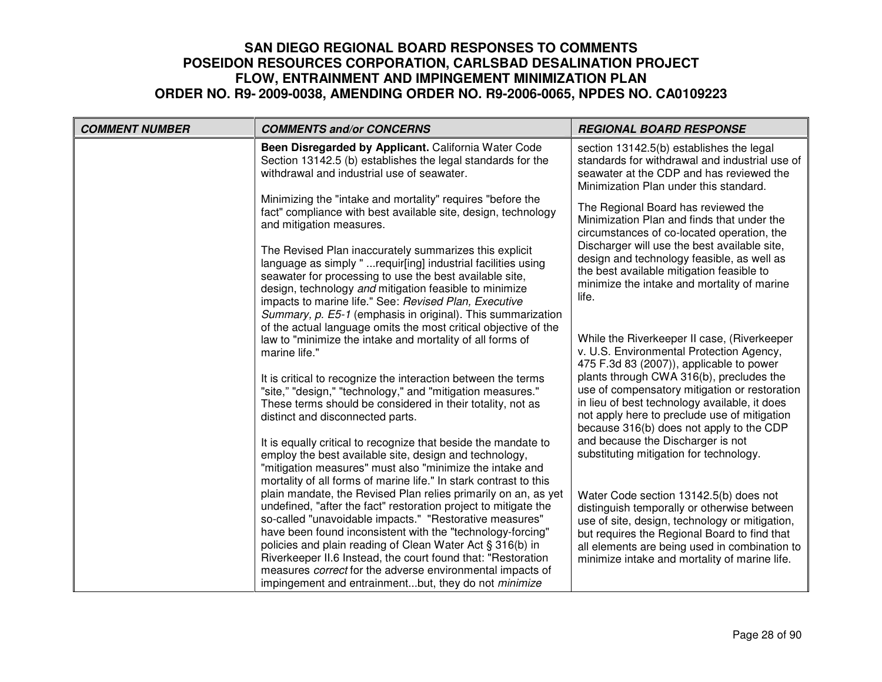| <b>COMMENT NUMBER</b> | <b>COMMENTS and/or CONCERNS</b>                                                                                                                                                                                                                                                                                                                                                                                                                                                                                     | <b>REGIONAL BOARD RESPONSE</b>                                                                                                                                                                                                                                                            |
|-----------------------|---------------------------------------------------------------------------------------------------------------------------------------------------------------------------------------------------------------------------------------------------------------------------------------------------------------------------------------------------------------------------------------------------------------------------------------------------------------------------------------------------------------------|-------------------------------------------------------------------------------------------------------------------------------------------------------------------------------------------------------------------------------------------------------------------------------------------|
|                       | Been Disregarded by Applicant. California Water Code<br>Section 13142.5 (b) establishes the legal standards for the<br>withdrawal and industrial use of seawater.                                                                                                                                                                                                                                                                                                                                                   | section 13142.5(b) establishes the legal<br>standards for withdrawal and industrial use of<br>seawater at the CDP and has reviewed the<br>Minimization Plan under this standard.                                                                                                          |
|                       | Minimizing the "intake and mortality" requires "before the<br>fact" compliance with best available site, design, technology<br>and mitigation measures.                                                                                                                                                                                                                                                                                                                                                             | The Regional Board has reviewed the<br>Minimization Plan and finds that under the<br>circumstances of co-located operation, the                                                                                                                                                           |
|                       | The Revised Plan inaccurately summarizes this explicit<br>language as simply "requir[ing] industrial facilities using<br>seawater for processing to use the best available site,<br>design, technology and mitigation feasible to minimize<br>impacts to marine life." See: Revised Plan, Executive                                                                                                                                                                                                                 | Discharger will use the best available site,<br>design and technology feasible, as well as<br>the best available mitigation feasible to<br>minimize the intake and mortality of marine<br>life.                                                                                           |
|                       | Summary, p. E5-1 (emphasis in original). This summarization<br>of the actual language omits the most critical objective of the<br>law to "minimize the intake and mortality of all forms of<br>marine life."                                                                                                                                                                                                                                                                                                        | While the Riverkeeper II case, (Riverkeeper<br>v. U.S. Environmental Protection Agency,<br>475 F.3d 83 (2007)), applicable to power<br>plants through CWA 316(b), precludes the                                                                                                           |
|                       | It is critical to recognize the interaction between the terms<br>"site," "design," "technology," and "mitigation measures."<br>These terms should be considered in their totality, not as<br>distinct and disconnected parts.                                                                                                                                                                                                                                                                                       | use of compensatory mitigation or restoration<br>in lieu of best technology available, it does<br>not apply here to preclude use of mitigation<br>because 316(b) does not apply to the CDP                                                                                                |
|                       | It is equally critical to recognize that beside the mandate to<br>employ the best available site, design and technology,<br>"mitigation measures" must also "minimize the intake and<br>mortality of all forms of marine life." In stark contrast to this                                                                                                                                                                                                                                                           | and because the Discharger is not<br>substituting mitigation for technology.                                                                                                                                                                                                              |
|                       | plain mandate, the Revised Plan relies primarily on an, as yet<br>undefined, "after the fact" restoration project to mitigate the<br>so-called "unavoidable impacts." "Restorative measures"<br>have been found inconsistent with the "technology-forcing"<br>policies and plain reading of Clean Water Act § 316(b) in<br>Riverkeeper II.6 Instead, the court found that: "Restoration<br>measures correct for the adverse environmental impacts of<br>impingement and entrainmentbut, they do not <i>minimize</i> | Water Code section 13142.5(b) does not<br>distinguish temporally or otherwise between<br>use of site, design, technology or mitigation,<br>but requires the Regional Board to find that<br>all elements are being used in combination to<br>minimize intake and mortality of marine life. |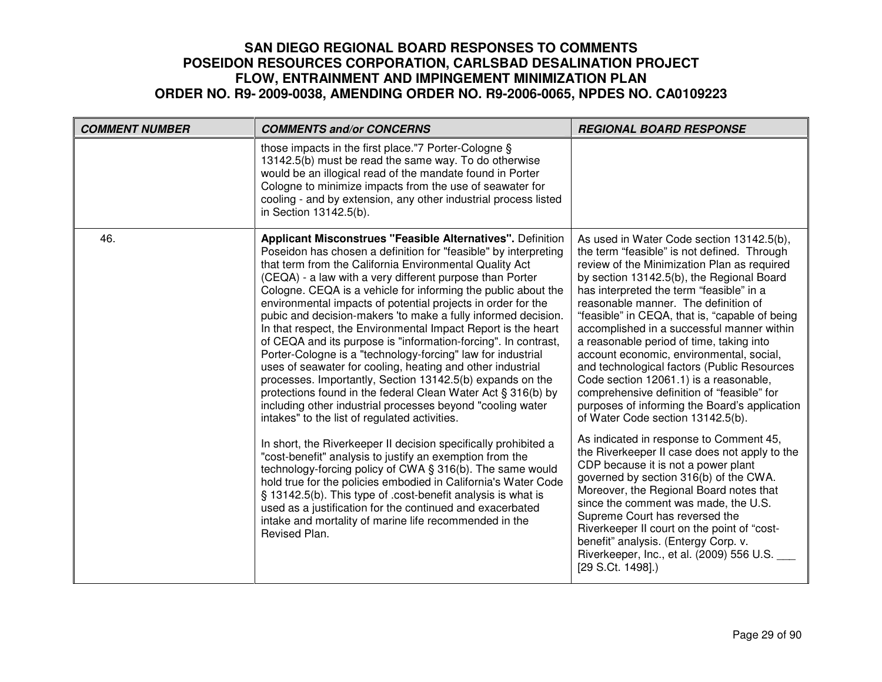| <b>COMMENT NUMBER</b> | <b>COMMENTS and/or CONCERNS</b>                                                                                                                                                                                                                                                                                                                                                                                                                                                                                                                                                                                                                                                                                                                                                                                                                                                                                                                                                                                                                                                                                                                                                                                                                                                                                                                                                                                                                 | <b>REGIONAL BOARD RESPONSE</b>                                                                                                                                                                                                                                                                                                                                                                                                                                                                                                                                                                                                                                                                                                                                                                                                                                                                                                                                                                                                                                                                                                                           |
|-----------------------|-------------------------------------------------------------------------------------------------------------------------------------------------------------------------------------------------------------------------------------------------------------------------------------------------------------------------------------------------------------------------------------------------------------------------------------------------------------------------------------------------------------------------------------------------------------------------------------------------------------------------------------------------------------------------------------------------------------------------------------------------------------------------------------------------------------------------------------------------------------------------------------------------------------------------------------------------------------------------------------------------------------------------------------------------------------------------------------------------------------------------------------------------------------------------------------------------------------------------------------------------------------------------------------------------------------------------------------------------------------------------------------------------------------------------------------------------|----------------------------------------------------------------------------------------------------------------------------------------------------------------------------------------------------------------------------------------------------------------------------------------------------------------------------------------------------------------------------------------------------------------------------------------------------------------------------------------------------------------------------------------------------------------------------------------------------------------------------------------------------------------------------------------------------------------------------------------------------------------------------------------------------------------------------------------------------------------------------------------------------------------------------------------------------------------------------------------------------------------------------------------------------------------------------------------------------------------------------------------------------------|
|                       | those impacts in the first place."7 Porter-Cologne §<br>13142.5(b) must be read the same way. To do otherwise<br>would be an illogical read of the mandate found in Porter<br>Cologne to minimize impacts from the use of seawater for<br>cooling - and by extension, any other industrial process listed<br>in Section 13142.5(b).                                                                                                                                                                                                                                                                                                                                                                                                                                                                                                                                                                                                                                                                                                                                                                                                                                                                                                                                                                                                                                                                                                             |                                                                                                                                                                                                                                                                                                                                                                                                                                                                                                                                                                                                                                                                                                                                                                                                                                                                                                                                                                                                                                                                                                                                                          |
| 46.                   | <b>Applicant Misconstrues "Feasible Alternatives". Definition</b><br>Poseidon has chosen a definition for "feasible" by interpreting<br>that term from the California Environmental Quality Act<br>(CEQA) - a law with a very different purpose than Porter<br>Cologne. CEQA is a vehicle for informing the public about the<br>environmental impacts of potential projects in order for the<br>pubic and decision-makers 'to make a fully informed decision.<br>In that respect, the Environmental Impact Report is the heart<br>of CEQA and its purpose is "information-forcing". In contrast,<br>Porter-Cologne is a "technology-forcing" law for industrial<br>uses of seawater for cooling, heating and other industrial<br>processes. Importantly, Section 13142.5(b) expands on the<br>protections found in the federal Clean Water Act § 316(b) by<br>including other industrial processes beyond "cooling water<br>intakes" to the list of regulated activities.<br>In short, the Riverkeeper II decision specifically prohibited a<br>"cost-benefit" analysis to justify an exemption from the<br>technology-forcing policy of CWA § 316(b). The same would<br>hold true for the policies embodied in California's Water Code<br>§ 13142.5(b). This type of .cost-benefit analysis is what is<br>used as a justification for the continued and exacerbated<br>intake and mortality of marine life recommended in the<br>Revised Plan. | As used in Water Code section 13142.5(b),<br>the term "feasible" is not defined. Through<br>review of the Minimization Plan as required<br>by section 13142.5(b), the Regional Board<br>has interpreted the term "feasible" in a<br>reasonable manner. The definition of<br>"feasible" in CEQA, that is, "capable of being<br>accomplished in a successful manner within<br>a reasonable period of time, taking into<br>account economic, environmental, social,<br>and technological factors (Public Resources<br>Code section 12061.1) is a reasonable,<br>comprehensive definition of "feasible" for<br>purposes of informing the Board's application<br>of Water Code section 13142.5(b).<br>As indicated in response to Comment 45,<br>the Riverkeeper II case does not apply to the<br>CDP because it is not a power plant<br>governed by section 316(b) of the CWA.<br>Moreover, the Regional Board notes that<br>since the comment was made, the U.S.<br>Supreme Court has reversed the<br>Riverkeeper II court on the point of "cost-<br>benefit" analysis. (Entergy Corp. v.<br>Riverkeeper, Inc., et al. (2009) 556 U.S.<br>[29 S.Ct. 1498].) |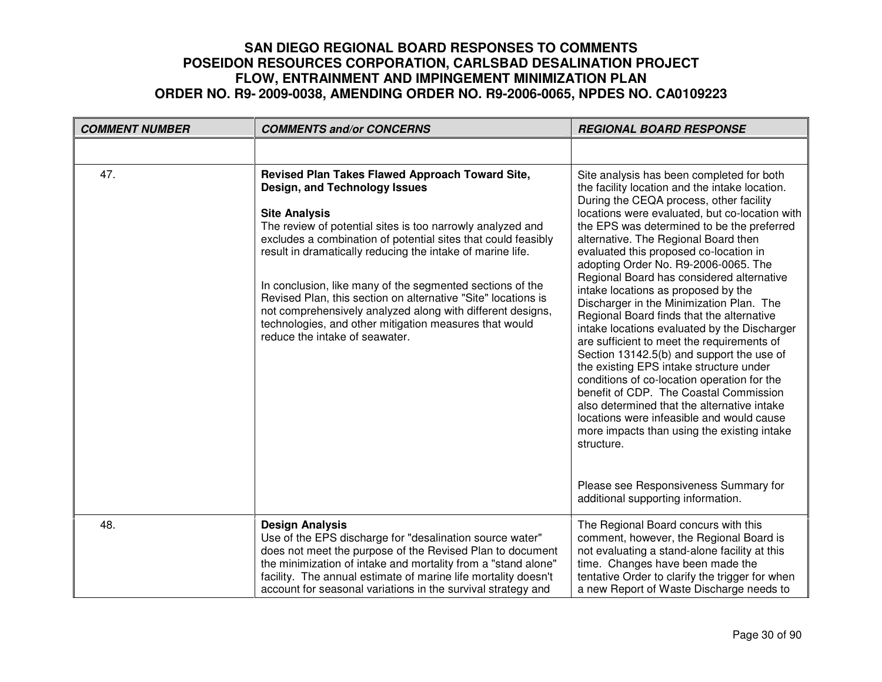| <b>COMMENT NUMBER</b> | <b>COMMENTS and/or CONCERNS</b>                                                                                                                                                                                                                                                                                                                                                                                                                                                                                                                                                               | <b>REGIONAL BOARD RESPONSE</b>                                                                                                                                                                                                                                                                                                                                                                                                                                                                                                                                                                                                                                                                                                                                                                                                                                                                                                                                                                                                 |
|-----------------------|-----------------------------------------------------------------------------------------------------------------------------------------------------------------------------------------------------------------------------------------------------------------------------------------------------------------------------------------------------------------------------------------------------------------------------------------------------------------------------------------------------------------------------------------------------------------------------------------------|--------------------------------------------------------------------------------------------------------------------------------------------------------------------------------------------------------------------------------------------------------------------------------------------------------------------------------------------------------------------------------------------------------------------------------------------------------------------------------------------------------------------------------------------------------------------------------------------------------------------------------------------------------------------------------------------------------------------------------------------------------------------------------------------------------------------------------------------------------------------------------------------------------------------------------------------------------------------------------------------------------------------------------|
|                       |                                                                                                                                                                                                                                                                                                                                                                                                                                                                                                                                                                                               |                                                                                                                                                                                                                                                                                                                                                                                                                                                                                                                                                                                                                                                                                                                                                                                                                                                                                                                                                                                                                                |
| 47.                   | Revised Plan Takes Flawed Approach Toward Site,<br>Design, and Technology Issues<br><b>Site Analysis</b><br>The review of potential sites is too narrowly analyzed and<br>excludes a combination of potential sites that could feasibly<br>result in dramatically reducing the intake of marine life.<br>In conclusion, like many of the segmented sections of the<br>Revised Plan, this section on alternative "Site" locations is<br>not comprehensively analyzed along with different designs,<br>technologies, and other mitigation measures that would<br>reduce the intake of seawater. | Site analysis has been completed for both<br>the facility location and the intake location.<br>During the CEQA process, other facility<br>locations were evaluated, but co-location with<br>the EPS was determined to be the preferred<br>alternative. The Regional Board then<br>evaluated this proposed co-location in<br>adopting Order No. R9-2006-0065. The<br>Regional Board has considered alternative<br>intake locations as proposed by the<br>Discharger in the Minimization Plan. The<br>Regional Board finds that the alternative<br>intake locations evaluated by the Discharger<br>are sufficient to meet the requirements of<br>Section 13142.5(b) and support the use of<br>the existing EPS intake structure under<br>conditions of co-location operation for the<br>benefit of CDP. The Coastal Commission<br>also determined that the alternative intake<br>locations were infeasible and would cause<br>more impacts than using the existing intake<br>structure.<br>Please see Responsiveness Summary for |
|                       |                                                                                                                                                                                                                                                                                                                                                                                                                                                                                                                                                                                               | additional supporting information.                                                                                                                                                                                                                                                                                                                                                                                                                                                                                                                                                                                                                                                                                                                                                                                                                                                                                                                                                                                             |
| 48.                   | <b>Design Analysis</b><br>Use of the EPS discharge for "desalination source water"<br>does not meet the purpose of the Revised Plan to document<br>the minimization of intake and mortality from a "stand alone"<br>facility. The annual estimate of marine life mortality doesn't<br>account for seasonal variations in the survival strategy and                                                                                                                                                                                                                                            | The Regional Board concurs with this<br>comment, however, the Regional Board is<br>not evaluating a stand-alone facility at this<br>time. Changes have been made the<br>tentative Order to clarify the trigger for when<br>a new Report of Waste Discharge needs to                                                                                                                                                                                                                                                                                                                                                                                                                                                                                                                                                                                                                                                                                                                                                            |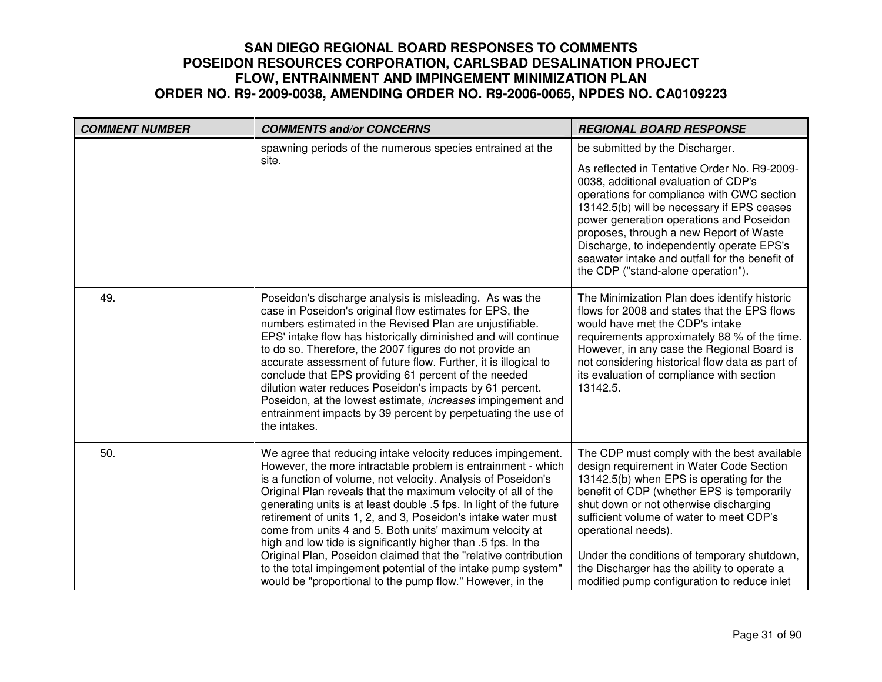| <b>COMMENT NUMBER</b> | <b>COMMENTS and/or CONCERNS</b>                                                                                                                                                                                                                                                                                                                                                                                                                                                                                                                                                                                                                                                                                                    | <b>REGIONAL BOARD RESPONSE</b>                                                                                                                                                                                                                                                                                                                                                                                                                  |
|-----------------------|------------------------------------------------------------------------------------------------------------------------------------------------------------------------------------------------------------------------------------------------------------------------------------------------------------------------------------------------------------------------------------------------------------------------------------------------------------------------------------------------------------------------------------------------------------------------------------------------------------------------------------------------------------------------------------------------------------------------------------|-------------------------------------------------------------------------------------------------------------------------------------------------------------------------------------------------------------------------------------------------------------------------------------------------------------------------------------------------------------------------------------------------------------------------------------------------|
|                       | spawning periods of the numerous species entrained at the<br>site.                                                                                                                                                                                                                                                                                                                                                                                                                                                                                                                                                                                                                                                                 | be submitted by the Discharger.<br>As reflected in Tentative Order No. R9-2009-<br>0038, additional evaluation of CDP's<br>operations for compliance with CWC section<br>13142.5(b) will be necessary if EPS ceases<br>power generation operations and Poseidon<br>proposes, through a new Report of Waste<br>Discharge, to independently operate EPS's<br>seawater intake and outfall for the benefit of<br>the CDP ("stand-alone operation"). |
| 49.                   | Poseidon's discharge analysis is misleading. As was the<br>case in Poseidon's original flow estimates for EPS, the<br>numbers estimated in the Revised Plan are unjustifiable.<br>EPS' intake flow has historically diminished and will continue<br>to do so. Therefore, the 2007 figures do not provide an<br>accurate assessment of future flow. Further, it is illogical to<br>conclude that EPS providing 61 percent of the needed<br>dilution water reduces Poseidon's impacts by 61 percent.<br>Poseidon, at the lowest estimate, <i>increases</i> impingement and<br>entrainment impacts by 39 percent by perpetuating the use of<br>the intakes.                                                                           | The Minimization Plan does identify historic<br>flows for 2008 and states that the EPS flows<br>would have met the CDP's intake<br>requirements approximately 88 % of the time.<br>However, in any case the Regional Board is<br>not considering historical flow data as part of<br>its evaluation of compliance with section<br>13142.5.                                                                                                       |
| 50.                   | We agree that reducing intake velocity reduces impingement.<br>However, the more intractable problem is entrainment - which<br>is a function of volume, not velocity. Analysis of Poseidon's<br>Original Plan reveals that the maximum velocity of all of the<br>generating units is at least double .5 fps. In light of the future<br>retirement of units 1, 2, and 3, Poseidon's intake water must<br>come from units 4 and 5. Both units' maximum velocity at<br>high and low tide is significantly higher than .5 fps. In the<br>Original Plan, Poseidon claimed that the "relative contribution<br>to the total impingement potential of the intake pump system"<br>would be "proportional to the pump flow." However, in the | The CDP must comply with the best available<br>design requirement in Water Code Section<br>13142.5(b) when EPS is operating for the<br>benefit of CDP (whether EPS is temporarily<br>shut down or not otherwise discharging<br>sufficient volume of water to meet CDP's<br>operational needs).<br>Under the conditions of temporary shutdown,<br>the Discharger has the ability to operate a<br>modified pump configuration to reduce inlet     |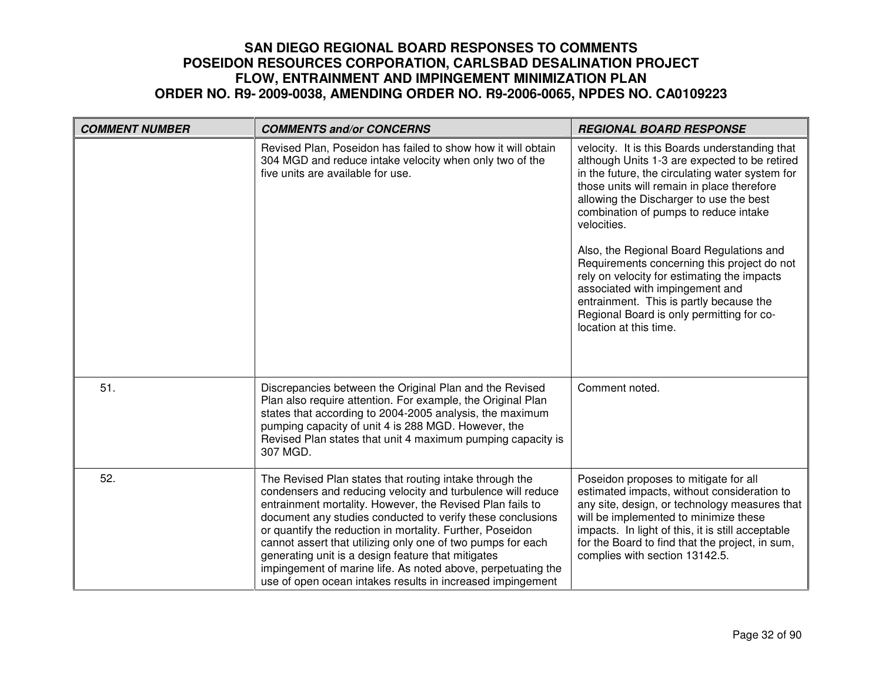| <b>COMMENT NUMBER</b> | <b>COMMENTS and/or CONCERNS</b>                                                                                                                                                                                                                                                                                                                                                                                                                                                                                                                                   | <b>REGIONAL BOARD RESPONSE</b>                                                                                                                                                                                                                                                                                                                                                                                                                                                                                                                                                                     |
|-----------------------|-------------------------------------------------------------------------------------------------------------------------------------------------------------------------------------------------------------------------------------------------------------------------------------------------------------------------------------------------------------------------------------------------------------------------------------------------------------------------------------------------------------------------------------------------------------------|----------------------------------------------------------------------------------------------------------------------------------------------------------------------------------------------------------------------------------------------------------------------------------------------------------------------------------------------------------------------------------------------------------------------------------------------------------------------------------------------------------------------------------------------------------------------------------------------------|
|                       | Revised Plan, Poseidon has failed to show how it will obtain<br>304 MGD and reduce intake velocity when only two of the<br>five units are available for use.                                                                                                                                                                                                                                                                                                                                                                                                      | velocity. It is this Boards understanding that<br>although Units 1-3 are expected to be retired<br>in the future, the circulating water system for<br>those units will remain in place therefore<br>allowing the Discharger to use the best<br>combination of pumps to reduce intake<br>velocities.<br>Also, the Regional Board Regulations and<br>Requirements concerning this project do not<br>rely on velocity for estimating the impacts<br>associated with impingement and<br>entrainment. This is partly because the<br>Regional Board is only permitting for co-<br>location at this time. |
| 51.                   | Discrepancies between the Original Plan and the Revised<br>Plan also require attention. For example, the Original Plan<br>states that according to 2004-2005 analysis, the maximum<br>pumping capacity of unit 4 is 288 MGD. However, the<br>Revised Plan states that unit 4 maximum pumping capacity is<br>307 MGD.                                                                                                                                                                                                                                              | Comment noted.                                                                                                                                                                                                                                                                                                                                                                                                                                                                                                                                                                                     |
| 52.                   | The Revised Plan states that routing intake through the<br>condensers and reducing velocity and turbulence will reduce<br>entrainment mortality. However, the Revised Plan fails to<br>document any studies conducted to verify these conclusions<br>or quantify the reduction in mortality. Further, Poseidon<br>cannot assert that utilizing only one of two pumps for each<br>generating unit is a design feature that mitigates<br>impingement of marine life. As noted above, perpetuating the<br>use of open ocean intakes results in increased impingement | Poseidon proposes to mitigate for all<br>estimated impacts, without consideration to<br>any site, design, or technology measures that<br>will be implemented to minimize these<br>impacts. In light of this, it is still acceptable<br>for the Board to find that the project, in sum,<br>complies with section 13142.5.                                                                                                                                                                                                                                                                           |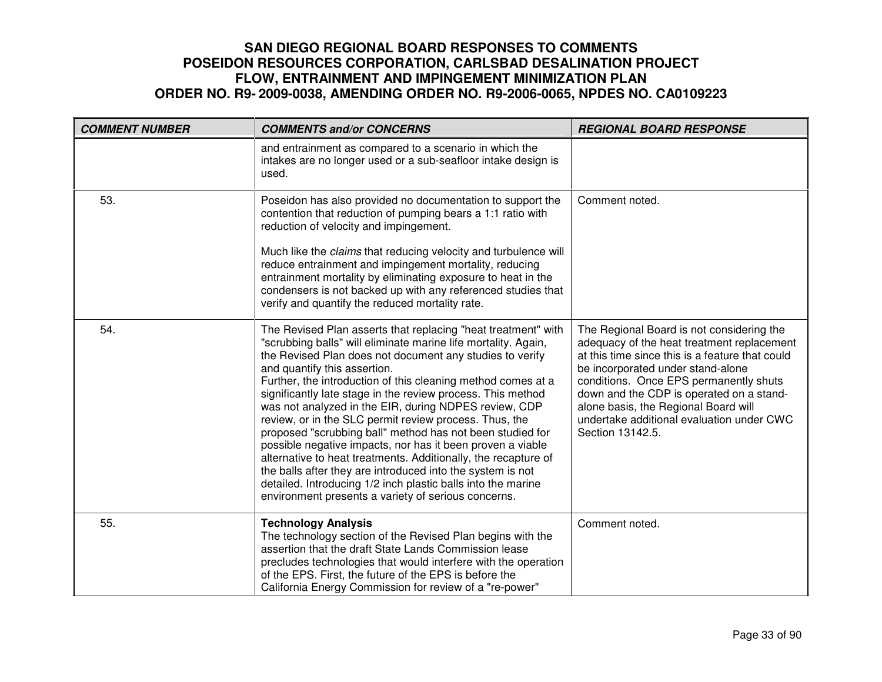| <b>COMMENT NUMBER</b> | <b>COMMENTS and/or CONCERNS</b>                                                                                                                                                                                                                                                                                                                                                                                                                                                                                                                                                                                                                                                                                                                                                                                                                                 | <b>REGIONAL BOARD RESPONSE</b>                                                                                                                                                                                                                                                                                                                                                 |
|-----------------------|-----------------------------------------------------------------------------------------------------------------------------------------------------------------------------------------------------------------------------------------------------------------------------------------------------------------------------------------------------------------------------------------------------------------------------------------------------------------------------------------------------------------------------------------------------------------------------------------------------------------------------------------------------------------------------------------------------------------------------------------------------------------------------------------------------------------------------------------------------------------|--------------------------------------------------------------------------------------------------------------------------------------------------------------------------------------------------------------------------------------------------------------------------------------------------------------------------------------------------------------------------------|
|                       | and entrainment as compared to a scenario in which the<br>intakes are no longer used or a sub-seafloor intake design is<br>used.                                                                                                                                                                                                                                                                                                                                                                                                                                                                                                                                                                                                                                                                                                                                |                                                                                                                                                                                                                                                                                                                                                                                |
| 53.                   | Poseidon has also provided no documentation to support the<br>contention that reduction of pumping bears a 1:1 ratio with<br>reduction of velocity and impingement.<br>Much like the <i>claims</i> that reducing velocity and turbulence will<br>reduce entrainment and impingement mortality, reducing<br>entrainment mortality by eliminating exposure to heat in the<br>condensers is not backed up with any referenced studies that<br>verify and quantify the reduced mortality rate.                                                                                                                                                                                                                                                                                                                                                                      | Comment noted.                                                                                                                                                                                                                                                                                                                                                                 |
| 54.                   | The Revised Plan asserts that replacing "heat treatment" with<br>"scrubbing balls" will eliminate marine life mortality. Again,<br>the Revised Plan does not document any studies to verify<br>and quantify this assertion.<br>Further, the introduction of this cleaning method comes at a<br>significantly late stage in the review process. This method<br>was not analyzed in the EIR, during NDPES review, CDP<br>review, or in the SLC permit review process. Thus, the<br>proposed "scrubbing ball" method has not been studied for<br>possible negative impacts, nor has it been proven a viable<br>alternative to heat treatments. Additionally, the recapture of<br>the balls after they are introduced into the system is not<br>detailed. Introducing 1/2 inch plastic balls into the marine<br>environment presents a variety of serious concerns. | The Regional Board is not considering the<br>adequacy of the heat treatment replacement<br>at this time since this is a feature that could<br>be incorporated under stand-alone<br>conditions. Once EPS permanently shuts<br>down and the CDP is operated on a stand-<br>alone basis, the Regional Board will<br>undertake additional evaluation under CWC<br>Section 13142.5. |
| 55.                   | <b>Technology Analysis</b><br>The technology section of the Revised Plan begins with the<br>assertion that the draft State Lands Commission lease<br>precludes technologies that would interfere with the operation<br>of the EPS. First, the future of the EPS is before the<br>California Energy Commission for review of a "re-power"                                                                                                                                                                                                                                                                                                                                                                                                                                                                                                                        | Comment noted.                                                                                                                                                                                                                                                                                                                                                                 |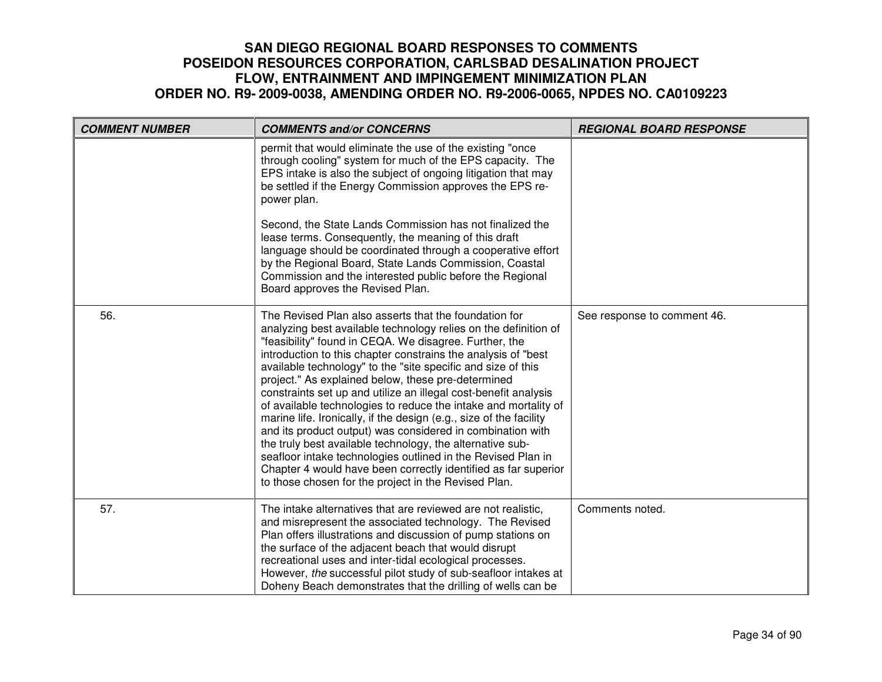| <b>COMMENT NUMBER</b> | <b>COMMENTS and/or CONCERNS</b>                                                                                                                                                                                                                                                                                                                                                                                                                                                                                                                                                                                                                                                                                                                                                                                                                                                                            | <b>REGIONAL BOARD RESPONSE</b> |
|-----------------------|------------------------------------------------------------------------------------------------------------------------------------------------------------------------------------------------------------------------------------------------------------------------------------------------------------------------------------------------------------------------------------------------------------------------------------------------------------------------------------------------------------------------------------------------------------------------------------------------------------------------------------------------------------------------------------------------------------------------------------------------------------------------------------------------------------------------------------------------------------------------------------------------------------|--------------------------------|
|                       | permit that would eliminate the use of the existing "once<br>through cooling" system for much of the EPS capacity. The<br>EPS intake is also the subject of ongoing litigation that may<br>be settled if the Energy Commission approves the EPS re-<br>power plan.                                                                                                                                                                                                                                                                                                                                                                                                                                                                                                                                                                                                                                         |                                |
|                       | Second, the State Lands Commission has not finalized the<br>lease terms. Consequently, the meaning of this draft<br>language should be coordinated through a cooperative effort<br>by the Regional Board, State Lands Commission, Coastal<br>Commission and the interested public before the Regional<br>Board approves the Revised Plan.                                                                                                                                                                                                                                                                                                                                                                                                                                                                                                                                                                  |                                |
| 56.                   | The Revised Plan also asserts that the foundation for<br>analyzing best available technology relies on the definition of<br>"feasibility" found in CEQA. We disagree. Further, the<br>introduction to this chapter constrains the analysis of "best<br>available technology" to the "site specific and size of this<br>project." As explained below, these pre-determined<br>constraints set up and utilize an illegal cost-benefit analysis<br>of available technologies to reduce the intake and mortality of<br>marine life. Ironically, if the design (e.g., size of the facility<br>and its product output) was considered in combination with<br>the truly best available technology, the alternative sub-<br>seafloor intake technologies outlined in the Revised Plan in<br>Chapter 4 would have been correctly identified as far superior<br>to those chosen for the project in the Revised Plan. | See response to comment 46.    |
| 57.                   | The intake alternatives that are reviewed are not realistic,<br>and misrepresent the associated technology. The Revised<br>Plan offers illustrations and discussion of pump stations on<br>the surface of the adjacent beach that would disrupt<br>recreational uses and inter-tidal ecological processes.<br>However, the successful pilot study of sub-seafloor intakes at<br>Doheny Beach demonstrates that the drilling of wells can be                                                                                                                                                                                                                                                                                                                                                                                                                                                                | Comments noted.                |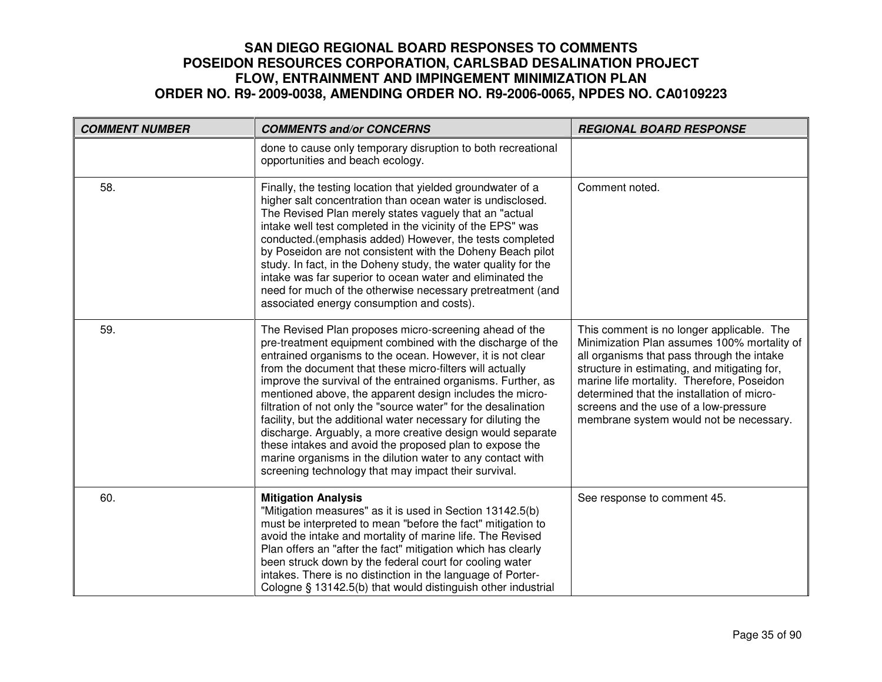| <b>COMMENT NUMBER</b> | <b>COMMENTS and/or CONCERNS</b>                                                                                                                                                                                                                                                                                                                                                                                                                                                                                                                                                                                                                                                                                                                              | <b>REGIONAL BOARD RESPONSE</b>                                                                                                                                                                                                                                                                                                                                         |
|-----------------------|--------------------------------------------------------------------------------------------------------------------------------------------------------------------------------------------------------------------------------------------------------------------------------------------------------------------------------------------------------------------------------------------------------------------------------------------------------------------------------------------------------------------------------------------------------------------------------------------------------------------------------------------------------------------------------------------------------------------------------------------------------------|------------------------------------------------------------------------------------------------------------------------------------------------------------------------------------------------------------------------------------------------------------------------------------------------------------------------------------------------------------------------|
|                       | done to cause only temporary disruption to both recreational<br>opportunities and beach ecology.                                                                                                                                                                                                                                                                                                                                                                                                                                                                                                                                                                                                                                                             |                                                                                                                                                                                                                                                                                                                                                                        |
| 58.                   | Finally, the testing location that yielded groundwater of a<br>higher salt concentration than ocean water is undisclosed.<br>The Revised Plan merely states vaguely that an "actual<br>intake well test completed in the vicinity of the EPS" was<br>conducted.(emphasis added) However, the tests completed<br>by Poseidon are not consistent with the Doheny Beach pilot<br>study. In fact, in the Doheny study, the water quality for the<br>intake was far superior to ocean water and eliminated the<br>need for much of the otherwise necessary pretreatment (and<br>associated energy consumption and costs).                                                                                                                                         | Comment noted.                                                                                                                                                                                                                                                                                                                                                         |
| 59.                   | The Revised Plan proposes micro-screening ahead of the<br>pre-treatment equipment combined with the discharge of the<br>entrained organisms to the ocean. However, it is not clear<br>from the document that these micro-filters will actually<br>improve the survival of the entrained organisms. Further, as<br>mentioned above, the apparent design includes the micro-<br>filtration of not only the "source water" for the desalination<br>facility, but the additional water necessary for diluting the<br>discharge. Arguably, a more creative design would separate<br>these intakes and avoid the proposed plan to expose the<br>marine organisms in the dilution water to any contact with<br>screening technology that may impact their survival. | This comment is no longer applicable. The<br>Minimization Plan assumes 100% mortality of<br>all organisms that pass through the intake<br>structure in estimating, and mitigating for,<br>marine life mortality. Therefore, Poseidon<br>determined that the installation of micro-<br>screens and the use of a low-pressure<br>membrane system would not be necessary. |
| 60.                   | <b>Mitigation Analysis</b><br>"Mitigation measures" as it is used in Section 13142.5(b)<br>must be interpreted to mean "before the fact" mitigation to<br>avoid the intake and mortality of marine life. The Revised<br>Plan offers an "after the fact" mitigation which has clearly<br>been struck down by the federal court for cooling water<br>intakes. There is no distinction in the language of Porter-<br>Cologne § 13142.5(b) that would distinguish other industrial                                                                                                                                                                                                                                                                               | See response to comment 45.                                                                                                                                                                                                                                                                                                                                            |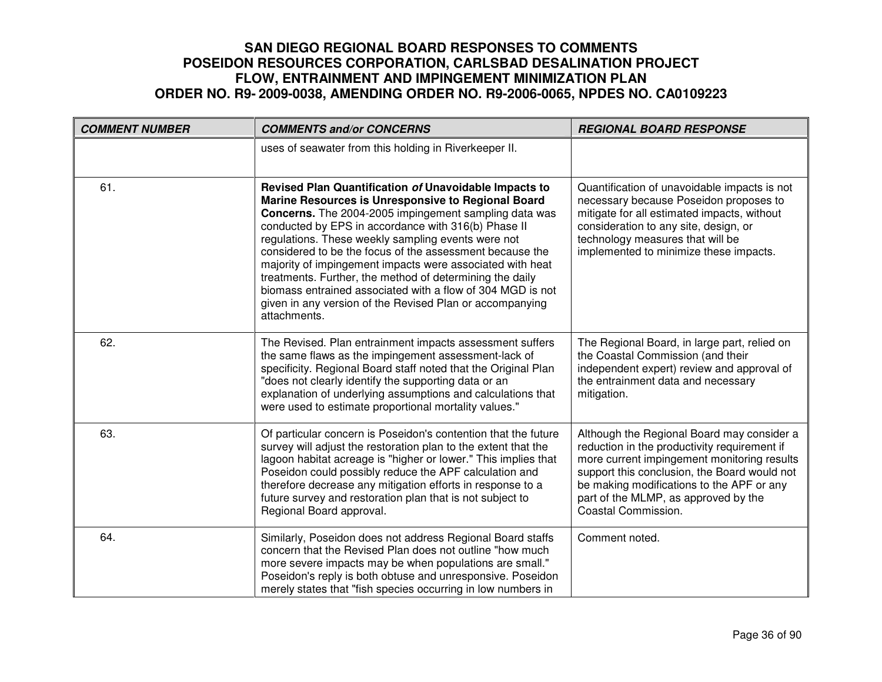| <b>COMMENT NUMBER</b> | <b>COMMENTS and/or CONCERNS</b>                                                                                                                                                                                                                                                                                                                                                                                                                                                                                                                                                                                  | <b>REGIONAL BOARD RESPONSE</b>                                                                                                                                                                                                                                                                        |
|-----------------------|------------------------------------------------------------------------------------------------------------------------------------------------------------------------------------------------------------------------------------------------------------------------------------------------------------------------------------------------------------------------------------------------------------------------------------------------------------------------------------------------------------------------------------------------------------------------------------------------------------------|-------------------------------------------------------------------------------------------------------------------------------------------------------------------------------------------------------------------------------------------------------------------------------------------------------|
|                       | uses of seawater from this holding in Riverkeeper II.                                                                                                                                                                                                                                                                                                                                                                                                                                                                                                                                                            |                                                                                                                                                                                                                                                                                                       |
| 61.                   | Revised Plan Quantification of Unavoidable Impacts to<br>Marine Resources is Unresponsive to Regional Board<br>Concerns. The 2004-2005 impingement sampling data was<br>conducted by EPS in accordance with 316(b) Phase II<br>regulations. These weekly sampling events were not<br>considered to be the focus of the assessment because the<br>majority of impingement impacts were associated with heat<br>treatments. Further, the method of determining the daily<br>biomass entrained associated with a flow of 304 MGD is not<br>given in any version of the Revised Plan or accompanying<br>attachments. | Quantification of unavoidable impacts is not<br>necessary because Poseidon proposes to<br>mitigate for all estimated impacts, without<br>consideration to any site, design, or<br>technology measures that will be<br>implemented to minimize these impacts.                                          |
| 62.                   | The Revised. Plan entrainment impacts assessment suffers<br>the same flaws as the impingement assessment-lack of<br>specificity. Regional Board staff noted that the Original Plan<br>"does not clearly identify the supporting data or an<br>explanation of underlying assumptions and calculations that<br>were used to estimate proportional mortality values."                                                                                                                                                                                                                                               | The Regional Board, in large part, relied on<br>the Coastal Commission (and their<br>independent expert) review and approval of<br>the entrainment data and necessary<br>mitigation.                                                                                                                  |
| 63.                   | Of particular concern is Poseidon's contention that the future<br>survey will adjust the restoration plan to the extent that the<br>lagoon habitat acreage is "higher or lower." This implies that<br>Poseidon could possibly reduce the APF calculation and<br>therefore decrease any mitigation efforts in response to a<br>future survey and restoration plan that is not subject to<br>Regional Board approval.                                                                                                                                                                                              | Although the Regional Board may consider a<br>reduction in the productivity requirement if<br>more current impingement monitoring results<br>support this conclusion, the Board would not<br>be making modifications to the APF or any<br>part of the MLMP, as approved by the<br>Coastal Commission. |
| 64.                   | Similarly, Poseidon does not address Regional Board staffs<br>concern that the Revised Plan does not outline "how much<br>more severe impacts may be when populations are small."<br>Poseidon's reply is both obtuse and unresponsive. Poseidon<br>merely states that "fish species occurring in low numbers in                                                                                                                                                                                                                                                                                                  | Comment noted.                                                                                                                                                                                                                                                                                        |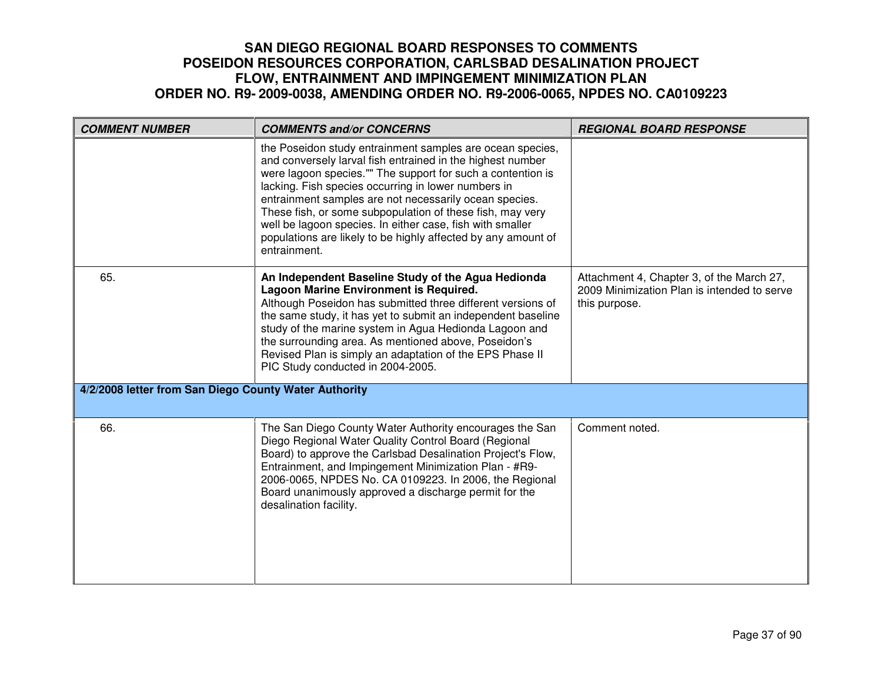| <b>COMMENT NUMBER</b>                                 | <b>COMMENTS and/or CONCERNS</b>                                                                                                                                                                                                                                                                                                                                                                                                                                                                                    | <b>REGIONAL BOARD RESPONSE</b>                                                                            |
|-------------------------------------------------------|--------------------------------------------------------------------------------------------------------------------------------------------------------------------------------------------------------------------------------------------------------------------------------------------------------------------------------------------------------------------------------------------------------------------------------------------------------------------------------------------------------------------|-----------------------------------------------------------------------------------------------------------|
|                                                       | the Poseidon study entrainment samples are ocean species,<br>and conversely larval fish entrained in the highest number<br>were lagoon species."" The support for such a contention is<br>lacking. Fish species occurring in lower numbers in<br>entrainment samples are not necessarily ocean species.<br>These fish, or some subpopulation of these fish, may very<br>well be lagoon species. In either case, fish with smaller<br>populations are likely to be highly affected by any amount of<br>entrainment. |                                                                                                           |
| 65.                                                   | An Independent Baseline Study of the Agua Hedionda<br>Lagoon Marine Environment is Required.<br>Although Poseidon has submitted three different versions of<br>the same study, it has yet to submit an independent baseline<br>study of the marine system in Agua Hedionda Lagoon and<br>the surrounding area. As mentioned above, Poseidon's<br>Revised Plan is simply an adaptation of the EPS Phase II<br>PIC Study conducted in 2004-2005.                                                                     | Attachment 4, Chapter 3, of the March 27,<br>2009 Minimization Plan is intended to serve<br>this purpose. |
| 4/2/2008 letter from San Diego County Water Authority |                                                                                                                                                                                                                                                                                                                                                                                                                                                                                                                    |                                                                                                           |
| 66.                                                   | The San Diego County Water Authority encourages the San<br>Diego Regional Water Quality Control Board (Regional<br>Board) to approve the Carlsbad Desalination Project's Flow,<br>Entrainment, and Impingement Minimization Plan - #R9-<br>2006-0065, NPDES No. CA 0109223. In 2006, the Regional<br>Board unanimously approved a discharge permit for the<br>desalination facility.                                                                                                                               | Comment noted.                                                                                            |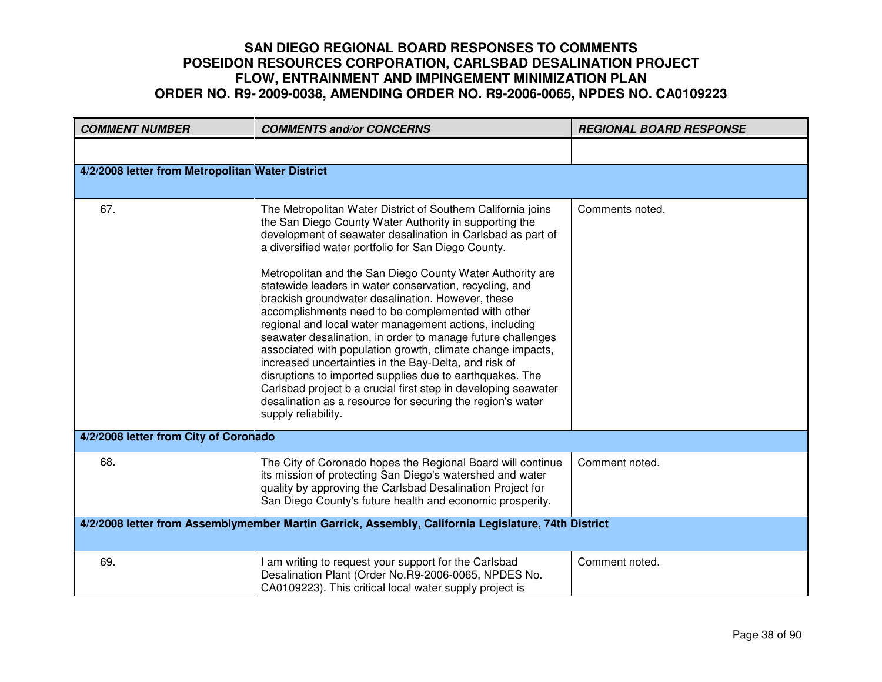| <b>COMMENT NUMBER</b>                                                                               | <b>COMMENTS and/or CONCERNS</b>                                                                                                                                                                                                                                                                                                                                                                                                                                                                                                                                                                                                                                                                                                                                                                                                                                                                                                                    | <b>REGIONAL BOARD RESPONSE</b> |
|-----------------------------------------------------------------------------------------------------|----------------------------------------------------------------------------------------------------------------------------------------------------------------------------------------------------------------------------------------------------------------------------------------------------------------------------------------------------------------------------------------------------------------------------------------------------------------------------------------------------------------------------------------------------------------------------------------------------------------------------------------------------------------------------------------------------------------------------------------------------------------------------------------------------------------------------------------------------------------------------------------------------------------------------------------------------|--------------------------------|
|                                                                                                     |                                                                                                                                                                                                                                                                                                                                                                                                                                                                                                                                                                                                                                                                                                                                                                                                                                                                                                                                                    |                                |
| 4/2/2008 letter from Metropolitan Water District                                                    |                                                                                                                                                                                                                                                                                                                                                                                                                                                                                                                                                                                                                                                                                                                                                                                                                                                                                                                                                    |                                |
| 67.                                                                                                 | The Metropolitan Water District of Southern California joins<br>the San Diego County Water Authority in supporting the<br>development of seawater desalination in Carlsbad as part of<br>a diversified water portfolio for San Diego County.<br>Metropolitan and the San Diego County Water Authority are<br>statewide leaders in water conservation, recycling, and<br>brackish groundwater desalination. However, these<br>accomplishments need to be complemented with other<br>regional and local water management actions, including<br>seawater desalination, in order to manage future challenges<br>associated with population growth, climate change impacts,<br>increased uncertainties in the Bay-Delta, and risk of<br>disruptions to imported supplies due to earthquakes. The<br>Carlsbad project b a crucial first step in developing seawater<br>desalination as a resource for securing the region's water<br>supply reliability. | Comments noted.                |
| 4/2/2008 letter from City of Coronado                                                               |                                                                                                                                                                                                                                                                                                                                                                                                                                                                                                                                                                                                                                                                                                                                                                                                                                                                                                                                                    |                                |
| 68.                                                                                                 | The City of Coronado hopes the Regional Board will continue<br>its mission of protecting San Diego's watershed and water<br>quality by approving the Carlsbad Desalination Project for<br>San Diego County's future health and economic prosperity.                                                                                                                                                                                                                                                                                                                                                                                                                                                                                                                                                                                                                                                                                                | Comment noted.                 |
| 4/2/2008 letter from Assemblymember Martin Garrick, Assembly, California Legislature, 74th District |                                                                                                                                                                                                                                                                                                                                                                                                                                                                                                                                                                                                                                                                                                                                                                                                                                                                                                                                                    |                                |
| 69.                                                                                                 | am writing to request your support for the Carlsbad<br>Desalination Plant (Order No.R9-2006-0065, NPDES No.<br>CA0109223). This critical local water supply project is                                                                                                                                                                                                                                                                                                                                                                                                                                                                                                                                                                                                                                                                                                                                                                             | Comment noted.                 |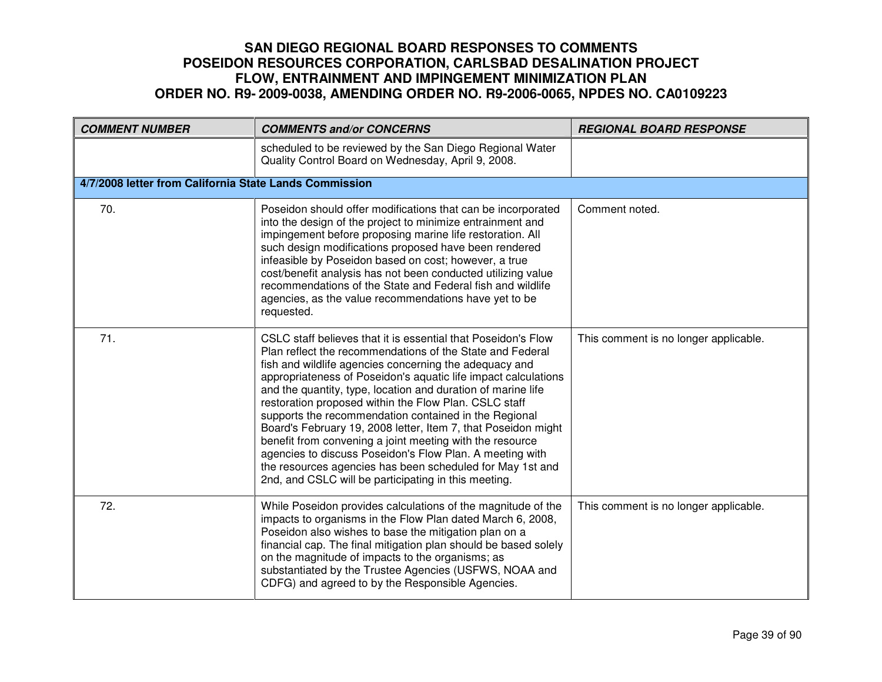| <b>COMMENT NUMBER</b>                                  | <b>COMMENTS and/or CONCERNS</b>                                                                                                                                                                                                                                                                                                                                                                                                                                                                                                                                                                                                                                                                                                                        | <b>REGIONAL BOARD RESPONSE</b>        |
|--------------------------------------------------------|--------------------------------------------------------------------------------------------------------------------------------------------------------------------------------------------------------------------------------------------------------------------------------------------------------------------------------------------------------------------------------------------------------------------------------------------------------------------------------------------------------------------------------------------------------------------------------------------------------------------------------------------------------------------------------------------------------------------------------------------------------|---------------------------------------|
|                                                        | scheduled to be reviewed by the San Diego Regional Water<br>Quality Control Board on Wednesday, April 9, 2008.                                                                                                                                                                                                                                                                                                                                                                                                                                                                                                                                                                                                                                         |                                       |
| 4/7/2008 letter from California State Lands Commission |                                                                                                                                                                                                                                                                                                                                                                                                                                                                                                                                                                                                                                                                                                                                                        |                                       |
| 70.                                                    | Poseidon should offer modifications that can be incorporated<br>into the design of the project to minimize entrainment and<br>impingement before proposing marine life restoration. All<br>such design modifications proposed have been rendered<br>infeasible by Poseidon based on cost; however, a true<br>cost/benefit analysis has not been conducted utilizing value<br>recommendations of the State and Federal fish and wildlife<br>agencies, as the value recommendations have yet to be<br>requested.                                                                                                                                                                                                                                         | Comment noted.                        |
| 71.                                                    | CSLC staff believes that it is essential that Poseidon's Flow<br>Plan reflect the recommendations of the State and Federal<br>fish and wildlife agencies concerning the adequacy and<br>appropriateness of Poseidon's aquatic life impact calculations<br>and the quantity, type, location and duration of marine life<br>restoration proposed within the Flow Plan. CSLC staff<br>supports the recommendation contained in the Regional<br>Board's February 19, 2008 letter, Item 7, that Poseidon might<br>benefit from convening a joint meeting with the resource<br>agencies to discuss Poseidon's Flow Plan. A meeting with<br>the resources agencies has been scheduled for May 1st and<br>2nd, and CSLC will be participating in this meeting. | This comment is no longer applicable. |
| 72.                                                    | While Poseidon provides calculations of the magnitude of the<br>impacts to organisms in the Flow Plan dated March 6, 2008,<br>Poseidon also wishes to base the mitigation plan on a<br>financial cap. The final mitigation plan should be based solely<br>on the magnitude of impacts to the organisms; as<br>substantiated by the Trustee Agencies (USFWS, NOAA and<br>CDFG) and agreed to by the Responsible Agencies.                                                                                                                                                                                                                                                                                                                               | This comment is no longer applicable. |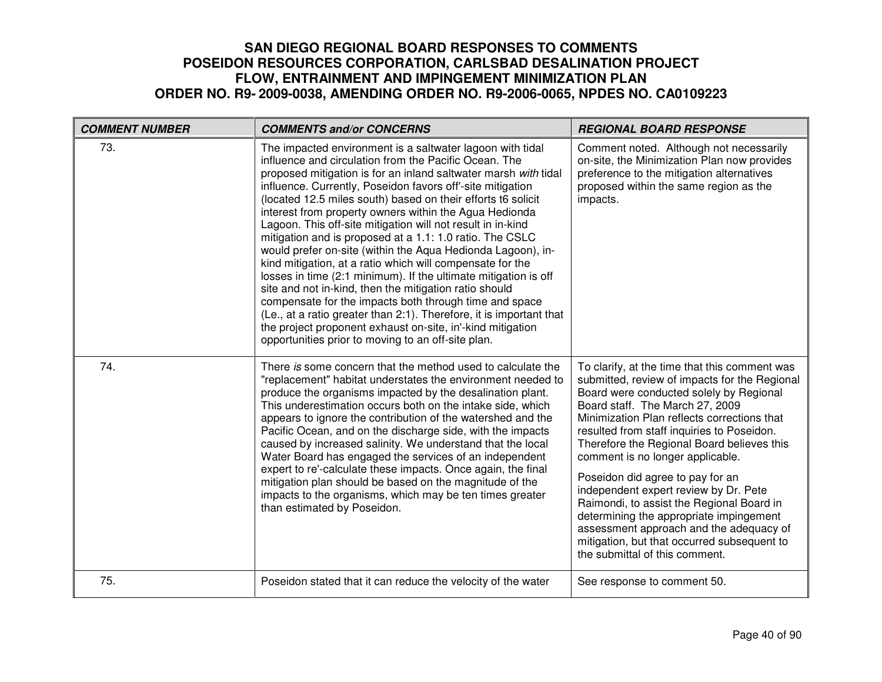| <b>COMMENT NUMBER</b> | <b>COMMENTS and/or CONCERNS</b>                                                                                                                                                                                                                                                                                                                                                                                                                                                                                                                                                                                                                                                                                                                                                                                                                                                                                                                                                                                        | <b>REGIONAL BOARD RESPONSE</b>                                                                                                                                                                                                                                                                                                                                                                                                                                                                                                                                                                                                                               |
|-----------------------|------------------------------------------------------------------------------------------------------------------------------------------------------------------------------------------------------------------------------------------------------------------------------------------------------------------------------------------------------------------------------------------------------------------------------------------------------------------------------------------------------------------------------------------------------------------------------------------------------------------------------------------------------------------------------------------------------------------------------------------------------------------------------------------------------------------------------------------------------------------------------------------------------------------------------------------------------------------------------------------------------------------------|--------------------------------------------------------------------------------------------------------------------------------------------------------------------------------------------------------------------------------------------------------------------------------------------------------------------------------------------------------------------------------------------------------------------------------------------------------------------------------------------------------------------------------------------------------------------------------------------------------------------------------------------------------------|
| 73.                   | The impacted environment is a saltwater lagoon with tidal<br>influence and circulation from the Pacific Ocean. The<br>proposed mitigation is for an inland saltwater marsh with tidal<br>influence. Currently, Poseidon favors off'-site mitigation<br>(located 12.5 miles south) based on their efforts t6 solicit<br>interest from property owners within the Agua Hedionda<br>Lagoon. This off-site mitigation will not result in in-kind<br>mitigation and is proposed at a 1.1: 1.0 ratio. The CSLC<br>would prefer on-site (within the Aqua Hedionda Lagoon), in-<br>kind mitigation, at a ratio which will compensate for the<br>losses in time (2:1 minimum). If the ultimate mitigation is off<br>site and not in-kind, then the mitigation ratio should<br>compensate for the impacts both through time and space<br>(Le., at a ratio greater than 2:1). Therefore, it is important that<br>the project proponent exhaust on-site, in'-kind mitigation<br>opportunities prior to moving to an off-site plan. | Comment noted. Although not necessarily<br>on-site, the Minimization Plan now provides<br>preference to the mitigation alternatives<br>proposed within the same region as the<br>impacts.                                                                                                                                                                                                                                                                                                                                                                                                                                                                    |
| 74.                   | There is some concern that the method used to calculate the<br>"replacement" habitat understates the environment needed to<br>produce the organisms impacted by the desalination plant.<br>This underestimation occurs both on the intake side, which<br>appears to ignore the contribution of the watershed and the<br>Pacific Ocean, and on the discharge side, with the impacts<br>caused by increased salinity. We understand that the local<br>Water Board has engaged the services of an independent<br>expert to re'-calculate these impacts. Once again, the final<br>mitigation plan should be based on the magnitude of the<br>impacts to the organisms, which may be ten times greater<br>than estimated by Poseidon.                                                                                                                                                                                                                                                                                       | To clarify, at the time that this comment was<br>submitted, review of impacts for the Regional<br>Board were conducted solely by Regional<br>Board staff. The March 27, 2009<br>Minimization Plan reflects corrections that<br>resulted from staff inquiries to Poseidon.<br>Therefore the Regional Board believes this<br>comment is no longer applicable.<br>Poseidon did agree to pay for an<br>independent expert review by Dr. Pete<br>Raimondi, to assist the Regional Board in<br>determining the appropriate impingement<br>assessment approach and the adequacy of<br>mitigation, but that occurred subsequent to<br>the submittal of this comment. |
| 75.                   | Poseidon stated that it can reduce the velocity of the water                                                                                                                                                                                                                                                                                                                                                                                                                                                                                                                                                                                                                                                                                                                                                                                                                                                                                                                                                           | See response to comment 50.                                                                                                                                                                                                                                                                                                                                                                                                                                                                                                                                                                                                                                  |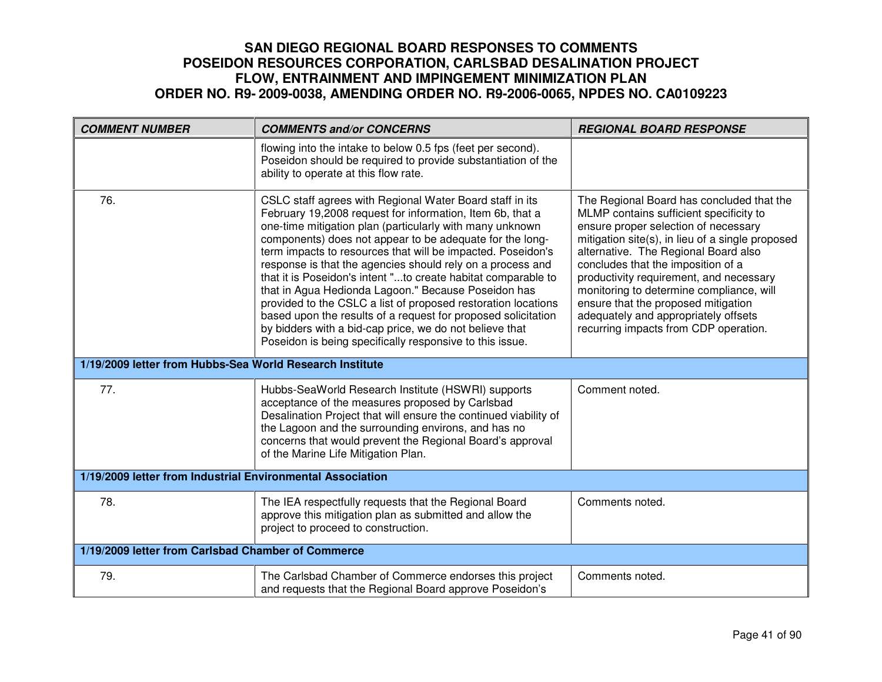| <b>COMMENT NUMBER</b>                                      | <b>COMMENTS and/or CONCERNS</b>                                                                                                                                                                                                                                                                                                                                                                                                                                                                                                                                                                                                                                                                                                                             | <b>REGIONAL BOARD RESPONSE</b>                                                                                                                                                                                                                                                                                                                                                                                                                                                |
|------------------------------------------------------------|-------------------------------------------------------------------------------------------------------------------------------------------------------------------------------------------------------------------------------------------------------------------------------------------------------------------------------------------------------------------------------------------------------------------------------------------------------------------------------------------------------------------------------------------------------------------------------------------------------------------------------------------------------------------------------------------------------------------------------------------------------------|-------------------------------------------------------------------------------------------------------------------------------------------------------------------------------------------------------------------------------------------------------------------------------------------------------------------------------------------------------------------------------------------------------------------------------------------------------------------------------|
|                                                            | flowing into the intake to below 0.5 fps (feet per second).<br>Poseidon should be required to provide substantiation of the<br>ability to operate at this flow rate.                                                                                                                                                                                                                                                                                                                                                                                                                                                                                                                                                                                        |                                                                                                                                                                                                                                                                                                                                                                                                                                                                               |
| 76.                                                        | CSLC staff agrees with Regional Water Board staff in its<br>February 19,2008 request for information, Item 6b, that a<br>one-time mitigation plan (particularly with many unknown<br>components) does not appear to be adequate for the long-<br>term impacts to resources that will be impacted. Poseidon's<br>response is that the agencies should rely on a process and<br>that it is Poseidon's intent "to create habitat comparable to<br>that in Agua Hedionda Lagoon." Because Poseidon has<br>provided to the CSLC a list of proposed restoration locations<br>based upon the results of a request for proposed solicitation<br>by bidders with a bid-cap price, we do not believe that<br>Poseidon is being specifically responsive to this issue. | The Regional Board has concluded that the<br>MLMP contains sufficient specificity to<br>ensure proper selection of necessary<br>mitigation site(s), in lieu of a single proposed<br>alternative. The Regional Board also<br>concludes that the imposition of a<br>productivity requirement, and necessary<br>monitoring to determine compliance, will<br>ensure that the proposed mitigation<br>adequately and appropriately offsets<br>recurring impacts from CDP operation. |
| 1/19/2009 letter from Hubbs-Sea World Research Institute   |                                                                                                                                                                                                                                                                                                                                                                                                                                                                                                                                                                                                                                                                                                                                                             |                                                                                                                                                                                                                                                                                                                                                                                                                                                                               |
| 77.                                                        | Hubbs-SeaWorld Research Institute (HSWRI) supports<br>acceptance of the measures proposed by Carlsbad<br>Desalination Project that will ensure the continued viability of<br>the Lagoon and the surrounding environs, and has no<br>concerns that would prevent the Regional Board's approval<br>of the Marine Life Mitigation Plan.                                                                                                                                                                                                                                                                                                                                                                                                                        | Comment noted.                                                                                                                                                                                                                                                                                                                                                                                                                                                                |
| 1/19/2009 letter from Industrial Environmental Association |                                                                                                                                                                                                                                                                                                                                                                                                                                                                                                                                                                                                                                                                                                                                                             |                                                                                                                                                                                                                                                                                                                                                                                                                                                                               |
| 78.                                                        | The IEA respectfully requests that the Regional Board<br>approve this mitigation plan as submitted and allow the<br>project to proceed to construction.                                                                                                                                                                                                                                                                                                                                                                                                                                                                                                                                                                                                     | Comments noted.                                                                                                                                                                                                                                                                                                                                                                                                                                                               |
| 1/19/2009 letter from Carlsbad Chamber of Commerce         |                                                                                                                                                                                                                                                                                                                                                                                                                                                                                                                                                                                                                                                                                                                                                             |                                                                                                                                                                                                                                                                                                                                                                                                                                                                               |
| 79.                                                        | The Carlsbad Chamber of Commerce endorses this project<br>and requests that the Regional Board approve Poseidon's                                                                                                                                                                                                                                                                                                                                                                                                                                                                                                                                                                                                                                           | Comments noted.                                                                                                                                                                                                                                                                                                                                                                                                                                                               |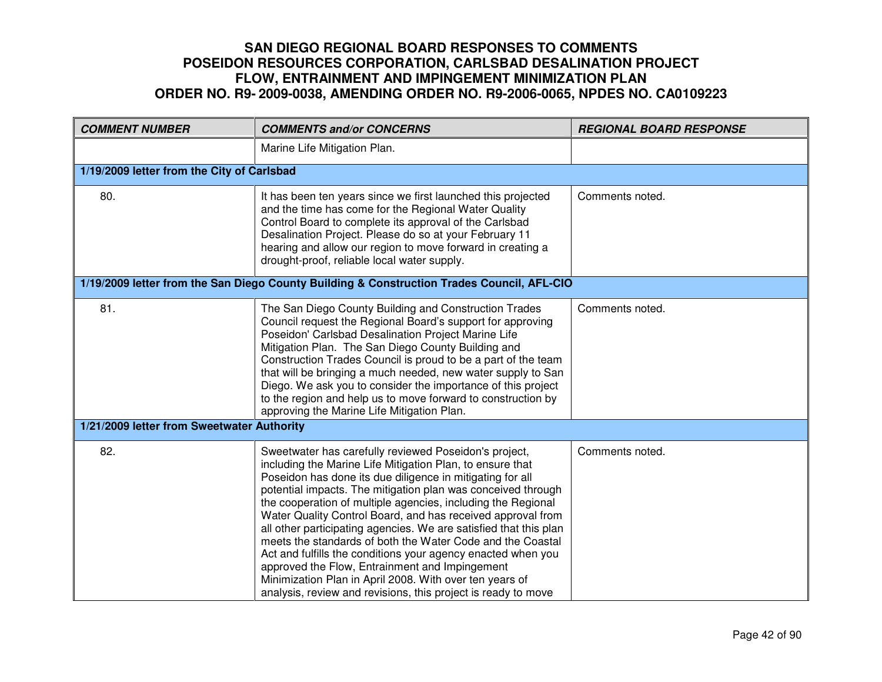| <b>COMMENT NUMBER</b>                      | <b>COMMENTS and/or CONCERNS</b>                                                                                                                                                                                                                                                                                                                                                                                                                                                                                                                                                                                                                                                                                                                                 | <b>REGIONAL BOARD RESPONSE</b> |
|--------------------------------------------|-----------------------------------------------------------------------------------------------------------------------------------------------------------------------------------------------------------------------------------------------------------------------------------------------------------------------------------------------------------------------------------------------------------------------------------------------------------------------------------------------------------------------------------------------------------------------------------------------------------------------------------------------------------------------------------------------------------------------------------------------------------------|--------------------------------|
|                                            | Marine Life Mitigation Plan.                                                                                                                                                                                                                                                                                                                                                                                                                                                                                                                                                                                                                                                                                                                                    |                                |
| 1/19/2009 letter from the City of Carlsbad |                                                                                                                                                                                                                                                                                                                                                                                                                                                                                                                                                                                                                                                                                                                                                                 |                                |
| 80.                                        | It has been ten years since we first launched this projected<br>and the time has come for the Regional Water Quality<br>Control Board to complete its approval of the Carlsbad<br>Desalination Project. Please do so at your February 11<br>hearing and allow our region to move forward in creating a<br>drought-proof, reliable local water supply.                                                                                                                                                                                                                                                                                                                                                                                                           | Comments noted.                |
|                                            | 1/19/2009 letter from the San Diego County Building & Construction Trades Council, AFL-CIO                                                                                                                                                                                                                                                                                                                                                                                                                                                                                                                                                                                                                                                                      |                                |
| 81.                                        | The San Diego County Building and Construction Trades<br>Council request the Regional Board's support for approving<br>Poseidon' Carlsbad Desalination Project Marine Life<br>Mitigation Plan. The San Diego County Building and<br>Construction Trades Council is proud to be a part of the team<br>that will be bringing a much needed, new water supply to San<br>Diego. We ask you to consider the importance of this project<br>to the region and help us to move forward to construction by<br>approving the Marine Life Mitigation Plan.                                                                                                                                                                                                                 | Comments noted.                |
| 1/21/2009 letter from Sweetwater Authority |                                                                                                                                                                                                                                                                                                                                                                                                                                                                                                                                                                                                                                                                                                                                                                 |                                |
| 82.                                        | Sweetwater has carefully reviewed Poseidon's project,<br>including the Marine Life Mitigation Plan, to ensure that<br>Poseidon has done its due diligence in mitigating for all<br>potential impacts. The mitigation plan was conceived through<br>the cooperation of multiple agencies, including the Regional<br>Water Quality Control Board, and has received approval from<br>all other participating agencies. We are satisfied that this plan<br>meets the standards of both the Water Code and the Coastal<br>Act and fulfills the conditions your agency enacted when you<br>approved the Flow, Entrainment and Impingement<br>Minimization Plan in April 2008. With over ten years of<br>analysis, review and revisions, this project is ready to move | Comments noted.                |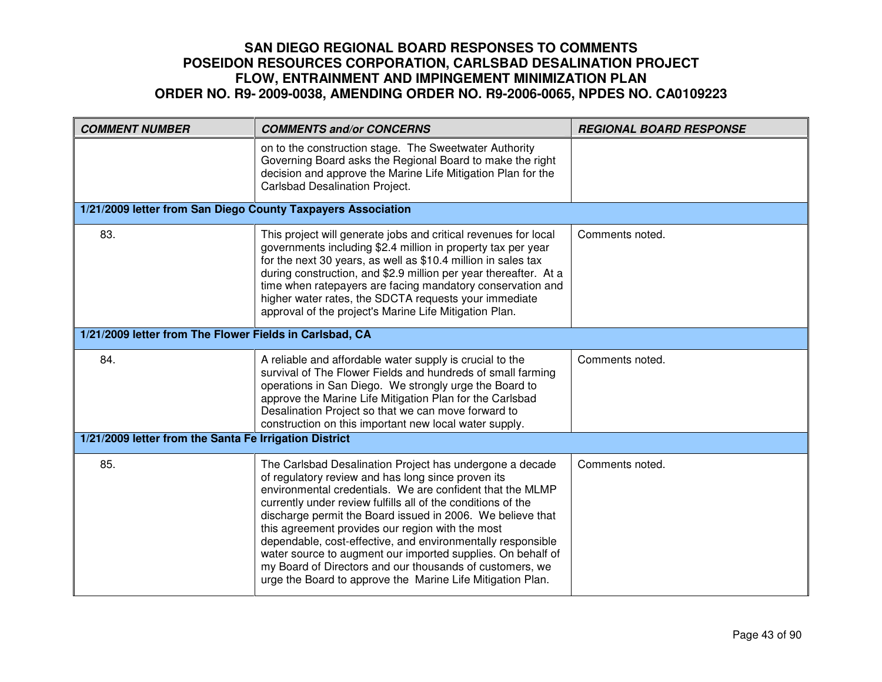| <b>COMMENT NUMBER</b>                                        | <b>COMMENTS and/or CONCERNS</b>                                                                                                                                                                                                                                                                                                                                                                                                                                                                                                                                                                                       | <b>REGIONAL BOARD RESPONSE</b> |
|--------------------------------------------------------------|-----------------------------------------------------------------------------------------------------------------------------------------------------------------------------------------------------------------------------------------------------------------------------------------------------------------------------------------------------------------------------------------------------------------------------------------------------------------------------------------------------------------------------------------------------------------------------------------------------------------------|--------------------------------|
|                                                              | on to the construction stage. The Sweetwater Authority<br>Governing Board asks the Regional Board to make the right<br>decision and approve the Marine Life Mitigation Plan for the<br>Carlsbad Desalination Project.                                                                                                                                                                                                                                                                                                                                                                                                 |                                |
| 1/21/2009 letter from San Diego County Taxpayers Association |                                                                                                                                                                                                                                                                                                                                                                                                                                                                                                                                                                                                                       |                                |
| 83.                                                          | This project will generate jobs and critical revenues for local<br>governments including \$2.4 million in property tax per year<br>for the next 30 years, as well as \$10.4 million in sales tax<br>during construction, and \$2.9 million per year thereafter. At a<br>time when ratepayers are facing mandatory conservation and<br>higher water rates, the SDCTA requests your immediate<br>approval of the project's Marine Life Mitigation Plan.                                                                                                                                                                 | Comments noted.                |
| 1/21/2009 letter from The Flower Fields in Carlsbad, CA      |                                                                                                                                                                                                                                                                                                                                                                                                                                                                                                                                                                                                                       |                                |
| 84.                                                          | A reliable and affordable water supply is crucial to the<br>survival of The Flower Fields and hundreds of small farming<br>operations in San Diego. We strongly urge the Board to<br>approve the Marine Life Mitigation Plan for the Carlsbad<br>Desalination Project so that we can move forward to<br>construction on this important new local water supply.                                                                                                                                                                                                                                                        | Comments noted.                |
| 1/21/2009 letter from the Santa Fe Irrigation District       |                                                                                                                                                                                                                                                                                                                                                                                                                                                                                                                                                                                                                       |                                |
| 85.                                                          | The Carlsbad Desalination Project has undergone a decade<br>of regulatory review and has long since proven its<br>environmental credentials. We are confident that the MLMP<br>currently under review fulfills all of the conditions of the<br>discharge permit the Board issued in 2006. We believe that<br>this agreement provides our region with the most<br>dependable, cost-effective, and environmentally responsible<br>water source to augment our imported supplies. On behalf of<br>my Board of Directors and our thousands of customers, we<br>urge the Board to approve the Marine Life Mitigation Plan. | Comments noted.                |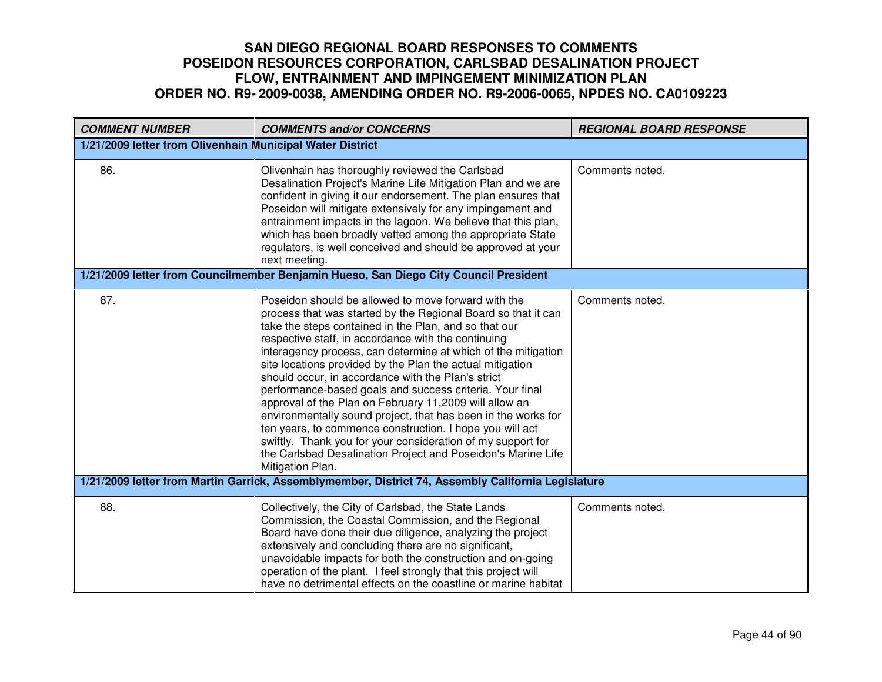| <b>COMMENT NUMBER</b>                                                                              | <b>COMMENTS and/or CONCERNS</b>                                                                                                                                                                                                                                                                                                                                                                                                                                                                                                                                                                                                                                                                                                                                                                                                | <b>REGIONAL BOARD RESPONSE</b> |
|----------------------------------------------------------------------------------------------------|--------------------------------------------------------------------------------------------------------------------------------------------------------------------------------------------------------------------------------------------------------------------------------------------------------------------------------------------------------------------------------------------------------------------------------------------------------------------------------------------------------------------------------------------------------------------------------------------------------------------------------------------------------------------------------------------------------------------------------------------------------------------------------------------------------------------------------|--------------------------------|
| 1/21/2009 letter from Olivenhain Municipal Water District                                          |                                                                                                                                                                                                                                                                                                                                                                                                                                                                                                                                                                                                                                                                                                                                                                                                                                |                                |
| 86.                                                                                                | Olivenhain has thoroughly reviewed the Carlsbad<br>Desalination Project's Marine Life Mitigation Plan and we are<br>confident in giving it our endorsement. The plan ensures that<br>Poseidon will mitigate extensively for any impingement and<br>entrainment impacts in the lagoon. We believe that this plan,<br>which has been broadly vetted among the appropriate State<br>regulators, is well conceived and should be approved at your<br>next meeting.                                                                                                                                                                                                                                                                                                                                                                 | Comments noted.                |
|                                                                                                    | 1/21/2009 letter from Councilmember Benjamin Hueso, San Diego City Council President                                                                                                                                                                                                                                                                                                                                                                                                                                                                                                                                                                                                                                                                                                                                           |                                |
| 87.                                                                                                | Poseidon should be allowed to move forward with the<br>process that was started by the Regional Board so that it can<br>take the steps contained in the Plan, and so that our<br>respective staff, in accordance with the continuing<br>interagency process, can determine at which of the mitigation<br>site locations provided by the Plan the actual mitigation<br>should occur, in accordance with the Plan's strict<br>performance-based goals and success criteria. Your final<br>approval of the Plan on February 11,2009 will allow an<br>environmentally sound project, that has been in the works for<br>ten years, to commence construction. I hope you will act<br>swiftly. Thank you for your consideration of my support for<br>the Carlsbad Desalination Project and Poseidon's Marine Life<br>Mitigation Plan. | Comments noted.                |
| 1/21/2009 letter from Martin Garrick, Assemblymember, District 74, Assembly California Legislature |                                                                                                                                                                                                                                                                                                                                                                                                                                                                                                                                                                                                                                                                                                                                                                                                                                |                                |
| 88.                                                                                                | Collectively, the City of Carlsbad, the State Lands<br>Commission, the Coastal Commission, and the Regional<br>Board have done their due diligence, analyzing the project<br>extensively and concluding there are no significant,<br>unavoidable impacts for both the construction and on-going<br>operation of the plant. I feel strongly that this project will<br>have no detrimental effects on the coastline or marine habitat                                                                                                                                                                                                                                                                                                                                                                                            | Comments noted.                |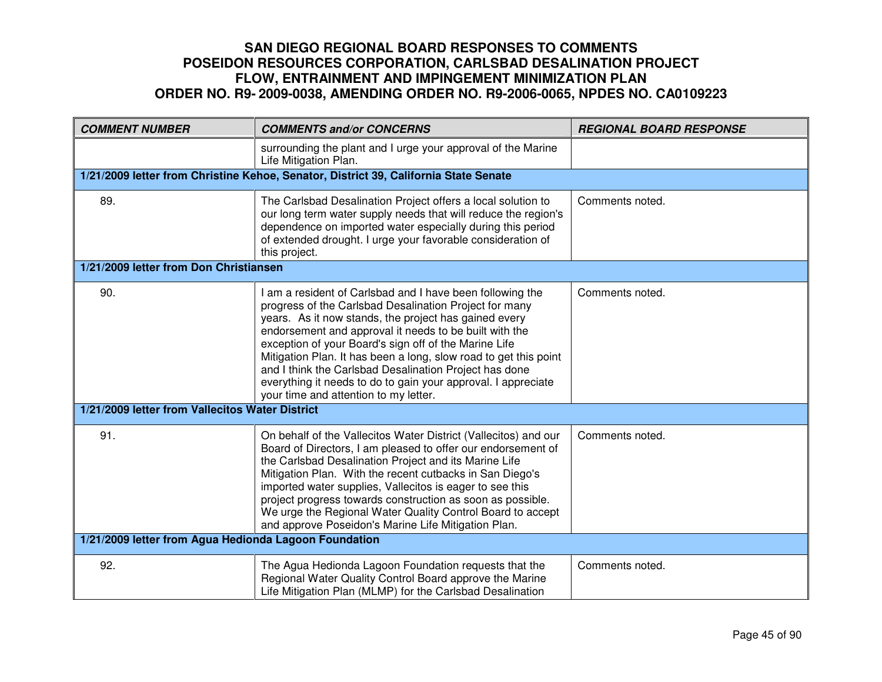| <b>COMMENT NUMBER</b>                                 | <b>COMMENTS and/or CONCERNS</b>                                                                                                                                                                                                                                                                                                                                                                                                                                                                                                         | <b>REGIONAL BOARD RESPONSE</b> |
|-------------------------------------------------------|-----------------------------------------------------------------------------------------------------------------------------------------------------------------------------------------------------------------------------------------------------------------------------------------------------------------------------------------------------------------------------------------------------------------------------------------------------------------------------------------------------------------------------------------|--------------------------------|
|                                                       | surrounding the plant and I urge your approval of the Marine<br>Life Mitigation Plan.                                                                                                                                                                                                                                                                                                                                                                                                                                                   |                                |
|                                                       | 1/21/2009 letter from Christine Kehoe, Senator, District 39, California State Senate                                                                                                                                                                                                                                                                                                                                                                                                                                                    |                                |
| 89.                                                   | The Carlsbad Desalination Project offers a local solution to<br>our long term water supply needs that will reduce the region's<br>dependence on imported water especially during this period<br>of extended drought. I urge your favorable consideration of<br>this project.                                                                                                                                                                                                                                                            | Comments noted.                |
| 1/21/2009 letter from Don Christiansen                |                                                                                                                                                                                                                                                                                                                                                                                                                                                                                                                                         |                                |
| 90.                                                   | I am a resident of Carlsbad and I have been following the<br>progress of the Carlsbad Desalination Project for many<br>years. As it now stands, the project has gained every<br>endorsement and approval it needs to be built with the<br>exception of your Board's sign off of the Marine Life<br>Mitigation Plan. It has been a long, slow road to get this point<br>and I think the Carlsbad Desalination Project has done<br>everything it needs to do to gain your approval. I appreciate<br>your time and attention to my letter. | Comments noted.                |
| 1/21/2009 letter from Vallecitos Water District       |                                                                                                                                                                                                                                                                                                                                                                                                                                                                                                                                         |                                |
| 91.                                                   | On behalf of the Vallecitos Water District (Vallecitos) and our<br>Board of Directors, I am pleased to offer our endorsement of<br>the Carlsbad Desalination Project and its Marine Life<br>Mitigation Plan. With the recent cutbacks in San Diego's<br>imported water supplies, Vallecitos is eager to see this<br>project progress towards construction as soon as possible.<br>We urge the Regional Water Quality Control Board to accept<br>and approve Poseidon's Marine Life Mitigation Plan.                                     | Comments noted.                |
| 1/21/2009 letter from Agua Hedionda Lagoon Foundation |                                                                                                                                                                                                                                                                                                                                                                                                                                                                                                                                         |                                |
| 92.                                                   | The Agua Hedionda Lagoon Foundation requests that the<br>Regional Water Quality Control Board approve the Marine<br>Life Mitigation Plan (MLMP) for the Carlsbad Desalination                                                                                                                                                                                                                                                                                                                                                           | Comments noted.                |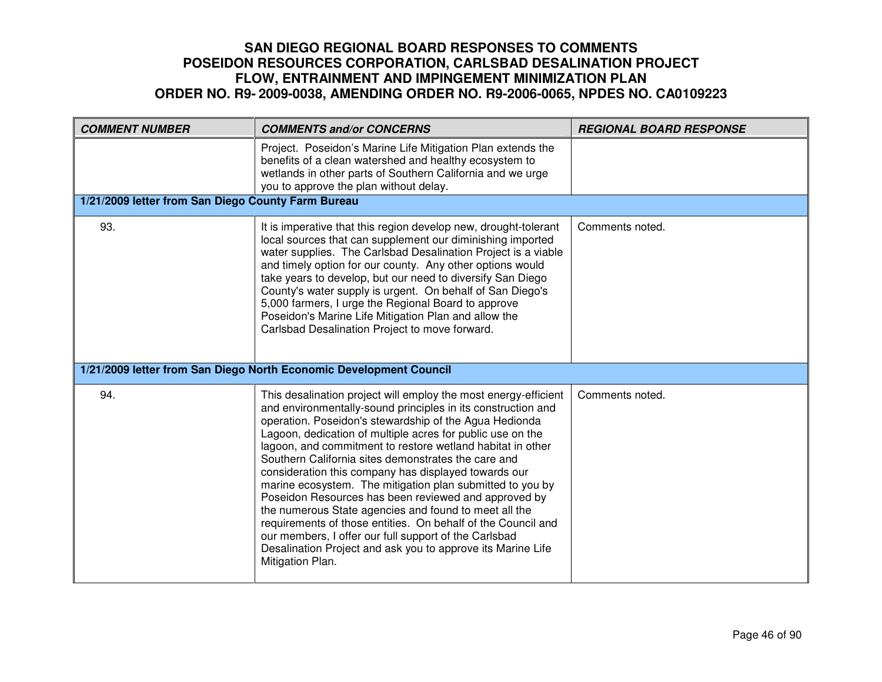| <b>COMMENT NUMBER</b>                              | <b>COMMENTS and/or CONCERNS</b>                                                                                                                                                                                                                                                                                                                                                                                                                                                                                                                                                                                                                                                                                                                                                                                                | <b>REGIONAL BOARD RESPONSE</b> |
|----------------------------------------------------|--------------------------------------------------------------------------------------------------------------------------------------------------------------------------------------------------------------------------------------------------------------------------------------------------------------------------------------------------------------------------------------------------------------------------------------------------------------------------------------------------------------------------------------------------------------------------------------------------------------------------------------------------------------------------------------------------------------------------------------------------------------------------------------------------------------------------------|--------------------------------|
|                                                    | Project. Poseidon's Marine Life Mitigation Plan extends the<br>benefits of a clean watershed and healthy ecosystem to<br>wetlands in other parts of Southern California and we urge<br>you to approve the plan without delay.                                                                                                                                                                                                                                                                                                                                                                                                                                                                                                                                                                                                  |                                |
| 1/21/2009 letter from San Diego County Farm Bureau |                                                                                                                                                                                                                                                                                                                                                                                                                                                                                                                                                                                                                                                                                                                                                                                                                                |                                |
| 93.                                                | It is imperative that this region develop new, drought-tolerant<br>local sources that can supplement our diminishing imported<br>water supplies. The Carlsbad Desalination Project is a viable<br>and timely option for our county. Any other options would<br>take years to develop, but our need to diversify San Diego<br>County's water supply is urgent. On behalf of San Diego's<br>5,000 farmers, I urge the Regional Board to approve<br>Poseidon's Marine Life Mitigation Plan and allow the<br>Carlsbad Desalination Project to move forward.                                                                                                                                                                                                                                                                        | Comments noted.                |
|                                                    | 1/21/2009 letter from San Diego North Economic Development Council                                                                                                                                                                                                                                                                                                                                                                                                                                                                                                                                                                                                                                                                                                                                                             |                                |
| 94.                                                | This desalination project will employ the most energy-efficient<br>and environmentally-sound principles in its construction and<br>operation. Poseidon's stewardship of the Agua Hedionda<br>Lagoon, dedication of multiple acres for public use on the<br>lagoon, and commitment to restore wetland habitat in other<br>Southern California sites demonstrates the care and<br>consideration this company has displayed towards our<br>marine ecosystem. The mitigation plan submitted to you by<br>Poseidon Resources has been reviewed and approved by<br>the numerous State agencies and found to meet all the<br>requirements of those entities. On behalf of the Council and<br>our members, I offer our full support of the Carlsbad<br>Desalination Project and ask you to approve its Marine Life<br>Mitigation Plan. | Comments noted.                |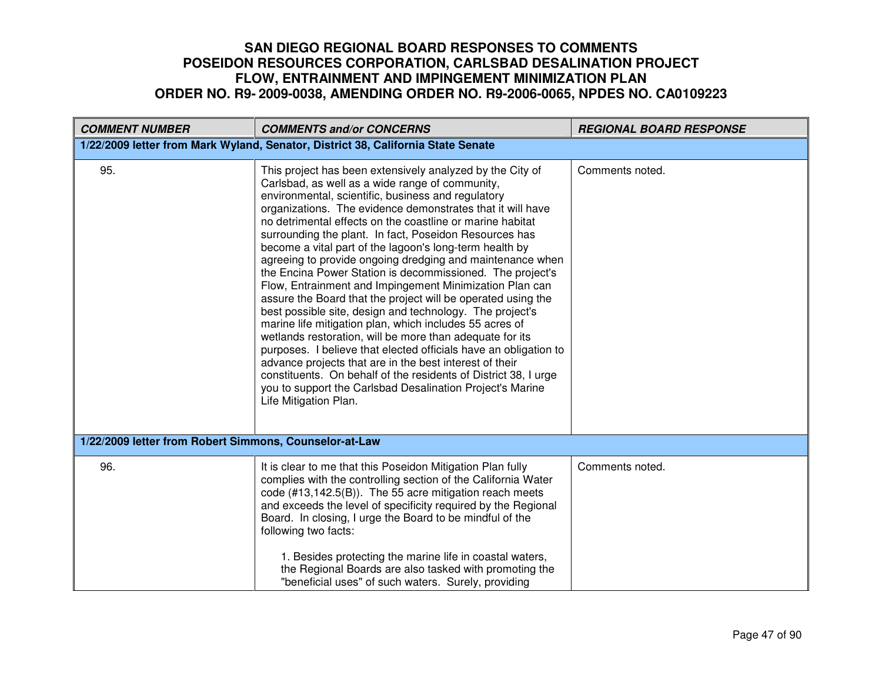| <b>COMMENT NUMBER</b>                                                            | <b>COMMENTS and/or CONCERNS</b>                                                                                                                                                                                                                                                                                                                                                                                                                                                                                                                                                                                                                                                                                                                                                                                                                                                                                                                                                                                                                                                                                                                    | <b>REGIONAL BOARD RESPONSE</b> |
|----------------------------------------------------------------------------------|----------------------------------------------------------------------------------------------------------------------------------------------------------------------------------------------------------------------------------------------------------------------------------------------------------------------------------------------------------------------------------------------------------------------------------------------------------------------------------------------------------------------------------------------------------------------------------------------------------------------------------------------------------------------------------------------------------------------------------------------------------------------------------------------------------------------------------------------------------------------------------------------------------------------------------------------------------------------------------------------------------------------------------------------------------------------------------------------------------------------------------------------------|--------------------------------|
| 1/22/2009 letter from Mark Wyland, Senator, District 38, California State Senate |                                                                                                                                                                                                                                                                                                                                                                                                                                                                                                                                                                                                                                                                                                                                                                                                                                                                                                                                                                                                                                                                                                                                                    |                                |
| 95.                                                                              | This project has been extensively analyzed by the City of<br>Carlsbad, as well as a wide range of community,<br>environmental, scientific, business and regulatory<br>organizations. The evidence demonstrates that it will have<br>no detrimental effects on the coastline or marine habitat<br>surrounding the plant. In fact, Poseidon Resources has<br>become a vital part of the lagoon's long-term health by<br>agreeing to provide ongoing dredging and maintenance when<br>the Encina Power Station is decommissioned. The project's<br>Flow, Entrainment and Impingement Minimization Plan can<br>assure the Board that the project will be operated using the<br>best possible site, design and technology. The project's<br>marine life mitigation plan, which includes 55 acres of<br>wetlands restoration, will be more than adequate for its<br>purposes. I believe that elected officials have an obligation to<br>advance projects that are in the best interest of their<br>constituents. On behalf of the residents of District 38, I urge<br>you to support the Carlsbad Desalination Project's Marine<br>Life Mitigation Plan. | Comments noted.                |
| 1/22/2009 letter from Robert Simmons, Counselor-at-Law                           |                                                                                                                                                                                                                                                                                                                                                                                                                                                                                                                                                                                                                                                                                                                                                                                                                                                                                                                                                                                                                                                                                                                                                    |                                |
| 96.                                                                              | It is clear to me that this Poseidon Mitigation Plan fully<br>complies with the controlling section of the California Water<br>code (#13,142.5(B)). The 55 acre mitigation reach meets<br>and exceeds the level of specificity required by the Regional<br>Board. In closing, I urge the Board to be mindful of the<br>following two facts:<br>1. Besides protecting the marine life in coastal waters,<br>the Regional Boards are also tasked with promoting the<br>"beneficial uses" of such waters. Surely, providing                                                                                                                                                                                                                                                                                                                                                                                                                                                                                                                                                                                                                           | Comments noted.                |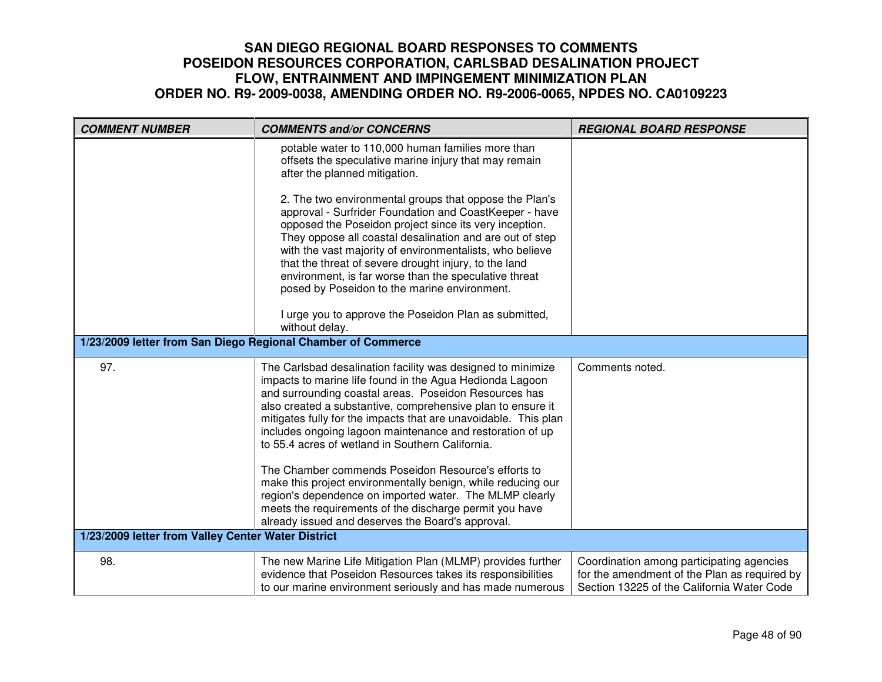| <b>COMMENT NUMBER</b>                                        | <b>COMMENTS and/or CONCERNS</b>                                                                                                                                                                                                                                                                                                                                                                                                                                                                                                                                                                                                                                                                                                       | <b>REGIONAL BOARD RESPONSE</b>                                                                                                          |
|--------------------------------------------------------------|---------------------------------------------------------------------------------------------------------------------------------------------------------------------------------------------------------------------------------------------------------------------------------------------------------------------------------------------------------------------------------------------------------------------------------------------------------------------------------------------------------------------------------------------------------------------------------------------------------------------------------------------------------------------------------------------------------------------------------------|-----------------------------------------------------------------------------------------------------------------------------------------|
|                                                              | potable water to 110,000 human families more than<br>offsets the speculative marine injury that may remain<br>after the planned mitigation.                                                                                                                                                                                                                                                                                                                                                                                                                                                                                                                                                                                           |                                                                                                                                         |
|                                                              | 2. The two environmental groups that oppose the Plan's<br>approval - Surfrider Foundation and CoastKeeper - have<br>opposed the Poseidon project since its very inception.<br>They oppose all coastal desalination and are out of step<br>with the vast majority of environmentalists, who believe<br>that the threat of severe drought injury, to the land<br>environment, is far worse than the speculative threat<br>posed by Poseidon to the marine environment.                                                                                                                                                                                                                                                                  |                                                                                                                                         |
|                                                              | I urge you to approve the Poseidon Plan as submitted,<br>without delay.                                                                                                                                                                                                                                                                                                                                                                                                                                                                                                                                                                                                                                                               |                                                                                                                                         |
| 1/23/2009 letter from San Diego Regional Chamber of Commerce |                                                                                                                                                                                                                                                                                                                                                                                                                                                                                                                                                                                                                                                                                                                                       |                                                                                                                                         |
| 97.                                                          | The Carlsbad desalination facility was designed to minimize<br>impacts to marine life found in the Agua Hedionda Lagoon<br>and surrounding coastal areas. Poseidon Resources has<br>also created a substantive, comprehensive plan to ensure it<br>mitigates fully for the impacts that are unavoidable. This plan<br>includes ongoing lagoon maintenance and restoration of up<br>to 55.4 acres of wetland in Southern California.<br>The Chamber commends Poseidon Resource's efforts to<br>make this project environmentally benign, while reducing our<br>region's dependence on imported water. The MLMP clearly<br>meets the requirements of the discharge permit you have<br>already issued and deserves the Board's approval. | Comments noted.                                                                                                                         |
| 1/23/2009 letter from Valley Center Water District           |                                                                                                                                                                                                                                                                                                                                                                                                                                                                                                                                                                                                                                                                                                                                       |                                                                                                                                         |
| 98.                                                          | The new Marine Life Mitigation Plan (MLMP) provides further<br>evidence that Poseidon Resources takes its responsibilities<br>to our marine environment seriously and has made numerous                                                                                                                                                                                                                                                                                                                                                                                                                                                                                                                                               | Coordination among participating agencies<br>for the amendment of the Plan as required by<br>Section 13225 of the California Water Code |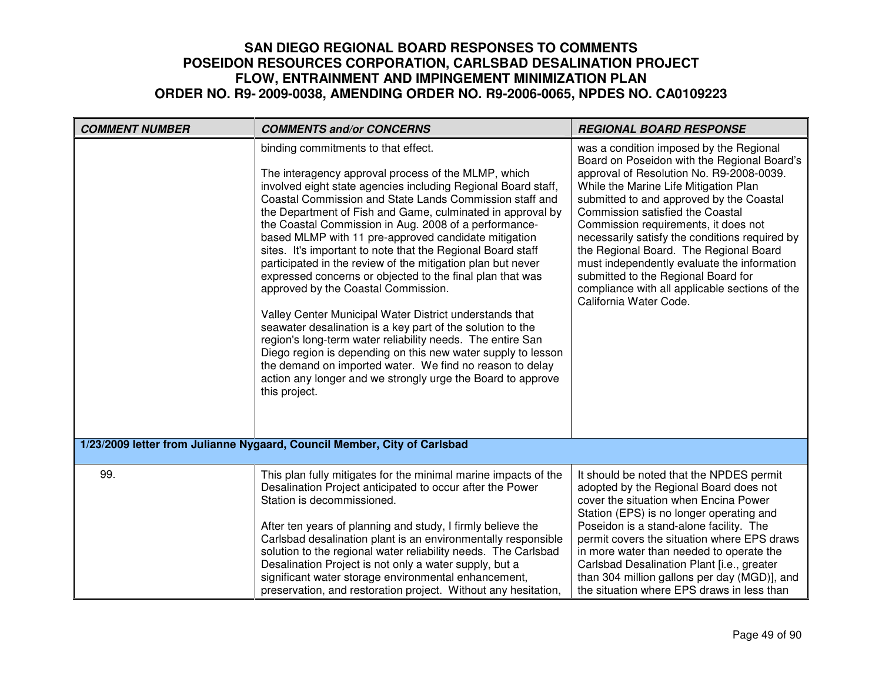| <b>COMMENT NUMBER</b> | <b>COMMENTS and/or CONCERNS</b>                                                                                                                                                                                                                                                                                                                                                                                                                                                                                                                                                                                                                                                                                                                                                                                                                                                                                                                                                                                                            | <b>REGIONAL BOARD RESPONSE</b>                                                                                                                                                                                                                                                                                                                                                                                                                                                                                                                                    |
|-----------------------|--------------------------------------------------------------------------------------------------------------------------------------------------------------------------------------------------------------------------------------------------------------------------------------------------------------------------------------------------------------------------------------------------------------------------------------------------------------------------------------------------------------------------------------------------------------------------------------------------------------------------------------------------------------------------------------------------------------------------------------------------------------------------------------------------------------------------------------------------------------------------------------------------------------------------------------------------------------------------------------------------------------------------------------------|-------------------------------------------------------------------------------------------------------------------------------------------------------------------------------------------------------------------------------------------------------------------------------------------------------------------------------------------------------------------------------------------------------------------------------------------------------------------------------------------------------------------------------------------------------------------|
|                       | binding commitments to that effect.<br>The interagency approval process of the MLMP, which<br>involved eight state agencies including Regional Board staff,<br>Coastal Commission and State Lands Commission staff and<br>the Department of Fish and Game, culminated in approval by<br>the Coastal Commission in Aug. 2008 of a performance-<br>based MLMP with 11 pre-approved candidate mitigation<br>sites. It's important to note that the Regional Board staff<br>participated in the review of the mitigation plan but never<br>expressed concerns or objected to the final plan that was<br>approved by the Coastal Commission.<br>Valley Center Municipal Water District understands that<br>seawater desalination is a key part of the solution to the<br>region's long-term water reliability needs. The entire San<br>Diego region is depending on this new water supply to lesson<br>the demand on imported water. We find no reason to delay<br>action any longer and we strongly urge the Board to approve<br>this project. | was a condition imposed by the Regional<br>Board on Poseidon with the Regional Board's<br>approval of Resolution No. R9-2008-0039.<br>While the Marine Life Mitigation Plan<br>submitted to and approved by the Coastal<br>Commission satisfied the Coastal<br>Commission requirements, it does not<br>necessarily satisfy the conditions required by<br>the Regional Board. The Regional Board<br>must independently evaluate the information<br>submitted to the Regional Board for<br>compliance with all applicable sections of the<br>California Water Code. |
|                       | 1/23/2009 letter from Julianne Nygaard, Council Member, City of Carlsbad                                                                                                                                                                                                                                                                                                                                                                                                                                                                                                                                                                                                                                                                                                                                                                                                                                                                                                                                                                   |                                                                                                                                                                                                                                                                                                                                                                                                                                                                                                                                                                   |
| 99.                   | This plan fully mitigates for the minimal marine impacts of the<br>Desalination Project anticipated to occur after the Power<br>Station is decommissioned.<br>After ten years of planning and study, I firmly believe the<br>Carlsbad desalination plant is an environmentally responsible<br>solution to the regional water reliability needs. The Carlsbad<br>Desalination Project is not only a water supply, but a<br>significant water storage environmental enhancement,<br>preservation, and restoration project. Without any hesitation,                                                                                                                                                                                                                                                                                                                                                                                                                                                                                           | It should be noted that the NPDES permit<br>adopted by the Regional Board does not<br>cover the situation when Encina Power<br>Station (EPS) is no longer operating and<br>Poseidon is a stand-alone facility. The<br>permit covers the situation where EPS draws<br>in more water than needed to operate the<br>Carlsbad Desalination Plant [i.e., greater<br>than 304 million gallons per day (MGD)], and<br>the situation where EPS draws in less than                                                                                                         |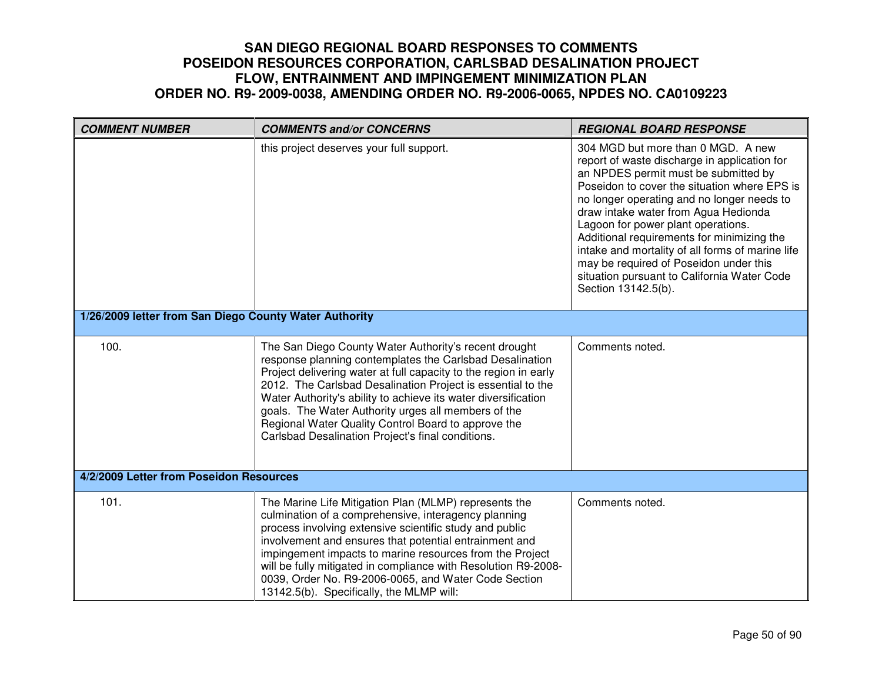| <b>COMMENT NUMBER</b>                                  | <b>COMMENTS and/or CONCERNS</b>                                                                                                                                                                                                                                                                                                                                                                                                                                                           | <b>REGIONAL BOARD RESPONSE</b>                                                                                                                                                                                                                                                                                                                                                                                                                                                                                           |
|--------------------------------------------------------|-------------------------------------------------------------------------------------------------------------------------------------------------------------------------------------------------------------------------------------------------------------------------------------------------------------------------------------------------------------------------------------------------------------------------------------------------------------------------------------------|--------------------------------------------------------------------------------------------------------------------------------------------------------------------------------------------------------------------------------------------------------------------------------------------------------------------------------------------------------------------------------------------------------------------------------------------------------------------------------------------------------------------------|
|                                                        | this project deserves your full support.                                                                                                                                                                                                                                                                                                                                                                                                                                                  | 304 MGD but more than 0 MGD. A new<br>report of waste discharge in application for<br>an NPDES permit must be submitted by<br>Poseidon to cover the situation where EPS is<br>no longer operating and no longer needs to<br>draw intake water from Agua Hedionda<br>Lagoon for power plant operations.<br>Additional requirements for minimizing the<br>intake and mortality of all forms of marine life<br>may be required of Poseidon under this<br>situation pursuant to California Water Code<br>Section 13142.5(b). |
| 1/26/2009 letter from San Diego County Water Authority |                                                                                                                                                                                                                                                                                                                                                                                                                                                                                           |                                                                                                                                                                                                                                                                                                                                                                                                                                                                                                                          |
| 100.                                                   | The San Diego County Water Authority's recent drought<br>response planning contemplates the Carlsbad Desalination<br>Project delivering water at full capacity to the region in early<br>2012. The Carlsbad Desalination Project is essential to the<br>Water Authority's ability to achieve its water diversification<br>goals. The Water Authority urges all members of the<br>Regional Water Quality Control Board to approve the<br>Carlsbad Desalination Project's final conditions. | Comments noted.                                                                                                                                                                                                                                                                                                                                                                                                                                                                                                          |
| 4/2/2009 Letter from Poseidon Resources                |                                                                                                                                                                                                                                                                                                                                                                                                                                                                                           |                                                                                                                                                                                                                                                                                                                                                                                                                                                                                                                          |
| 101.                                                   | The Marine Life Mitigation Plan (MLMP) represents the<br>culmination of a comprehensive, interagency planning<br>process involving extensive scientific study and public<br>involvement and ensures that potential entrainment and<br>impingement impacts to marine resources from the Project<br>will be fully mitigated in compliance with Resolution R9-2008-<br>0039, Order No. R9-2006-0065, and Water Code Section<br>13142.5(b). Specifically, the MLMP will:                      | Comments noted.                                                                                                                                                                                                                                                                                                                                                                                                                                                                                                          |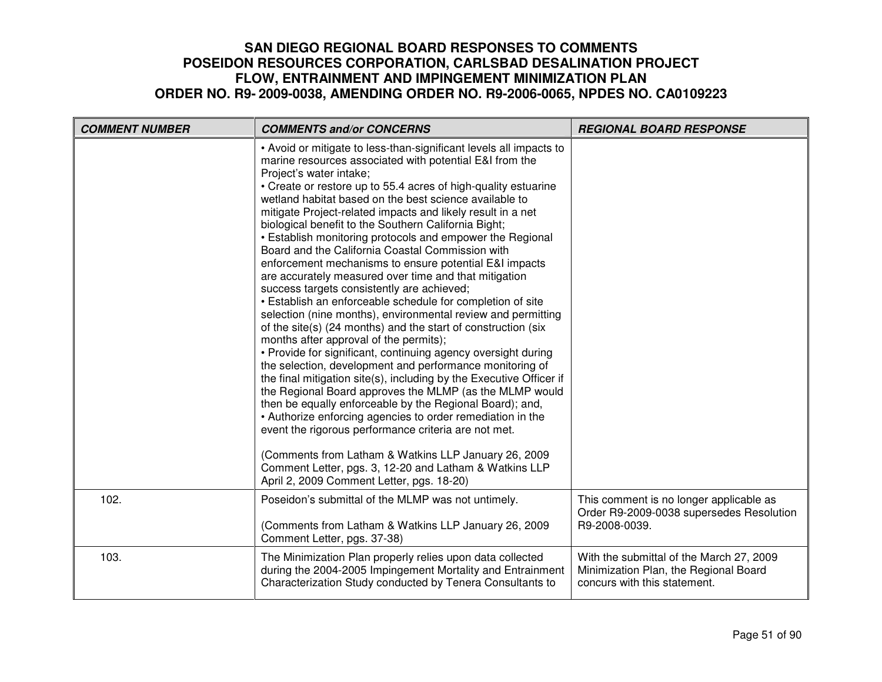| <b>COMMENT NUMBER</b> | <b>COMMENTS and/or CONCERNS</b>                                                                                                                                                                                                                                                                                                                                                                                                                                                                                                                                                                                                                                                                                                                                                                                                                                                                                                                                                                                                                                                                                                                                                                                                                                                                                                                                                                                                                                                                                                                        | <b>REGIONAL BOARD RESPONSE</b>                                                                                    |
|-----------------------|--------------------------------------------------------------------------------------------------------------------------------------------------------------------------------------------------------------------------------------------------------------------------------------------------------------------------------------------------------------------------------------------------------------------------------------------------------------------------------------------------------------------------------------------------------------------------------------------------------------------------------------------------------------------------------------------------------------------------------------------------------------------------------------------------------------------------------------------------------------------------------------------------------------------------------------------------------------------------------------------------------------------------------------------------------------------------------------------------------------------------------------------------------------------------------------------------------------------------------------------------------------------------------------------------------------------------------------------------------------------------------------------------------------------------------------------------------------------------------------------------------------------------------------------------------|-------------------------------------------------------------------------------------------------------------------|
|                       | • Avoid or mitigate to less-than-significant levels all impacts to<br>marine resources associated with potential E&I from the<br>Project's water intake;<br>• Create or restore up to 55.4 acres of high-quality estuarine<br>wetland habitat based on the best science available to<br>mitigate Project-related impacts and likely result in a net<br>biological benefit to the Southern California Bight;<br>• Establish monitoring protocols and empower the Regional<br>Board and the California Coastal Commission with<br>enforcement mechanisms to ensure potential E&I impacts<br>are accurately measured over time and that mitigation<br>success targets consistently are achieved;<br>• Establish an enforceable schedule for completion of site<br>selection (nine months), environmental review and permitting<br>of the site(s) (24 months) and the start of construction (six<br>months after approval of the permits);<br>• Provide for significant, continuing agency oversight during<br>the selection, development and performance monitoring of<br>the final mitigation site(s), including by the Executive Officer if<br>the Regional Board approves the MLMP (as the MLMP would<br>then be equally enforceable by the Regional Board); and,<br>• Authorize enforcing agencies to order remediation in the<br>event the rigorous performance criteria are not met.<br>(Comments from Latham & Watkins LLP January 26, 2009<br>Comment Letter, pgs. 3, 12-20 and Latham & Watkins LLP<br>April 2, 2009 Comment Letter, pgs. 18-20) |                                                                                                                   |
| 102.                  | Poseidon's submittal of the MLMP was not untimely.<br>(Comments from Latham & Watkins LLP January 26, 2009<br>Comment Letter, pgs. 37-38)                                                                                                                                                                                                                                                                                                                                                                                                                                                                                                                                                                                                                                                                                                                                                                                                                                                                                                                                                                                                                                                                                                                                                                                                                                                                                                                                                                                                              | This comment is no longer applicable as<br>Order R9-2009-0038 supersedes Resolution<br>R9-2008-0039.              |
| 103.                  | The Minimization Plan properly relies upon data collected<br>during the 2004-2005 Impingement Mortality and Entrainment<br>Characterization Study conducted by Tenera Consultants to                                                                                                                                                                                                                                                                                                                                                                                                                                                                                                                                                                                                                                                                                                                                                                                                                                                                                                                                                                                                                                                                                                                                                                                                                                                                                                                                                                   | With the submittal of the March 27, 2009<br>Minimization Plan, the Regional Board<br>concurs with this statement. |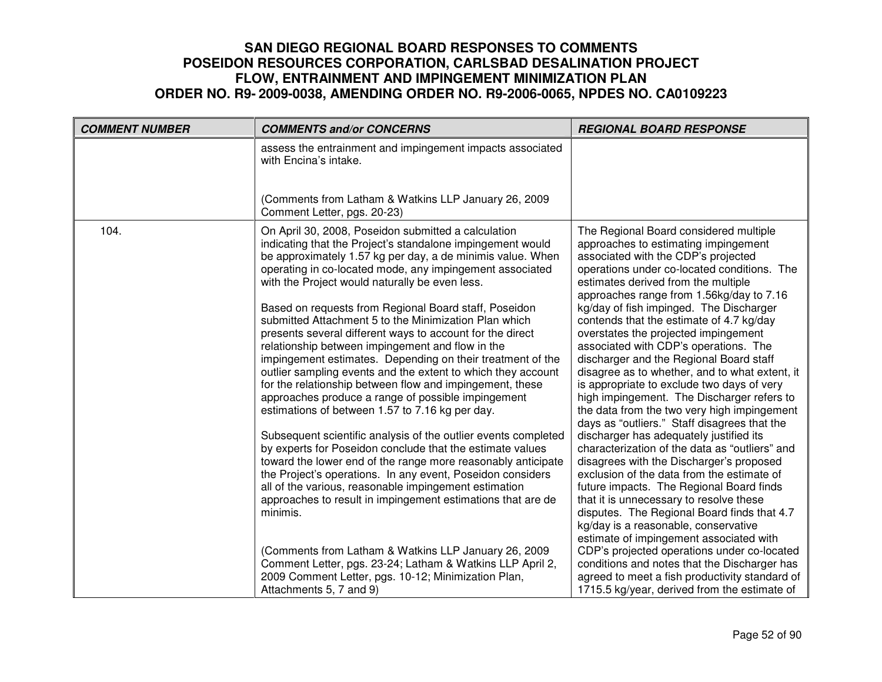| <b>COMMENT NUMBER</b> | <b>COMMENTS and/or CONCERNS</b>                                                                                                                                                                                                                                                                                                                                                                                                                                                                                                                                                                                                                                                                                                                                                                                                                                                                                                                                                                                                                                                                                                                                                                                                                                                                                                                                                                                  | <b>REGIONAL BOARD RESPONSE</b>                                                                                                                                                                                                                                                                                                                                                                                                                                                                                                                                                                                                                                                                                                                                                                                                                                                                                                                                                                                                                                                                                                                                                                                                                                                           |
|-----------------------|------------------------------------------------------------------------------------------------------------------------------------------------------------------------------------------------------------------------------------------------------------------------------------------------------------------------------------------------------------------------------------------------------------------------------------------------------------------------------------------------------------------------------------------------------------------------------------------------------------------------------------------------------------------------------------------------------------------------------------------------------------------------------------------------------------------------------------------------------------------------------------------------------------------------------------------------------------------------------------------------------------------------------------------------------------------------------------------------------------------------------------------------------------------------------------------------------------------------------------------------------------------------------------------------------------------------------------------------------------------------------------------------------------------|------------------------------------------------------------------------------------------------------------------------------------------------------------------------------------------------------------------------------------------------------------------------------------------------------------------------------------------------------------------------------------------------------------------------------------------------------------------------------------------------------------------------------------------------------------------------------------------------------------------------------------------------------------------------------------------------------------------------------------------------------------------------------------------------------------------------------------------------------------------------------------------------------------------------------------------------------------------------------------------------------------------------------------------------------------------------------------------------------------------------------------------------------------------------------------------------------------------------------------------------------------------------------------------|
|                       | assess the entrainment and impingement impacts associated<br>with Encina's intake.                                                                                                                                                                                                                                                                                                                                                                                                                                                                                                                                                                                                                                                                                                                                                                                                                                                                                                                                                                                                                                                                                                                                                                                                                                                                                                                               |                                                                                                                                                                                                                                                                                                                                                                                                                                                                                                                                                                                                                                                                                                                                                                                                                                                                                                                                                                                                                                                                                                                                                                                                                                                                                          |
|                       | (Comments from Latham & Watkins LLP January 26, 2009<br>Comment Letter, pgs. 20-23)                                                                                                                                                                                                                                                                                                                                                                                                                                                                                                                                                                                                                                                                                                                                                                                                                                                                                                                                                                                                                                                                                                                                                                                                                                                                                                                              |                                                                                                                                                                                                                                                                                                                                                                                                                                                                                                                                                                                                                                                                                                                                                                                                                                                                                                                                                                                                                                                                                                                                                                                                                                                                                          |
| 104.                  | On April 30, 2008, Poseidon submitted a calculation<br>indicating that the Project's standalone impingement would<br>be approximately 1.57 kg per day, a de minimis value. When<br>operating in co-located mode, any impingement associated<br>with the Project would naturally be even less.<br>Based on requests from Regional Board staff, Poseidon<br>submitted Attachment 5 to the Minimization Plan which<br>presents several different ways to account for the direct<br>relationship between impingement and flow in the<br>impingement estimates. Depending on their treatment of the<br>outlier sampling events and the extent to which they account<br>for the relationship between flow and impingement, these<br>approaches produce a range of possible impingement<br>estimations of between 1.57 to 7.16 kg per day.<br>Subsequent scientific analysis of the outlier events completed<br>by experts for Poseidon conclude that the estimate values<br>toward the lower end of the range more reasonably anticipate<br>the Project's operations. In any event, Poseidon considers<br>all of the various, reasonable impingement estimation<br>approaches to result in impingement estimations that are de<br>minimis.<br>(Comments from Latham & Watkins LLP January 26, 2009<br>Comment Letter, pgs. 23-24; Latham & Watkins LLP April 2,<br>2009 Comment Letter, pgs. 10-12; Minimization Plan, | The Regional Board considered multiple<br>approaches to estimating impingement<br>associated with the CDP's projected<br>operations under co-located conditions. The<br>estimates derived from the multiple<br>approaches range from 1.56kg/day to 7.16<br>kg/day of fish impinged. The Discharger<br>contends that the estimate of 4.7 kg/day<br>overstates the projected impingement<br>associated with CDP's operations. The<br>discharger and the Regional Board staff<br>disagree as to whether, and to what extent, it<br>is appropriate to exclude two days of very<br>high impingement. The Discharger refers to<br>the data from the two very high impingement<br>days as "outliers." Staff disagrees that the<br>discharger has adequately justified its<br>characterization of the data as "outliers" and<br>disagrees with the Discharger's proposed<br>exclusion of the data from the estimate of<br>future impacts. The Regional Board finds<br>that it is unnecessary to resolve these<br>disputes. The Regional Board finds that 4.7<br>kg/day is a reasonable, conservative<br>estimate of impingement associated with<br>CDP's projected operations under co-located<br>conditions and notes that the Discharger has<br>agreed to meet a fish productivity standard of |
|                       | Attachments 5, 7 and 9)                                                                                                                                                                                                                                                                                                                                                                                                                                                                                                                                                                                                                                                                                                                                                                                                                                                                                                                                                                                                                                                                                                                                                                                                                                                                                                                                                                                          | 1715.5 kg/year, derived from the estimate of                                                                                                                                                                                                                                                                                                                                                                                                                                                                                                                                                                                                                                                                                                                                                                                                                                                                                                                                                                                                                                                                                                                                                                                                                                             |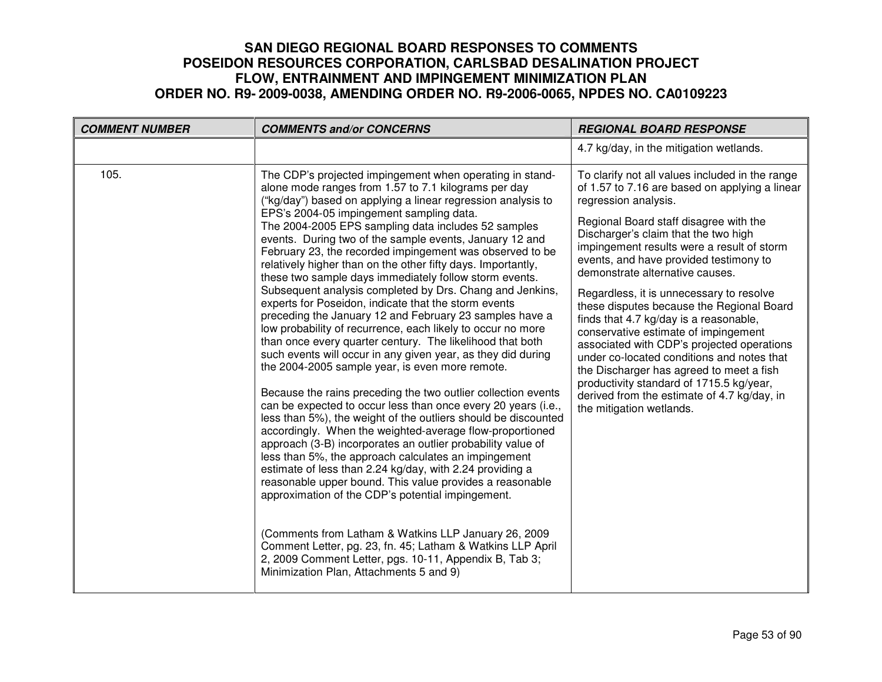| <b>COMMENT NUMBER</b> | <b>COMMENTS and/or CONCERNS</b>                                                                                                                                                                                                                                                                                                                                                                                                                                                                                                                                                                                                                                                                                                                                                                                                                                                                                                                                                                                                                                                                                                                                                                                                                                                                                                                                                                                                                                                                                                                                                                                                                                                                                                                                   | <b>REGIONAL BOARD RESPONSE</b>                                                                                                                                                                                                                                                                                                                                                                                                                                                                                                                                                                                                                                                                                                                                                   |
|-----------------------|-------------------------------------------------------------------------------------------------------------------------------------------------------------------------------------------------------------------------------------------------------------------------------------------------------------------------------------------------------------------------------------------------------------------------------------------------------------------------------------------------------------------------------------------------------------------------------------------------------------------------------------------------------------------------------------------------------------------------------------------------------------------------------------------------------------------------------------------------------------------------------------------------------------------------------------------------------------------------------------------------------------------------------------------------------------------------------------------------------------------------------------------------------------------------------------------------------------------------------------------------------------------------------------------------------------------------------------------------------------------------------------------------------------------------------------------------------------------------------------------------------------------------------------------------------------------------------------------------------------------------------------------------------------------------------------------------------------------------------------------------------------------|----------------------------------------------------------------------------------------------------------------------------------------------------------------------------------------------------------------------------------------------------------------------------------------------------------------------------------------------------------------------------------------------------------------------------------------------------------------------------------------------------------------------------------------------------------------------------------------------------------------------------------------------------------------------------------------------------------------------------------------------------------------------------------|
|                       |                                                                                                                                                                                                                                                                                                                                                                                                                                                                                                                                                                                                                                                                                                                                                                                                                                                                                                                                                                                                                                                                                                                                                                                                                                                                                                                                                                                                                                                                                                                                                                                                                                                                                                                                                                   | 4.7 kg/day, in the mitigation wetlands.                                                                                                                                                                                                                                                                                                                                                                                                                                                                                                                                                                                                                                                                                                                                          |
| 105.                  | The CDP's projected impingement when operating in stand-<br>alone mode ranges from 1.57 to 7.1 kilograms per day<br>("kg/day") based on applying a linear regression analysis to<br>EPS's 2004-05 impingement sampling data.<br>The 2004-2005 EPS sampling data includes 52 samples<br>events. During two of the sample events, January 12 and<br>February 23, the recorded impingement was observed to be<br>relatively higher than on the other fifty days. Importantly,<br>these two sample days immediately follow storm events.<br>Subsequent analysis completed by Drs. Chang and Jenkins,<br>experts for Poseidon, indicate that the storm events<br>preceding the January 12 and February 23 samples have a<br>low probability of recurrence, each likely to occur no more<br>than once every quarter century. The likelihood that both<br>such events will occur in any given year, as they did during<br>the 2004-2005 sample year, is even more remote.<br>Because the rains preceding the two outlier collection events<br>can be expected to occur less than once every 20 years (i.e.,<br>less than 5%), the weight of the outliers should be discounted<br>accordingly. When the weighted-average flow-proportioned<br>approach (3-B) incorporates an outlier probability value of<br>less than 5%, the approach calculates an impingement<br>estimate of less than 2.24 kg/day, with 2.24 providing a<br>reasonable upper bound. This value provides a reasonable<br>approximation of the CDP's potential impingement.<br>(Comments from Latham & Watkins LLP January 26, 2009<br>Comment Letter, pg. 23, fn. 45; Latham & Watkins LLP April<br>2, 2009 Comment Letter, pgs. 10-11, Appendix B, Tab 3;<br>Minimization Plan, Attachments 5 and 9) | To clarify not all values included in the range<br>of 1.57 to 7.16 are based on applying a linear<br>regression analysis.<br>Regional Board staff disagree with the<br>Discharger's claim that the two high<br>impingement results were a result of storm<br>events, and have provided testimony to<br>demonstrate alternative causes.<br>Regardless, it is unnecessary to resolve<br>these disputes because the Regional Board<br>finds that 4.7 kg/day is a reasonable,<br>conservative estimate of impingement<br>associated with CDP's projected operations<br>under co-located conditions and notes that<br>the Discharger has agreed to meet a fish<br>productivity standard of 1715.5 kg/year,<br>derived from the estimate of 4.7 kg/day, in<br>the mitigation wetlands. |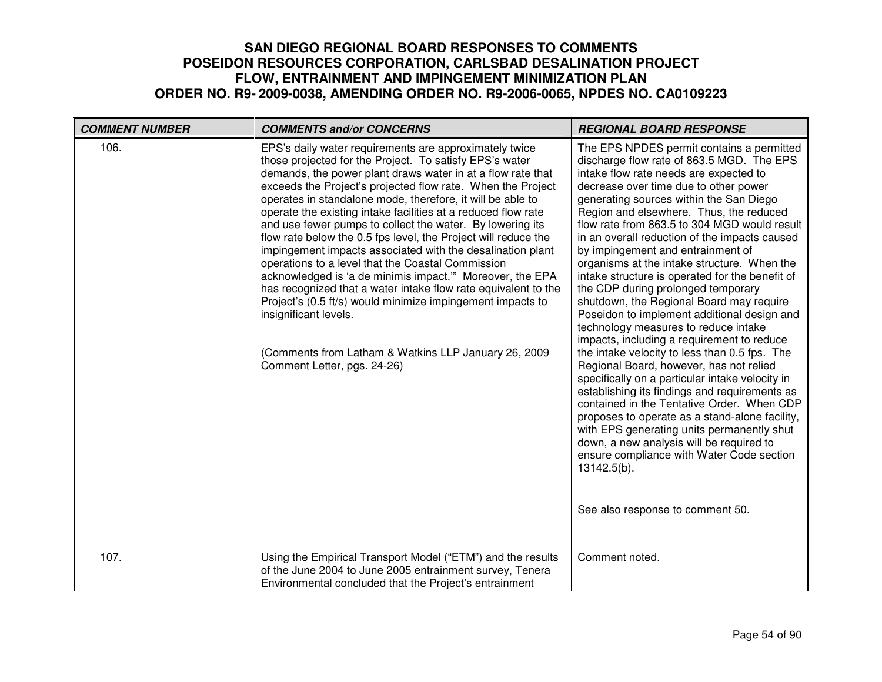| <b>COMMENT NUMBER</b> | <b>COMMENTS and/or CONCERNS</b>                                                                                                                                                                                                                                                                                                                                                                                                                                                                                                                                                                                                                                                                                                                                                                                                                                                                                                               | <b>REGIONAL BOARD RESPONSE</b>                                                                                                                                                                                                                                                                                                                                                                                                                                                                                                                                                                                                                                                                                                                                                                                                                                                                                                                                                                                                                                                                                                                                                                                           |
|-----------------------|-----------------------------------------------------------------------------------------------------------------------------------------------------------------------------------------------------------------------------------------------------------------------------------------------------------------------------------------------------------------------------------------------------------------------------------------------------------------------------------------------------------------------------------------------------------------------------------------------------------------------------------------------------------------------------------------------------------------------------------------------------------------------------------------------------------------------------------------------------------------------------------------------------------------------------------------------|--------------------------------------------------------------------------------------------------------------------------------------------------------------------------------------------------------------------------------------------------------------------------------------------------------------------------------------------------------------------------------------------------------------------------------------------------------------------------------------------------------------------------------------------------------------------------------------------------------------------------------------------------------------------------------------------------------------------------------------------------------------------------------------------------------------------------------------------------------------------------------------------------------------------------------------------------------------------------------------------------------------------------------------------------------------------------------------------------------------------------------------------------------------------------------------------------------------------------|
| 106.                  | EPS's daily water requirements are approximately twice<br>those projected for the Project. To satisfy EPS's water<br>demands, the power plant draws water in at a flow rate that<br>exceeds the Project's projected flow rate. When the Project<br>operates in standalone mode, therefore, it will be able to<br>operate the existing intake facilities at a reduced flow rate<br>and use fewer pumps to collect the water. By lowering its<br>flow rate below the 0.5 fps level, the Project will reduce the<br>impingement impacts associated with the desalination plant<br>operations to a level that the Coastal Commission<br>acknowledged is 'a de minimis impact." Moreover, the EPA<br>has recognized that a water intake flow rate equivalent to the<br>Project's (0.5 ft/s) would minimize impingement impacts to<br>insignificant levels.<br>(Comments from Latham & Watkins LLP January 26, 2009)<br>Comment Letter, pgs. 24-26) | The EPS NPDES permit contains a permitted<br>discharge flow rate of 863.5 MGD. The EPS<br>intake flow rate needs are expected to<br>decrease over time due to other power<br>generating sources within the San Diego<br>Region and elsewhere. Thus, the reduced<br>flow rate from 863.5 to 304 MGD would result<br>in an overall reduction of the impacts caused<br>by impingement and entrainment of<br>organisms at the intake structure. When the<br>intake structure is operated for the benefit of<br>the CDP during prolonged temporary<br>shutdown, the Regional Board may require<br>Poseidon to implement additional design and<br>technology measures to reduce intake<br>impacts, including a requirement to reduce<br>the intake velocity to less than 0.5 fps. The<br>Regional Board, however, has not relied<br>specifically on a particular intake velocity in<br>establishing its findings and requirements as<br>contained in the Tentative Order. When CDP<br>proposes to operate as a stand-alone facility,<br>with EPS generating units permanently shut<br>down, a new analysis will be required to<br>ensure compliance with Water Code section<br>13142.5(b).<br>See also response to comment 50. |
| 107.                  | Using the Empirical Transport Model ("ETM") and the results<br>of the June 2004 to June 2005 entrainment survey, Tenera<br>Environmental concluded that the Project's entrainment                                                                                                                                                                                                                                                                                                                                                                                                                                                                                                                                                                                                                                                                                                                                                             | Comment noted.                                                                                                                                                                                                                                                                                                                                                                                                                                                                                                                                                                                                                                                                                                                                                                                                                                                                                                                                                                                                                                                                                                                                                                                                           |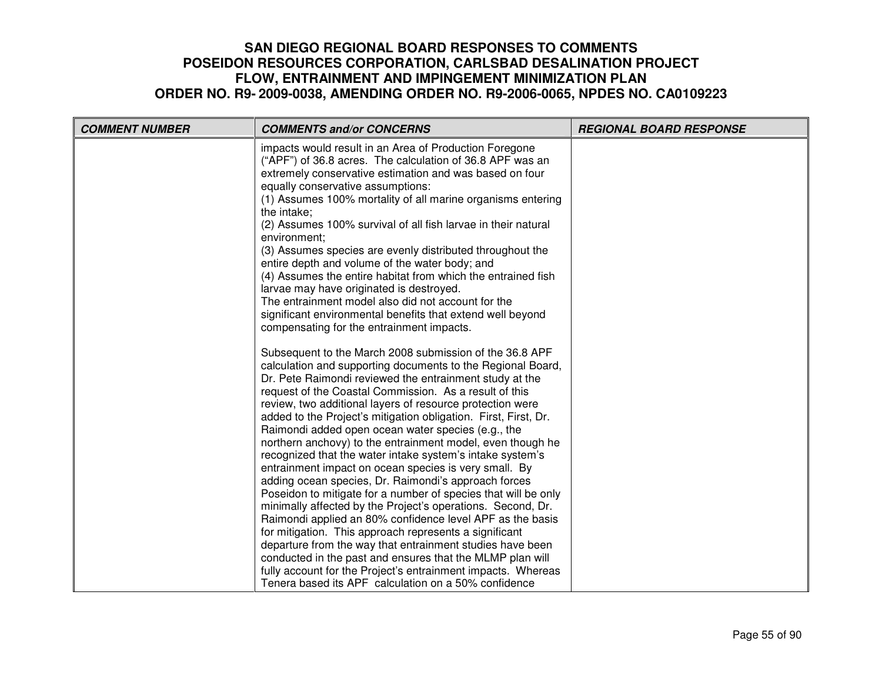| <b>COMMENT NUMBER</b> | <b>COMMENTS and/or CONCERNS</b>                                                                                                                                                                                                                                                                                                                                                                                                                                                                                                                                                                                                                                                                                                                                                                                                                                                                                                                                                                                                                                                                                                                                                                                                                                                                                                                                                                                                                                 | <b>REGIONAL BOARD RESPONSE</b> |
|-----------------------|-----------------------------------------------------------------------------------------------------------------------------------------------------------------------------------------------------------------------------------------------------------------------------------------------------------------------------------------------------------------------------------------------------------------------------------------------------------------------------------------------------------------------------------------------------------------------------------------------------------------------------------------------------------------------------------------------------------------------------------------------------------------------------------------------------------------------------------------------------------------------------------------------------------------------------------------------------------------------------------------------------------------------------------------------------------------------------------------------------------------------------------------------------------------------------------------------------------------------------------------------------------------------------------------------------------------------------------------------------------------------------------------------------------------------------------------------------------------|--------------------------------|
|                       | impacts would result in an Area of Production Foregone<br>("APF") of 36.8 acres. The calculation of 36.8 APF was an<br>extremely conservative estimation and was based on four<br>equally conservative assumptions:<br>(1) Assumes 100% mortality of all marine organisms entering<br>the intake;<br>(2) Assumes 100% survival of all fish larvae in their natural<br>environment:<br>(3) Assumes species are evenly distributed throughout the<br>entire depth and volume of the water body; and<br>(4) Assumes the entire habitat from which the entrained fish<br>larvae may have originated is destroyed.<br>The entrainment model also did not account for the<br>significant environmental benefits that extend well beyond<br>compensating for the entrainment impacts.<br>Subsequent to the March 2008 submission of the 36.8 APF<br>calculation and supporting documents to the Regional Board,<br>Dr. Pete Raimondi reviewed the entrainment study at the<br>request of the Coastal Commission. As a result of this<br>review, two additional layers of resource protection were<br>added to the Project's mitigation obligation. First, First, Dr.<br>Raimondi added open ocean water species (e.g., the<br>northern anchovy) to the entrainment model, even though he<br>recognized that the water intake system's intake system's<br>entrainment impact on ocean species is very small. By<br>adding ocean species, Dr. Raimondi's approach forces |                                |
|                       | Poseidon to mitigate for a number of species that will be only<br>minimally affected by the Project's operations. Second, Dr.<br>Raimondi applied an 80% confidence level APF as the basis                                                                                                                                                                                                                                                                                                                                                                                                                                                                                                                                                                                                                                                                                                                                                                                                                                                                                                                                                                                                                                                                                                                                                                                                                                                                      |                                |
|                       | for mitigation. This approach represents a significant<br>departure from the way that entrainment studies have been<br>conducted in the past and ensures that the MLMP plan will<br>fully account for the Project's entrainment impacts. Whereas<br>Tenera based its APF calculation on a 50% confidence                                                                                                                                                                                                                                                                                                                                                                                                                                                                                                                                                                                                                                                                                                                                                                                                                                                                                                                                                                                                                                                                                                                                                        |                                |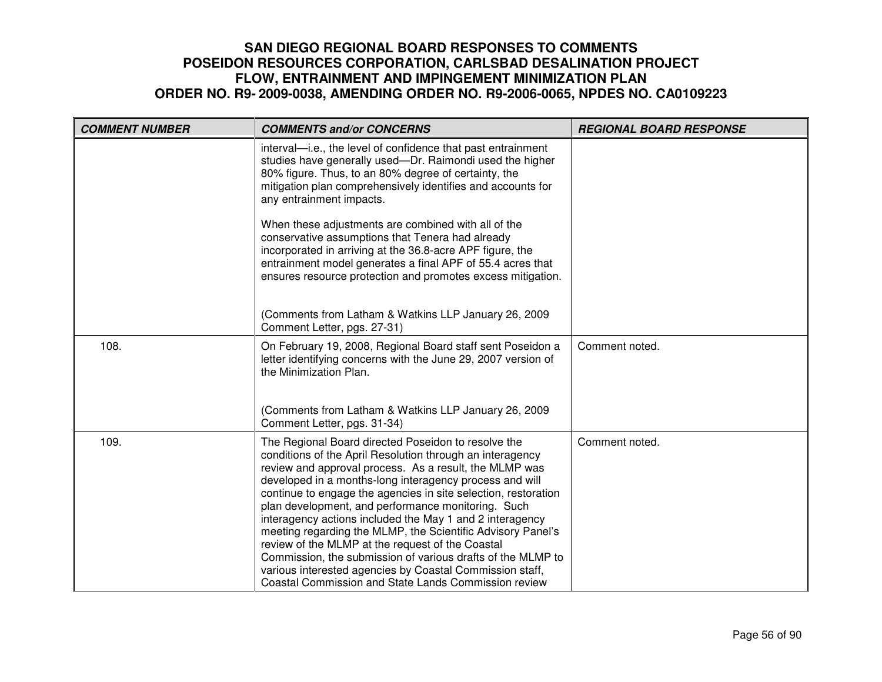| <b>COMMENT NUMBER</b> | <b>COMMENTS and/or CONCERNS</b>                                                                                                                                                                                                                                                                                                                                                                                                                                                                                                                                                                                                                                                                                                        | <b>REGIONAL BOARD RESPONSE</b> |
|-----------------------|----------------------------------------------------------------------------------------------------------------------------------------------------------------------------------------------------------------------------------------------------------------------------------------------------------------------------------------------------------------------------------------------------------------------------------------------------------------------------------------------------------------------------------------------------------------------------------------------------------------------------------------------------------------------------------------------------------------------------------------|--------------------------------|
|                       | interval—i.e., the level of confidence that past entrainment<br>studies have generally used-Dr. Raimondi used the higher<br>80% figure. Thus, to an 80% degree of certainty, the<br>mitigation plan comprehensively identifies and accounts for<br>any entrainment impacts.                                                                                                                                                                                                                                                                                                                                                                                                                                                            |                                |
|                       | When these adjustments are combined with all of the<br>conservative assumptions that Tenera had already<br>incorporated in arriving at the 36.8-acre APF figure, the<br>entrainment model generates a final APF of 55.4 acres that<br>ensures resource protection and promotes excess mitigation.                                                                                                                                                                                                                                                                                                                                                                                                                                      |                                |
|                       | (Comments from Latham & Watkins LLP January 26, 2009<br>Comment Letter, pgs. 27-31)                                                                                                                                                                                                                                                                                                                                                                                                                                                                                                                                                                                                                                                    |                                |
| 108.                  | On February 19, 2008, Regional Board staff sent Poseidon a<br>letter identifying concerns with the June 29, 2007 version of<br>the Minimization Plan.                                                                                                                                                                                                                                                                                                                                                                                                                                                                                                                                                                                  | Comment noted.                 |
|                       | (Comments from Latham & Watkins LLP January 26, 2009<br>Comment Letter, pgs. 31-34)                                                                                                                                                                                                                                                                                                                                                                                                                                                                                                                                                                                                                                                    |                                |
| 109.                  | The Regional Board directed Poseidon to resolve the<br>conditions of the April Resolution through an interagency<br>review and approval process. As a result, the MLMP was<br>developed in a months-long interagency process and will<br>continue to engage the agencies in site selection, restoration<br>plan development, and performance monitoring. Such<br>interagency actions included the May 1 and 2 interagency<br>meeting regarding the MLMP, the Scientific Advisory Panel's<br>review of the MLMP at the request of the Coastal<br>Commission, the submission of various drafts of the MLMP to<br>various interested agencies by Coastal Commission staff,<br><b>Coastal Commission and State Lands Commission review</b> | Comment noted.                 |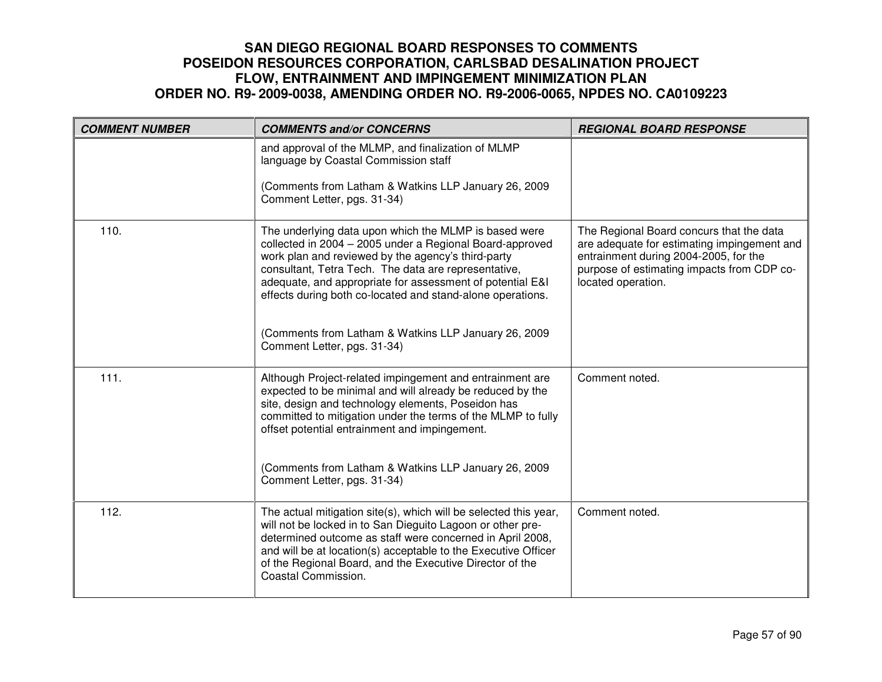| <b>COMMENT NUMBER</b> | <b>COMMENTS and/or CONCERNS</b>                                                                                                                                                                                                                                                                                                                            | <b>REGIONAL BOARD RESPONSE</b>                                                                                                                                                                       |
|-----------------------|------------------------------------------------------------------------------------------------------------------------------------------------------------------------------------------------------------------------------------------------------------------------------------------------------------------------------------------------------------|------------------------------------------------------------------------------------------------------------------------------------------------------------------------------------------------------|
|                       | and approval of the MLMP, and finalization of MLMP<br>language by Coastal Commission staff                                                                                                                                                                                                                                                                 |                                                                                                                                                                                                      |
|                       | (Comments from Latham & Watkins LLP January 26, 2009<br>Comment Letter, pgs. 31-34)                                                                                                                                                                                                                                                                        |                                                                                                                                                                                                      |
| 110.                  | The underlying data upon which the MLMP is based were<br>collected in 2004 - 2005 under a Regional Board-approved<br>work plan and reviewed by the agency's third-party<br>consultant, Tetra Tech. The data are representative,<br>adequate, and appropriate for assessment of potential E&I<br>effects during both co-located and stand-alone operations. | The Regional Board concurs that the data<br>are adequate for estimating impingement and<br>entrainment during 2004-2005, for the<br>purpose of estimating impacts from CDP co-<br>located operation. |
|                       | (Comments from Latham & Watkins LLP January 26, 2009<br>Comment Letter, pgs. 31-34)                                                                                                                                                                                                                                                                        |                                                                                                                                                                                                      |
| 111.                  | Although Project-related impingement and entrainment are<br>expected to be minimal and will already be reduced by the<br>site, design and technology elements, Poseidon has<br>committed to mitigation under the terms of the MLMP to fully<br>offset potential entrainment and impingement.                                                               | Comment noted.                                                                                                                                                                                       |
|                       | (Comments from Latham & Watkins LLP January 26, 2009<br>Comment Letter, pgs. 31-34)                                                                                                                                                                                                                                                                        |                                                                                                                                                                                                      |
| 112.                  | The actual mitigation site(s), which will be selected this year,<br>will not be locked in to San Dieguito Lagoon or other pre-<br>determined outcome as staff were concerned in April 2008,<br>and will be at location(s) acceptable to the Executive Officer<br>of the Regional Board, and the Executive Director of the<br>Coastal Commission.           | Comment noted.                                                                                                                                                                                       |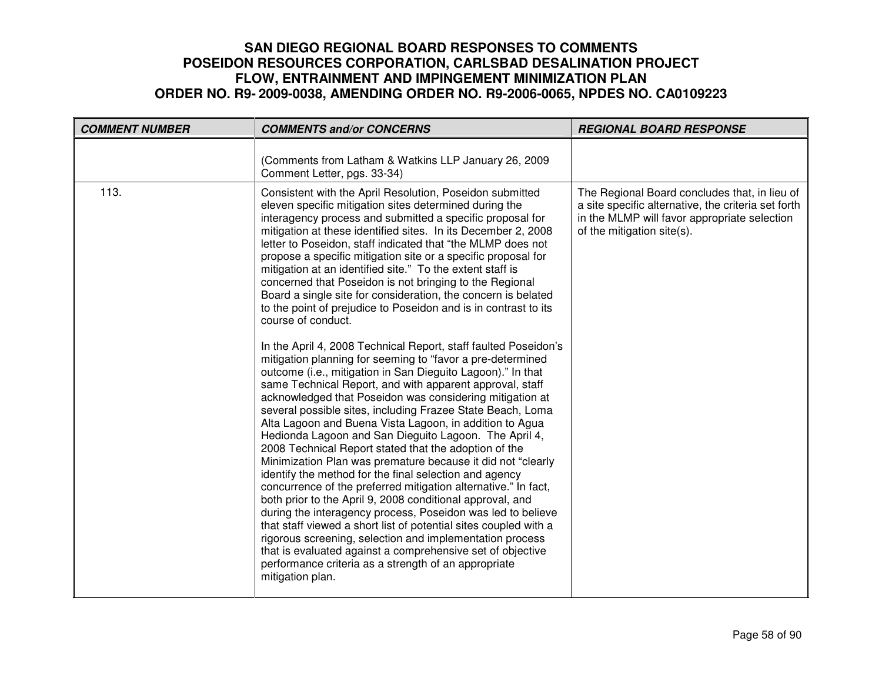| <b>COMMENT NUMBER</b> | <b>COMMENTS and/or CONCERNS</b>                                                                                                                                                                                                                                                                                                                                                                                                                                                                                                                                                                                                                                                                                                                                                                                                                                                                                                                                                                                                                                                                                                                                                                                                                                                                                                                                                                                                                                                                                                                                                                                                                                                                                                                                                                                                        | <b>REGIONAL BOARD RESPONSE</b>                                                                                                                                                     |
|-----------------------|----------------------------------------------------------------------------------------------------------------------------------------------------------------------------------------------------------------------------------------------------------------------------------------------------------------------------------------------------------------------------------------------------------------------------------------------------------------------------------------------------------------------------------------------------------------------------------------------------------------------------------------------------------------------------------------------------------------------------------------------------------------------------------------------------------------------------------------------------------------------------------------------------------------------------------------------------------------------------------------------------------------------------------------------------------------------------------------------------------------------------------------------------------------------------------------------------------------------------------------------------------------------------------------------------------------------------------------------------------------------------------------------------------------------------------------------------------------------------------------------------------------------------------------------------------------------------------------------------------------------------------------------------------------------------------------------------------------------------------------------------------------------------------------------------------------------------------------|------------------------------------------------------------------------------------------------------------------------------------------------------------------------------------|
|                       | (Comments from Latham & Watkins LLP January 26, 2009<br>Comment Letter, pgs. 33-34)                                                                                                                                                                                                                                                                                                                                                                                                                                                                                                                                                                                                                                                                                                                                                                                                                                                                                                                                                                                                                                                                                                                                                                                                                                                                                                                                                                                                                                                                                                                                                                                                                                                                                                                                                    |                                                                                                                                                                                    |
| 113.                  | Consistent with the April Resolution, Poseidon submitted<br>eleven specific mitigation sites determined during the<br>interagency process and submitted a specific proposal for<br>mitigation at these identified sites. In its December 2, 2008<br>letter to Poseidon, staff indicated that "the MLMP does not<br>propose a specific mitigation site or a specific proposal for<br>mitigation at an identified site." To the extent staff is<br>concerned that Poseidon is not bringing to the Regional<br>Board a single site for consideration, the concern is belated<br>to the point of prejudice to Poseidon and is in contrast to its<br>course of conduct.<br>In the April 4, 2008 Technical Report, staff faulted Poseidon's<br>mitigation planning for seeming to "favor a pre-determined<br>outcome (i.e., mitigation in San Dieguito Lagoon)." In that<br>same Technical Report, and with apparent approval, staff<br>acknowledged that Poseidon was considering mitigation at<br>several possible sites, including Frazee State Beach, Loma<br>Alta Lagoon and Buena Vista Lagoon, in addition to Agua<br>Hedionda Lagoon and San Dieguito Lagoon. The April 4,<br>2008 Technical Report stated that the adoption of the<br>Minimization Plan was premature because it did not "clearly<br>identify the method for the final selection and agency<br>concurrence of the preferred mitigation alternative." In fact,<br>both prior to the April 9, 2008 conditional approval, and<br>during the interagency process, Poseidon was led to believe<br>that staff viewed a short list of potential sites coupled with a<br>rigorous screening, selection and implementation process<br>that is evaluated against a comprehensive set of objective<br>performance criteria as a strength of an appropriate<br>mitigation plan. | The Regional Board concludes that, in lieu of<br>a site specific alternative, the criteria set forth<br>in the MLMP will favor appropriate selection<br>of the mitigation site(s). |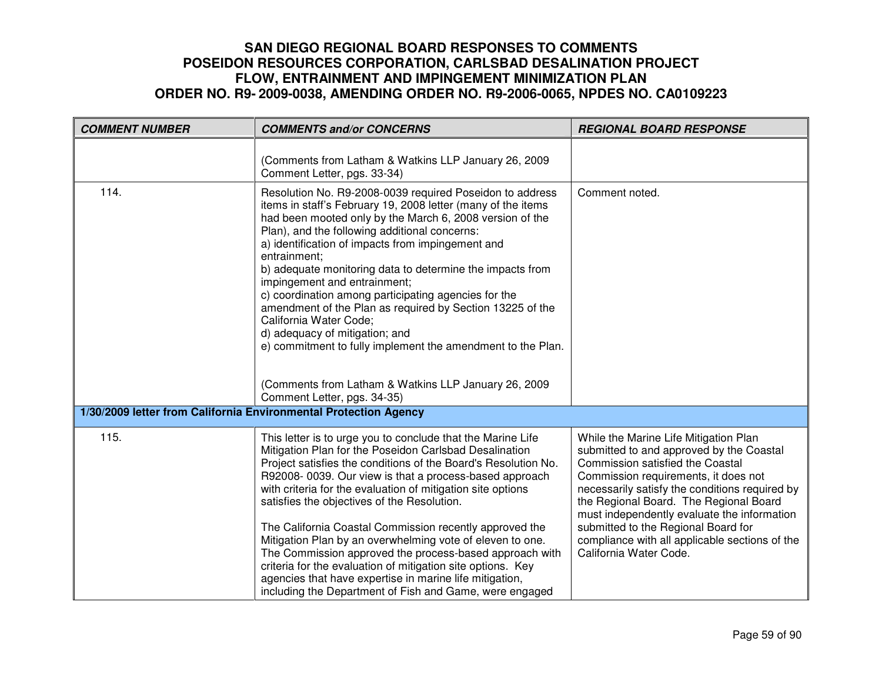| <b>COMMENT NUMBER</b>                                            | <b>COMMENTS and/or CONCERNS</b>                                                                                                                                                                                                                                                                                                                                                                                                                                                                                                                                                                                                                                                                                                                | <b>REGIONAL BOARD RESPONSE</b>                                                                                                                                                                                                                                                                                                                                                                                              |
|------------------------------------------------------------------|------------------------------------------------------------------------------------------------------------------------------------------------------------------------------------------------------------------------------------------------------------------------------------------------------------------------------------------------------------------------------------------------------------------------------------------------------------------------------------------------------------------------------------------------------------------------------------------------------------------------------------------------------------------------------------------------------------------------------------------------|-----------------------------------------------------------------------------------------------------------------------------------------------------------------------------------------------------------------------------------------------------------------------------------------------------------------------------------------------------------------------------------------------------------------------------|
|                                                                  | (Comments from Latham & Watkins LLP January 26, 2009<br>Comment Letter, pgs. 33-34)                                                                                                                                                                                                                                                                                                                                                                                                                                                                                                                                                                                                                                                            |                                                                                                                                                                                                                                                                                                                                                                                                                             |
| 114.                                                             | Resolution No. R9-2008-0039 required Poseidon to address<br>items in staff's February 19, 2008 letter (many of the items<br>had been mooted only by the March 6, 2008 version of the<br>Plan), and the following additional concerns:<br>a) identification of impacts from impingement and<br>entrainment;<br>b) adequate monitoring data to determine the impacts from<br>impingement and entrainment;<br>c) coordination among participating agencies for the<br>amendment of the Plan as required by Section 13225 of the<br>California Water Code;<br>d) adequacy of mitigation; and<br>e) commitment to fully implement the amendment to the Plan.<br>(Comments from Latham & Watkins LLP January 26, 2009<br>Comment Letter, pgs. 34-35) | Comment noted.                                                                                                                                                                                                                                                                                                                                                                                                              |
| 1/30/2009 letter from California Environmental Protection Agency |                                                                                                                                                                                                                                                                                                                                                                                                                                                                                                                                                                                                                                                                                                                                                |                                                                                                                                                                                                                                                                                                                                                                                                                             |
| 115.                                                             | This letter is to urge you to conclude that the Marine Life<br>Mitigation Plan for the Poseidon Carlsbad Desalination<br>Project satisfies the conditions of the Board's Resolution No.<br>R92008-0039. Our view is that a process-based approach<br>with criteria for the evaluation of mitigation site options<br>satisfies the objectives of the Resolution.<br>The California Coastal Commission recently approved the<br>Mitigation Plan by an overwhelming vote of eleven to one.<br>The Commission approved the process-based approach with<br>criteria for the evaluation of mitigation site options. Key<br>agencies that have expertise in marine life mitigation,<br>including the Department of Fish and Game, were engaged        | While the Marine Life Mitigation Plan<br>submitted to and approved by the Coastal<br>Commission satisfied the Coastal<br>Commission requirements, it does not<br>necessarily satisfy the conditions required by<br>the Regional Board. The Regional Board<br>must independently evaluate the information<br>submitted to the Regional Board for<br>compliance with all applicable sections of the<br>California Water Code. |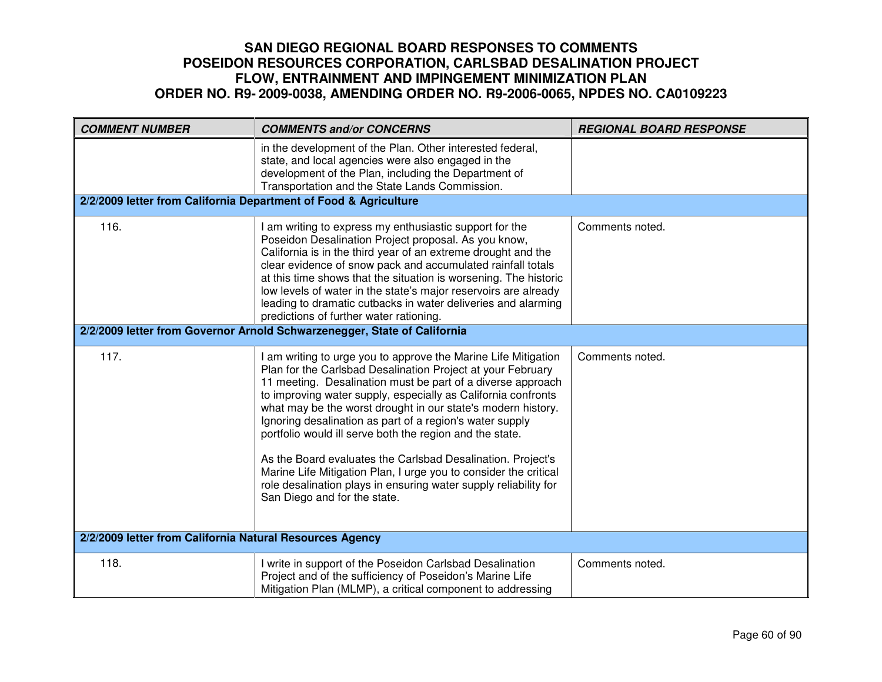| <b>COMMENT NUMBER</b>                                            | <b>COMMENTS and/or CONCERNS</b>                                                                                                                                                                                                                                                                                                                                                                                                                                                                                                                                                                                                                                                              | <b>REGIONAL BOARD RESPONSE</b> |  |
|------------------------------------------------------------------|----------------------------------------------------------------------------------------------------------------------------------------------------------------------------------------------------------------------------------------------------------------------------------------------------------------------------------------------------------------------------------------------------------------------------------------------------------------------------------------------------------------------------------------------------------------------------------------------------------------------------------------------------------------------------------------------|--------------------------------|--|
| 2/2/2009 letter from California Department of Food & Agriculture | in the development of the Plan. Other interested federal,<br>state, and local agencies were also engaged in the<br>development of the Plan, including the Department of<br>Transportation and the State Lands Commission.                                                                                                                                                                                                                                                                                                                                                                                                                                                                    |                                |  |
|                                                                  |                                                                                                                                                                                                                                                                                                                                                                                                                                                                                                                                                                                                                                                                                              |                                |  |
| 116.                                                             | I am writing to express my enthusiastic support for the<br>Poseidon Desalination Project proposal. As you know,<br>California is in the third year of an extreme drought and the<br>clear evidence of snow pack and accumulated rainfall totals<br>at this time shows that the situation is worsening. The historic<br>low levels of water in the state's major reservoirs are already<br>leading to dramatic cutbacks in water deliveries and alarming<br>predictions of further water rationing.                                                                                                                                                                                           | Comments noted.                |  |
|                                                                  | 2/2/2009 letter from Governor Arnold Schwarzenegger, State of California                                                                                                                                                                                                                                                                                                                                                                                                                                                                                                                                                                                                                     |                                |  |
| 117.                                                             | I am writing to urge you to approve the Marine Life Mitigation<br>Plan for the Carlsbad Desalination Project at your February<br>11 meeting. Desalination must be part of a diverse approach<br>to improving water supply, especially as California confronts<br>what may be the worst drought in our state's modern history.<br>Ignoring desalination as part of a region's water supply<br>portfolio would ill serve both the region and the state.<br>As the Board evaluates the Carlsbad Desalination. Project's<br>Marine Life Mitigation Plan, I urge you to consider the critical<br>role desalination plays in ensuring water supply reliability for<br>San Diego and for the state. | Comments noted.                |  |
| 2/2/2009 letter from California Natural Resources Agency         |                                                                                                                                                                                                                                                                                                                                                                                                                                                                                                                                                                                                                                                                                              |                                |  |
| 118.                                                             | I write in support of the Poseidon Carlsbad Desalination<br>Project and of the sufficiency of Poseidon's Marine Life<br>Mitigation Plan (MLMP), a critical component to addressing                                                                                                                                                                                                                                                                                                                                                                                                                                                                                                           | Comments noted.                |  |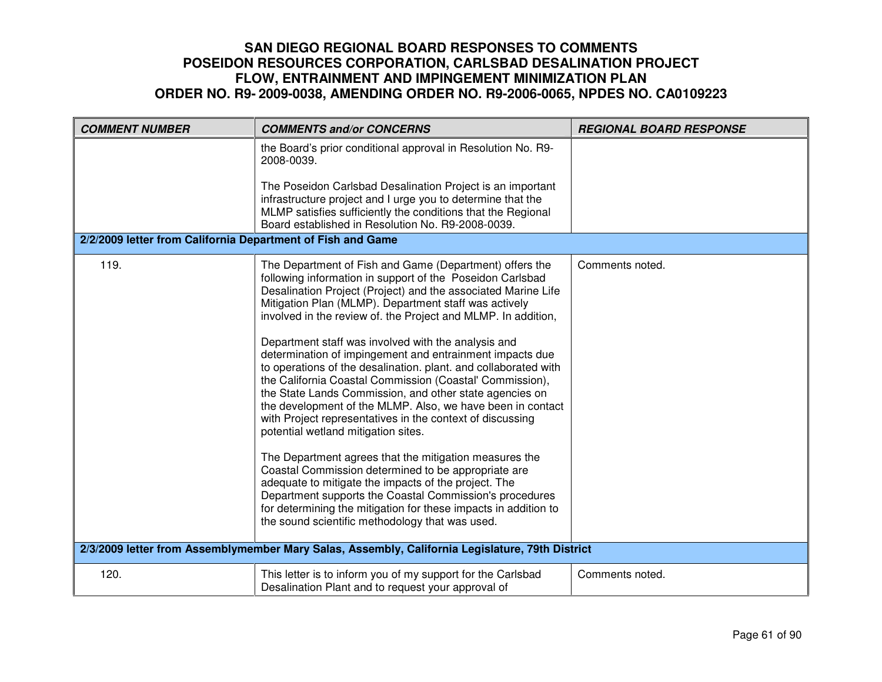| <b>COMMENT NUMBER</b>                                       | <b>COMMENTS and/or CONCERNS</b>                                                                                                                                                                                                                                                                                                                                                                                                                                                                                                                                                                                                                                                                                                                                                                                                                                                                                                                                                                                                                                                                                                                          | <b>REGIONAL BOARD RESPONSE</b> |
|-------------------------------------------------------------|----------------------------------------------------------------------------------------------------------------------------------------------------------------------------------------------------------------------------------------------------------------------------------------------------------------------------------------------------------------------------------------------------------------------------------------------------------------------------------------------------------------------------------------------------------------------------------------------------------------------------------------------------------------------------------------------------------------------------------------------------------------------------------------------------------------------------------------------------------------------------------------------------------------------------------------------------------------------------------------------------------------------------------------------------------------------------------------------------------------------------------------------------------|--------------------------------|
|                                                             | the Board's prior conditional approval in Resolution No. R9-<br>2008-0039.<br>The Poseidon Carlsbad Desalination Project is an important                                                                                                                                                                                                                                                                                                                                                                                                                                                                                                                                                                                                                                                                                                                                                                                                                                                                                                                                                                                                                 |                                |
|                                                             | infrastructure project and I urge you to determine that the<br>MLMP satisfies sufficiently the conditions that the Regional<br>Board established in Resolution No. R9-2008-0039.                                                                                                                                                                                                                                                                                                                                                                                                                                                                                                                                                                                                                                                                                                                                                                                                                                                                                                                                                                         |                                |
| 2/2/2009 letter from California Department of Fish and Game |                                                                                                                                                                                                                                                                                                                                                                                                                                                                                                                                                                                                                                                                                                                                                                                                                                                                                                                                                                                                                                                                                                                                                          |                                |
| 119.                                                        | The Department of Fish and Game (Department) offers the<br>following information in support of the Poseidon Carlsbad<br>Desalination Project (Project) and the associated Marine Life<br>Mitigation Plan (MLMP). Department staff was actively<br>involved in the review of. the Project and MLMP. In addition,<br>Department staff was involved with the analysis and<br>determination of impingement and entrainment impacts due<br>to operations of the desalination. plant. and collaborated with<br>the California Coastal Commission (Coastal' Commission),<br>the State Lands Commission, and other state agencies on<br>the development of the MLMP. Also, we have been in contact<br>with Project representatives in the context of discussing<br>potential wetland mitigation sites.<br>The Department agrees that the mitigation measures the<br>Coastal Commission determined to be appropriate are<br>adequate to mitigate the impacts of the project. The<br>Department supports the Coastal Commission's procedures<br>for determining the mitigation for these impacts in addition to<br>the sound scientific methodology that was used. | Comments noted.                |
|                                                             | 2/3/2009 letter from Assemblymember Mary Salas, Assembly, California Legislature, 79th District                                                                                                                                                                                                                                                                                                                                                                                                                                                                                                                                                                                                                                                                                                                                                                                                                                                                                                                                                                                                                                                          |                                |
| 120.                                                        | This letter is to inform you of my support for the Carlsbad<br>Desalination Plant and to request your approval of                                                                                                                                                                                                                                                                                                                                                                                                                                                                                                                                                                                                                                                                                                                                                                                                                                                                                                                                                                                                                                        | Comments noted.                |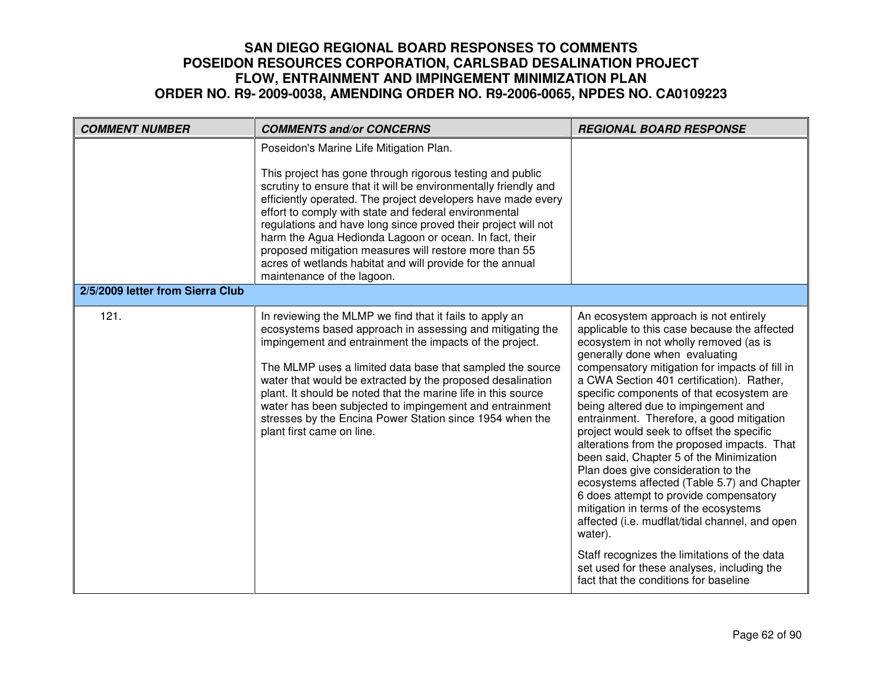| <b>COMMENT NUMBER</b>            | <b>COMMENTS and/or CONCERNS</b>                                                                                                                                                                                                                                                                                                                                                                                                                                                                                                                                                  | <b>REGIONAL BOARD RESPONSE</b>                                                                                                                                                                                                                                                                                                                                                                                                                                                                                                                                                                                                                                                                                                                                                                                                                                                                                          |
|----------------------------------|----------------------------------------------------------------------------------------------------------------------------------------------------------------------------------------------------------------------------------------------------------------------------------------------------------------------------------------------------------------------------------------------------------------------------------------------------------------------------------------------------------------------------------------------------------------------------------|-------------------------------------------------------------------------------------------------------------------------------------------------------------------------------------------------------------------------------------------------------------------------------------------------------------------------------------------------------------------------------------------------------------------------------------------------------------------------------------------------------------------------------------------------------------------------------------------------------------------------------------------------------------------------------------------------------------------------------------------------------------------------------------------------------------------------------------------------------------------------------------------------------------------------|
|                                  | Poseidon's Marine Life Mitigation Plan.<br>This project has gone through rigorous testing and public<br>scrutiny to ensure that it will be environmentally friendly and<br>efficiently operated. The project developers have made every<br>effort to comply with state and federal environmental<br>regulations and have long since proved their project will not<br>harm the Agua Hedionda Lagoon or ocean. In fact, their<br>proposed mitigation measures will restore more than 55<br>acres of wetlands habitat and will provide for the annual<br>maintenance of the lagoon. |                                                                                                                                                                                                                                                                                                                                                                                                                                                                                                                                                                                                                                                                                                                                                                                                                                                                                                                         |
| 2/5/2009 letter from Sierra Club |                                                                                                                                                                                                                                                                                                                                                                                                                                                                                                                                                                                  |                                                                                                                                                                                                                                                                                                                                                                                                                                                                                                                                                                                                                                                                                                                                                                                                                                                                                                                         |
| 121.                             | In reviewing the MLMP we find that it fails to apply an<br>ecosystems based approach in assessing and mitigating the<br>impingement and entrainment the impacts of the project.<br>The MLMP uses a limited data base that sampled the source<br>water that would be extracted by the proposed desalination<br>plant. It should be noted that the marine life in this source<br>water has been subjected to impingement and entrainment<br>stresses by the Encina Power Station since 1954 when the<br>plant first came on line.                                                  | An ecosystem approach is not entirely<br>applicable to this case because the affected<br>ecosystem in not wholly removed (as is<br>generally done when evaluating<br>compensatory mitigation for impacts of fill in<br>a CWA Section 401 certification). Rather,<br>specific components of that ecosystem are<br>being altered due to impingement and<br>entrainment. Therefore, a good mitigation<br>project would seek to offset the specific<br>alterations from the proposed impacts. That<br>been said, Chapter 5 of the Minimization<br>Plan does give consideration to the<br>ecosystems affected (Table 5.7) and Chapter<br>6 does attempt to provide compensatory<br>mitigation in terms of the ecosystems<br>affected (i.e. mudflat/tidal channel, and open<br>water).<br>Staff recognizes the limitations of the data<br>set used for these analyses, including the<br>fact that the conditions for baseline |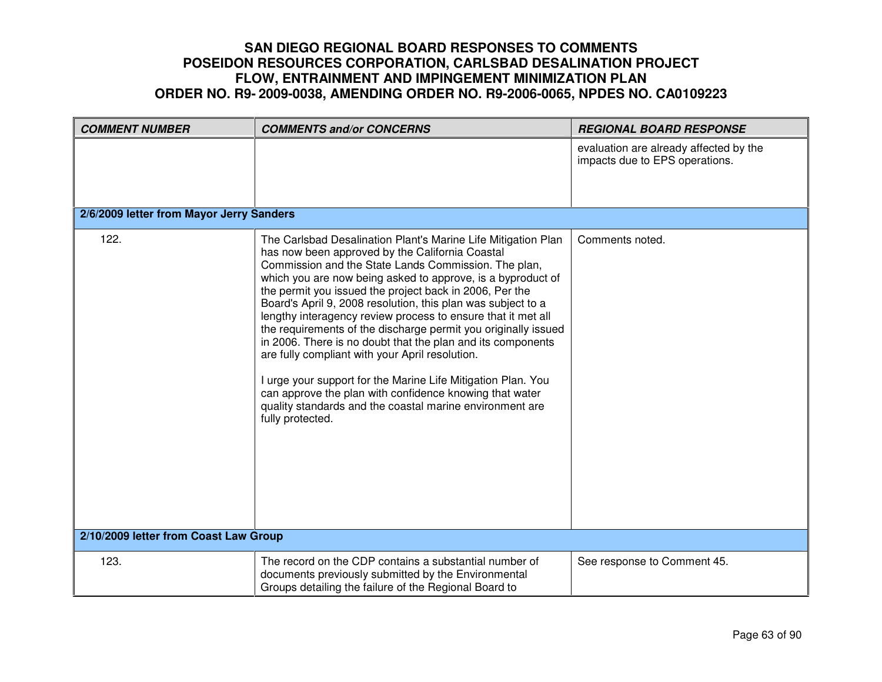| <b>COMMENT NUMBER</b>                    | <b>COMMENTS and/or CONCERNS</b>                                                                                                                                                                                                                                                                                                                                                                                                                                                                                                                                                                                                                                                                                                                                                                                                   | <b>REGIONAL BOARD RESPONSE</b>                                           |
|------------------------------------------|-----------------------------------------------------------------------------------------------------------------------------------------------------------------------------------------------------------------------------------------------------------------------------------------------------------------------------------------------------------------------------------------------------------------------------------------------------------------------------------------------------------------------------------------------------------------------------------------------------------------------------------------------------------------------------------------------------------------------------------------------------------------------------------------------------------------------------------|--------------------------------------------------------------------------|
|                                          |                                                                                                                                                                                                                                                                                                                                                                                                                                                                                                                                                                                                                                                                                                                                                                                                                                   | evaluation are already affected by the<br>impacts due to EPS operations. |
| 2/6/2009 letter from Mayor Jerry Sanders |                                                                                                                                                                                                                                                                                                                                                                                                                                                                                                                                                                                                                                                                                                                                                                                                                                   |                                                                          |
| 122.                                     | The Carlsbad Desalination Plant's Marine Life Mitigation Plan<br>has now been approved by the California Coastal<br>Commission and the State Lands Commission. The plan,<br>which you are now being asked to approve, is a byproduct of<br>the permit you issued the project back in 2006, Per the<br>Board's April 9, 2008 resolution, this plan was subject to a<br>lengthy interagency review process to ensure that it met all<br>the requirements of the discharge permit you originally issued<br>in 2006. There is no doubt that the plan and its components<br>are fully compliant with your April resolution.<br>I urge your support for the Marine Life Mitigation Plan. You<br>can approve the plan with confidence knowing that water<br>quality standards and the coastal marine environment are<br>fully protected. | Comments noted.                                                          |
| 2/10/2009 letter from Coast Law Group    |                                                                                                                                                                                                                                                                                                                                                                                                                                                                                                                                                                                                                                                                                                                                                                                                                                   |                                                                          |
| 123.                                     | The record on the CDP contains a substantial number of<br>documents previously submitted by the Environmental<br>Groups detailing the failure of the Regional Board to                                                                                                                                                                                                                                                                                                                                                                                                                                                                                                                                                                                                                                                            | See response to Comment 45.                                              |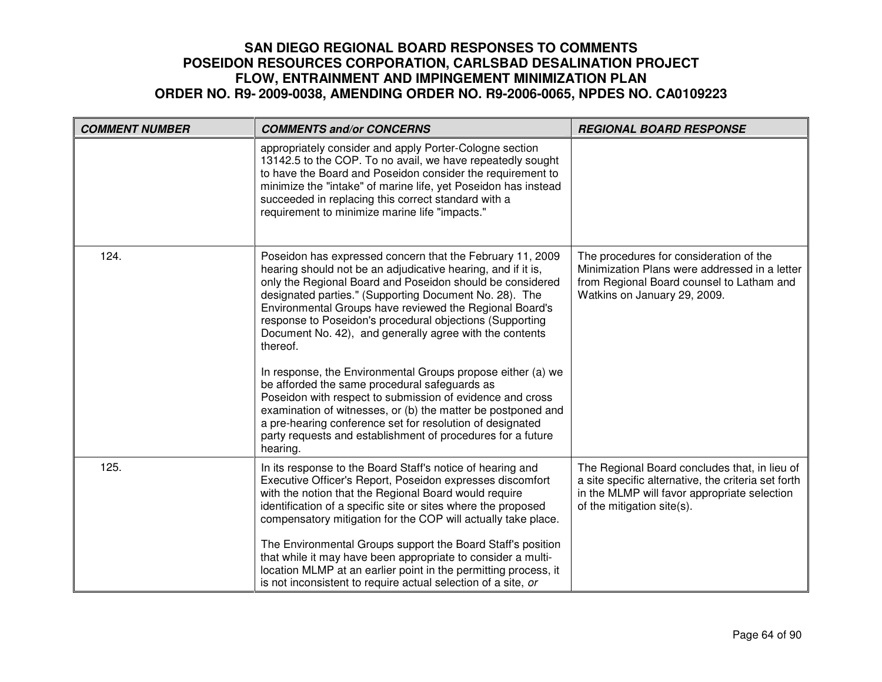| <b>COMMENT NUMBER</b> | <b>COMMENTS and/or CONCERNS</b>                                                                                                                                                                                                                                                                                                                                                                                                                                                                                                                                                                                                                                                                                                                                                                                                     | <b>REGIONAL BOARD RESPONSE</b>                                                                                                                                                     |
|-----------------------|-------------------------------------------------------------------------------------------------------------------------------------------------------------------------------------------------------------------------------------------------------------------------------------------------------------------------------------------------------------------------------------------------------------------------------------------------------------------------------------------------------------------------------------------------------------------------------------------------------------------------------------------------------------------------------------------------------------------------------------------------------------------------------------------------------------------------------------|------------------------------------------------------------------------------------------------------------------------------------------------------------------------------------|
|                       | appropriately consider and apply Porter-Cologne section<br>13142.5 to the COP. To no avail, we have repeatedly sought<br>to have the Board and Poseidon consider the requirement to<br>minimize the "intake" of marine life, yet Poseidon has instead<br>succeeded in replacing this correct standard with a<br>requirement to minimize marine life "impacts."                                                                                                                                                                                                                                                                                                                                                                                                                                                                      |                                                                                                                                                                                    |
| 124.                  | Poseidon has expressed concern that the February 11, 2009<br>hearing should not be an adjudicative hearing, and if it is,<br>only the Regional Board and Poseidon should be considered<br>designated parties." (Supporting Document No. 28). The<br>Environmental Groups have reviewed the Regional Board's<br>response to Poseidon's procedural objections (Supporting<br>Document No. 42), and generally agree with the contents<br>thereof.<br>In response, the Environmental Groups propose either (a) we<br>be afforded the same procedural safeguards as<br>Poseidon with respect to submission of evidence and cross<br>examination of witnesses, or (b) the matter be postponed and<br>a pre-hearing conference set for resolution of designated<br>party requests and establishment of procedures for a future<br>hearing. | The procedures for consideration of the<br>Minimization Plans were addressed in a letter<br>from Regional Board counsel to Latham and<br>Watkins on January 29, 2009.              |
| 125.                  | In its response to the Board Staff's notice of hearing and<br>Executive Officer's Report, Poseidon expresses discomfort<br>with the notion that the Regional Board would require<br>identification of a specific site or sites where the proposed<br>compensatory mitigation for the COP will actually take place.<br>The Environmental Groups support the Board Staff's position<br>that while it may have been appropriate to consider a multi-<br>location MLMP at an earlier point in the permitting process, it<br>is not inconsistent to require actual selection of a site, or                                                                                                                                                                                                                                               | The Regional Board concludes that, in lieu of<br>a site specific alternative, the criteria set forth<br>in the MLMP will favor appropriate selection<br>of the mitigation site(s). |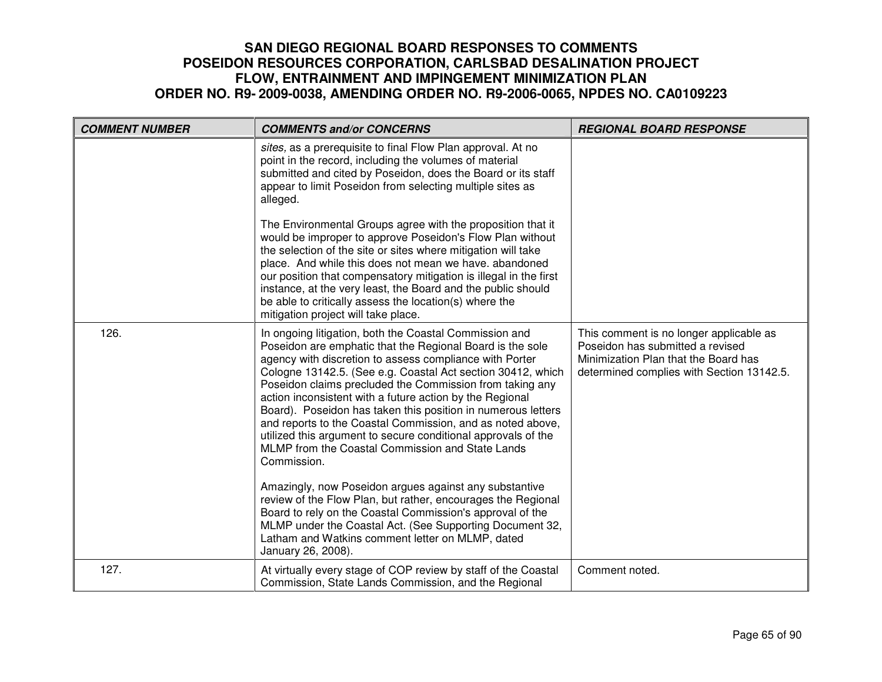| <b>COMMENT NUMBER</b> | <b>COMMENTS and/or CONCERNS</b>                                                                                                                                                                                                                                                                                                                                                                                                                                                                                                                                                                                                                                                                   | <b>REGIONAL BOARD RESPONSE</b>                                                                                                                                   |
|-----------------------|---------------------------------------------------------------------------------------------------------------------------------------------------------------------------------------------------------------------------------------------------------------------------------------------------------------------------------------------------------------------------------------------------------------------------------------------------------------------------------------------------------------------------------------------------------------------------------------------------------------------------------------------------------------------------------------------------|------------------------------------------------------------------------------------------------------------------------------------------------------------------|
|                       | sites, as a prerequisite to final Flow Plan approval. At no<br>point in the record, including the volumes of material<br>submitted and cited by Poseidon, does the Board or its staff<br>appear to limit Poseidon from selecting multiple sites as<br>alleged.                                                                                                                                                                                                                                                                                                                                                                                                                                    |                                                                                                                                                                  |
|                       | The Environmental Groups agree with the proposition that it<br>would be improper to approve Poseidon's Flow Plan without<br>the selection of the site or sites where mitigation will take<br>place. And while this does not mean we have. abandoned<br>our position that compensatory mitigation is illegal in the first<br>instance, at the very least, the Board and the public should<br>be able to critically assess the location(s) where the<br>mitigation project will take place.                                                                                                                                                                                                         |                                                                                                                                                                  |
| 126.                  | In ongoing litigation, both the Coastal Commission and<br>Poseidon are emphatic that the Regional Board is the sole<br>agency with discretion to assess compliance with Porter<br>Cologne 13142.5. (See e.g. Coastal Act section 30412, which<br>Poseidon claims precluded the Commission from taking any<br>action inconsistent with a future action by the Regional<br>Board). Poseidon has taken this position in numerous letters<br>and reports to the Coastal Commission, and as noted above,<br>utilized this argument to secure conditional approvals of the<br>MLMP from the Coastal Commission and State Lands<br>Commission.<br>Amazingly, now Poseidon argues against any substantive | This comment is no longer applicable as<br>Poseidon has submitted a revised<br>Minimization Plan that the Board has<br>determined complies with Section 13142.5. |
|                       | review of the Flow Plan, but rather, encourages the Regional<br>Board to rely on the Coastal Commission's approval of the<br>MLMP under the Coastal Act. (See Supporting Document 32,<br>Latham and Watkins comment letter on MLMP, dated<br>January 26, 2008).                                                                                                                                                                                                                                                                                                                                                                                                                                   |                                                                                                                                                                  |
| 127.                  | At virtually every stage of COP review by staff of the Coastal<br>Commission, State Lands Commission, and the Regional                                                                                                                                                                                                                                                                                                                                                                                                                                                                                                                                                                            | Comment noted.                                                                                                                                                   |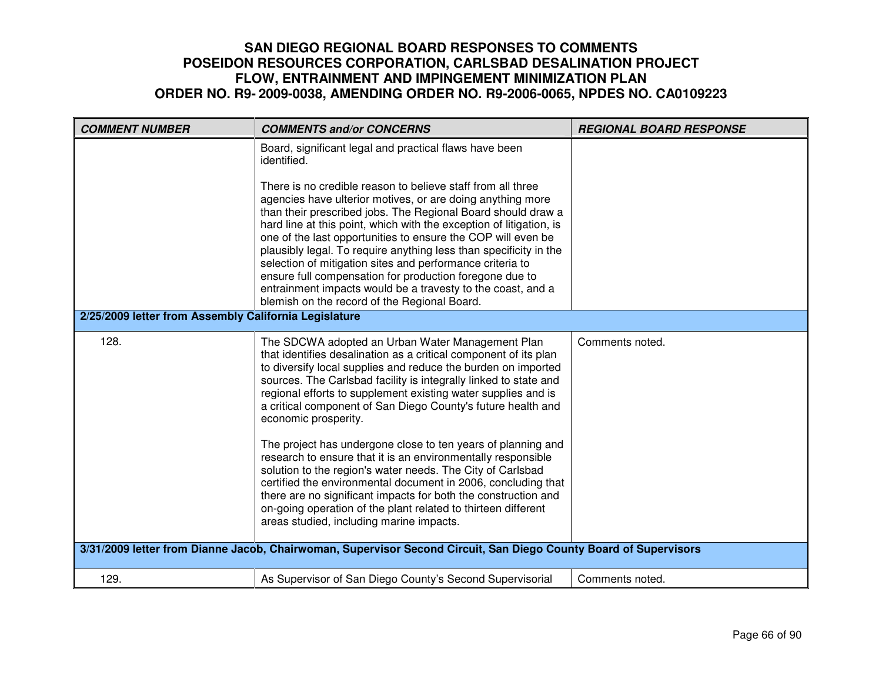| <b>COMMENT NUMBER</b>                                 | <b>COMMENTS and/or CONCERNS</b>                                                                                                                                                                                                                                                                                                                                                                                                                                                                                                                                                                                                                                                                                                                                                                                                                                  | <b>REGIONAL BOARD RESPONSE</b> |
|-------------------------------------------------------|------------------------------------------------------------------------------------------------------------------------------------------------------------------------------------------------------------------------------------------------------------------------------------------------------------------------------------------------------------------------------------------------------------------------------------------------------------------------------------------------------------------------------------------------------------------------------------------------------------------------------------------------------------------------------------------------------------------------------------------------------------------------------------------------------------------------------------------------------------------|--------------------------------|
|                                                       | Board, significant legal and practical flaws have been<br>identified.                                                                                                                                                                                                                                                                                                                                                                                                                                                                                                                                                                                                                                                                                                                                                                                            |                                |
|                                                       | There is no credible reason to believe staff from all three<br>agencies have ulterior motives, or are doing anything more<br>than their prescribed jobs. The Regional Board should draw a<br>hard line at this point, which with the exception of litigation, is<br>one of the last opportunities to ensure the COP will even be<br>plausibly legal. To require anything less than specificity in the<br>selection of mitigation sites and performance criteria to<br>ensure full compensation for production foregone due to<br>entrainment impacts would be a travesty to the coast, and a<br>blemish on the record of the Regional Board.                                                                                                                                                                                                                     |                                |
| 2/25/2009 letter from Assembly California Legislature |                                                                                                                                                                                                                                                                                                                                                                                                                                                                                                                                                                                                                                                                                                                                                                                                                                                                  |                                |
| 128.                                                  | The SDCWA adopted an Urban Water Management Plan<br>that identifies desalination as a critical component of its plan<br>to diversify local supplies and reduce the burden on imported<br>sources. The Carlsbad facility is integrally linked to state and<br>regional efforts to supplement existing water supplies and is<br>a critical component of San Diego County's future health and<br>economic prosperity.<br>The project has undergone close to ten years of planning and<br>research to ensure that it is an environmentally responsible<br>solution to the region's water needs. The City of Carlsbad<br>certified the environmental document in 2006, concluding that<br>there are no significant impacts for both the construction and<br>on-going operation of the plant related to thirteen different<br>areas studied, including marine impacts. | Comments noted.                |
|                                                       | 3/31/2009 letter from Dianne Jacob, Chairwoman, Supervisor Second Circuit, San Diego County Board of Supervisors                                                                                                                                                                                                                                                                                                                                                                                                                                                                                                                                                                                                                                                                                                                                                 |                                |
| 129.                                                  | As Supervisor of San Diego County's Second Supervisorial                                                                                                                                                                                                                                                                                                                                                                                                                                                                                                                                                                                                                                                                                                                                                                                                         | Comments noted.                |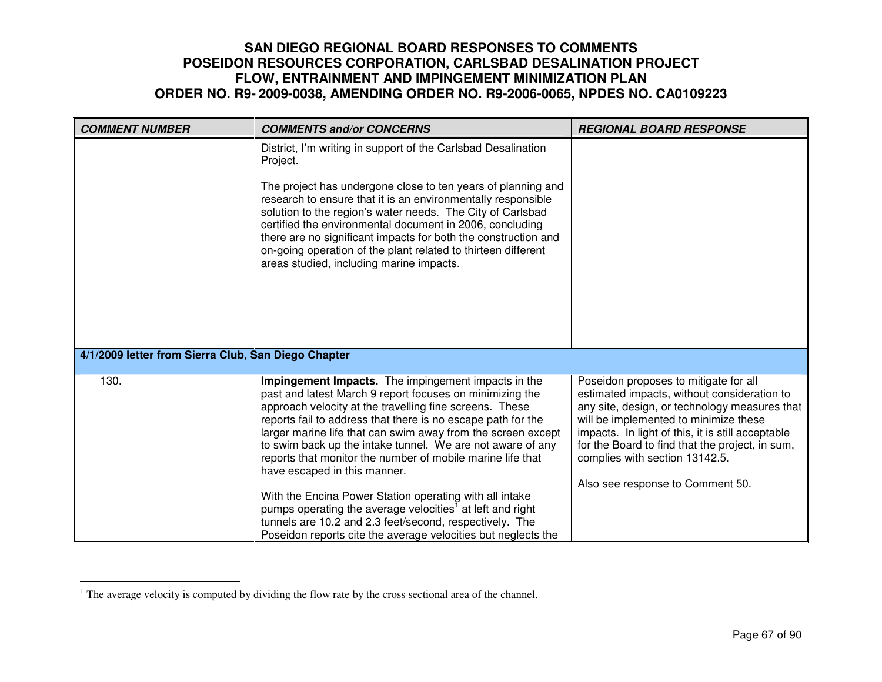| <b>COMMENT NUMBER</b>                               | <b>COMMENTS and/or CONCERNS</b>                                                                                                                                                                                                                                                                                                                                                                                                                                                                                                   | <b>REGIONAL BOARD RESPONSE</b>                                                                                                                                                                                                                                                                                                                               |
|-----------------------------------------------------|-----------------------------------------------------------------------------------------------------------------------------------------------------------------------------------------------------------------------------------------------------------------------------------------------------------------------------------------------------------------------------------------------------------------------------------------------------------------------------------------------------------------------------------|--------------------------------------------------------------------------------------------------------------------------------------------------------------------------------------------------------------------------------------------------------------------------------------------------------------------------------------------------------------|
|                                                     | District, I'm writing in support of the Carlsbad Desalination<br>Project.                                                                                                                                                                                                                                                                                                                                                                                                                                                         |                                                                                                                                                                                                                                                                                                                                                              |
|                                                     | The project has undergone close to ten years of planning and<br>research to ensure that it is an environmentally responsible<br>solution to the region's water needs. The City of Carlsbad<br>certified the environmental document in 2006, concluding<br>there are no significant impacts for both the construction and<br>on-going operation of the plant related to thirteen different<br>areas studied, including marine impacts.                                                                                             |                                                                                                                                                                                                                                                                                                                                                              |
| 4/1/2009 letter from Sierra Club, San Diego Chapter |                                                                                                                                                                                                                                                                                                                                                                                                                                                                                                                                   |                                                                                                                                                                                                                                                                                                                                                              |
| 130.                                                | Impingement Impacts. The impingement impacts in the<br>past and latest March 9 report focuses on minimizing the<br>approach velocity at the travelling fine screens. These<br>reports fail to address that there is no escape path for the<br>larger marine life that can swim away from the screen except<br>to swim back up the intake tunnel. We are not aware of any<br>reports that monitor the number of mobile marine life that<br>have escaped in this manner.<br>With the Encina Power Station operating with all intake | Poseidon proposes to mitigate for all<br>estimated impacts, without consideration to<br>any site, design, or technology measures that<br>will be implemented to minimize these<br>impacts. In light of this, it is still acceptable<br>for the Board to find that the project, in sum,<br>complies with section 13142.5.<br>Also see response to Comment 50. |
|                                                     | pumps operating the average velocities <sup>1</sup> at left and right<br>tunnels are 10.2 and 2.3 feet/second, respectively. The<br>Poseidon reports cite the average velocities but neglects the                                                                                                                                                                                                                                                                                                                                 |                                                                                                                                                                                                                                                                                                                                                              |

<sup>&</sup>lt;sup>1</sup> The average velocity is computed by dividing the flow rate by the cross sectional area of the channel.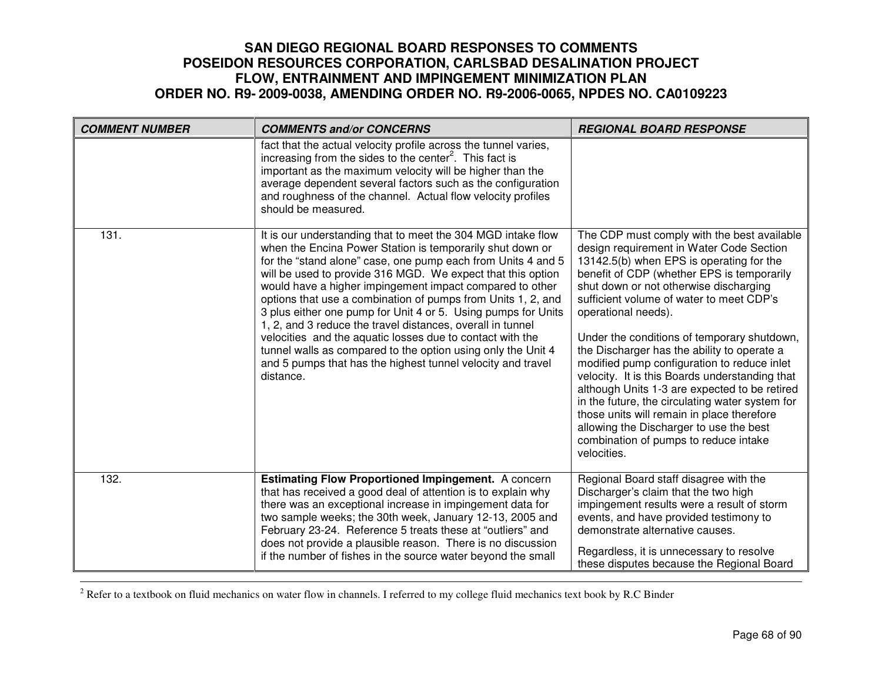| <b>COMMENT NUMBER</b> | <b>COMMENTS and/or CONCERNS</b>                                                                                                                                                                                                                                                                                                                                                                                                                                                                                                                                                                                                                                                                                              | <b>REGIONAL BOARD RESPONSE</b>                                                                                                                                                                                                                                                                                                                                                                                                                                                                                                                                                                                                                                                                                                                     |
|-----------------------|------------------------------------------------------------------------------------------------------------------------------------------------------------------------------------------------------------------------------------------------------------------------------------------------------------------------------------------------------------------------------------------------------------------------------------------------------------------------------------------------------------------------------------------------------------------------------------------------------------------------------------------------------------------------------------------------------------------------------|----------------------------------------------------------------------------------------------------------------------------------------------------------------------------------------------------------------------------------------------------------------------------------------------------------------------------------------------------------------------------------------------------------------------------------------------------------------------------------------------------------------------------------------------------------------------------------------------------------------------------------------------------------------------------------------------------------------------------------------------------|
|                       | fact that the actual velocity profile across the tunnel varies,<br>increasing from the sides to the center <sup>2</sup> . This fact is<br>important as the maximum velocity will be higher than the<br>average dependent several factors such as the configuration<br>and roughness of the channel. Actual flow velocity profiles<br>should be measured.                                                                                                                                                                                                                                                                                                                                                                     |                                                                                                                                                                                                                                                                                                                                                                                                                                                                                                                                                                                                                                                                                                                                                    |
| 131.                  | It is our understanding that to meet the 304 MGD intake flow<br>when the Encina Power Station is temporarily shut down or<br>for the "stand alone" case, one pump each from Units 4 and 5<br>will be used to provide 316 MGD. We expect that this option<br>would have a higher impingement impact compared to other<br>options that use a combination of pumps from Units 1, 2, and<br>3 plus either one pump for Unit 4 or 5. Using pumps for Units<br>1, 2, and 3 reduce the travel distances, overall in tunnel<br>velocities and the aquatic losses due to contact with the<br>tunnel walls as compared to the option using only the Unit 4<br>and 5 pumps that has the highest tunnel velocity and travel<br>distance. | The CDP must comply with the best available<br>design requirement in Water Code Section<br>13142.5(b) when EPS is operating for the<br>benefit of CDP (whether EPS is temporarily<br>shut down or not otherwise discharging<br>sufficient volume of water to meet CDP's<br>operational needs).<br>Under the conditions of temporary shutdown,<br>the Discharger has the ability to operate a<br>modified pump configuration to reduce inlet<br>velocity. It is this Boards understanding that<br>although Units 1-3 are expected to be retired<br>in the future, the circulating water system for<br>those units will remain in place therefore<br>allowing the Discharger to use the best<br>combination of pumps to reduce intake<br>velocities. |
| 132.                  | <b>Estimating Flow Proportioned Impingement.</b> A concern<br>that has received a good deal of attention is to explain why<br>there was an exceptional increase in impingement data for<br>two sample weeks; the 30th week, January 12-13, 2005 and<br>February 23-24. Reference 5 treats these at "outliers" and<br>does not provide a plausible reason. There is no discussion<br>if the number of fishes in the source water beyond the small                                                                                                                                                                                                                                                                             | Regional Board staff disagree with the<br>Discharger's claim that the two high<br>impingement results were a result of storm<br>events, and have provided testimony to<br>demonstrate alternative causes.<br>Regardless, it is unnecessary to resolve<br>these disputes because the Regional Board                                                                                                                                                                                                                                                                                                                                                                                                                                                 |

<sup>2</sup> Refer to a textbook on fluid mechanics on water flow in channels. I referred to my college fluid mechanics text book by R.C Binder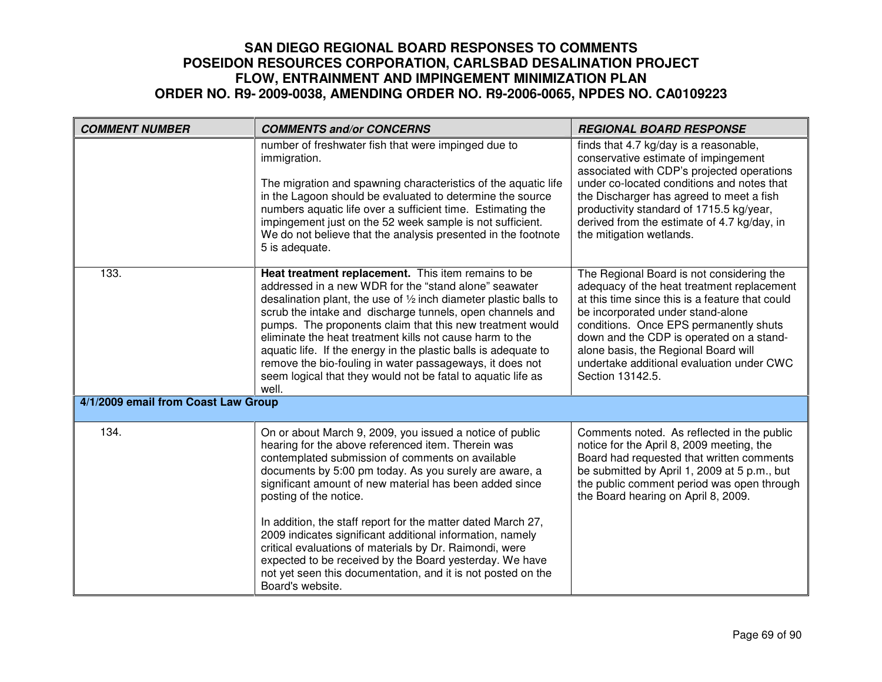| <b>COMMENT NUMBER</b>               | <b>COMMENTS and/or CONCERNS</b>                                                                                                                                                                                                                                                                                                                                                                                                                                                                                                                                                                                                                          | <b>REGIONAL BOARD RESPONSE</b>                                                                                                                                                                                                                                                                                                                                                 |
|-------------------------------------|----------------------------------------------------------------------------------------------------------------------------------------------------------------------------------------------------------------------------------------------------------------------------------------------------------------------------------------------------------------------------------------------------------------------------------------------------------------------------------------------------------------------------------------------------------------------------------------------------------------------------------------------------------|--------------------------------------------------------------------------------------------------------------------------------------------------------------------------------------------------------------------------------------------------------------------------------------------------------------------------------------------------------------------------------|
|                                     | number of freshwater fish that were impinged due to<br>immigration.<br>The migration and spawning characteristics of the aquatic life<br>in the Lagoon should be evaluated to determine the source<br>numbers aquatic life over a sufficient time. Estimating the<br>impingement just on the 52 week sample is not sufficient.<br>We do not believe that the analysis presented in the footnote<br>5 is adequate.                                                                                                                                                                                                                                        | finds that 4.7 kg/day is a reasonable,<br>conservative estimate of impingement<br>associated with CDP's projected operations<br>under co-located conditions and notes that<br>the Discharger has agreed to meet a fish<br>productivity standard of 1715.5 kg/year,<br>derived from the estimate of 4.7 kg/day, in<br>the mitigation wetlands.                                  |
| 133.                                | Heat treatment replacement. This item remains to be<br>addressed in a new WDR for the "stand alone" seawater<br>desalination plant, the use of 1/2 inch diameter plastic balls to<br>scrub the intake and discharge tunnels, open channels and<br>pumps. The proponents claim that this new treatment would<br>eliminate the heat treatment kills not cause harm to the<br>aquatic life. If the energy in the plastic balls is adequate to<br>remove the bio-fouling in water passageways, it does not<br>seem logical that they would not be fatal to aquatic life as<br>well.                                                                          | The Regional Board is not considering the<br>adequacy of the heat treatment replacement<br>at this time since this is a feature that could<br>be incorporated under stand-alone<br>conditions. Once EPS permanently shuts<br>down and the CDP is operated on a stand-<br>alone basis, the Regional Board will<br>undertake additional evaluation under CWC<br>Section 13142.5. |
| 4/1/2009 email from Coast Law Group |                                                                                                                                                                                                                                                                                                                                                                                                                                                                                                                                                                                                                                                          |                                                                                                                                                                                                                                                                                                                                                                                |
| 134.                                | On or about March 9, 2009, you issued a notice of public<br>hearing for the above referenced item. Therein was<br>contemplated submission of comments on available<br>documents by 5:00 pm today. As you surely are aware, a<br>significant amount of new material has been added since<br>posting of the notice.<br>In addition, the staff report for the matter dated March 27,<br>2009 indicates significant additional information, namely<br>critical evaluations of materials by Dr. Raimondi, were<br>expected to be received by the Board yesterday. We have<br>not yet seen this documentation, and it is not posted on the<br>Board's website. | Comments noted. As reflected in the public<br>notice for the April 8, 2009 meeting, the<br>Board had requested that written comments<br>be submitted by April 1, 2009 at 5 p.m., but<br>the public comment period was open through<br>the Board hearing on April 8, 2009.                                                                                                      |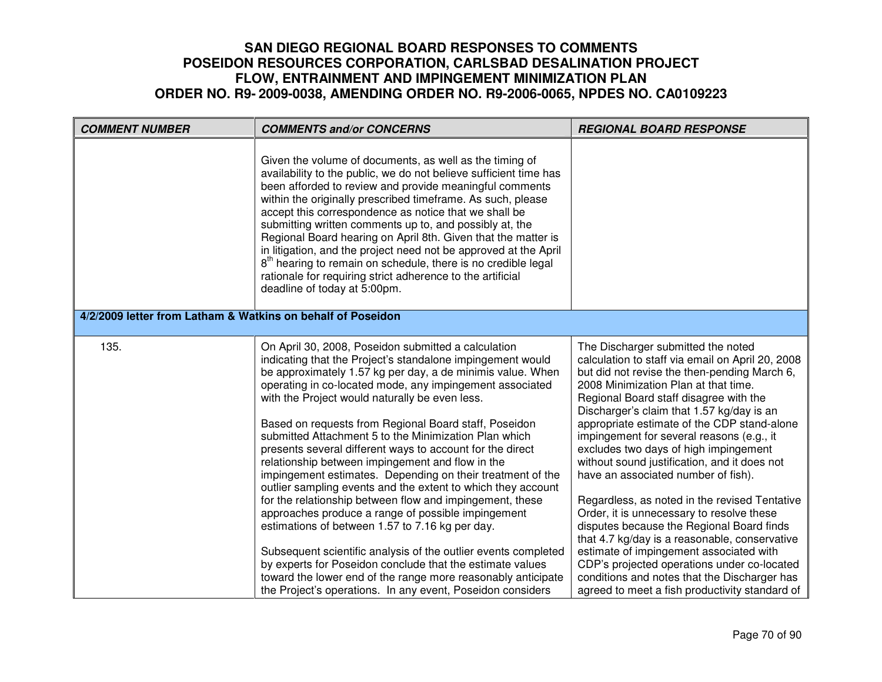| <b>COMMENT NUMBER</b>                                       | <b>COMMENTS and/or CONCERNS</b>                                                                                                                                                                                                                                                                                                                                                                                                                                                                                                                                                                                                                                                                                                                                                                                                                                                                                                                                                                                                                                                                  | <b>REGIONAL BOARD RESPONSE</b>                                                                                                                                                                                                                                                                                                                                                                                                                                                                                                                                                                                                                                                                                                                                                                                                                                                            |
|-------------------------------------------------------------|--------------------------------------------------------------------------------------------------------------------------------------------------------------------------------------------------------------------------------------------------------------------------------------------------------------------------------------------------------------------------------------------------------------------------------------------------------------------------------------------------------------------------------------------------------------------------------------------------------------------------------------------------------------------------------------------------------------------------------------------------------------------------------------------------------------------------------------------------------------------------------------------------------------------------------------------------------------------------------------------------------------------------------------------------------------------------------------------------|-------------------------------------------------------------------------------------------------------------------------------------------------------------------------------------------------------------------------------------------------------------------------------------------------------------------------------------------------------------------------------------------------------------------------------------------------------------------------------------------------------------------------------------------------------------------------------------------------------------------------------------------------------------------------------------------------------------------------------------------------------------------------------------------------------------------------------------------------------------------------------------------|
|                                                             | Given the volume of documents, as well as the timing of<br>availability to the public, we do not believe sufficient time has<br>been afforded to review and provide meaningful comments<br>within the originally prescribed timeframe. As such, please<br>accept this correspondence as notice that we shall be<br>submitting written comments up to, and possibly at, the<br>Regional Board hearing on April 8th. Given that the matter is<br>in litigation, and the project need not be approved at the April<br>8 <sup>th</sup> hearing to remain on schedule, there is no credible legal<br>rationale for requiring strict adherence to the artificial<br>deadline of today at 5:00pm.                                                                                                                                                                                                                                                                                                                                                                                                       |                                                                                                                                                                                                                                                                                                                                                                                                                                                                                                                                                                                                                                                                                                                                                                                                                                                                                           |
| 4/2/2009 letter from Latham & Watkins on behalf of Poseidon |                                                                                                                                                                                                                                                                                                                                                                                                                                                                                                                                                                                                                                                                                                                                                                                                                                                                                                                                                                                                                                                                                                  |                                                                                                                                                                                                                                                                                                                                                                                                                                                                                                                                                                                                                                                                                                                                                                                                                                                                                           |
| 135.                                                        | On April 30, 2008, Poseidon submitted a calculation<br>indicating that the Project's standalone impingement would<br>be approximately 1.57 kg per day, a de minimis value. When<br>operating in co-located mode, any impingement associated<br>with the Project would naturally be even less.<br>Based on requests from Regional Board staff, Poseidon<br>submitted Attachment 5 to the Minimization Plan which<br>presents several different ways to account for the direct<br>relationship between impingement and flow in the<br>impingement estimates. Depending on their treatment of the<br>outlier sampling events and the extent to which they account<br>for the relationship between flow and impingement, these<br>approaches produce a range of possible impingement<br>estimations of between 1.57 to 7.16 kg per day.<br>Subsequent scientific analysis of the outlier events completed<br>by experts for Poseidon conclude that the estimate values<br>toward the lower end of the range more reasonably anticipate<br>the Project's operations. In any event, Poseidon considers | The Discharger submitted the noted<br>calculation to staff via email on April 20, 2008<br>but did not revise the then-pending March 6,<br>2008 Minimization Plan at that time.<br>Regional Board staff disagree with the<br>Discharger's claim that 1.57 kg/day is an<br>appropriate estimate of the CDP stand-alone<br>impingement for several reasons (e.g., it<br>excludes two days of high impingement<br>without sound justification, and it does not<br>have an associated number of fish).<br>Regardless, as noted in the revised Tentative<br>Order, it is unnecessary to resolve these<br>disputes because the Regional Board finds<br>that 4.7 kg/day is a reasonable, conservative<br>estimate of impingement associated with<br>CDP's projected operations under co-located<br>conditions and notes that the Discharger has<br>agreed to meet a fish productivity standard of |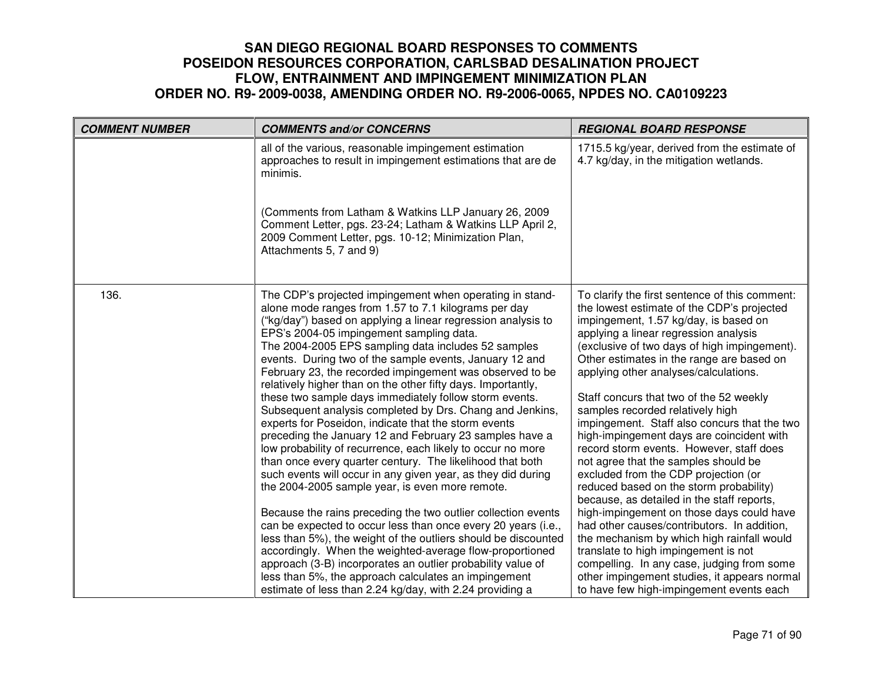| <b>COMMENT NUMBER</b> | <b>COMMENTS and/or CONCERNS</b>                                                                                                                                                                                                                                                                                                                                                                                                                                                                                                                                                                                                                                                                                                                                                                                                                                                                                                                                                                                                                                                                                                                                                                                                                                                                                                                                                                                       | <b>REGIONAL BOARD RESPONSE</b>                                                                                                                                                                                                                                                                                                                                                                                                                                                                                                                                                                                                                                                                                                                                                                                                                                                                                                                                                                                                                    |
|-----------------------|-----------------------------------------------------------------------------------------------------------------------------------------------------------------------------------------------------------------------------------------------------------------------------------------------------------------------------------------------------------------------------------------------------------------------------------------------------------------------------------------------------------------------------------------------------------------------------------------------------------------------------------------------------------------------------------------------------------------------------------------------------------------------------------------------------------------------------------------------------------------------------------------------------------------------------------------------------------------------------------------------------------------------------------------------------------------------------------------------------------------------------------------------------------------------------------------------------------------------------------------------------------------------------------------------------------------------------------------------------------------------------------------------------------------------|---------------------------------------------------------------------------------------------------------------------------------------------------------------------------------------------------------------------------------------------------------------------------------------------------------------------------------------------------------------------------------------------------------------------------------------------------------------------------------------------------------------------------------------------------------------------------------------------------------------------------------------------------------------------------------------------------------------------------------------------------------------------------------------------------------------------------------------------------------------------------------------------------------------------------------------------------------------------------------------------------------------------------------------------------|
|                       | all of the various, reasonable impingement estimation<br>approaches to result in impingement estimations that are de<br>minimis.<br>(Comments from Latham & Watkins LLP January 26, 2009<br>Comment Letter, pgs. 23-24; Latham & Watkins LLP April 2,<br>2009 Comment Letter, pgs. 10-12; Minimization Plan,<br>Attachments 5, 7 and 9)                                                                                                                                                                                                                                                                                                                                                                                                                                                                                                                                                                                                                                                                                                                                                                                                                                                                                                                                                                                                                                                                               | 1715.5 kg/year, derived from the estimate of<br>4.7 kg/day, in the mitigation wetlands.                                                                                                                                                                                                                                                                                                                                                                                                                                                                                                                                                                                                                                                                                                                                                                                                                                                                                                                                                           |
| 136.                  | The CDP's projected impingement when operating in stand-<br>alone mode ranges from 1.57 to 7.1 kilograms per day<br>("kg/day") based on applying a linear regression analysis to<br>EPS's 2004-05 impingement sampling data.<br>The 2004-2005 EPS sampling data includes 52 samples<br>events. During two of the sample events, January 12 and<br>February 23, the recorded impingement was observed to be<br>relatively higher than on the other fifty days. Importantly,<br>these two sample days immediately follow storm events.<br>Subsequent analysis completed by Drs. Chang and Jenkins,<br>experts for Poseidon, indicate that the storm events<br>preceding the January 12 and February 23 samples have a<br>low probability of recurrence, each likely to occur no more<br>than once every quarter century. The likelihood that both<br>such events will occur in any given year, as they did during<br>the 2004-2005 sample year, is even more remote.<br>Because the rains preceding the two outlier collection events<br>can be expected to occur less than once every 20 years (i.e.,<br>less than 5%), the weight of the outliers should be discounted<br>accordingly. When the weighted-average flow-proportioned<br>approach (3-B) incorporates an outlier probability value of<br>less than 5%, the approach calculates an impingement<br>estimate of less than 2.24 kg/day, with 2.24 providing a | To clarify the first sentence of this comment:<br>the lowest estimate of the CDP's projected<br>impingement, 1.57 kg/day, is based on<br>applying a linear regression analysis<br>(exclusive of two days of high impingement).<br>Other estimates in the range are based on<br>applying other analyses/calculations.<br>Staff concurs that two of the 52 weekly<br>samples recorded relatively high<br>impingement. Staff also concurs that the two<br>high-impingement days are coincident with<br>record storm events. However, staff does<br>not agree that the samples should be<br>excluded from the CDP projection (or<br>reduced based on the storm probability)<br>because, as detailed in the staff reports,<br>high-impingement on those days could have<br>had other causes/contributors. In addition,<br>the mechanism by which high rainfall would<br>translate to high impingement is not<br>compelling. In any case, judging from some<br>other impingement studies, it appears normal<br>to have few high-impingement events each |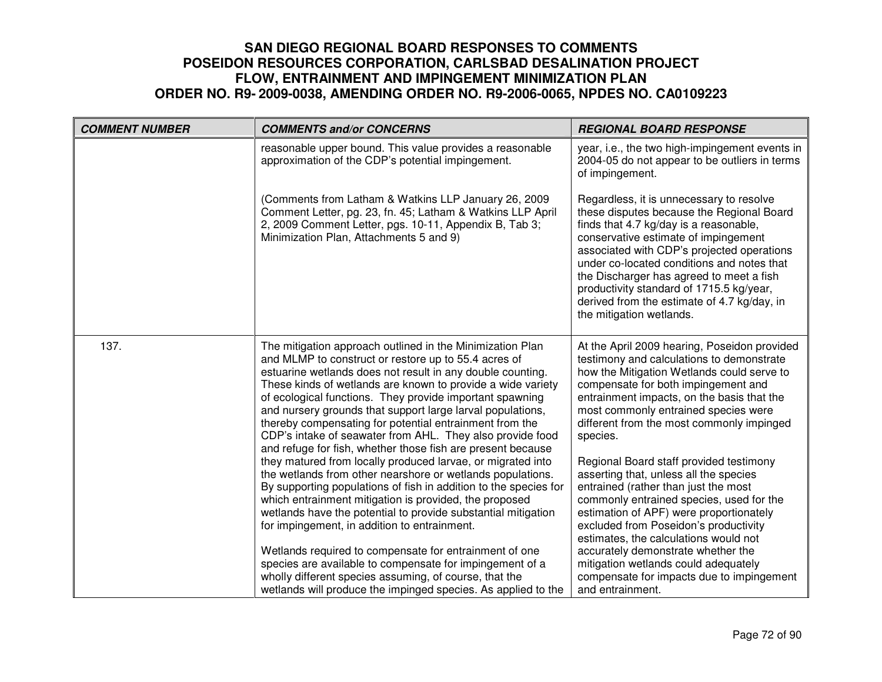| <b>COMMENT NUMBER</b> | <b>COMMENTS and/or CONCERNS</b>                                                                                                                                                                                                                                                                                                                                                                                                                                                                                                                                                                                                                                                                                                                                                                                                                                                                                                                                                                                                                                                                                                                                                              | <b>REGIONAL BOARD RESPONSE</b>                                                                                                                                                                                                                                                                                                                                                                                                                                                                                                                                                                                                                                                                                                                                                     |
|-----------------------|----------------------------------------------------------------------------------------------------------------------------------------------------------------------------------------------------------------------------------------------------------------------------------------------------------------------------------------------------------------------------------------------------------------------------------------------------------------------------------------------------------------------------------------------------------------------------------------------------------------------------------------------------------------------------------------------------------------------------------------------------------------------------------------------------------------------------------------------------------------------------------------------------------------------------------------------------------------------------------------------------------------------------------------------------------------------------------------------------------------------------------------------------------------------------------------------|------------------------------------------------------------------------------------------------------------------------------------------------------------------------------------------------------------------------------------------------------------------------------------------------------------------------------------------------------------------------------------------------------------------------------------------------------------------------------------------------------------------------------------------------------------------------------------------------------------------------------------------------------------------------------------------------------------------------------------------------------------------------------------|
|                       | reasonable upper bound. This value provides a reasonable<br>approximation of the CDP's potential impingement.                                                                                                                                                                                                                                                                                                                                                                                                                                                                                                                                                                                                                                                                                                                                                                                                                                                                                                                                                                                                                                                                                | year, i.e., the two high-impingement events in<br>2004-05 do not appear to be outliers in terms<br>of impingement.                                                                                                                                                                                                                                                                                                                                                                                                                                                                                                                                                                                                                                                                 |
|                       | (Comments from Latham & Watkins LLP January 26, 2009)<br>Comment Letter, pg. 23, fn. 45; Latham & Watkins LLP April<br>2, 2009 Comment Letter, pgs. 10-11, Appendix B, Tab 3;<br>Minimization Plan, Attachments 5 and 9)                                                                                                                                                                                                                                                                                                                                                                                                                                                                                                                                                                                                                                                                                                                                                                                                                                                                                                                                                                     | Regardless, it is unnecessary to resolve<br>these disputes because the Regional Board<br>finds that 4.7 kg/day is a reasonable,<br>conservative estimate of impingement<br>associated with CDP's projected operations<br>under co-located conditions and notes that<br>the Discharger has agreed to meet a fish<br>productivity standard of 1715.5 kg/year,<br>derived from the estimate of 4.7 kg/day, in<br>the mitigation wetlands.                                                                                                                                                                                                                                                                                                                                             |
| 137.                  | The mitigation approach outlined in the Minimization Plan<br>and MLMP to construct or restore up to 55.4 acres of<br>estuarine wetlands does not result in any double counting.<br>These kinds of wetlands are known to provide a wide variety<br>of ecological functions. They provide important spawning<br>and nursery grounds that support large larval populations,<br>thereby compensating for potential entrainment from the<br>CDP's intake of seawater from AHL. They also provide food<br>and refuge for fish, whether those fish are present because<br>they matured from locally produced larvae, or migrated into<br>the wetlands from other nearshore or wetlands populations.<br>By supporting populations of fish in addition to the species for<br>which entrainment mitigation is provided, the proposed<br>wetlands have the potential to provide substantial mitigation<br>for impingement, in addition to entrainment.<br>Wetlands required to compensate for entrainment of one<br>species are available to compensate for impingement of a<br>wholly different species assuming, of course, that the<br>wetlands will produce the impinged species. As applied to the | At the April 2009 hearing, Poseidon provided<br>testimony and calculations to demonstrate<br>how the Mitigation Wetlands could serve to<br>compensate for both impingement and<br>entrainment impacts, on the basis that the<br>most commonly entrained species were<br>different from the most commonly impinged<br>species.<br>Regional Board staff provided testimony<br>asserting that, unless all the species<br>entrained (rather than just the most<br>commonly entrained species, used for the<br>estimation of APF) were proportionately<br>excluded from Poseidon's productivity<br>estimates, the calculations would not<br>accurately demonstrate whether the<br>mitigation wetlands could adequately<br>compensate for impacts due to impingement<br>and entrainment. |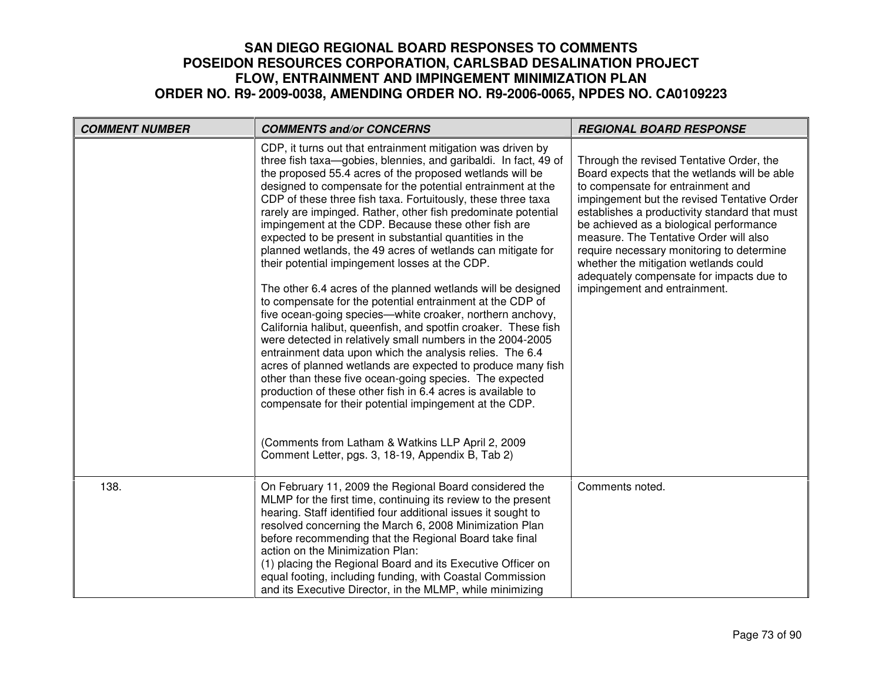| <b>COMMENT NUMBER</b> | <b>COMMENTS and/or CONCERNS</b>                                                                                                                                                                                                                                                                                                                                                                                                                                                                                                                                                                                                                                                                                                                                                                                                                                                                                                                                                                                                                                                                                                                                                                                                                                                                                                                                                   | <b>REGIONAL BOARD RESPONSE</b>                                                                                                                                                                                                                                                                                                                                                                                                                                                       |
|-----------------------|-----------------------------------------------------------------------------------------------------------------------------------------------------------------------------------------------------------------------------------------------------------------------------------------------------------------------------------------------------------------------------------------------------------------------------------------------------------------------------------------------------------------------------------------------------------------------------------------------------------------------------------------------------------------------------------------------------------------------------------------------------------------------------------------------------------------------------------------------------------------------------------------------------------------------------------------------------------------------------------------------------------------------------------------------------------------------------------------------------------------------------------------------------------------------------------------------------------------------------------------------------------------------------------------------------------------------------------------------------------------------------------|--------------------------------------------------------------------------------------------------------------------------------------------------------------------------------------------------------------------------------------------------------------------------------------------------------------------------------------------------------------------------------------------------------------------------------------------------------------------------------------|
|                       | CDP, it turns out that entrainment mitigation was driven by<br>three fish taxa-gobies, blennies, and garibaldi. In fact, 49 of<br>the proposed 55.4 acres of the proposed wetlands will be<br>designed to compensate for the potential entrainment at the<br>CDP of these three fish taxa. Fortuitously, these three taxa<br>rarely are impinged. Rather, other fish predominate potential<br>impingement at the CDP. Because these other fish are<br>expected to be present in substantial quantities in the<br>planned wetlands, the 49 acres of wetlands can mitigate for<br>their potential impingement losses at the CDP.<br>The other 6.4 acres of the planned wetlands will be designed<br>to compensate for the potential entrainment at the CDP of<br>five ocean-going species—white croaker, northern anchovy,<br>California halibut, queenfish, and spotfin croaker. These fish<br>were detected in relatively small numbers in the 2004-2005<br>entrainment data upon which the analysis relies. The 6.4<br>acres of planned wetlands are expected to produce many fish<br>other than these five ocean-going species. The expected<br>production of these other fish in 6.4 acres is available to<br>compensate for their potential impingement at the CDP.<br>(Comments from Latham & Watkins LLP April 2, 2009<br>Comment Letter, pgs. 3, 18-19, Appendix B, Tab 2) | Through the revised Tentative Order, the<br>Board expects that the wetlands will be able<br>to compensate for entrainment and<br>impingement but the revised Tentative Order<br>establishes a productivity standard that must<br>be achieved as a biological performance<br>measure. The Tentative Order will also<br>require necessary monitoring to determine<br>whether the mitigation wetlands could<br>adequately compensate for impacts due to<br>impingement and entrainment. |
| 138.                  | On February 11, 2009 the Regional Board considered the<br>MLMP for the first time, continuing its review to the present<br>hearing. Staff identified four additional issues it sought to<br>resolved concerning the March 6, 2008 Minimization Plan<br>before recommending that the Regional Board take final<br>action on the Minimization Plan:<br>(1) placing the Regional Board and its Executive Officer on<br>equal footing, including funding, with Coastal Commission<br>and its Executive Director, in the MLMP, while minimizing                                                                                                                                                                                                                                                                                                                                                                                                                                                                                                                                                                                                                                                                                                                                                                                                                                        | Comments noted.                                                                                                                                                                                                                                                                                                                                                                                                                                                                      |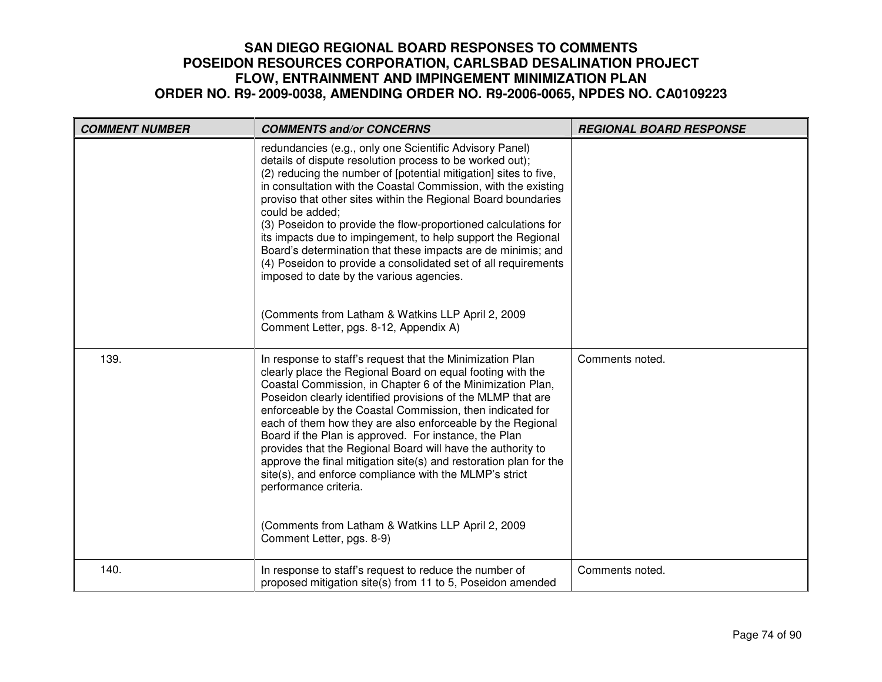| <b>COMMENT NUMBER</b> | <b>COMMENTS and/or CONCERNS</b>                                                                                                                                                                                                                                                                                                                                                                                                                                                                                                                                                                                                                                                                                                                              | <b>REGIONAL BOARD RESPONSE</b> |
|-----------------------|--------------------------------------------------------------------------------------------------------------------------------------------------------------------------------------------------------------------------------------------------------------------------------------------------------------------------------------------------------------------------------------------------------------------------------------------------------------------------------------------------------------------------------------------------------------------------------------------------------------------------------------------------------------------------------------------------------------------------------------------------------------|--------------------------------|
|                       | redundancies (e.g., only one Scientific Advisory Panel)<br>details of dispute resolution process to be worked out);<br>(2) reducing the number of [potential mitigation] sites to five,<br>in consultation with the Coastal Commission, with the existing<br>proviso that other sites within the Regional Board boundaries<br>could be added;<br>(3) Poseidon to provide the flow-proportioned calculations for<br>its impacts due to impingement, to help support the Regional<br>Board's determination that these impacts are de minimis; and<br>(4) Poseidon to provide a consolidated set of all requirements<br>imposed to date by the various agencies.<br>(Comments from Latham & Watkins LLP April 2, 2009<br>Comment Letter, pgs. 8-12, Appendix A) |                                |
| 139.                  | In response to staff's request that the Minimization Plan<br>clearly place the Regional Board on equal footing with the<br>Coastal Commission, in Chapter 6 of the Minimization Plan,<br>Poseidon clearly identified provisions of the MLMP that are<br>enforceable by the Coastal Commission, then indicated for<br>each of them how they are also enforceable by the Regional<br>Board if the Plan is approved. For instance, the Plan<br>provides that the Regional Board will have the authority to<br>approve the final mitigation site(s) and restoration plan for the<br>site(s), and enforce compliance with the MLMP's strict<br>performance criteria.<br>(Comments from Latham & Watkins LLP April 2, 2009<br>Comment Letter, pgs. 8-9)            | Comments noted.                |
| 140.                  | In response to staff's request to reduce the number of<br>proposed mitigation site(s) from 11 to 5, Poseidon amended                                                                                                                                                                                                                                                                                                                                                                                                                                                                                                                                                                                                                                         | Comments noted.                |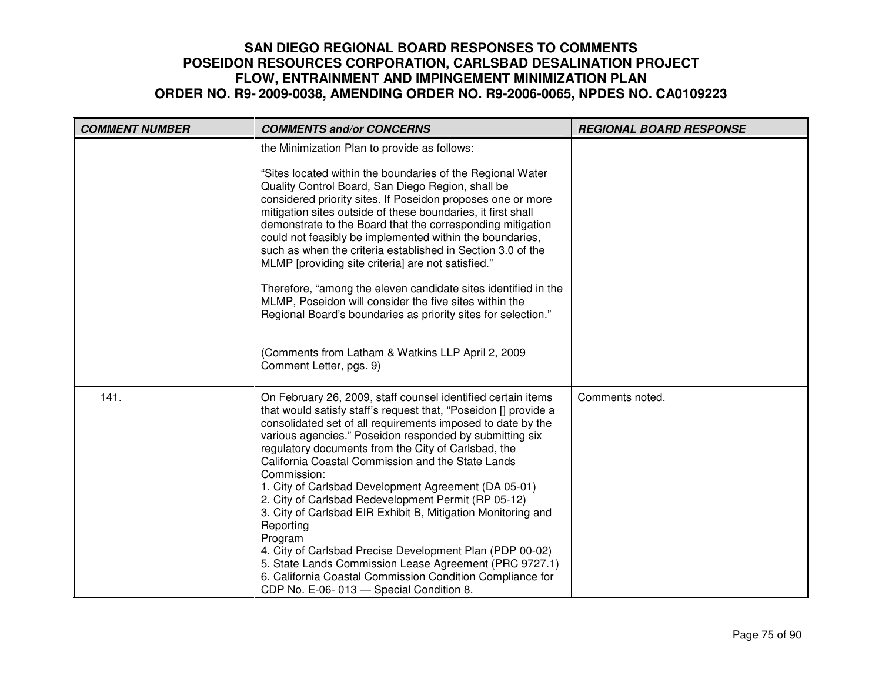| <b>COMMENT NUMBER</b> | <b>COMMENTS and/or CONCERNS</b>                                                                                                                                                                                                                                                                                                                                                                                                                                                                                                                                                                                                                                                                                                                                                                                           | <b>REGIONAL BOARD RESPONSE</b> |
|-----------------------|---------------------------------------------------------------------------------------------------------------------------------------------------------------------------------------------------------------------------------------------------------------------------------------------------------------------------------------------------------------------------------------------------------------------------------------------------------------------------------------------------------------------------------------------------------------------------------------------------------------------------------------------------------------------------------------------------------------------------------------------------------------------------------------------------------------------------|--------------------------------|
|                       | the Minimization Plan to provide as follows:                                                                                                                                                                                                                                                                                                                                                                                                                                                                                                                                                                                                                                                                                                                                                                              |                                |
|                       | "Sites located within the boundaries of the Regional Water<br>Quality Control Board, San Diego Region, shall be<br>considered priority sites. If Poseidon proposes one or more<br>mitigation sites outside of these boundaries, it first shall<br>demonstrate to the Board that the corresponding mitigation<br>could not feasibly be implemented within the boundaries,<br>such as when the criteria established in Section 3.0 of the<br>MLMP [providing site criteria] are not satisfied."                                                                                                                                                                                                                                                                                                                             |                                |
|                       | Therefore, "among the eleven candidate sites identified in the<br>MLMP, Poseidon will consider the five sites within the<br>Regional Board's boundaries as priority sites for selection."                                                                                                                                                                                                                                                                                                                                                                                                                                                                                                                                                                                                                                 |                                |
|                       | (Comments from Latham & Watkins LLP April 2, 2009)<br>Comment Letter, pgs. 9)                                                                                                                                                                                                                                                                                                                                                                                                                                                                                                                                                                                                                                                                                                                                             |                                |
| 141.                  | On February 26, 2009, staff counsel identified certain items<br>that would satisfy staff's request that, "Poseidon [] provide a<br>consolidated set of all requirements imposed to date by the<br>various agencies." Poseidon responded by submitting six<br>regulatory documents from the City of Carlsbad, the<br>California Coastal Commission and the State Lands<br>Commission:<br>1. City of Carlsbad Development Agreement (DA 05-01)<br>2. City of Carlsbad Redevelopment Permit (RP 05-12)<br>3. City of Carlsbad EIR Exhibit B, Mitigation Monitoring and<br>Reporting<br>Program<br>4. City of Carlsbad Precise Development Plan (PDP 00-02)<br>5. State Lands Commission Lease Agreement (PRC 9727.1)<br>6. California Coastal Commission Condition Compliance for<br>CDP No. E-06-013 - Special Condition 8. | Comments noted.                |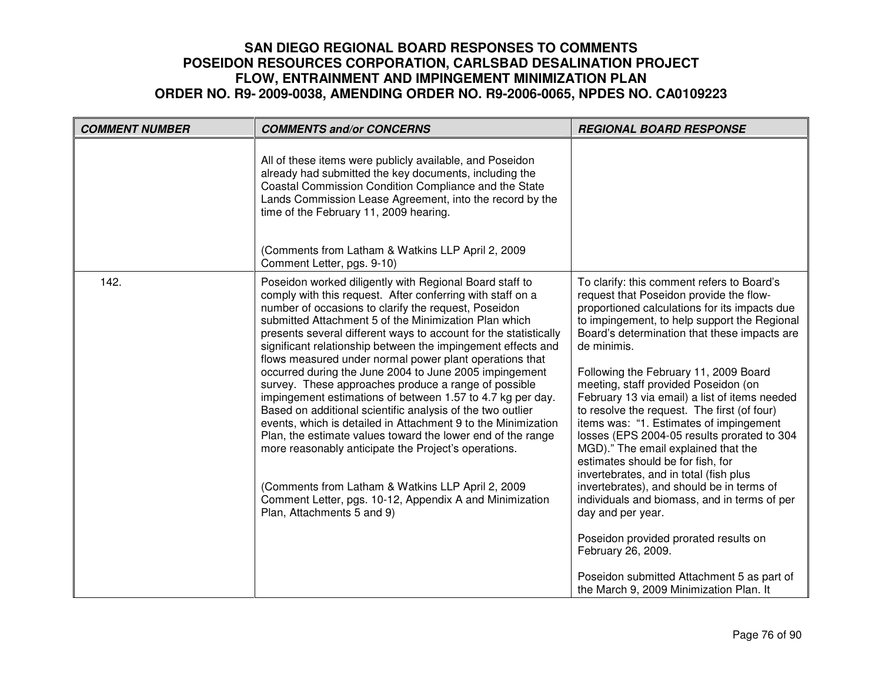| <b>COMMENT NUMBER</b> | <b>COMMENTS and/or CONCERNS</b>                                                                                                                                                                                                                                                                                                                                                                                                                                                                                                                                                                                                                                                                                                                                                                                                                                                                                                                                                                                           | <b>REGIONAL BOARD RESPONSE</b>                                                                                                                                                                                                                                                                                                                                                                                                                                                                                                                                                                                                                                                                                                                                                                                                                                                                                                   |
|-----------------------|---------------------------------------------------------------------------------------------------------------------------------------------------------------------------------------------------------------------------------------------------------------------------------------------------------------------------------------------------------------------------------------------------------------------------------------------------------------------------------------------------------------------------------------------------------------------------------------------------------------------------------------------------------------------------------------------------------------------------------------------------------------------------------------------------------------------------------------------------------------------------------------------------------------------------------------------------------------------------------------------------------------------------|----------------------------------------------------------------------------------------------------------------------------------------------------------------------------------------------------------------------------------------------------------------------------------------------------------------------------------------------------------------------------------------------------------------------------------------------------------------------------------------------------------------------------------------------------------------------------------------------------------------------------------------------------------------------------------------------------------------------------------------------------------------------------------------------------------------------------------------------------------------------------------------------------------------------------------|
|                       | All of these items were publicly available, and Poseidon<br>already had submitted the key documents, including the<br>Coastal Commission Condition Compliance and the State<br>Lands Commission Lease Agreement, into the record by the<br>time of the February 11, 2009 hearing.<br>(Comments from Latham & Watkins LLP April 2, 2009<br>Comment Letter, pgs. 9-10)                                                                                                                                                                                                                                                                                                                                                                                                                                                                                                                                                                                                                                                      |                                                                                                                                                                                                                                                                                                                                                                                                                                                                                                                                                                                                                                                                                                                                                                                                                                                                                                                                  |
| 142.                  | Poseidon worked diligently with Regional Board staff to<br>comply with this request. After conferring with staff on a<br>number of occasions to clarify the request, Poseidon<br>submitted Attachment 5 of the Minimization Plan which<br>presents several different ways to account for the statistically<br>significant relationship between the impingement effects and<br>flows measured under normal power plant operations that<br>occurred during the June 2004 to June 2005 impingement<br>survey. These approaches produce a range of possible<br>impingement estimations of between 1.57 to 4.7 kg per day.<br>Based on additional scientific analysis of the two outlier<br>events, which is detailed in Attachment 9 to the Minimization<br>Plan, the estimate values toward the lower end of the range<br>more reasonably anticipate the Project's operations.<br>(Comments from Latham & Watkins LLP April 2, 2009<br>Comment Letter, pgs. 10-12, Appendix A and Minimization<br>Plan, Attachments 5 and 9) | To clarify: this comment refers to Board's<br>request that Poseidon provide the flow-<br>proportioned calculations for its impacts due<br>to impingement, to help support the Regional<br>Board's determination that these impacts are<br>de minimis.<br>Following the February 11, 2009 Board<br>meeting, staff provided Poseidon (on<br>February 13 via email) a list of items needed<br>to resolve the request. The first (of four)<br>items was: "1. Estimates of impingement<br>losses (EPS 2004-05 results prorated to 304<br>MGD)." The email explained that the<br>estimates should be for fish, for<br>invertebrates, and in total (fish plus<br>invertebrates), and should be in terms of<br>individuals and biomass, and in terms of per<br>day and per year.<br>Poseidon provided prorated results on<br>February 26, 2009.<br>Poseidon submitted Attachment 5 as part of<br>the March 9, 2009 Minimization Plan. It |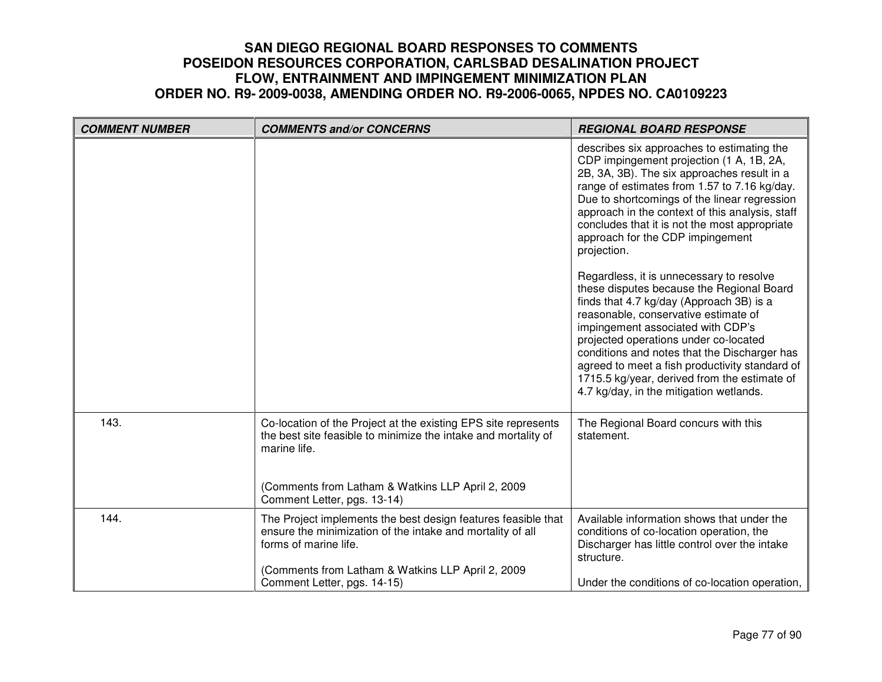| <b>COMMENT NUMBER</b> | <b>COMMENTS and/or CONCERNS</b>                                                                                                                      | <b>REGIONAL BOARD RESPONSE</b>                                                                                                                                                                                                                                                                                                                                                                                                                                                                                                                                                                                                                                                                                                                            |
|-----------------------|------------------------------------------------------------------------------------------------------------------------------------------------------|-----------------------------------------------------------------------------------------------------------------------------------------------------------------------------------------------------------------------------------------------------------------------------------------------------------------------------------------------------------------------------------------------------------------------------------------------------------------------------------------------------------------------------------------------------------------------------------------------------------------------------------------------------------------------------------------------------------------------------------------------------------|
|                       |                                                                                                                                                      | describes six approaches to estimating the<br>CDP impingement projection (1 A, 1B, 2A,<br>2B, 3A, 3B). The six approaches result in a<br>range of estimates from 1.57 to 7.16 kg/day.<br>Due to shortcomings of the linear regression<br>approach in the context of this analysis, staff<br>concludes that it is not the most appropriate<br>approach for the CDP impingement<br>projection.<br>Regardless, it is unnecessary to resolve<br>these disputes because the Regional Board<br>finds that 4.7 kg/day (Approach 3B) is a<br>reasonable, conservative estimate of<br>impingement associated with CDP's<br>projected operations under co-located<br>conditions and notes that the Discharger has<br>agreed to meet a fish productivity standard of |
|                       |                                                                                                                                                      | 1715.5 kg/year, derived from the estimate of<br>4.7 kg/day, in the mitigation wetlands.                                                                                                                                                                                                                                                                                                                                                                                                                                                                                                                                                                                                                                                                   |
| 143.                  | Co-location of the Project at the existing EPS site represents<br>the best site feasible to minimize the intake and mortality of<br>marine life.     | The Regional Board concurs with this<br>statement.                                                                                                                                                                                                                                                                                                                                                                                                                                                                                                                                                                                                                                                                                                        |
|                       | (Comments from Latham & Watkins LLP April 2, 2009<br>Comment Letter, pgs. 13-14)                                                                     |                                                                                                                                                                                                                                                                                                                                                                                                                                                                                                                                                                                                                                                                                                                                                           |
| 144.                  | The Project implements the best design features feasible that<br>ensure the minimization of the intake and mortality of all<br>forms of marine life. | Available information shows that under the<br>conditions of co-location operation, the<br>Discharger has little control over the intake<br>structure.                                                                                                                                                                                                                                                                                                                                                                                                                                                                                                                                                                                                     |
|                       | (Comments from Latham & Watkins LLP April 2, 2009<br>Comment Letter, pgs. 14-15)                                                                     | Under the conditions of co-location operation,                                                                                                                                                                                                                                                                                                                                                                                                                                                                                                                                                                                                                                                                                                            |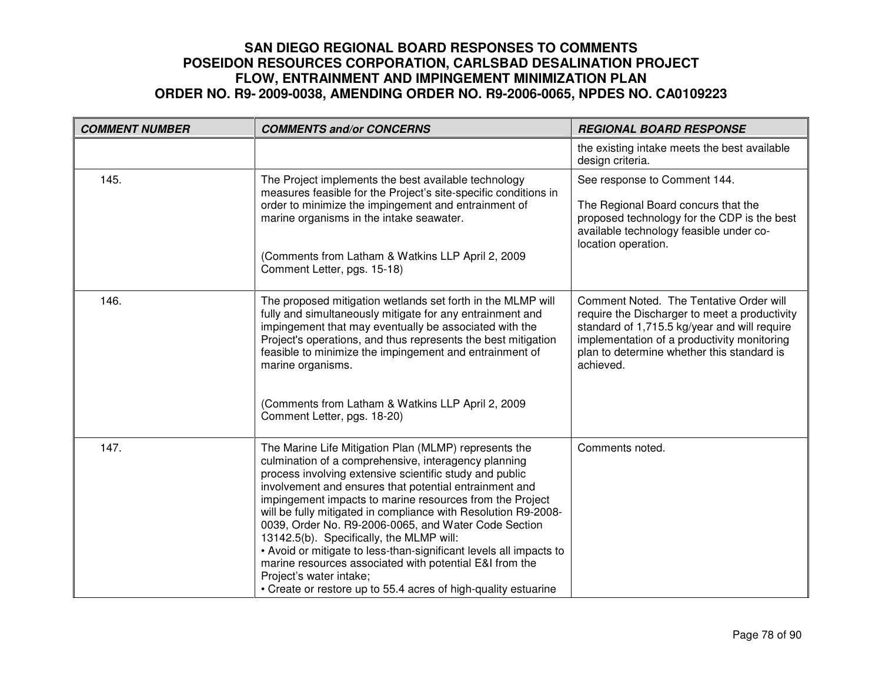| <b>COMMENT NUMBER</b> | <b>COMMENTS and/or CONCERNS</b>                                                                                                                                                                                                                                                                                                                                                                                                                                                                                                                                                                                                                                                                    | <b>REGIONAL BOARD RESPONSE</b>                                                                                                                                                                                                                     |
|-----------------------|----------------------------------------------------------------------------------------------------------------------------------------------------------------------------------------------------------------------------------------------------------------------------------------------------------------------------------------------------------------------------------------------------------------------------------------------------------------------------------------------------------------------------------------------------------------------------------------------------------------------------------------------------------------------------------------------------|----------------------------------------------------------------------------------------------------------------------------------------------------------------------------------------------------------------------------------------------------|
|                       |                                                                                                                                                                                                                                                                                                                                                                                                                                                                                                                                                                                                                                                                                                    | the existing intake meets the best available<br>design criteria.                                                                                                                                                                                   |
| 145.                  | The Project implements the best available technology<br>measures feasible for the Project's site-specific conditions in<br>order to minimize the impingement and entrainment of<br>marine organisms in the intake seawater.<br>(Comments from Latham & Watkins LLP April 2, 2009<br>Comment Letter, pgs. 15-18)                                                                                                                                                                                                                                                                                                                                                                                    | See response to Comment 144.<br>The Regional Board concurs that the<br>proposed technology for the CDP is the best<br>available technology feasible under co-<br>location operation.                                                               |
| 146.                  | The proposed mitigation wetlands set forth in the MLMP will<br>fully and simultaneously mitigate for any entrainment and<br>impingement that may eventually be associated with the<br>Project's operations, and thus represents the best mitigation<br>feasible to minimize the impingement and entrainment of<br>marine organisms.<br>(Comments from Latham & Watkins LLP April 2, 2009<br>Comment Letter, pgs. 18-20)                                                                                                                                                                                                                                                                            | Comment Noted. The Tentative Order will<br>require the Discharger to meet a productivity<br>standard of 1,715.5 kg/year and will require<br>implementation of a productivity monitoring<br>plan to determine whether this standard is<br>achieved. |
| 147.                  | The Marine Life Mitigation Plan (MLMP) represents the<br>culmination of a comprehensive, interagency planning<br>process involving extensive scientific study and public<br>involvement and ensures that potential entrainment and<br>impingement impacts to marine resources from the Project<br>will be fully mitigated in compliance with Resolution R9-2008-<br>0039, Order No. R9-2006-0065, and Water Code Section<br>13142.5(b). Specifically, the MLMP will:<br>• Avoid or mitigate to less-than-significant levels all impacts to<br>marine resources associated with potential E&I from the<br>Project's water intake;<br>• Create or restore up to 55.4 acres of high-quality estuarine | Comments noted.                                                                                                                                                                                                                                    |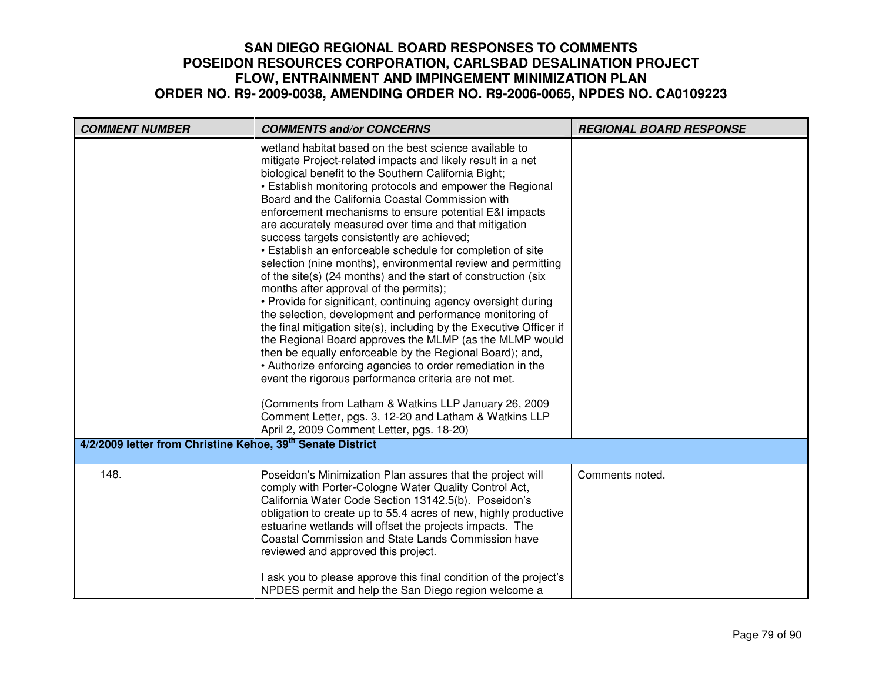| <b>COMMENT NUMBER</b>                                                  | <b>COMMENTS and/or CONCERNS</b>                                                                                                                                                                                                                                                                                                                                                                                                                                                                                                                                                                                                                                                                                                                                                                                                                                                                                                                                                                                                                                                                                                                                                                                                                                                                                          | <b>REGIONAL BOARD RESPONSE</b> |
|------------------------------------------------------------------------|--------------------------------------------------------------------------------------------------------------------------------------------------------------------------------------------------------------------------------------------------------------------------------------------------------------------------------------------------------------------------------------------------------------------------------------------------------------------------------------------------------------------------------------------------------------------------------------------------------------------------------------------------------------------------------------------------------------------------------------------------------------------------------------------------------------------------------------------------------------------------------------------------------------------------------------------------------------------------------------------------------------------------------------------------------------------------------------------------------------------------------------------------------------------------------------------------------------------------------------------------------------------------------------------------------------------------|--------------------------------|
|                                                                        | wetland habitat based on the best science available to<br>mitigate Project-related impacts and likely result in a net<br>biological benefit to the Southern California Bight;<br>• Establish monitoring protocols and empower the Regional<br>Board and the California Coastal Commission with<br>enforcement mechanisms to ensure potential E&I impacts<br>are accurately measured over time and that mitigation<br>success targets consistently are achieved;<br>• Establish an enforceable schedule for completion of site<br>selection (nine months), environmental review and permitting<br>of the site(s) (24 months) and the start of construction (six<br>months after approval of the permits);<br>• Provide for significant, continuing agency oversight during<br>the selection, development and performance monitoring of<br>the final mitigation site(s), including by the Executive Officer if<br>the Regional Board approves the MLMP (as the MLMP would<br>then be equally enforceable by the Regional Board); and,<br>• Authorize enforcing agencies to order remediation in the<br>event the rigorous performance criteria are not met.<br>(Comments from Latham & Watkins LLP January 26, 2009<br>Comment Letter, pgs. 3, 12-20 and Latham & Watkins LLP<br>April 2, 2009 Comment Letter, pgs. 18-20) |                                |
| 4/2/2009 letter from Christine Kehoe, 39 <sup>th</sup> Senate District |                                                                                                                                                                                                                                                                                                                                                                                                                                                                                                                                                                                                                                                                                                                                                                                                                                                                                                                                                                                                                                                                                                                                                                                                                                                                                                                          |                                |
| 148.                                                                   | Poseidon's Minimization Plan assures that the project will<br>comply with Porter-Cologne Water Quality Control Act,<br>California Water Code Section 13142.5(b). Poseidon's<br>obligation to create up to 55.4 acres of new, highly productive<br>estuarine wetlands will offset the projects impacts. The<br>Coastal Commission and State Lands Commission have<br>reviewed and approved this project.<br>I ask you to please approve this final condition of the project's<br>NPDES permit and help the San Diego region welcome a                                                                                                                                                                                                                                                                                                                                                                                                                                                                                                                                                                                                                                                                                                                                                                                     | Comments noted.                |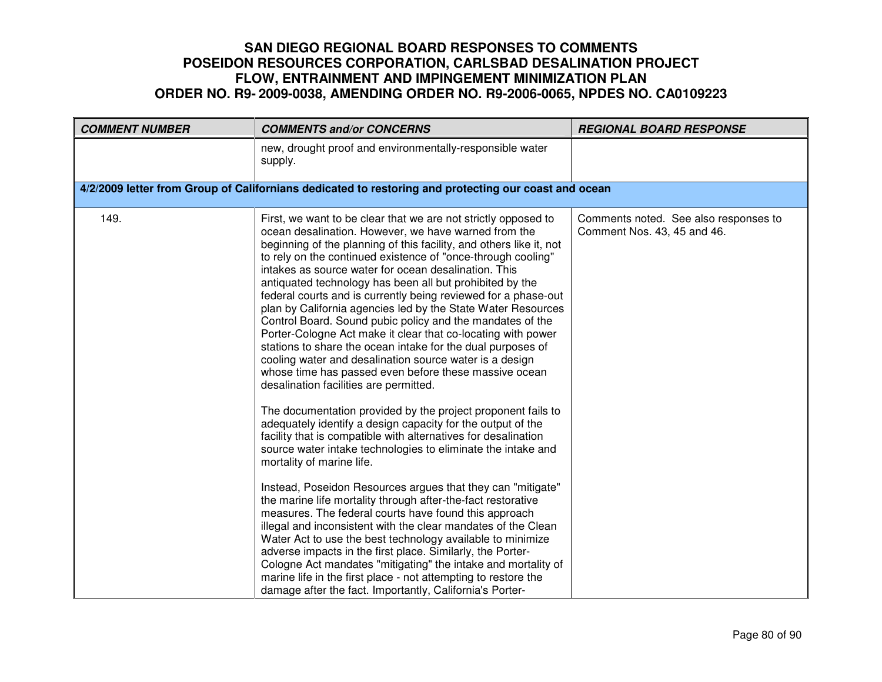| <b>COMMENT NUMBER</b> | <b>COMMENTS and/or CONCERNS</b>                                                                                                                                                                                                                                                                                                                                                                                                                                                                                                                                                                                                                                                                                                                                                                                                                                                                                                                                                                                                                                                                                                                                                                                                                                                                                                                                                                                                                                                                                                                                                                                                                                                                                                                                 | <b>REGIONAL BOARD RESPONSE</b>                                       |
|-----------------------|-----------------------------------------------------------------------------------------------------------------------------------------------------------------------------------------------------------------------------------------------------------------------------------------------------------------------------------------------------------------------------------------------------------------------------------------------------------------------------------------------------------------------------------------------------------------------------------------------------------------------------------------------------------------------------------------------------------------------------------------------------------------------------------------------------------------------------------------------------------------------------------------------------------------------------------------------------------------------------------------------------------------------------------------------------------------------------------------------------------------------------------------------------------------------------------------------------------------------------------------------------------------------------------------------------------------------------------------------------------------------------------------------------------------------------------------------------------------------------------------------------------------------------------------------------------------------------------------------------------------------------------------------------------------------------------------------------------------------------------------------------------------|----------------------------------------------------------------------|
|                       | new, drought proof and environmentally-responsible water<br>supply.                                                                                                                                                                                                                                                                                                                                                                                                                                                                                                                                                                                                                                                                                                                                                                                                                                                                                                                                                                                                                                                                                                                                                                                                                                                                                                                                                                                                                                                                                                                                                                                                                                                                                             |                                                                      |
|                       | 4/2/2009 letter from Group of Californians dedicated to restoring and protecting our coast and ocean                                                                                                                                                                                                                                                                                                                                                                                                                                                                                                                                                                                                                                                                                                                                                                                                                                                                                                                                                                                                                                                                                                                                                                                                                                                                                                                                                                                                                                                                                                                                                                                                                                                            |                                                                      |
| 149.                  | First, we want to be clear that we are not strictly opposed to<br>ocean desalination. However, we have warned from the<br>beginning of the planning of this facility, and others like it, not<br>to rely on the continued existence of "once-through cooling"<br>intakes as source water for ocean desalination. This<br>antiquated technology has been all but prohibited by the<br>federal courts and is currently being reviewed for a phase-out<br>plan by California agencies led by the State Water Resources<br>Control Board. Sound pubic policy and the mandates of the<br>Porter-Cologne Act make it clear that co-locating with power<br>stations to share the ocean intake for the dual purposes of<br>cooling water and desalination source water is a design<br>whose time has passed even before these massive ocean<br>desalination facilities are permitted.<br>The documentation provided by the project proponent fails to<br>adequately identify a design capacity for the output of the<br>facility that is compatible with alternatives for desalination<br>source water intake technologies to eliminate the intake and<br>mortality of marine life.<br>Instead, Poseidon Resources argues that they can "mitigate"<br>the marine life mortality through after-the-fact restorative<br>measures. The federal courts have found this approach<br>illegal and inconsistent with the clear mandates of the Clean<br>Water Act to use the best technology available to minimize<br>adverse impacts in the first place. Similarly, the Porter-<br>Cologne Act mandates "mitigating" the intake and mortality of<br>marine life in the first place - not attempting to restore the<br>damage after the fact. Importantly, California's Porter- | Comments noted. See also responses to<br>Comment Nos. 43, 45 and 46. |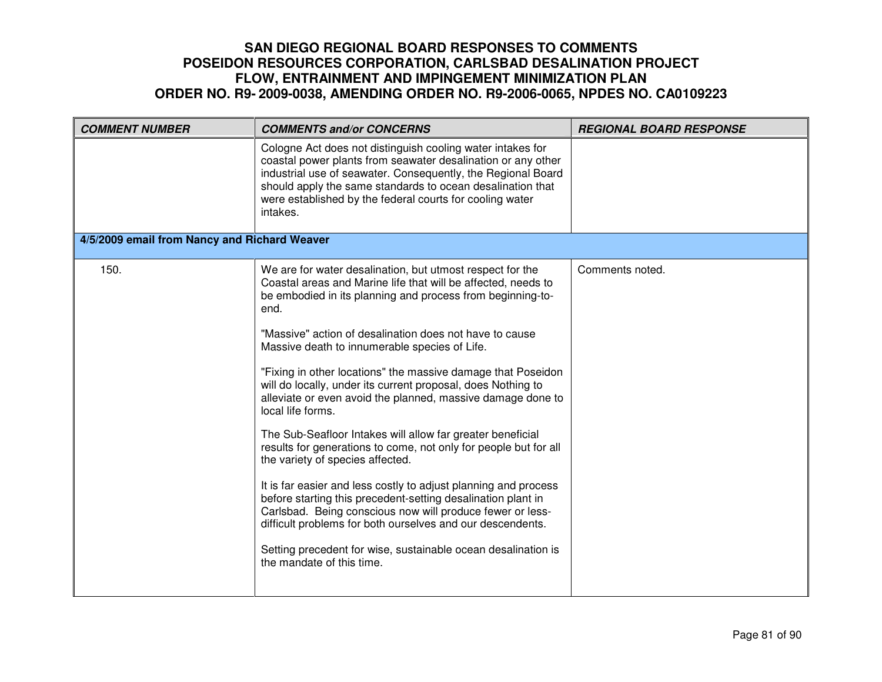| Cologne Act does not distinguish cooling water intakes for<br>coastal power plants from seawater desalination or any other<br>industrial use of seawater. Consequently, the Regional Board<br>should apply the same standards to ocean desalination that<br>were established by the federal courts for cooling water                                                                                                                                                                                                                                                                                                                                                                                                                                                                                                                                                                                                                                                                                                                                                                          |  |
|-----------------------------------------------------------------------------------------------------------------------------------------------------------------------------------------------------------------------------------------------------------------------------------------------------------------------------------------------------------------------------------------------------------------------------------------------------------------------------------------------------------------------------------------------------------------------------------------------------------------------------------------------------------------------------------------------------------------------------------------------------------------------------------------------------------------------------------------------------------------------------------------------------------------------------------------------------------------------------------------------------------------------------------------------------------------------------------------------|--|
| intakes.                                                                                                                                                                                                                                                                                                                                                                                                                                                                                                                                                                                                                                                                                                                                                                                                                                                                                                                                                                                                                                                                                      |  |
| 4/5/2009 email from Nancy and Richard Weaver                                                                                                                                                                                                                                                                                                                                                                                                                                                                                                                                                                                                                                                                                                                                                                                                                                                                                                                                                                                                                                                  |  |
| 150.<br>We are for water desalination, but utmost respect for the<br>Comments noted.<br>Coastal areas and Marine life that will be affected, needs to<br>be embodied in its planning and process from beginning-to-<br>end.<br>"Massive" action of desalination does not have to cause<br>Massive death to innumerable species of Life.<br>"Fixing in other locations" the massive damage that Poseidon<br>will do locally, under its current proposal, does Nothing to<br>alleviate or even avoid the planned, massive damage done to<br>local life forms.<br>The Sub-Seafloor Intakes will allow far greater beneficial<br>results for generations to come, not only for people but for all<br>the variety of species affected.<br>It is far easier and less costly to adjust planning and process<br>before starting this precedent-setting desalination plant in<br>Carlsbad. Being conscious now will produce fewer or less-<br>difficult problems for both ourselves and our descendents.<br>Setting precedent for wise, sustainable ocean desalination is<br>the mandate of this time. |  |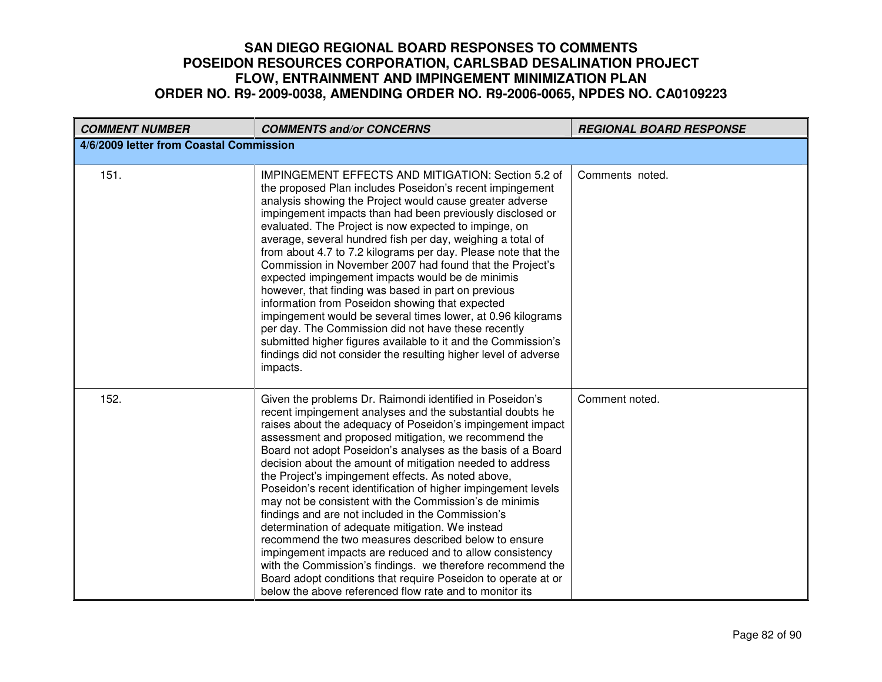| <b>COMMENT NUMBER</b>                   | <b>COMMENTS and/or CONCERNS</b>                                                                                                                                                                                                                                                                                                                                                                                                                                                                                                                                                                                                                                                                                                                                                                                                                                                                                                                                                 | <b>REGIONAL BOARD RESPONSE</b> |  |
|-----------------------------------------|---------------------------------------------------------------------------------------------------------------------------------------------------------------------------------------------------------------------------------------------------------------------------------------------------------------------------------------------------------------------------------------------------------------------------------------------------------------------------------------------------------------------------------------------------------------------------------------------------------------------------------------------------------------------------------------------------------------------------------------------------------------------------------------------------------------------------------------------------------------------------------------------------------------------------------------------------------------------------------|--------------------------------|--|
| 4/6/2009 letter from Coastal Commission |                                                                                                                                                                                                                                                                                                                                                                                                                                                                                                                                                                                                                                                                                                                                                                                                                                                                                                                                                                                 |                                |  |
| 151.                                    | IMPINGEMENT EFFECTS AND MITIGATION: Section 5.2 of<br>the proposed Plan includes Poseidon's recent impingement<br>analysis showing the Project would cause greater adverse<br>impingement impacts than had been previously disclosed or<br>evaluated. The Project is now expected to impinge, on<br>average, several hundred fish per day, weighing a total of<br>from about 4.7 to 7.2 kilograms per day. Please note that the<br>Commission in November 2007 had found that the Project's<br>expected impingement impacts would be de minimis<br>however, that finding was based in part on previous<br>information from Poseidon showing that expected<br>impingement would be several times lower, at 0.96 kilograms<br>per day. The Commission did not have these recently<br>submitted higher figures available to it and the Commission's<br>findings did not consider the resulting higher level of adverse<br>impacts.                                                 | Comments noted.                |  |
| 152.                                    | Given the problems Dr. Raimondi identified in Poseidon's<br>recent impingement analyses and the substantial doubts he<br>raises about the adequacy of Poseidon's impingement impact<br>assessment and proposed mitigation, we recommend the<br>Board not adopt Poseidon's analyses as the basis of a Board<br>decision about the amount of mitigation needed to address<br>the Project's impingement effects. As noted above,<br>Poseidon's recent identification of higher impingement levels<br>may not be consistent with the Commission's de minimis<br>findings and are not included in the Commission's<br>determination of adequate mitigation. We instead<br>recommend the two measures described below to ensure<br>impingement impacts are reduced and to allow consistency<br>with the Commission's findings. we therefore recommend the<br>Board adopt conditions that require Poseidon to operate at or<br>below the above referenced flow rate and to monitor its | Comment noted.                 |  |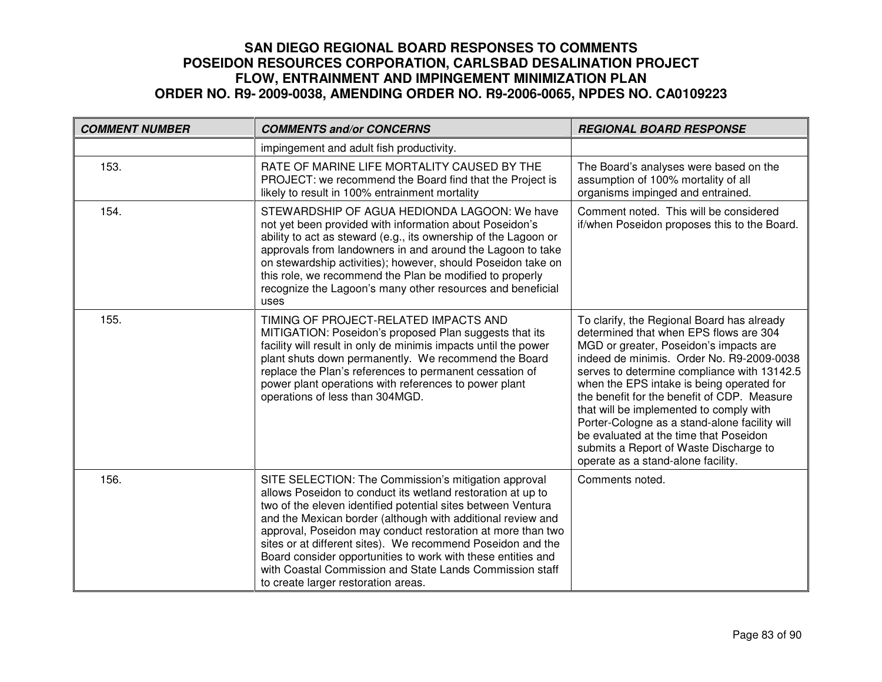| <b>COMMENT NUMBER</b> | <b>COMMENTS and/or CONCERNS</b>                                                                                                                                                                                                                                                                                                                                                                                                                                                                                                                     | <b>REGIONAL BOARD RESPONSE</b>                                                                                                                                                                                                                                                                                                                                                                                                                                                                                                               |
|-----------------------|-----------------------------------------------------------------------------------------------------------------------------------------------------------------------------------------------------------------------------------------------------------------------------------------------------------------------------------------------------------------------------------------------------------------------------------------------------------------------------------------------------------------------------------------------------|----------------------------------------------------------------------------------------------------------------------------------------------------------------------------------------------------------------------------------------------------------------------------------------------------------------------------------------------------------------------------------------------------------------------------------------------------------------------------------------------------------------------------------------------|
|                       | impingement and adult fish productivity.                                                                                                                                                                                                                                                                                                                                                                                                                                                                                                            |                                                                                                                                                                                                                                                                                                                                                                                                                                                                                                                                              |
| 153.                  | RATE OF MARINE LIFE MORTALITY CAUSED BY THE<br>PROJECT: we recommend the Board find that the Project is<br>likely to result in 100% entrainment mortality                                                                                                                                                                                                                                                                                                                                                                                           | The Board's analyses were based on the<br>assumption of 100% mortality of all<br>organisms impinged and entrained.                                                                                                                                                                                                                                                                                                                                                                                                                           |
| 154.                  | STEWARDSHIP OF AGUA HEDIONDA LAGOON: We have<br>not yet been provided with information about Poseidon's<br>ability to act as steward (e.g., its ownership of the Lagoon or<br>approvals from landowners in and around the Lagoon to take<br>on stewardship activities); however, should Poseidon take on<br>this role, we recommend the Plan be modified to properly<br>recognize the Lagoon's many other resources and beneficial<br>uses                                                                                                          | Comment noted. This will be considered<br>if/when Poseidon proposes this to the Board.                                                                                                                                                                                                                                                                                                                                                                                                                                                       |
| 155.                  | TIMING OF PROJECT-RELATED IMPACTS AND<br>MITIGATION: Poseidon's proposed Plan suggests that its<br>facility will result in only de minimis impacts until the power<br>plant shuts down permanently. We recommend the Board<br>replace the Plan's references to permanent cessation of<br>power plant operations with references to power plant<br>operations of less than 304MGD.                                                                                                                                                                   | To clarify, the Regional Board has already<br>determined that when EPS flows are 304<br>MGD or greater, Poseidon's impacts are<br>indeed de minimis. Order No. R9-2009-0038<br>serves to determine compliance with 13142.5<br>when the EPS intake is being operated for<br>the benefit for the benefit of CDP. Measure<br>that will be implemented to comply with<br>Porter-Cologne as a stand-alone facility will<br>be evaluated at the time that Poseidon<br>submits a Report of Waste Discharge to<br>operate as a stand-alone facility. |
| 156.                  | SITE SELECTION: The Commission's mitigation approval<br>allows Poseidon to conduct its wetland restoration at up to<br>two of the eleven identified potential sites between Ventura<br>and the Mexican border (although with additional review and<br>approval, Poseidon may conduct restoration at more than two<br>sites or at different sites). We recommend Poseidon and the<br>Board consider opportunities to work with these entities and<br>with Coastal Commission and State Lands Commission staff<br>to create larger restoration areas. | Comments noted.                                                                                                                                                                                                                                                                                                                                                                                                                                                                                                                              |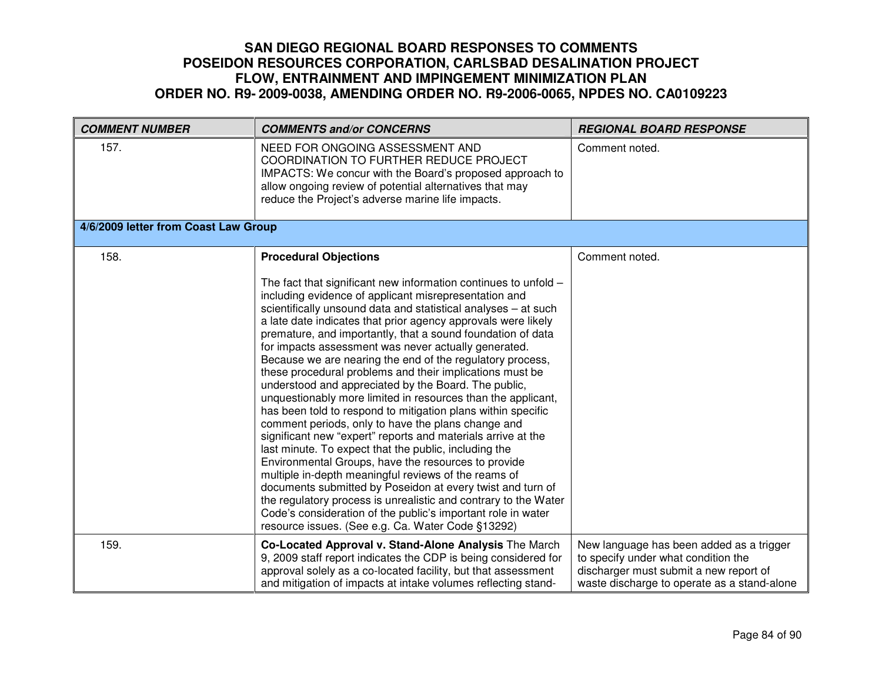| <b>COMMENT NUMBER</b>                | <b>COMMENTS and/or CONCERNS</b>                                                                                                                                                                                                                                                                                                                                                                                                                                                                                                                                                                                                                                                                                                                                                                                                                                                                                                                                                                                                                                                                                                                                                                                                                                                           | <b>REGIONAL BOARD RESPONSE</b>                                                                                                                                           |
|--------------------------------------|-------------------------------------------------------------------------------------------------------------------------------------------------------------------------------------------------------------------------------------------------------------------------------------------------------------------------------------------------------------------------------------------------------------------------------------------------------------------------------------------------------------------------------------------------------------------------------------------------------------------------------------------------------------------------------------------------------------------------------------------------------------------------------------------------------------------------------------------------------------------------------------------------------------------------------------------------------------------------------------------------------------------------------------------------------------------------------------------------------------------------------------------------------------------------------------------------------------------------------------------------------------------------------------------|--------------------------------------------------------------------------------------------------------------------------------------------------------------------------|
| 157.                                 | NEED FOR ONGOING ASSESSMENT AND<br><b>COORDINATION TO FURTHER REDUCE PROJECT</b><br>IMPACTS: We concur with the Board's proposed approach to<br>allow ongoing review of potential alternatives that may<br>reduce the Project's adverse marine life impacts.                                                                                                                                                                                                                                                                                                                                                                                                                                                                                                                                                                                                                                                                                                                                                                                                                                                                                                                                                                                                                              | Comment noted.                                                                                                                                                           |
| 4/6/2009 letter from Coast Law Group |                                                                                                                                                                                                                                                                                                                                                                                                                                                                                                                                                                                                                                                                                                                                                                                                                                                                                                                                                                                                                                                                                                                                                                                                                                                                                           |                                                                                                                                                                          |
| 158.                                 | <b>Procedural Objections</b><br>The fact that significant new information continues to unfold $-$<br>including evidence of applicant misrepresentation and<br>scientifically unsound data and statistical analyses - at such<br>a late date indicates that prior agency approvals were likely<br>premature, and importantly, that a sound foundation of data<br>for impacts assessment was never actually generated.<br>Because we are nearing the end of the regulatory process,<br>these procedural problems and their implications must be<br>understood and appreciated by the Board. The public,<br>unquestionably more limited in resources than the applicant,<br>has been told to respond to mitigation plans within specific<br>comment periods, only to have the plans change and<br>significant new "expert" reports and materials arrive at the<br>last minute. To expect that the public, including the<br>Environmental Groups, have the resources to provide<br>multiple in-depth meaningful reviews of the reams of<br>documents submitted by Poseidon at every twist and turn of<br>the regulatory process is unrealistic and contrary to the Water<br>Code's consideration of the public's important role in water<br>resource issues. (See e.g. Ca. Water Code §13292) | Comment noted.                                                                                                                                                           |
| 159.                                 | Co-Located Approval v. Stand-Alone Analysis The March<br>9, 2009 staff report indicates the CDP is being considered for<br>approval solely as a co-located facility, but that assessment<br>and mitigation of impacts at intake volumes reflecting stand-                                                                                                                                                                                                                                                                                                                                                                                                                                                                                                                                                                                                                                                                                                                                                                                                                                                                                                                                                                                                                                 | New language has been added as a trigger<br>to specify under what condition the<br>discharger must submit a new report of<br>waste discharge to operate as a stand-alone |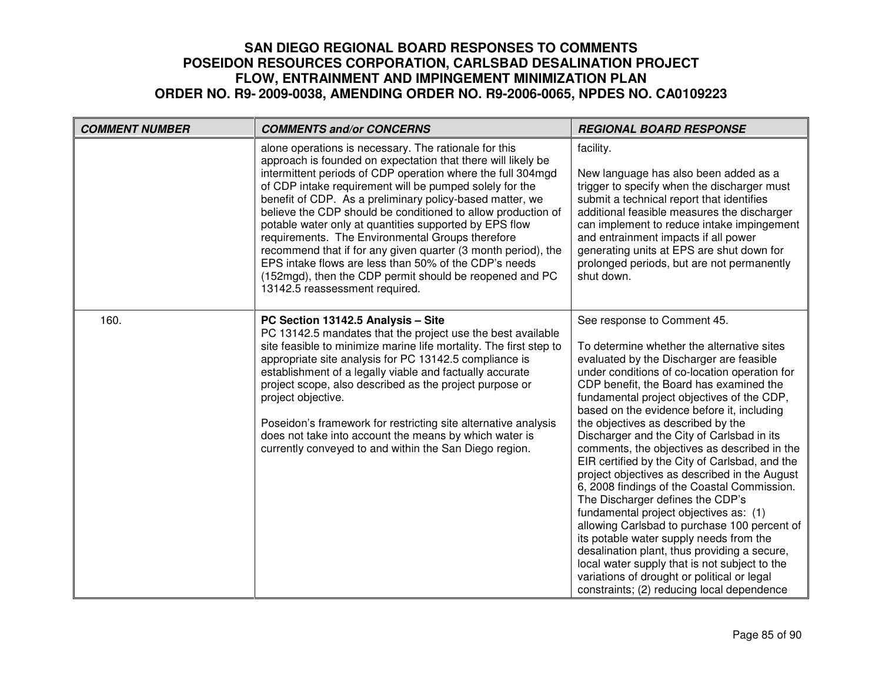| <b>COMMENT NUMBER</b> | <b>COMMENTS and/or CONCERNS</b>                                                                                                                                                                                                                                                                                                                                                                                                                                                                                                                                                                                                                                                                                  | <b>REGIONAL BOARD RESPONSE</b>                                                                                                                                                                                                                                                                                                                                                                                                                                                                                                                                                                                                                                                                                                                                                                                                                                                                                                                                             |
|-----------------------|------------------------------------------------------------------------------------------------------------------------------------------------------------------------------------------------------------------------------------------------------------------------------------------------------------------------------------------------------------------------------------------------------------------------------------------------------------------------------------------------------------------------------------------------------------------------------------------------------------------------------------------------------------------------------------------------------------------|----------------------------------------------------------------------------------------------------------------------------------------------------------------------------------------------------------------------------------------------------------------------------------------------------------------------------------------------------------------------------------------------------------------------------------------------------------------------------------------------------------------------------------------------------------------------------------------------------------------------------------------------------------------------------------------------------------------------------------------------------------------------------------------------------------------------------------------------------------------------------------------------------------------------------------------------------------------------------|
|                       | alone operations is necessary. The rationale for this<br>approach is founded on expectation that there will likely be<br>intermittent periods of CDP operation where the full 304mgd<br>of CDP intake requirement will be pumped solely for the<br>benefit of CDP. As a preliminary policy-based matter, we<br>believe the CDP should be conditioned to allow production of<br>potable water only at quantities supported by EPS flow<br>requirements. The Environmental Groups therefore<br>recommend that if for any given quarter (3 month period), the<br>EPS intake flows are less than 50% of the CDP's needs<br>(152mgd), then the CDP permit should be reopened and PC<br>13142.5 reassessment required. | facility.<br>New language has also been added as a<br>trigger to specify when the discharger must<br>submit a technical report that identifies<br>additional feasible measures the discharger<br>can implement to reduce intake impingement<br>and entrainment impacts if all power<br>generating units at EPS are shut down for<br>prolonged periods, but are not permanently<br>shut down.                                                                                                                                                                                                                                                                                                                                                                                                                                                                                                                                                                               |
| 160.                  | PC Section 13142.5 Analysis - Site<br>PC 13142.5 mandates that the project use the best available<br>site feasible to minimize marine life mortality. The first step to<br>appropriate site analysis for PC 13142.5 compliance is<br>establishment of a legally viable and factually accurate<br>project scope, also described as the project purpose or<br>project objective.<br>Poseidon's framework for restricting site alternative analysis<br>does not take into account the means by which water is<br>currently conveyed to and within the San Diego region.                                                                                                                                             | See response to Comment 45.<br>To determine whether the alternative sites<br>evaluated by the Discharger are feasible<br>under conditions of co-location operation for<br>CDP benefit, the Board has examined the<br>fundamental project objectives of the CDP,<br>based on the evidence before it, including<br>the objectives as described by the<br>Discharger and the City of Carlsbad in its<br>comments, the objectives as described in the<br>EIR certified by the City of Carlsbad, and the<br>project objectives as described in the August<br>6, 2008 findings of the Coastal Commission.<br>The Discharger defines the CDP's<br>fundamental project objectives as: (1)<br>allowing Carlsbad to purchase 100 percent of<br>its potable water supply needs from the<br>desalination plant, thus providing a secure,<br>local water supply that is not subject to the<br>variations of drought or political or legal<br>constraints; (2) reducing local dependence |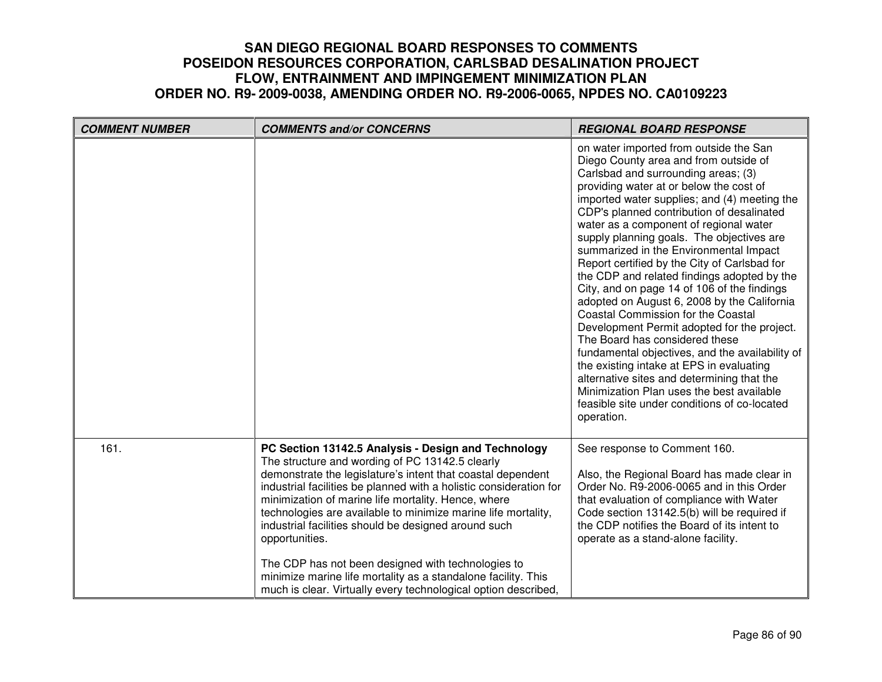| <b>COMMENT NUMBER</b> | <b>COMMENTS and/or CONCERNS</b>                                                                                                                                                                                                                                                                                                                                                                                                                                                                                                                                                                                                        | <b>REGIONAL BOARD RESPONSE</b>                                                                                                                                                                                                                                                                                                                                                                                                                                                                                                                                                                                                                                                                                                                                                                                                                                                                                                                                                     |
|-----------------------|----------------------------------------------------------------------------------------------------------------------------------------------------------------------------------------------------------------------------------------------------------------------------------------------------------------------------------------------------------------------------------------------------------------------------------------------------------------------------------------------------------------------------------------------------------------------------------------------------------------------------------------|------------------------------------------------------------------------------------------------------------------------------------------------------------------------------------------------------------------------------------------------------------------------------------------------------------------------------------------------------------------------------------------------------------------------------------------------------------------------------------------------------------------------------------------------------------------------------------------------------------------------------------------------------------------------------------------------------------------------------------------------------------------------------------------------------------------------------------------------------------------------------------------------------------------------------------------------------------------------------------|
|                       |                                                                                                                                                                                                                                                                                                                                                                                                                                                                                                                                                                                                                                        | on water imported from outside the San<br>Diego County area and from outside of<br>Carlsbad and surrounding areas; (3)<br>providing water at or below the cost of<br>imported water supplies; and (4) meeting the<br>CDP's planned contribution of desalinated<br>water as a component of regional water<br>supply planning goals. The objectives are<br>summarized in the Environmental Impact<br>Report certified by the City of Carlsbad for<br>the CDP and related findings adopted by the<br>City, and on page 14 of 106 of the findings<br>adopted on August 6, 2008 by the California<br><b>Coastal Commission for the Coastal</b><br>Development Permit adopted for the project.<br>The Board has considered these<br>fundamental objectives, and the availability of<br>the existing intake at EPS in evaluating<br>alternative sites and determining that the<br>Minimization Plan uses the best available<br>feasible site under conditions of co-located<br>operation. |
| 161.                  | PC Section 13142.5 Analysis - Design and Technology<br>The structure and wording of PC 13142.5 clearly<br>demonstrate the legislature's intent that coastal dependent<br>industrial facilities be planned with a holistic consideration for<br>minimization of marine life mortality. Hence, where<br>technologies are available to minimize marine life mortality,<br>industrial facilities should be designed around such<br>opportunities.<br>The CDP has not been designed with technologies to<br>minimize marine life mortality as a standalone facility. This<br>much is clear. Virtually every technological option described, | See response to Comment 160.<br>Also, the Regional Board has made clear in<br>Order No. R9-2006-0065 and in this Order<br>that evaluation of compliance with Water<br>Code section 13142.5(b) will be required if<br>the CDP notifies the Board of its intent to<br>operate as a stand-alone facility.                                                                                                                                                                                                                                                                                                                                                                                                                                                                                                                                                                                                                                                                             |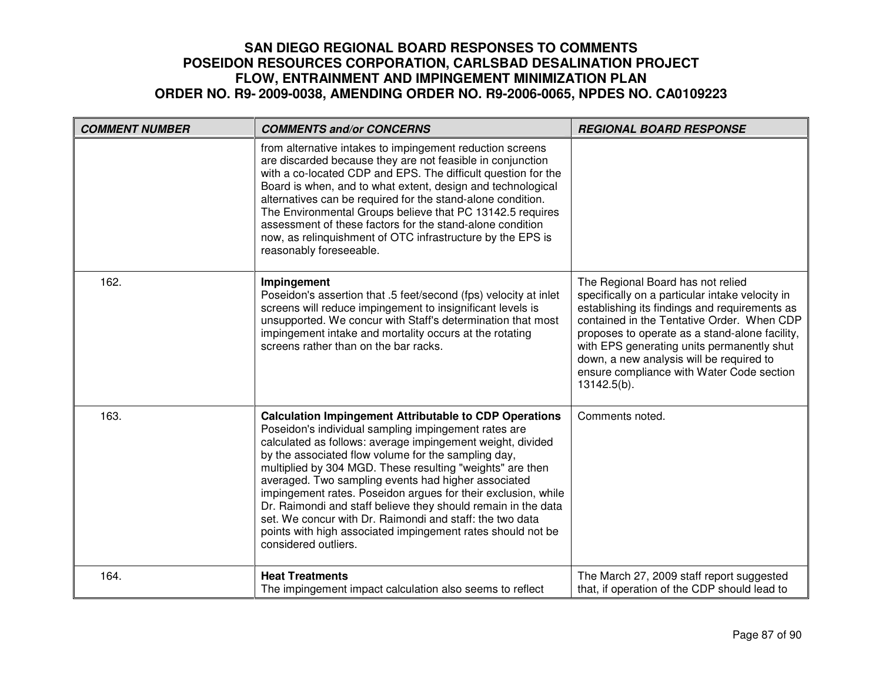| <b>COMMENT NUMBER</b> | <b>COMMENTS and/or CONCERNS</b>                                                                                                                                                                                                                                                                                                                                                                                                                                                                                                                                                                                                                     | <b>REGIONAL BOARD RESPONSE</b>                                                                                                                                                                                                                                                                                                                                                                 |
|-----------------------|-----------------------------------------------------------------------------------------------------------------------------------------------------------------------------------------------------------------------------------------------------------------------------------------------------------------------------------------------------------------------------------------------------------------------------------------------------------------------------------------------------------------------------------------------------------------------------------------------------------------------------------------------------|------------------------------------------------------------------------------------------------------------------------------------------------------------------------------------------------------------------------------------------------------------------------------------------------------------------------------------------------------------------------------------------------|
|                       | from alternative intakes to impingement reduction screens<br>are discarded because they are not feasible in conjunction<br>with a co-located CDP and EPS. The difficult question for the<br>Board is when, and to what extent, design and technological<br>alternatives can be required for the stand-alone condition.<br>The Environmental Groups believe that PC 13142.5 requires<br>assessment of these factors for the stand-alone condition<br>now, as relinquishment of OTC infrastructure by the EPS is<br>reasonably foreseeable.                                                                                                           |                                                                                                                                                                                                                                                                                                                                                                                                |
| 162.                  | Impingement<br>Poseidon's assertion that .5 feet/second (fps) velocity at inlet<br>screens will reduce impingement to insignificant levels is<br>unsupported. We concur with Staff's determination that most<br>impingement intake and mortality occurs at the rotating<br>screens rather than on the bar racks.                                                                                                                                                                                                                                                                                                                                    | The Regional Board has not relied<br>specifically on a particular intake velocity in<br>establishing its findings and requirements as<br>contained in the Tentative Order. When CDP<br>proposes to operate as a stand-alone facility,<br>with EPS generating units permanently shut<br>down, a new analysis will be required to<br>ensure compliance with Water Code section<br>$13142.5(b)$ . |
| 163.                  | <b>Calculation Impingement Attributable to CDP Operations</b><br>Poseidon's individual sampling impingement rates are<br>calculated as follows: average impingement weight, divided<br>by the associated flow volume for the sampling day,<br>multiplied by 304 MGD. These resulting "weights" are then<br>averaged. Two sampling events had higher associated<br>impingement rates. Poseidon argues for their exclusion, while<br>Dr. Raimondi and staff believe they should remain in the data<br>set. We concur with Dr. Raimondi and staff: the two data<br>points with high associated impingement rates should not be<br>considered outliers. | Comments noted.                                                                                                                                                                                                                                                                                                                                                                                |
| 164.                  | <b>Heat Treatments</b><br>The impingement impact calculation also seems to reflect                                                                                                                                                                                                                                                                                                                                                                                                                                                                                                                                                                  | The March 27, 2009 staff report suggested<br>that, if operation of the CDP should lead to                                                                                                                                                                                                                                                                                                      |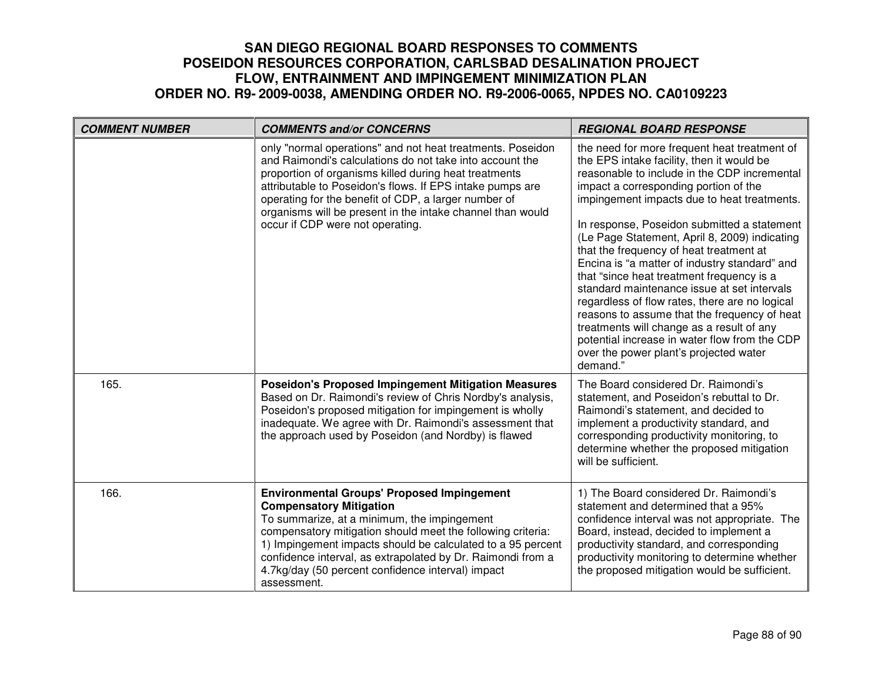| <b>COMMENT NUMBER</b> | <b>COMMENTS and/or CONCERNS</b>                                                                                                                                                                                                                                                                                                                                                                        | <b>REGIONAL BOARD RESPONSE</b>                                                                                                                                                                                                                                                                                                                                                                                                                                                                                                                                                                                                                                                                                                                                                  |
|-----------------------|--------------------------------------------------------------------------------------------------------------------------------------------------------------------------------------------------------------------------------------------------------------------------------------------------------------------------------------------------------------------------------------------------------|---------------------------------------------------------------------------------------------------------------------------------------------------------------------------------------------------------------------------------------------------------------------------------------------------------------------------------------------------------------------------------------------------------------------------------------------------------------------------------------------------------------------------------------------------------------------------------------------------------------------------------------------------------------------------------------------------------------------------------------------------------------------------------|
|                       | only "normal operations" and not heat treatments. Poseidon<br>and Raimondi's calculations do not take into account the<br>proportion of organisms killed during heat treatments<br>attributable to Poseidon's flows. If EPS intake pumps are<br>operating for the benefit of CDP, a larger number of<br>organisms will be present in the intake channel than would<br>occur if CDP were not operating. | the need for more frequent heat treatment of<br>the EPS intake facility, then it would be<br>reasonable to include in the CDP incremental<br>impact a corresponding portion of the<br>impingement impacts due to heat treatments.<br>In response, Poseidon submitted a statement<br>(Le Page Statement, April 8, 2009) indicating<br>that the frequency of heat treatment at<br>Encina is "a matter of industry standard" and<br>that "since heat treatment frequency is a<br>standard maintenance issue at set intervals<br>regardless of flow rates, there are no logical<br>reasons to assume that the frequency of heat<br>treatments will change as a result of any<br>potential increase in water flow from the CDP<br>over the power plant's projected water<br>demand." |
| 165.                  | <b>Poseidon's Proposed Impingement Mitigation Measures</b><br>Based on Dr. Raimondi's review of Chris Nordby's analysis,<br>Poseidon's proposed mitigation for impingement is wholly<br>inadequate. We agree with Dr. Raimondi's assessment that<br>the approach used by Poseidon (and Nordby) is flawed                                                                                               | The Board considered Dr. Raimondi's<br>statement, and Poseidon's rebuttal to Dr.<br>Raimondi's statement, and decided to<br>implement a productivity standard, and<br>corresponding productivity monitoring, to<br>determine whether the proposed mitigation<br>will be sufficient.                                                                                                                                                                                                                                                                                                                                                                                                                                                                                             |
| 166.                  | <b>Environmental Groups' Proposed Impingement</b><br><b>Compensatory Mitigation</b><br>To summarize, at a minimum, the impingement<br>compensatory mitigation should meet the following criteria:<br>1) Impingement impacts should be calculated to a 95 percent<br>confidence interval, as extrapolated by Dr. Raimondi from a<br>4.7kg/day (50 percent confidence interval) impact<br>assessment.    | 1) The Board considered Dr. Raimondi's<br>statement and determined that a 95%<br>confidence interval was not appropriate. The<br>Board, instead, decided to implement a<br>productivity standard, and corresponding<br>productivity monitoring to determine whether<br>the proposed mitigation would be sufficient.                                                                                                                                                                                                                                                                                                                                                                                                                                                             |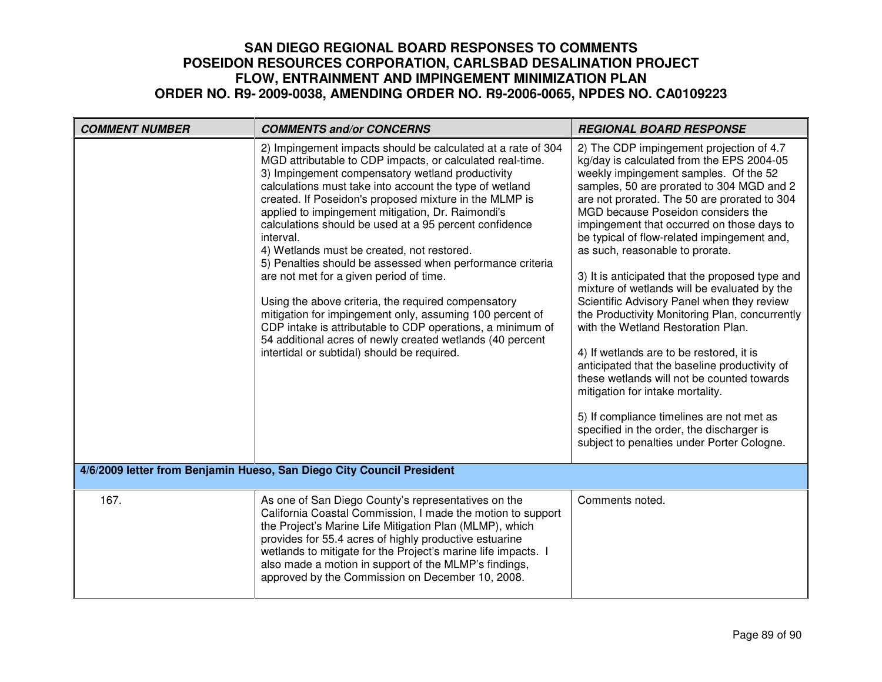| <b>COMMENT NUMBER</b>                                                 | <b>COMMENTS and/or CONCERNS</b>                                                                                                                                                                                                                                                                                                                                                                                                                                                                                                                                                                                                                                                                                                                                                                                                                                                   | <b>REGIONAL BOARD RESPONSE</b>                                                                                                                                                                                                                                                                                                                                                                                                                                                                                                                                                                                                                                                                                                                                                                                                                                                                                                                                    |
|-----------------------------------------------------------------------|-----------------------------------------------------------------------------------------------------------------------------------------------------------------------------------------------------------------------------------------------------------------------------------------------------------------------------------------------------------------------------------------------------------------------------------------------------------------------------------------------------------------------------------------------------------------------------------------------------------------------------------------------------------------------------------------------------------------------------------------------------------------------------------------------------------------------------------------------------------------------------------|-------------------------------------------------------------------------------------------------------------------------------------------------------------------------------------------------------------------------------------------------------------------------------------------------------------------------------------------------------------------------------------------------------------------------------------------------------------------------------------------------------------------------------------------------------------------------------------------------------------------------------------------------------------------------------------------------------------------------------------------------------------------------------------------------------------------------------------------------------------------------------------------------------------------------------------------------------------------|
|                                                                       | 2) Impingement impacts should be calculated at a rate of 304<br>MGD attributable to CDP impacts, or calculated real-time.<br>3) Impingement compensatory wetland productivity<br>calculations must take into account the type of wetland<br>created. If Poseidon's proposed mixture in the MLMP is<br>applied to impingement mitigation, Dr. Raimondi's<br>calculations should be used at a 95 percent confidence<br>interval.<br>4) Wetlands must be created, not restored.<br>5) Penalties should be assessed when performance criteria<br>are not met for a given period of time.<br>Using the above criteria, the required compensatory<br>mitigation for impingement only, assuming 100 percent of<br>CDP intake is attributable to CDP operations, a minimum of<br>54 additional acres of newly created wetlands (40 percent<br>intertidal or subtidal) should be required. | 2) The CDP impingement projection of 4.7<br>kg/day is calculated from the EPS 2004-05<br>weekly impingement samples. Of the 52<br>samples, 50 are prorated to 304 MGD and 2<br>are not prorated. The 50 are prorated to 304<br>MGD because Poseidon considers the<br>impingement that occurred on those days to<br>be typical of flow-related impingement and,<br>as such, reasonable to prorate.<br>3) It is anticipated that the proposed type and<br>mixture of wetlands will be evaluated by the<br>Scientific Advisory Panel when they review<br>the Productivity Monitoring Plan, concurrently<br>with the Wetland Restoration Plan.<br>4) If wetlands are to be restored, it is<br>anticipated that the baseline productivity of<br>these wetlands will not be counted towards<br>mitigation for intake mortality.<br>5) If compliance timelines are not met as<br>specified in the order, the discharger is<br>subject to penalties under Porter Cologne. |
| 4/6/2009 letter from Benjamin Hueso, San Diego City Council President |                                                                                                                                                                                                                                                                                                                                                                                                                                                                                                                                                                                                                                                                                                                                                                                                                                                                                   |                                                                                                                                                                                                                                                                                                                                                                                                                                                                                                                                                                                                                                                                                                                                                                                                                                                                                                                                                                   |
| 167.                                                                  | As one of San Diego County's representatives on the<br>California Coastal Commission, I made the motion to support<br>the Project's Marine Life Mitigation Plan (MLMP), which<br>provides for 55.4 acres of highly productive estuarine<br>wetlands to mitigate for the Project's marine life impacts. I<br>also made a motion in support of the MLMP's findings,<br>approved by the Commission on December 10, 2008.                                                                                                                                                                                                                                                                                                                                                                                                                                                             | Comments noted.                                                                                                                                                                                                                                                                                                                                                                                                                                                                                                                                                                                                                                                                                                                                                                                                                                                                                                                                                   |